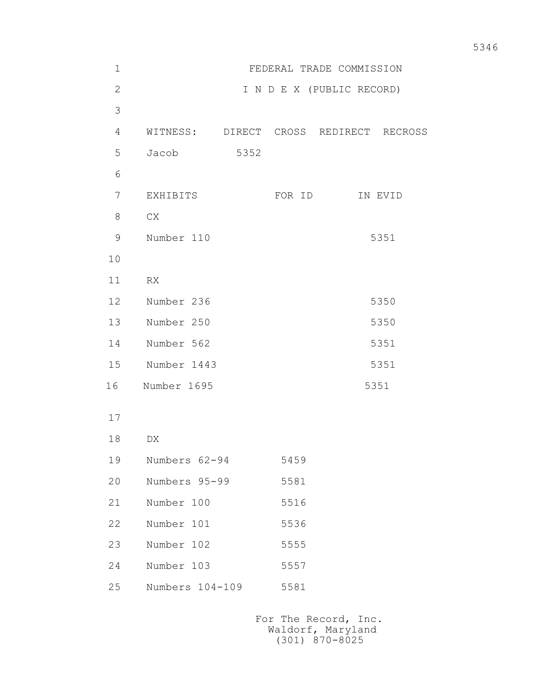| $1\,$          | FEDERAL TRADE COMMISSION |      |        |                               |         |  |  |
|----------------|--------------------------|------|--------|-------------------------------|---------|--|--|
| $\overline{2}$ |                          |      |        | I N D E X (PUBLIC RECORD)     |         |  |  |
| 3              |                          |      |        |                               |         |  |  |
| 4              | WITNESS:                 |      |        | DIRECT CROSS REDIRECT RECROSS |         |  |  |
| 5              | Jacob                    | 5352 |        |                               |         |  |  |
| 6              |                          |      |        |                               |         |  |  |
| $\overline{7}$ | EXHIBITS                 |      | FOR ID |                               | IN EVID |  |  |
| 8              | CX                       |      |        |                               |         |  |  |
| $\mathsf 9$    | Number 110               |      |        |                               | 5351    |  |  |
| 10             |                          |      |        |                               |         |  |  |
| 11             | RX                       |      |        |                               |         |  |  |
| 12             | Number 236               |      |        | 5350                          |         |  |  |
| 13             | Number 250               |      |        |                               | 5350    |  |  |
| 14             | Number 562               |      |        | 5351                          |         |  |  |
| 15             | Number 1443              | 5351 |        |                               |         |  |  |
| 16             | Number 1695              |      |        |                               | 5351    |  |  |
| 17             |                          |      |        |                               |         |  |  |
| 18             | DX                       |      |        |                               |         |  |  |
| 19             | Numbers 62-94            |      | 5459   |                               |         |  |  |
| 20             | Numbers 95-99            |      | 5581   |                               |         |  |  |
| 21             | Number 100               |      | 5516   |                               |         |  |  |
| 22             | Number 101               |      | 5536   |                               |         |  |  |
| 23             | Number 102               |      | 5555   |                               |         |  |  |
| 24             | Number 103               |      | 5557   |                               |         |  |  |
|                |                          |      |        |                               |         |  |  |

25 Numbers 104-109 5581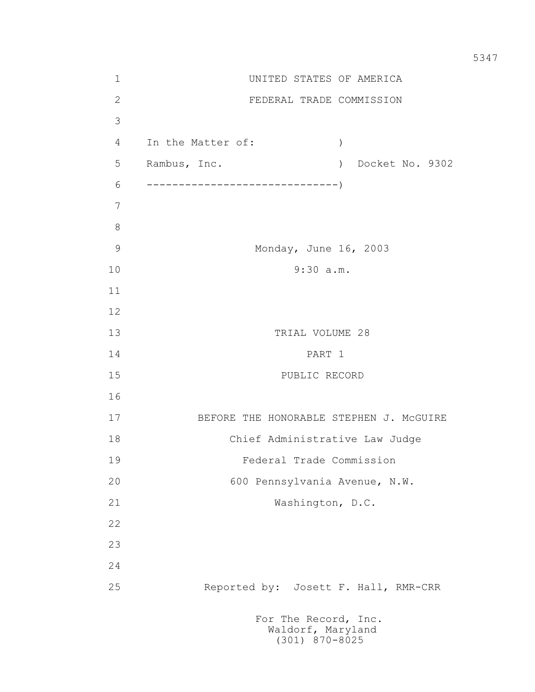1 UNITED STATES OF AMERICA 2 FEDERAL TRADE COMMISSION 3 4 In the Matter of: ) 5 Rambus, Inc. ) Docket No. 9302 6 ------------------------------) 7 8 9 Monday, June 16, 2003 10 9:30 a.m. 11 12 13 TRIAL VOLUME 28 14 PART 1 15 PUBLIC RECORD 16 17 BEFORE THE HONORABLE STEPHEN J. McGUIRE 18 Chief Administrative Law Judge 19 Federal Trade Commission 20 600 Pennsylvania Avenue, N.W. 21 Washington, D.C. 22 23 24 25 Reported by: Josett F. Hall, RMR-CRR For The Record, Inc.

 Waldorf, Maryland (301) 870-8025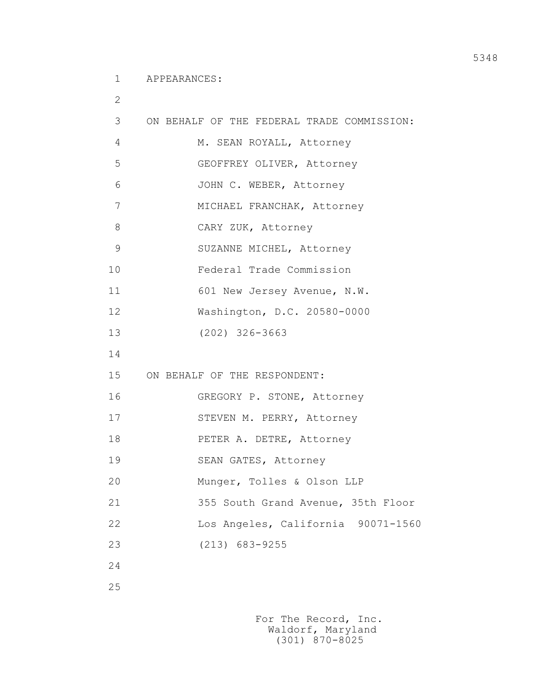1 APPEARANCES:

```
 2
 3 ON BEHALF OF THE FEDERAL TRADE COMMISSION: 
 4 M. SEAN ROYALL, Attorney
 5 GEOFFREY OLIVER, Attorney
 6 JOHN C. WEBER, Attorney
 7 MICHAEL FRANCHAK, Attorney
 8 CARY ZUK, Attorney
 9 SUZANNE MICHEL, Attorney
 10 Federal Trade Commission
11 601 New Jersey Avenue, N.W.
 12 Washington, D.C. 20580-0000
 13 (202) 326-3663
 14
 15 ON BEHALF OF THE RESPONDENT:
 16 GREGORY P. STONE, Attorney
17 STEVEN M. PERRY, Attorney
 18 PETER A. DETRE, Attorney
 19 SEAN GATES, Attorney
 20 Munger, Tolles & Olson LLP
 21 355 South Grand Avenue, 35th Floor
 22 Los Angeles, California 90071-1560
 23 (213) 683-9255
 24
 25
```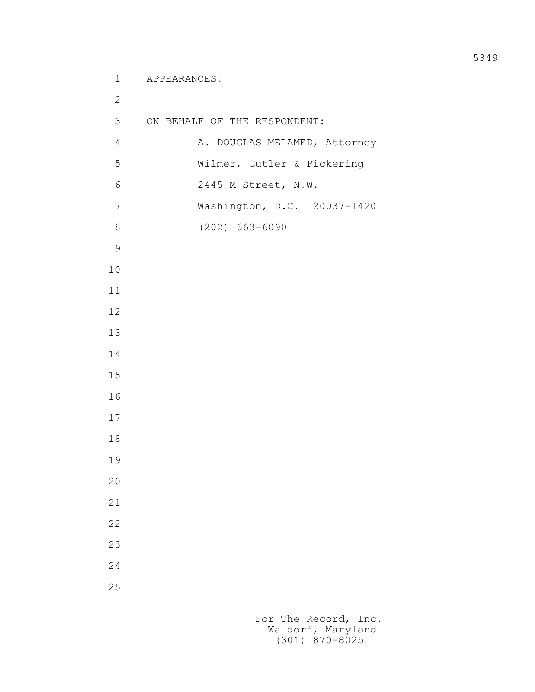1 APPEARANCES:

 3 ON BEHALF OF THE RESPONDENT: 4 A. DOUGLAS MELAMED, Attorney 5 Wilmer, Cutler & Pickering 6 2445 M Street, N.W. 7 Washington, D.C. 20037-1420 8 (202) 663-6090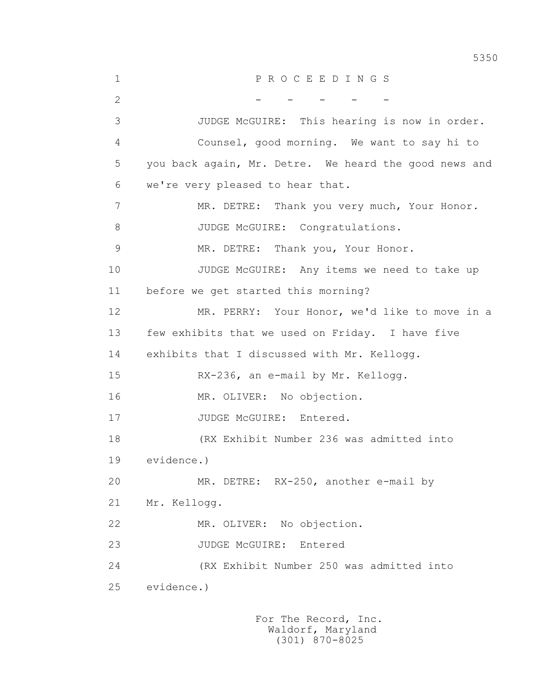1 P R O C E E D I N G S 2 - - - - - - - 3 JUDGE McGUIRE: This hearing is now in order. 4 Counsel, good morning. We want to say hi to 5 you back again, Mr. Detre. We heard the good news and 6 we're very pleased to hear that. 7 MR. DETRE: Thank you very much, Your Honor. 8 JUDGE McGUIRE: Congratulations. 9 MR. DETRE: Thank you, Your Honor. 10 JUDGE McGUIRE: Any items we need to take up 11 before we get started this morning? 12 MR. PERRY: Your Honor, we'd like to move in a 13 few exhibits that we used on Friday. I have five 14 exhibits that I discussed with Mr. Kellogg. 15 RX-236, an e-mail by Mr. Kellogg. 16 MR. OLIVER: No objection. 17 JUDGE McGUIRE: Entered. 18 (RX Exhibit Number 236 was admitted into 19 evidence.) 20 MR. DETRE: RX-250, another e-mail by 21 Mr. Kellogg. 22 MR. OLIVER: No objection. 23 JUDGE McGUIRE: Entered 24 (RX Exhibit Number 250 was admitted into 25 evidence.)

> For The Record, Inc. Waldorf, Maryland (301) 870-8025

5350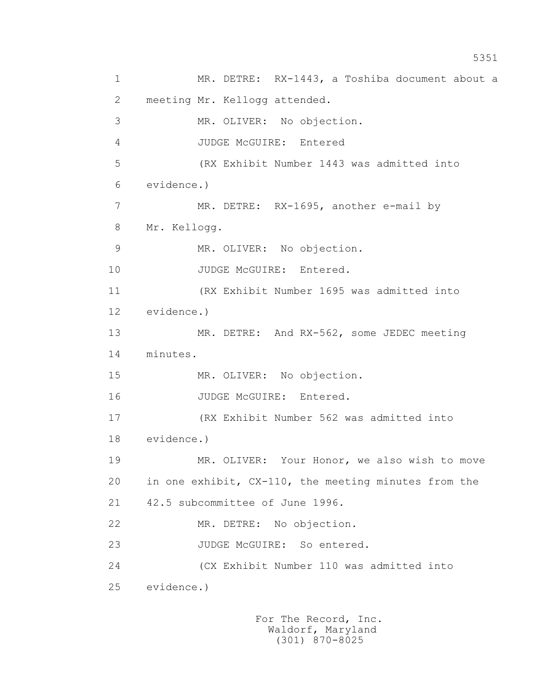1 MR. DETRE: RX-1443, a Toshiba document about a 2 meeting Mr. Kellogg attended. 3 MR. OLIVER: No objection. 4 JUDGE McGUIRE: Entered 5 (RX Exhibit Number 1443 was admitted into 6 evidence.) 7 MR. DETRE: RX-1695, another e-mail by 8 Mr. Kellogg. 9 MR. OLIVER: No objection. 10 JUDGE McGUIRE: Entered. 11 (RX Exhibit Number 1695 was admitted into 12 evidence.) 13 MR. DETRE: And RX-562, some JEDEC meeting 14 minutes. 15 MR. OLIVER: No objection. 16 JUDGE McGUIRE: Entered. 17 (RX Exhibit Number 562 was admitted into 18 evidence.) 19 MR. OLIVER: Your Honor, we also wish to move 20 in one exhibit, CX-110, the meeting minutes from the 21 42.5 subcommittee of June 1996. 22 MR. DETRE: No objection. 23 JUDGE McGUIRE: So entered. 24 (CX Exhibit Number 110 was admitted into 25 evidence.)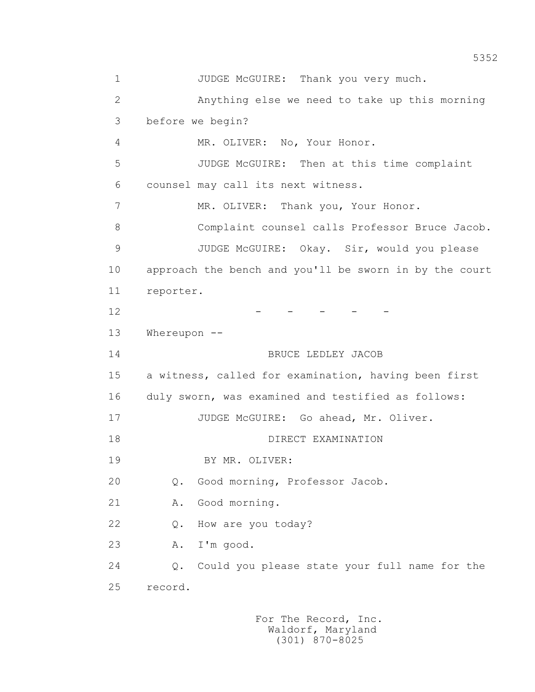1 JUDGE McGUIRE: Thank you very much. 2 Anything else we need to take up this morning 3 before we begin? 4 MR. OLIVER: No, Your Honor. 5 JUDGE McGUIRE: Then at this time complaint 6 counsel may call its next witness. 7 MR. OLIVER: Thank you, Your Honor. 8 Complaint counsel calls Professor Bruce Jacob. 9 JUDGE McGUIRE: Okay. Sir, would you please 10 approach the bench and you'll be sworn in by the court 11 reporter.  $12$  - - - - - 13 Whereupon -- 14 BRUCE LEDLEY JACOB 15 a witness, called for examination, having been first 16 duly sworn, was examined and testified as follows: 17 JUDGE McGUIRE: Go ahead, Mr. Oliver. 18 DIRECT EXAMINATION 19 BY MR. OLIVER: 20 Q. Good morning, Professor Jacob. 21 A. Good morning. 22 Q. How are you today? 23 A. I'm good. 24 Q. Could you please state your full name for the 25 record.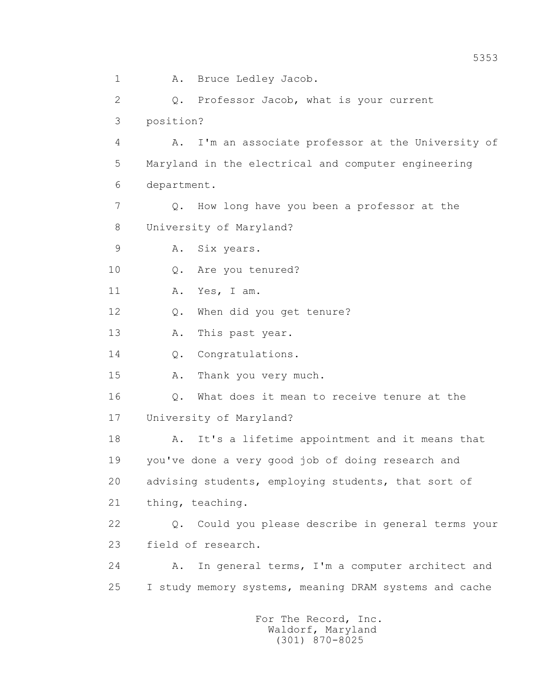1 A. Bruce Ledley Jacob. 2 Q. Professor Jacob, what is your current 3 position? 4 A. I'm an associate professor at the University of 5 Maryland in the electrical and computer engineering 6 department. 7 Q. How long have you been a professor at the 8 University of Maryland? 9 A. Six years. 10 Q. Are you tenured? 11 A. Yes, I am. 12 Q. When did you get tenure? 13 A. This past year. 14 0. Congratulations. 15 A. Thank you very much. 16 Q. What does it mean to receive tenure at the 17 University of Maryland? 18 A. It's a lifetime appointment and it means that 19 you've done a very good job of doing research and 20 advising students, employing students, that sort of 21 thing, teaching. 22 Q. Could you please describe in general terms your 23 field of research. 24 A. In general terms, I'm a computer architect and 25 I study memory systems, meaning DRAM systems and cache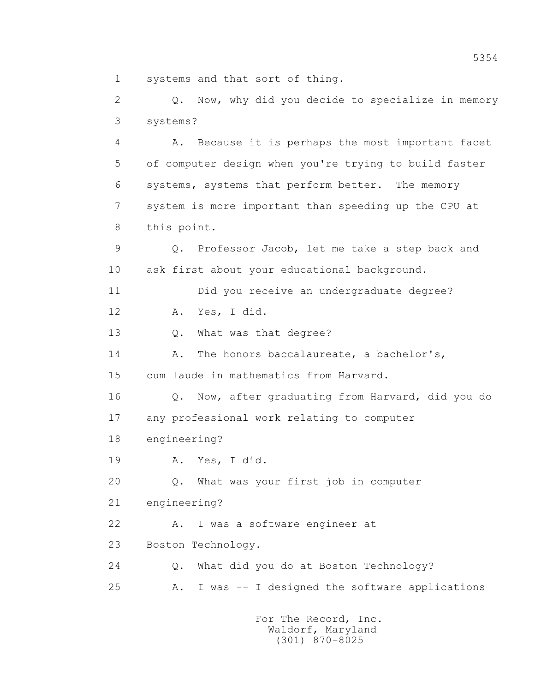1 systems and that sort of thing.

 2 Q. Now, why did you decide to specialize in memory 3 systems? 4 A. Because it is perhaps the most important facet 5 of computer design when you're trying to build faster 6 systems, systems that perform better. The memory 7 system is more important than speeding up the CPU at 8 this point. 9 Q. Professor Jacob, let me take a step back and 10 ask first about your educational background. 11 Did you receive an undergraduate degree? 12 A. Yes, I did. 13 Q. What was that degree? 14 A. The honors baccalaureate, a bachelor's, 15 cum laude in mathematics from Harvard. 16 Q. Now, after graduating from Harvard, did you do 17 any professional work relating to computer 18 engineering? 19 A. Yes, I did. 20 Q. What was your first job in computer 21 engineering? 22 A. I was a software engineer at 23 Boston Technology. 24 Q. What did you do at Boston Technology? 25 A. I was -- I designed the software applications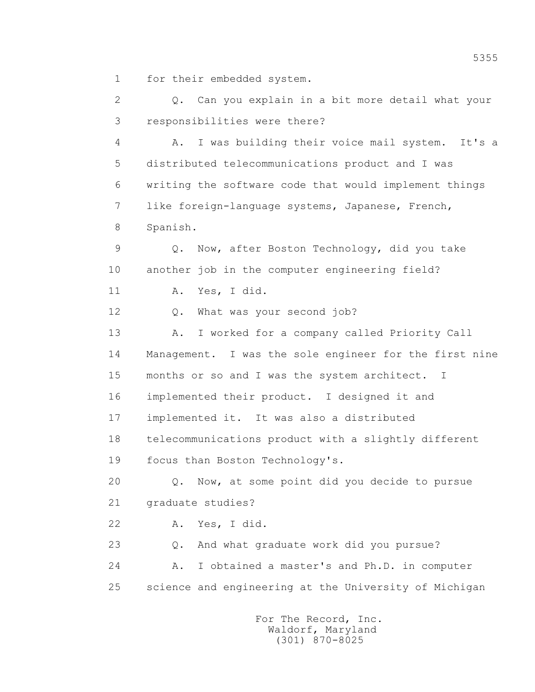1 for their embedded system.

 2 Q. Can you explain in a bit more detail what your 3 responsibilities were there?

 4 A. I was building their voice mail system. It's a 5 distributed telecommunications product and I was 6 writing the software code that would implement things 7 like foreign-language systems, Japanese, French, 8 Spanish.

 9 Q. Now, after Boston Technology, did you take 10 another job in the computer engineering field?

11 A. Yes, I did.

12 Q. What was your second job?

 13 A. I worked for a company called Priority Call 14 Management. I was the sole engineer for the first nine 15 months or so and I was the system architect. I 16 implemented their product. I designed it and 17 implemented it. It was also a distributed 18 telecommunications product with a slightly different 19 focus than Boston Technology's.

 20 Q. Now, at some point did you decide to pursue 21 graduate studies?

22 A. Yes, I did.

 23 Q. And what graduate work did you pursue? 24 A. I obtained a master's and Ph.D. in computer 25 science and engineering at the University of Michigan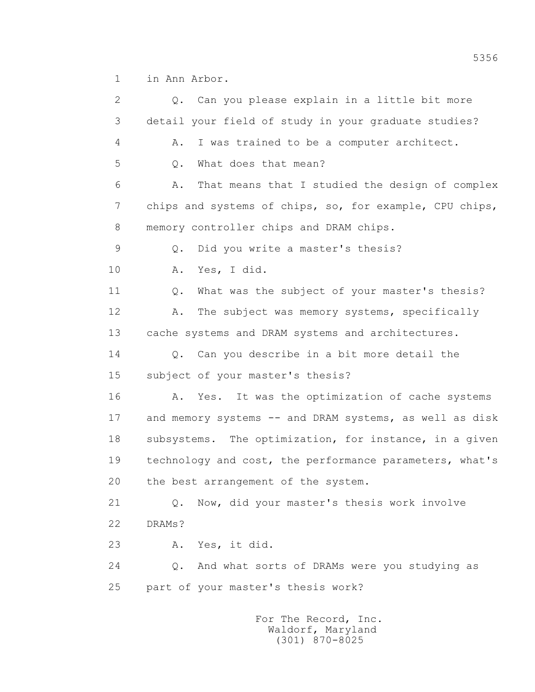1 in Ann Arbor.

 2 Q. Can you please explain in a little bit more 3 detail your field of study in your graduate studies? 4 A. I was trained to be a computer architect. 5 0. What does that mean? 6 A. That means that I studied the design of complex 7 chips and systems of chips, so, for example, CPU chips, 8 memory controller chips and DRAM chips. 9 Q. Did you write a master's thesis? 10 A. Yes, I did. 11 0. What was the subject of your master's thesis? 12 A. The subject was memory systems, specifically 13 cache systems and DRAM systems and architectures. 14 0. Can you describe in a bit more detail the 15 subject of your master's thesis? 16 A. Yes. It was the optimization of cache systems 17 and memory systems -- and DRAM systems, as well as disk 18 subsystems. The optimization, for instance, in a given 19 technology and cost, the performance parameters, what's 20 the best arrangement of the system. 21 Q. Now, did your master's thesis work involve 22 DRAMs? 23 A. Yes, it did. 24 Q. And what sorts of DRAMs were you studying as 25 part of your master's thesis work? For The Record, Inc.

 Waldorf, Maryland (301) 870-8025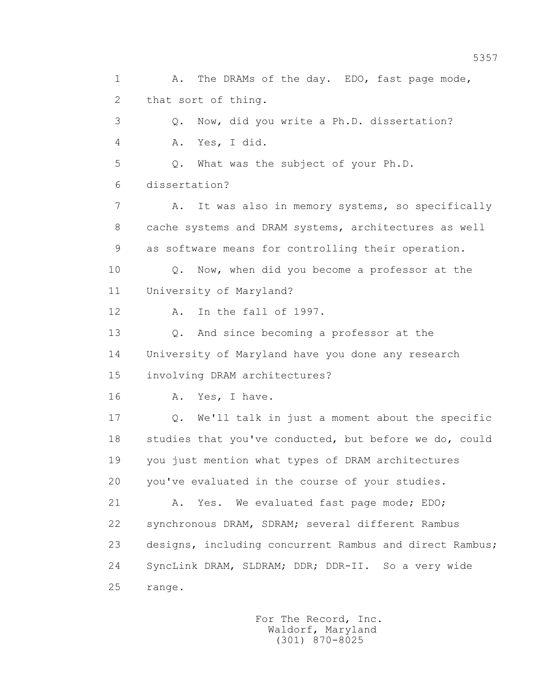1 A. The DRAMs of the day. EDO, fast page mode, 2 that sort of thing. 3 Q. Now, did you write a Ph.D. dissertation? 4 A. Yes, I did. 5 Q. What was the subject of your Ph.D. 6 dissertation? 7 A. It was also in memory systems, so specifically 8 cache systems and DRAM systems, architectures as well 9 as software means for controlling their operation. 10 Q. Now, when did you become a professor at the 11 University of Maryland? 12 A. In the fall of 1997. 13 Q. And since becoming a professor at the 14 University of Maryland have you done any research 15 involving DRAM architectures? 16 A. Yes, I have. 17 Q. We'll talk in just a moment about the specific 18 studies that you've conducted, but before we do, could 19 you just mention what types of DRAM architectures 20 you've evaluated in the course of your studies. 21 A. Yes. We evaluated fast page mode; EDO; 22 synchronous DRAM, SDRAM; several different Rambus 23 designs, including concurrent Rambus and direct Rambus; 24 SyncLink DRAM, SLDRAM; DDR; DDR-II. So a very wide 25 range.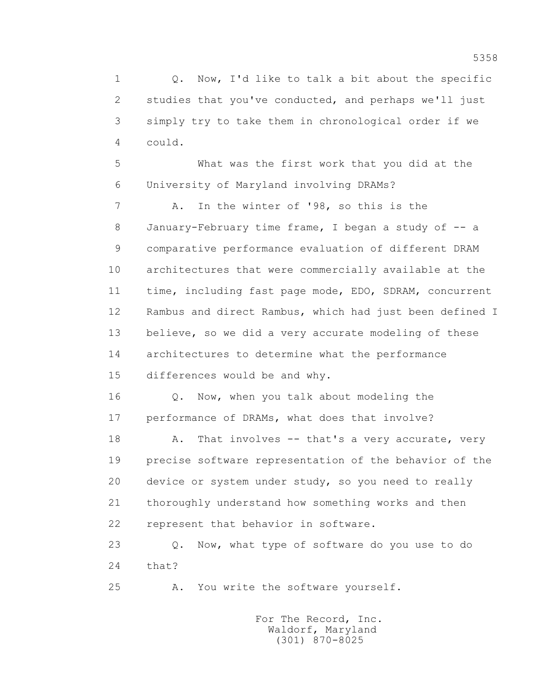1 0. Now, I'd like to talk a bit about the specific 2 studies that you've conducted, and perhaps we'll just 3 simply try to take them in chronological order if we 4 could.

 5 What was the first work that you did at the 6 University of Maryland involving DRAMs?

 7 A. In the winter of '98, so this is the 8 January-February time frame, I began a study of -- a 9 comparative performance evaluation of different DRAM 10 architectures that were commercially available at the 11 time, including fast page mode, EDO, SDRAM, concurrent 12 Rambus and direct Rambus, which had just been defined I 13 believe, so we did a very accurate modeling of these 14 architectures to determine what the performance 15 differences would be and why.

 16 Q. Now, when you talk about modeling the 17 performance of DRAMs, what does that involve?

18 A. That involves -- that's a very accurate, very 19 precise software representation of the behavior of the 20 device or system under study, so you need to really 21 thoroughly understand how something works and then 22 represent that behavior in software.

 23 Q. Now, what type of software do you use to do 24 that?

25 A. You write the software yourself.

 For The Record, Inc. Waldorf, Maryland (301) 870-8025

5358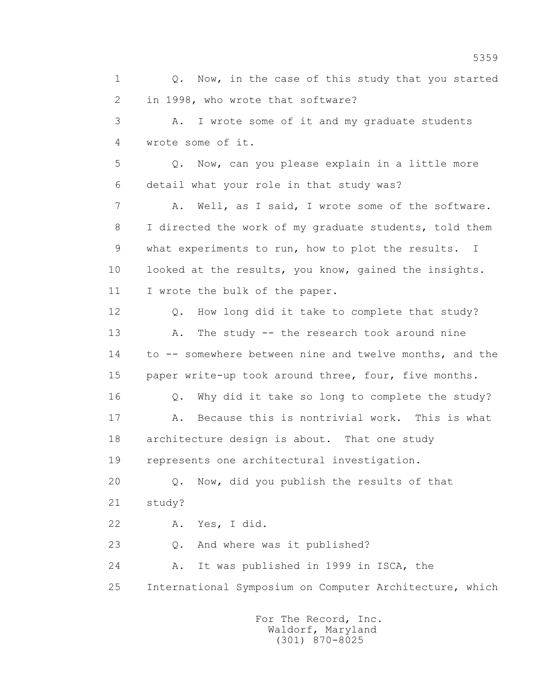1 0. Now, in the case of this study that you started 2 in 1998, who wrote that software?

 3 A. I wrote some of it and my graduate students 4 wrote some of it.

 5 Q. Now, can you please explain in a little more 6 detail what your role in that study was?

7 A. Well, as I said, I wrote some of the software. 8 I directed the work of my graduate students, told them 9 what experiments to run, how to plot the results. I 10 looked at the results, you know, gained the insights. 11 I wrote the bulk of the paper.

12 Q. How long did it take to complete that study? 13 A. The study -- the research took around nine 14 to -- somewhere between nine and twelve months, and the 15 paper write-up took around three, four, five months.

 16 Q. Why did it take so long to complete the study? 17 A. Because this is nontrivial work. This is what 18 architecture design is about. That one study 19 represents one architectural investigation.

 20 Q. Now, did you publish the results of that 21 study?

22 A. Yes, I did.

23 O. And where was it published?

 24 A. It was published in 1999 in ISCA, the 25 International Symposium on Computer Architecture, which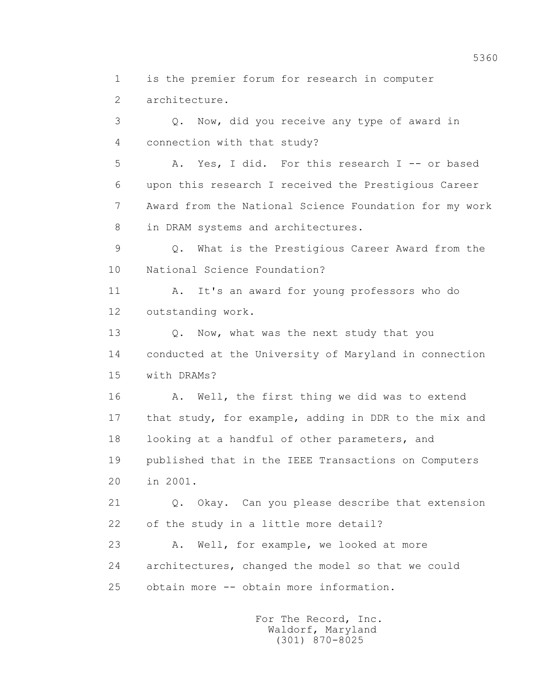1 is the premier forum for research in computer

2 architecture.

 3 Q. Now, did you receive any type of award in 4 connection with that study?

 5 A. Yes, I did. For this research I -- or based 6 upon this research I received the Prestigious Career 7 Award from the National Science Foundation for my work 8 in DRAM systems and architectures.

 9 Q. What is the Prestigious Career Award from the 10 National Science Foundation?

 11 A. It's an award for young professors who do 12 outstanding work.

13 Q. Now, what was the next study that you 14 conducted at the University of Maryland in connection 15 with DRAMs?

16 A. Well, the first thing we did was to extend 17 that study, for example, adding in DDR to the mix and 18 looking at a handful of other parameters, and 19 published that in the IEEE Transactions on Computers 20 in 2001.

 21 Q. Okay. Can you please describe that extension 22 of the study in a little more detail?

 23 A. Well, for example, we looked at more 24 architectures, changed the model so that we could 25 obtain more -- obtain more information.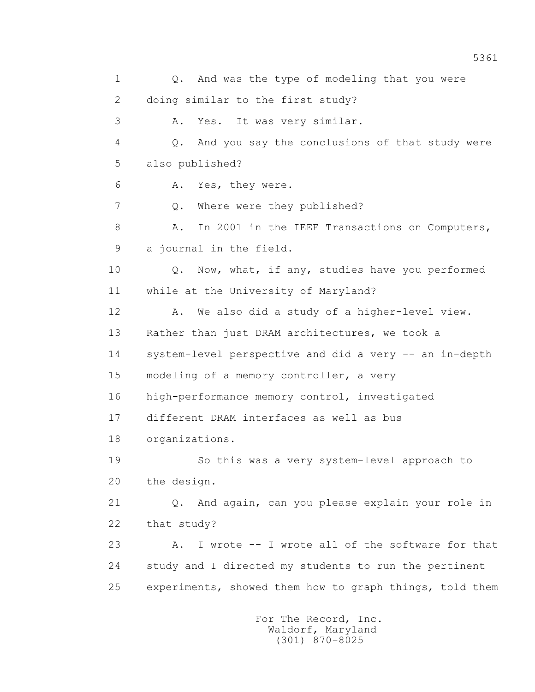1 0. And was the type of modeling that you were 2 doing similar to the first study? 3 A. Yes. It was very similar. 4 Q. And you say the conclusions of that study were 5 also published? 6 A. Yes, they were. 7 Q. Where were they published? 8 A. In 2001 in the IEEE Transactions on Computers, 9 a journal in the field. 10 Q. Now, what, if any, studies have you performed 11 while at the University of Maryland? 12 A. We also did a study of a higher-level view. 13 Rather than just DRAM architectures, we took a 14 system-level perspective and did a very -- an in-depth 15 modeling of a memory controller, a very 16 high-performance memory control, investigated 17 different DRAM interfaces as well as bus 18 organizations. 19 So this was a very system-level approach to 20 the design. 21 Q. And again, can you please explain your role in 22 that study? 23 A. I wrote -- I wrote all of the software for that 24 study and I directed my students to run the pertinent 25 experiments, showed them how to graph things, told them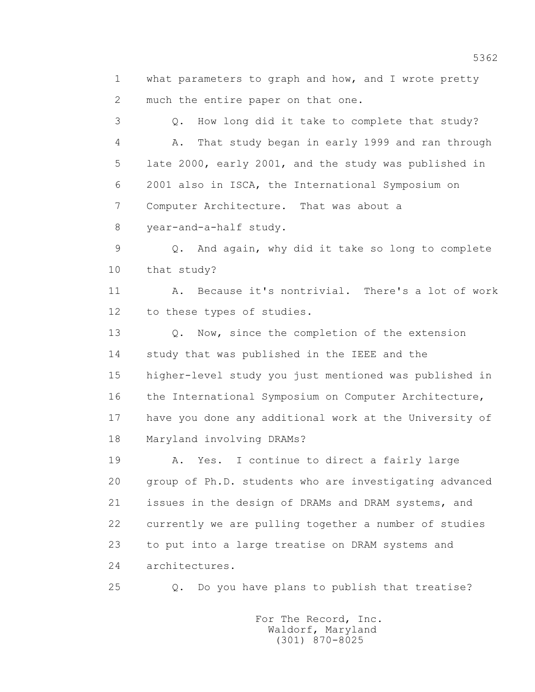1 what parameters to graph and how, and I wrote pretty 2 much the entire paper on that one.

 3 Q. How long did it take to complete that study? 4 A. That study began in early 1999 and ran through 5 late 2000, early 2001, and the study was published in 6 2001 also in ISCA, the International Symposium on 7 Computer Architecture. That was about a 8 year-and-a-half study.

 9 Q. And again, why did it take so long to complete 10 that study?

 11 A. Because it's nontrivial. There's a lot of work 12 to these types of studies.

 13 Q. Now, since the completion of the extension 14 study that was published in the IEEE and the 15 higher-level study you just mentioned was published in 16 the International Symposium on Computer Architecture, 17 have you done any additional work at the University of 18 Maryland involving DRAMs?

 19 A. Yes. I continue to direct a fairly large 20 group of Ph.D. students who are investigating advanced 21 issues in the design of DRAMs and DRAM systems, and 22 currently we are pulling together a number of studies 23 to put into a large treatise on DRAM systems and 24 architectures.

25 Q. Do you have plans to publish that treatise?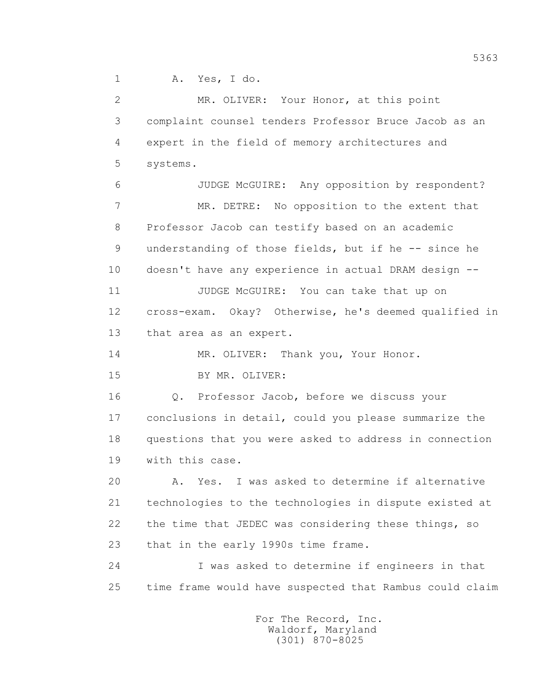1 A. Yes, I do.

 2 MR. OLIVER: Your Honor, at this point 3 complaint counsel tenders Professor Bruce Jacob as an 4 expert in the field of memory architectures and 5 systems. 6 JUDGE McGUIRE: Any opposition by respondent? 7 MR. DETRE: No opposition to the extent that 8 Professor Jacob can testify based on an academic 9 understanding of those fields, but if he -- since he 10 doesn't have any experience in actual DRAM design -- 11 JUDGE McGUIRE: You can take that up on 12 cross-exam. Okay? Otherwise, he's deemed qualified in 13 that area as an expert. 14 MR. OLIVER: Thank you, Your Honor. 15 BY MR. OLIVER: 16 Q. Professor Jacob, before we discuss your 17 conclusions in detail, could you please summarize the 18 questions that you were asked to address in connection 19 with this case. 20 A. Yes. I was asked to determine if alternative 21 technologies to the technologies in dispute existed at 22 the time that JEDEC was considering these things, so 23 that in the early 1990s time frame. 24 I was asked to determine if engineers in that 25 time frame would have suspected that Rambus could claim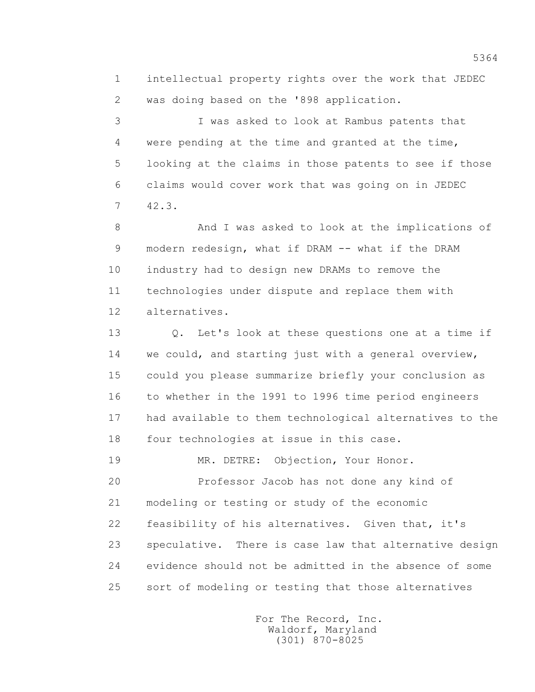1 intellectual property rights over the work that JEDEC 2 was doing based on the '898 application.

 3 I was asked to look at Rambus patents that 4 were pending at the time and granted at the time, 5 looking at the claims in those patents to see if those 6 claims would cover work that was going on in JEDEC 7 42.3.

 8 And I was asked to look at the implications of 9 modern redesign, what if DRAM -- what if the DRAM 10 industry had to design new DRAMs to remove the 11 technologies under dispute and replace them with 12 alternatives.

 13 Q. Let's look at these questions one at a time if 14 we could, and starting just with a general overview, 15 could you please summarize briefly your conclusion as 16 to whether in the 1991 to 1996 time period engineers 17 had available to them technological alternatives to the 18 four technologies at issue in this case.

19 MR. DETRE: Objection, Your Honor.

 20 Professor Jacob has not done any kind of 21 modeling or testing or study of the economic 22 feasibility of his alternatives. Given that, it's 23 speculative. There is case law that alternative design 24 evidence should not be admitted in the absence of some 25 sort of modeling or testing that those alternatives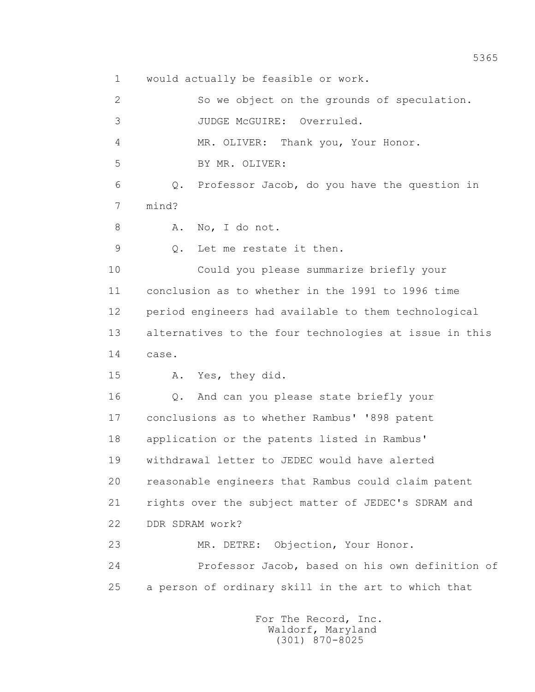1 would actually be feasible or work.

 2 So we object on the grounds of speculation. 3 JUDGE McGUIRE: Overruled. 4 MR. OLIVER: Thank you, Your Honor. 5 BY MR. OLIVER: 6 Q. Professor Jacob, do you have the question in 7 mind? 8 A. No, I do not. 9 Q. Let me restate it then. 10 Could you please summarize briefly your 11 conclusion as to whether in the 1991 to 1996 time 12 period engineers had available to them technological 13 alternatives to the four technologies at issue in this 14 case. 15 A. Yes, they did. 16 Q. And can you please state briefly your 17 conclusions as to whether Rambus' '898 patent 18 application or the patents listed in Rambus' 19 withdrawal letter to JEDEC would have alerted 20 reasonable engineers that Rambus could claim patent 21 rights over the subject matter of JEDEC's SDRAM and 22 DDR SDRAM work? 23 MR. DETRE: Objection, Your Honor. 24 Professor Jacob, based on his own definition of 25 a person of ordinary skill in the art to which that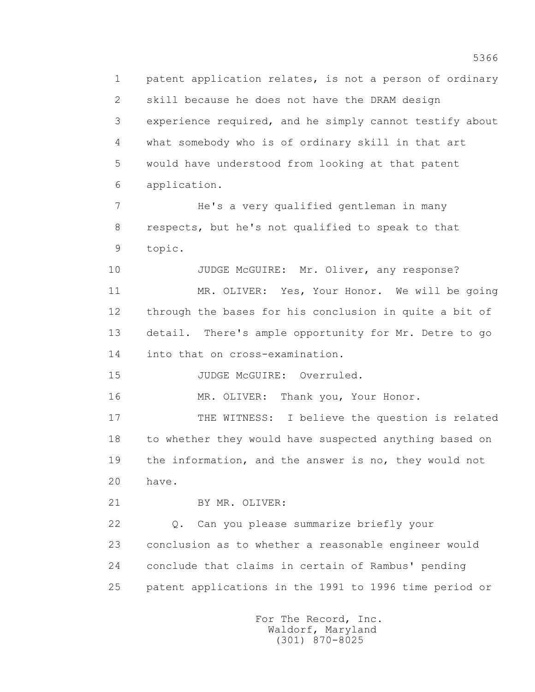1 patent application relates, is not a person of ordinary 2 skill because he does not have the DRAM design 3 experience required, and he simply cannot testify about 4 what somebody who is of ordinary skill in that art 5 would have understood from looking at that patent 6 application.

 7 He's a very qualified gentleman in many 8 respects, but he's not qualified to speak to that 9 topic.

10 JUDGE McGUIRE: Mr. Oliver, any response? 11 MR. OLIVER: Yes, Your Honor. We will be going 12 through the bases for his conclusion in quite a bit of 13 detail. There's ample opportunity for Mr. Detre to go 14 into that on cross-examination.

15 JUDGE McGUIRE: Overruled.

16 MR. OLIVER: Thank you, Your Honor.

 17 THE WITNESS: I believe the question is related 18 to whether they would have suspected anything based on 19 the information, and the answer is no, they would not 20 have.

21 BY MR. OLIVER:

 22 Q. Can you please summarize briefly your 23 conclusion as to whether a reasonable engineer would 24 conclude that claims in certain of Rambus' pending 25 patent applications in the 1991 to 1996 time period or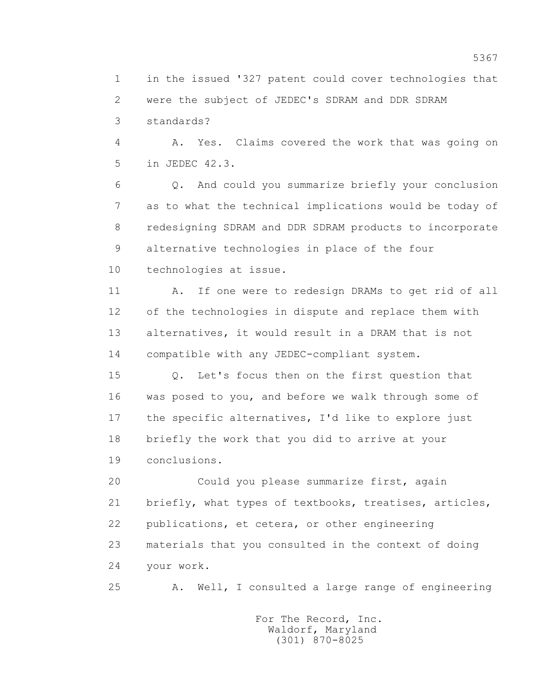1 in the issued '327 patent could cover technologies that 2 were the subject of JEDEC's SDRAM and DDR SDRAM 3 standards?

 4 A. Yes. Claims covered the work that was going on 5 in JEDEC 42.3.

 6 Q. And could you summarize briefly your conclusion 7 as to what the technical implications would be today of 8 redesigning SDRAM and DDR SDRAM products to incorporate 9 alternative technologies in place of the four 10 technologies at issue.

11 A. If one were to redesign DRAMs to get rid of all 12 of the technologies in dispute and replace them with 13 alternatives, it would result in a DRAM that is not 14 compatible with any JEDEC-compliant system.

 15 Q. Let's focus then on the first question that 16 was posed to you, and before we walk through some of 17 the specific alternatives, I'd like to explore just 18 briefly the work that you did to arrive at your 19 conclusions.

 20 Could you please summarize first, again 21 briefly, what types of textbooks, treatises, articles, 22 publications, et cetera, or other engineering 23 materials that you consulted in the context of doing 24 your work.

25 A. Well, I consulted a large range of engineering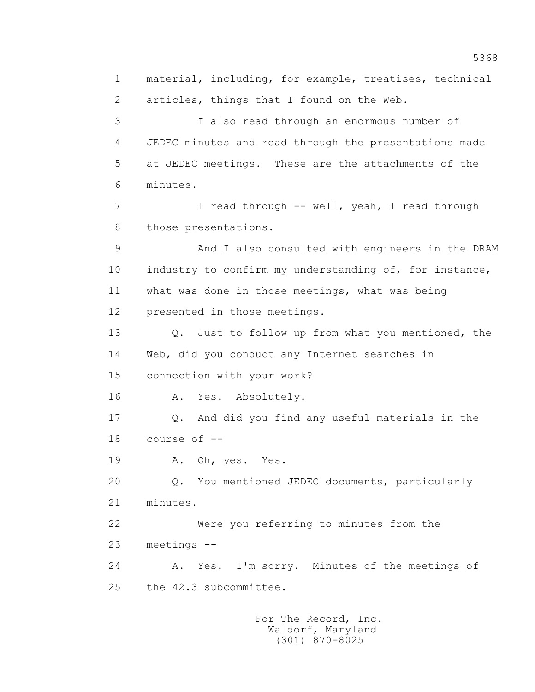1 material, including, for example, treatises, technical 2 articles, things that I found on the Web. 3 I also read through an enormous number of 4 JEDEC minutes and read through the presentations made 5 at JEDEC meetings. These are the attachments of the 6 minutes. 7 I read through -- well, yeah, I read through 8 those presentations. 9 And I also consulted with engineers in the DRAM 10 industry to confirm my understanding of, for instance, 11 what was done in those meetings, what was being 12 presented in those meetings. 13 Q. Just to follow up from what you mentioned, the 14 Web, did you conduct any Internet searches in 15 connection with your work? 16 A. Yes. Absolutely. 17 Q. And did you find any useful materials in the 18 course of -- 19 A. Oh, yes. Yes. 20 Q. You mentioned JEDEC documents, particularly 21 minutes. 22 Were you referring to minutes from the 23 meetings -- 24 A. Yes. I'm sorry. Minutes of the meetings of 25 the 42.3 subcommittee.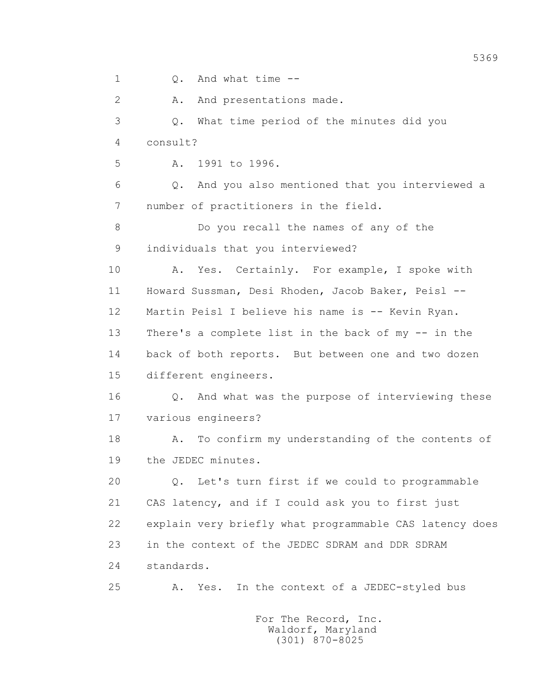1 0. And what time --2 A. And presentations made. 3 Q. What time period of the minutes did you 4 consult? 5 A. 1991 to 1996. 6 Q. And you also mentioned that you interviewed a 7 number of practitioners in the field. 8 Do you recall the names of any of the 9 individuals that you interviewed? 10 A. Yes. Certainly. For example, I spoke with 11 Howard Sussman, Desi Rhoden, Jacob Baker, Peisl -- 12 Martin Peisl I believe his name is -- Kevin Ryan. 13 There's a complete list in the back of my -- in the 14 back of both reports. But between one and two dozen 15 different engineers. 16 Q. And what was the purpose of interviewing these 17 various engineers? 18 A. To confirm my understanding of the contents of 19 the JEDEC minutes. 20 Q. Let's turn first if we could to programmable 21 CAS latency, and if I could ask you to first just 22 explain very briefly what programmable CAS latency does 23 in the context of the JEDEC SDRAM and DDR SDRAM 24 standards. 25 A. Yes. In the context of a JEDEC-styled bus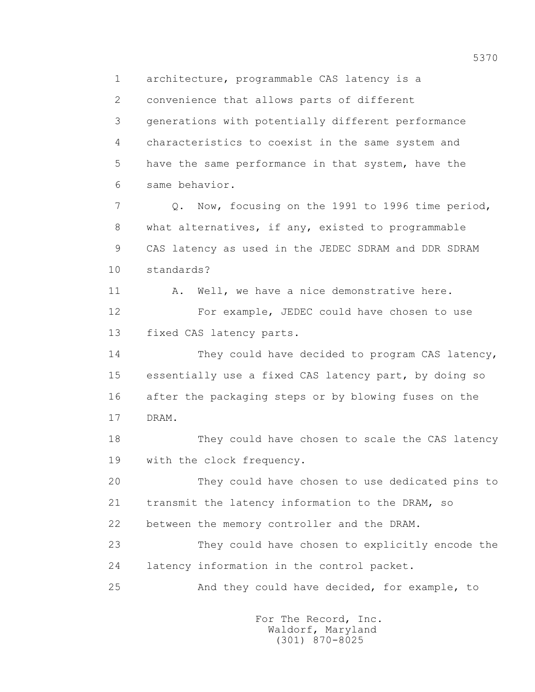1 architecture, programmable CAS latency is a

2 convenience that allows parts of different

 3 generations with potentially different performance 4 characteristics to coexist in the same system and 5 have the same performance in that system, have the 6 same behavior.

 7 Q. Now, focusing on the 1991 to 1996 time period, 8 what alternatives, if any, existed to programmable 9 CAS latency as used in the JEDEC SDRAM and DDR SDRAM 10 standards?

11 A. Well, we have a nice demonstrative here. 12 For example, JEDEC could have chosen to use 13 fixed CAS latency parts.

 14 They could have decided to program CAS latency, 15 essentially use a fixed CAS latency part, by doing so 16 after the packaging steps or by blowing fuses on the 17 DRAM.

 18 They could have chosen to scale the CAS latency 19 with the clock frequency.

 20 They could have chosen to use dedicated pins to 21 transmit the latency information to the DRAM, so

22 between the memory controller and the DRAM.

 23 They could have chosen to explicitly encode the 24 latency information in the control packet.

25 And they could have decided, for example, to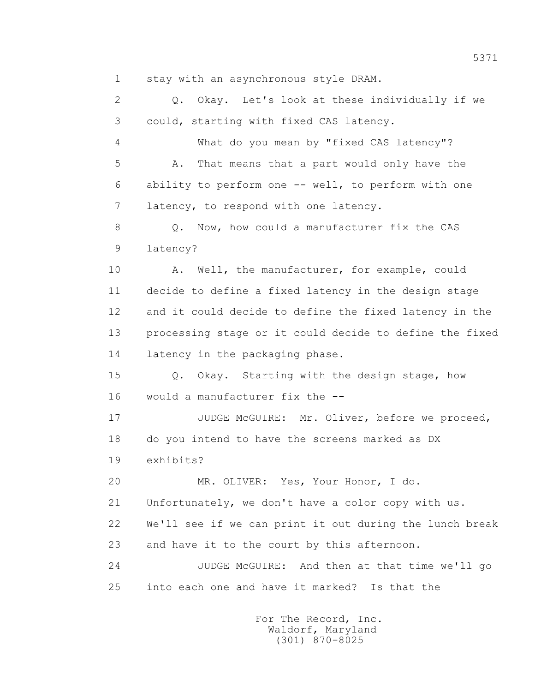1 stay with an asynchronous style DRAM.

 2 Q. Okay. Let's look at these individually if we 3 could, starting with fixed CAS latency. 4 What do you mean by "fixed CAS latency"? 5 A. That means that a part would only have the 6 ability to perform one -- well, to perform with one 7 latency, to respond with one latency. 8 Q. Now, how could a manufacturer fix the CAS 9 latency? 10 A. Well, the manufacturer, for example, could 11 decide to define a fixed latency in the design stage 12 and it could decide to define the fixed latency in the 13 processing stage or it could decide to define the fixed 14 latency in the packaging phase. 15 Q. Okay. Starting with the design stage, how 16 would a manufacturer fix the -- 17 JUDGE McGUIRE: Mr. Oliver, before we proceed, 18 do you intend to have the screens marked as DX 19 exhibits? 20 MR. OLIVER: Yes, Your Honor, I do. 21 Unfortunately, we don't have a color copy with us. 22 We'll see if we can print it out during the lunch break 23 and have it to the court by this afternoon. 24 JUDGE McGUIRE: And then at that time we'll go 25 into each one and have it marked? Is that the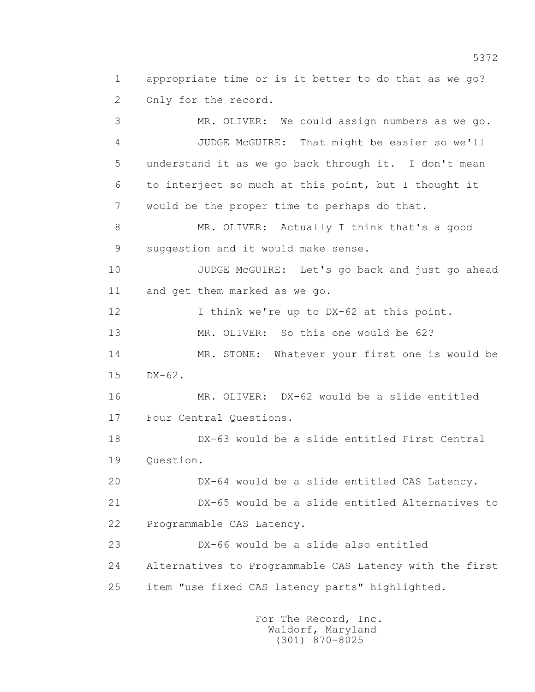1 appropriate time or is it better to do that as we go? 2 Only for the record.

 3 MR. OLIVER: We could assign numbers as we go. 4 JUDGE McGUIRE: That might be easier so we'll 5 understand it as we go back through it. I don't mean 6 to interject so much at this point, but I thought it 7 would be the proper time to perhaps do that. 8 MR. OLIVER: Actually I think that's a good 9 suggestion and it would make sense. 10 JUDGE McGUIRE: Let's go back and just go ahead 11 and get them marked as we go. 12 I think we're up to DX-62 at this point. 13 MR. OLIVER: So this one would be 62? 14 MR. STONE: Whatever your first one is would be 15 DX-62. 16 MR. OLIVER: DX-62 would be a slide entitled 17 Four Central Questions. 18 DX-63 would be a slide entitled First Central 19 Question. 20 DX-64 would be a slide entitled CAS Latency. 21 DX-65 would be a slide entitled Alternatives to 22 Programmable CAS Latency. 23 DX-66 would be a slide also entitled 24 Alternatives to Programmable CAS Latency with the first 25 item "use fixed CAS latency parts" highlighted.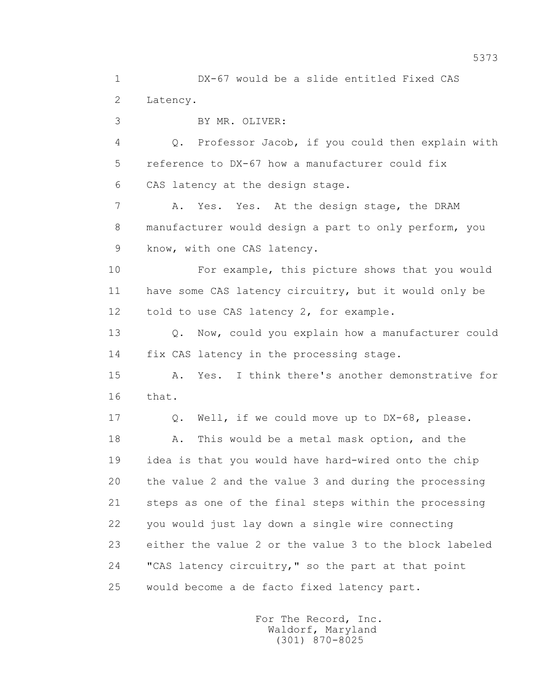1 DX-67 would be a slide entitled Fixed CAS 2 Latency.

3 BY MR. OLIVER:

 4 Q. Professor Jacob, if you could then explain with 5 reference to DX-67 how a manufacturer could fix 6 CAS latency at the design stage.

7 A. Yes. Yes. At the design stage, the DRAM 8 manufacturer would design a part to only perform, you 9 know, with one CAS latency.

 10 For example, this picture shows that you would 11 have some CAS latency circuitry, but it would only be 12 told to use CAS latency 2, for example.

13 0. Now, could you explain how a manufacturer could 14 fix CAS latency in the processing stage.

 15 A. Yes. I think there's another demonstrative for 16 that.

 17 Q. Well, if we could move up to DX-68, please. 18 A. This would be a metal mask option, and the 19 idea is that you would have hard-wired onto the chip 20 the value 2 and the value 3 and during the processing 21 steps as one of the final steps within the processing 22 you would just lay down a single wire connecting 23 either the value 2 or the value 3 to the block labeled 24 "CAS latency circuitry," so the part at that point 25 would become a de facto fixed latency part.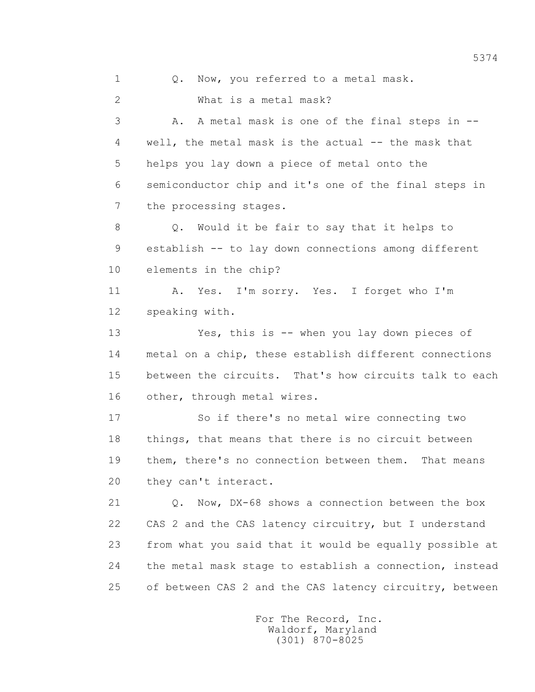1 0. Now, you referred to a metal mask.

2 What is a metal mask?

 3 A. A metal mask is one of the final steps in -- 4 well, the metal mask is the actual -- the mask that 5 helps you lay down a piece of metal onto the 6 semiconductor chip and it's one of the final steps in 7 the processing stages.

 8 Q. Would it be fair to say that it helps to 9 establish -- to lay down connections among different 10 elements in the chip?

 11 A. Yes. I'm sorry. Yes. I forget who I'm 12 speaking with.

 13 Yes, this is -- when you lay down pieces of 14 metal on a chip, these establish different connections 15 between the circuits. That's how circuits talk to each 16 other, through metal wires.

 17 So if there's no metal wire connecting two 18 things, that means that there is no circuit between 19 them, there's no connection between them. That means 20 they can't interact.

 21 Q. Now, DX-68 shows a connection between the box 22 CAS 2 and the CAS latency circuitry, but I understand 23 from what you said that it would be equally possible at 24 the metal mask stage to establish a connection, instead 25 of between CAS 2 and the CAS latency circuitry, between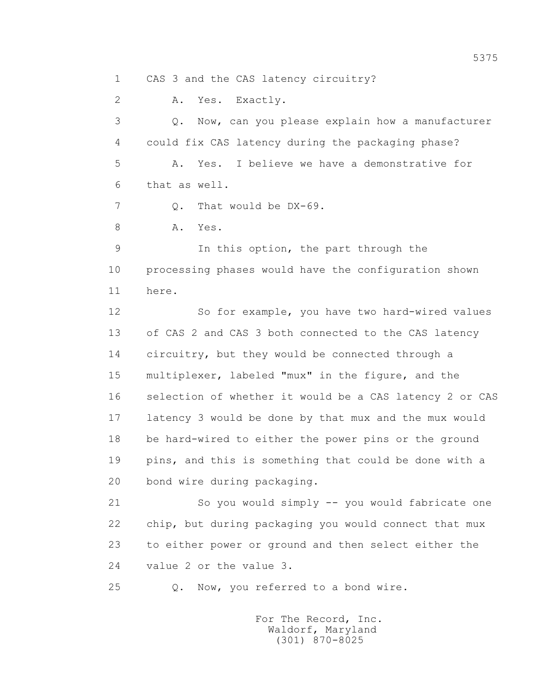1 CAS 3 and the CAS latency circuitry?

 2 A. Yes. Exactly. 3 Q. Now, can you please explain how a manufacturer 4 could fix CAS latency during the packaging phase? 5 A. Yes. I believe we have a demonstrative for 6 that as well. 7 0. That would be DX-69. 8 A. Yes. 9 In this option, the part through the 10 processing phases would have the configuration shown 11 here. 12 So for example, you have two hard-wired values 13 of CAS 2 and CAS 3 both connected to the CAS latency 14 circuitry, but they would be connected through a 15 multiplexer, labeled "mux" in the figure, and the 16 selection of whether it would be a CAS latency 2 or CAS 17 latency 3 would be done by that mux and the mux would 18 be hard-wired to either the power pins or the ground 19 pins, and this is something that could be done with a 20 bond wire during packaging. 21 So you would simply -- you would fabricate one 22 chip, but during packaging you would connect that mux 23 to either power or ground and then select either the 24 value 2 or the value 3.

25 Q. Now, you referred to a bond wire.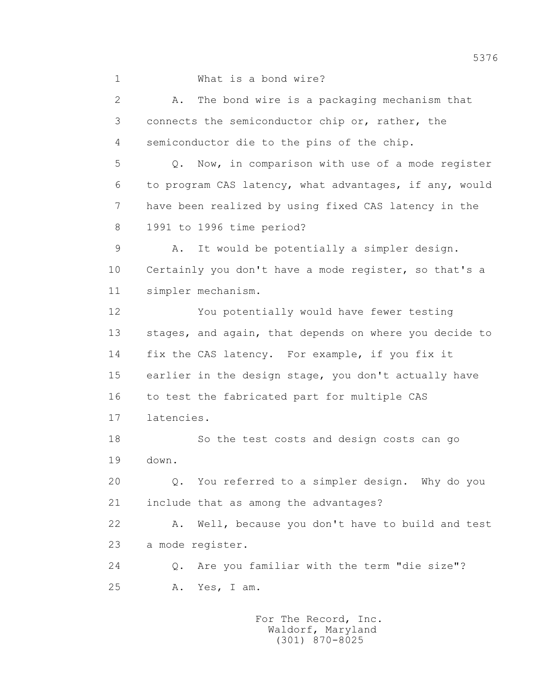1 What is a bond wire?

 2 A. The bond wire is a packaging mechanism that 3 connects the semiconductor chip or, rather, the 4 semiconductor die to the pins of the chip. 5 Q. Now, in comparison with use of a mode register 6 to program CAS latency, what advantages, if any, would 7 have been realized by using fixed CAS latency in the 8 1991 to 1996 time period? 9 A. It would be potentially a simpler design. 10 Certainly you don't have a mode register, so that's a 11 simpler mechanism. 12 You potentially would have fewer testing 13 stages, and again, that depends on where you decide to 14 fix the CAS latency. For example, if you fix it 15 earlier in the design stage, you don't actually have 16 to test the fabricated part for multiple CAS 17 latencies. 18 So the test costs and design costs can go 19 down. 20 Q. You referred to a simpler design. Why do you 21 include that as among the advantages? 22 A. Well, because you don't have to build and test 23 a mode register. 24 Q. Are you familiar with the term "die size"? 25 A. Yes, I am.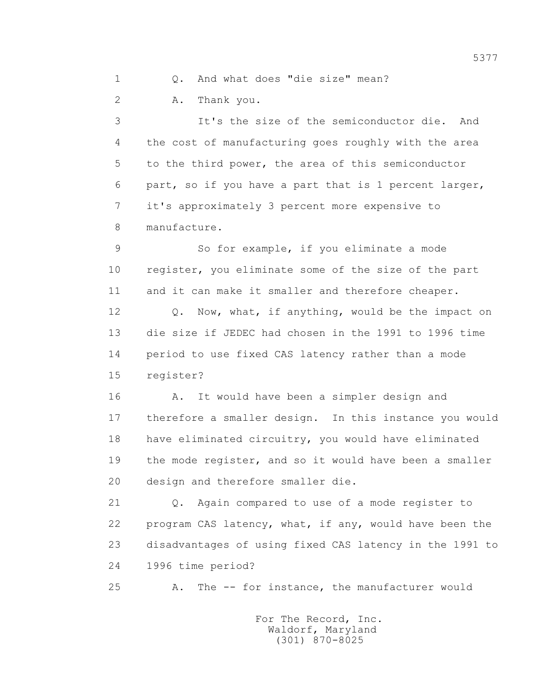1 Q. And what does "die size" mean?

2 A. Thank you.

 3 It's the size of the semiconductor die. And 4 the cost of manufacturing goes roughly with the area 5 to the third power, the area of this semiconductor 6 part, so if you have a part that is 1 percent larger, 7 it's approximately 3 percent more expensive to 8 manufacture.

 9 So for example, if you eliminate a mode 10 register, you eliminate some of the size of the part 11 and it can make it smaller and therefore cheaper.

 12 Q. Now, what, if anything, would be the impact on 13 die size if JEDEC had chosen in the 1991 to 1996 time 14 period to use fixed CAS latency rather than a mode 15 register?

 16 A. It would have been a simpler design and 17 therefore a smaller design. In this instance you would 18 have eliminated circuitry, you would have eliminated 19 the mode register, and so it would have been a smaller 20 design and therefore smaller die.

 21 Q. Again compared to use of a mode register to 22 program CAS latency, what, if any, would have been the 23 disadvantages of using fixed CAS latency in the 1991 to 24 1996 time period?

25 A. The -- for instance, the manufacturer would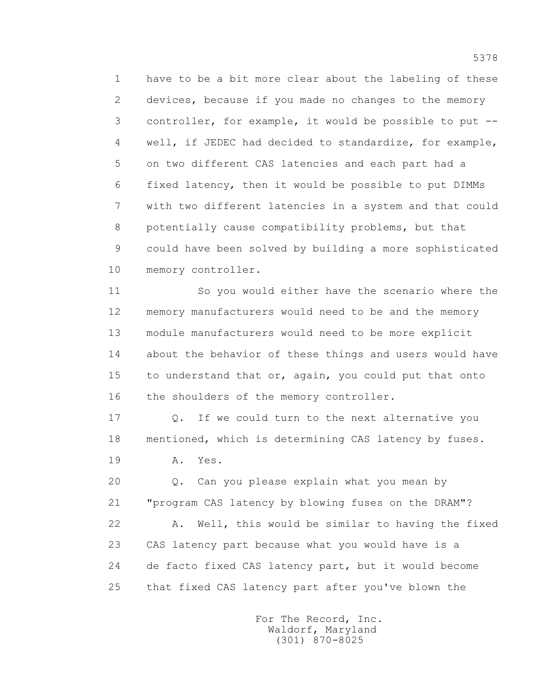1 have to be a bit more clear about the labeling of these 2 devices, because if you made no changes to the memory 3 controller, for example, it would be possible to put -- 4 well, if JEDEC had decided to standardize, for example, 5 on two different CAS latencies and each part had a 6 fixed latency, then it would be possible to put DIMMs 7 with two different latencies in a system and that could 8 potentially cause compatibility problems, but that 9 could have been solved by building a more sophisticated 10 memory controller.

 11 So you would either have the scenario where the 12 memory manufacturers would need to be and the memory 13 module manufacturers would need to be more explicit 14 about the behavior of these things and users would have 15 to understand that or, again, you could put that onto 16 the shoulders of the memory controller.

 17 Q. If we could turn to the next alternative you 18 mentioned, which is determining CAS latency by fuses. 19 **A.** Yes.

> 20 Q. Can you please explain what you mean by 21 "program CAS latency by blowing fuses on the DRAM"? 22 A. Well, this would be similar to having the fixed 23 CAS latency part because what you would have is a 24 de facto fixed CAS latency part, but it would become 25 that fixed CAS latency part after you've blown the

> > For The Record, Inc. Waldorf, Maryland (301) 870-8025

5378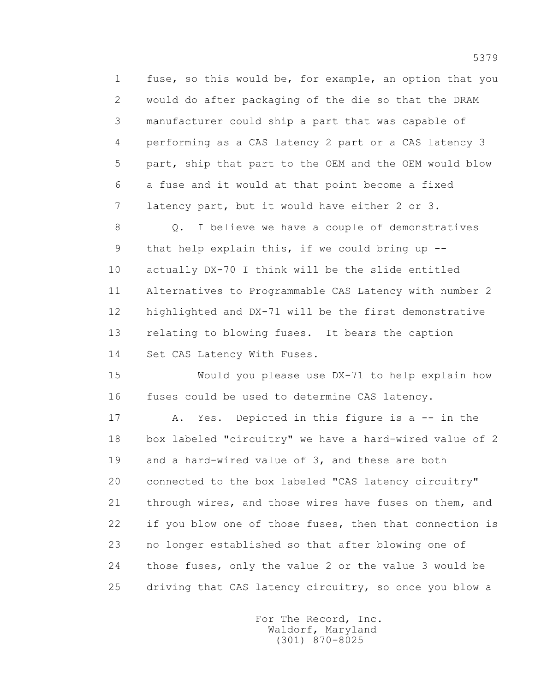1 fuse, so this would be, for example, an option that you 2 would do after packaging of the die so that the DRAM 3 manufacturer could ship a part that was capable of 4 performing as a CAS latency 2 part or a CAS latency 3 5 part, ship that part to the OEM and the OEM would blow 6 a fuse and it would at that point become a fixed 7 latency part, but it would have either 2 or 3.

 8 Q. I believe we have a couple of demonstratives 9 that help explain this, if we could bring up -- 10 actually DX-70 I think will be the slide entitled 11 Alternatives to Programmable CAS Latency with number 2 12 highlighted and DX-71 will be the first demonstrative 13 relating to blowing fuses. It bears the caption 14 Set CAS Latency With Fuses.

 15 Would you please use DX-71 to help explain how 16 fuses could be used to determine CAS latency.

 17 A. Yes. Depicted in this figure is a -- in the 18 box labeled "circuitry" we have a hard-wired value of 2 19 and a hard-wired value of 3, and these are both 20 connected to the box labeled "CAS latency circuitry" 21 through wires, and those wires have fuses on them, and 22 if you blow one of those fuses, then that connection is 23 no longer established so that after blowing one of 24 those fuses, only the value 2 or the value 3 would be 25 driving that CAS latency circuitry, so once you blow a

> For The Record, Inc. Waldorf, Maryland (301) 870-8025

5379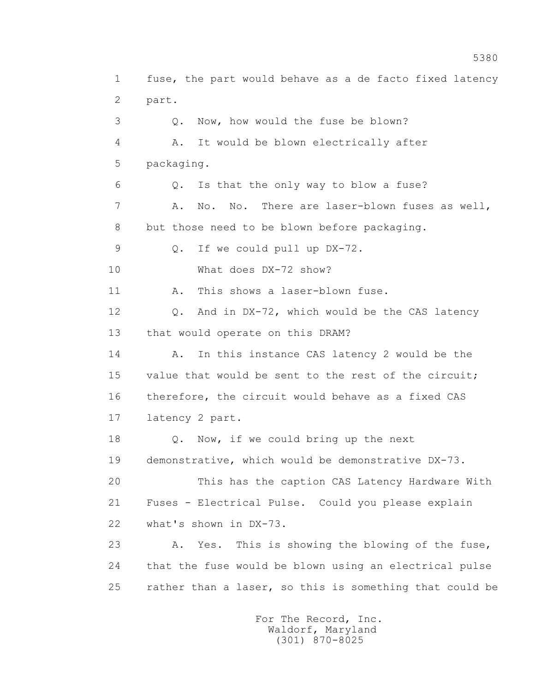1 fuse, the part would behave as a de facto fixed latency 2 part. 3 Q. Now, how would the fuse be blown? 4 A. It would be blown electrically after 5 packaging. 6 Q. Is that the only way to blow a fuse? 7 A. No. No. There are laser-blown fuses as well, 8 but those need to be blown before packaging. 9 Q. If we could pull up DX-72. 10 What does DX-72 show? 11 A. This shows a laser-blown fuse. 12 Q. And in DX-72, which would be the CAS latency 13 that would operate on this DRAM? 14 A. In this instance CAS latency 2 would be the 15 value that would be sent to the rest of the circuit; 16 therefore, the circuit would behave as a fixed CAS 17 latency 2 part. 18 Q. Now, if we could bring up the next 19 demonstrative, which would be demonstrative DX-73. 20 This has the caption CAS Latency Hardware With 21 Fuses - Electrical Pulse. Could you please explain 22 what's shown in DX-73. 23 A. Yes. This is showing the blowing of the fuse, 24 that the fuse would be blown using an electrical pulse 25 rather than a laser, so this is something that could be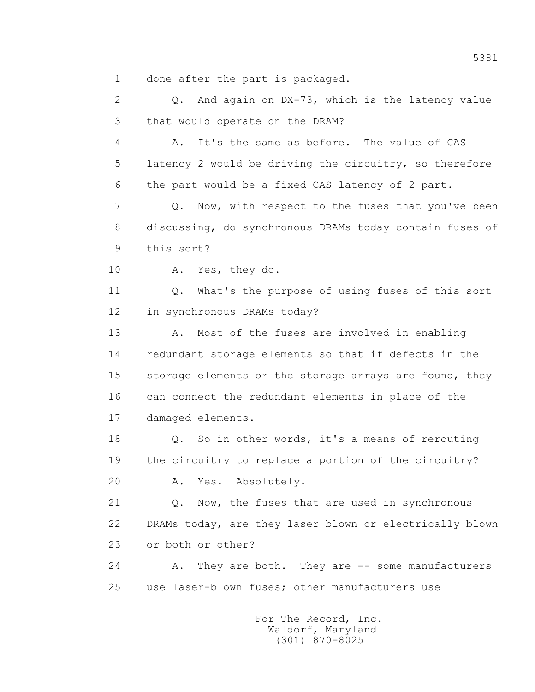1 done after the part is packaged.

 2 Q. And again on DX-73, which is the latency value 3 that would operate on the DRAM?

 4 A. It's the same as before. The value of CAS 5 latency 2 would be driving the circuitry, so therefore 6 the part would be a fixed CAS latency of 2 part.

 7 Q. Now, with respect to the fuses that you've been 8 discussing, do synchronous DRAMs today contain fuses of 9 this sort?

10 A. Yes, they do.

 11 Q. What's the purpose of using fuses of this sort 12 in synchronous DRAMs today?

13 A. Most of the fuses are involved in enabling 14 redundant storage elements so that if defects in the 15 storage elements or the storage arrays are found, they 16 can connect the redundant elements in place of the 17 damaged elements.

 18 Q. So in other words, it's a means of rerouting 19 the circuitry to replace a portion of the circuitry?

20 A. Yes. Absolutely.

21 Q. Now, the fuses that are used in synchronous 22 DRAMs today, are they laser blown or electrically blown 23 or both or other?

24 A. They are both. They are -- some manufacturers 25 use laser-blown fuses; other manufacturers use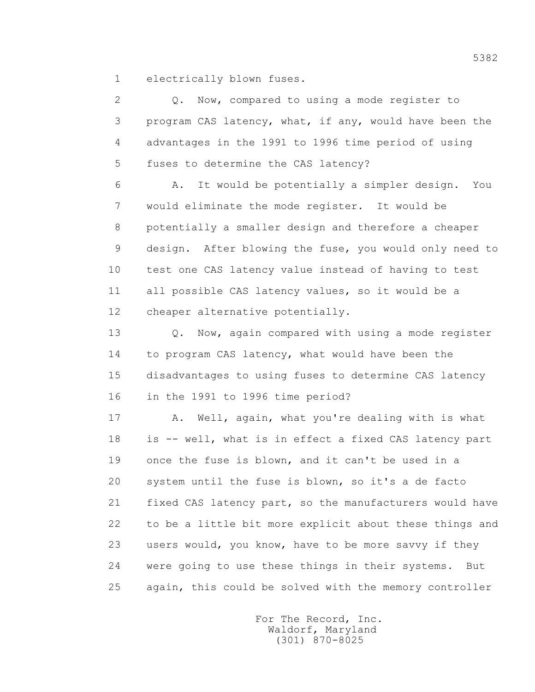1 electrically blown fuses.

 2 Q. Now, compared to using a mode register to 3 program CAS latency, what, if any, would have been the 4 advantages in the 1991 to 1996 time period of using 5 fuses to determine the CAS latency?

 6 A. It would be potentially a simpler design. You 7 would eliminate the mode register. It would be 8 potentially a smaller design and therefore a cheaper 9 design. After blowing the fuse, you would only need to 10 test one CAS latency value instead of having to test 11 all possible CAS latency values, so it would be a 12 cheaper alternative potentially.

 13 Q. Now, again compared with using a mode register 14 to program CAS latency, what would have been the 15 disadvantages to using fuses to determine CAS latency 16 in the 1991 to 1996 time period?

 17 A. Well, again, what you're dealing with is what 18 is -- well, what is in effect a fixed CAS latency part 19 once the fuse is blown, and it can't be used in a 20 system until the fuse is blown, so it's a de facto 21 fixed CAS latency part, so the manufacturers would have 22 to be a little bit more explicit about these things and 23 users would, you know, have to be more savvy if they 24 were going to use these things in their systems. But 25 again, this could be solved with the memory controller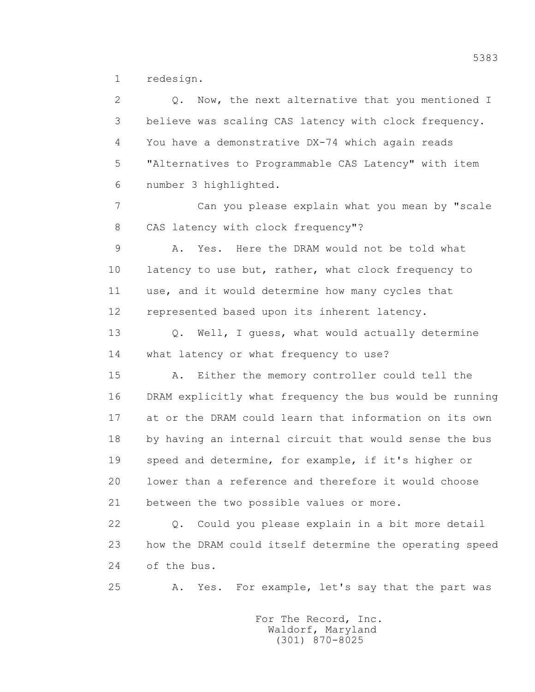1 redesign.

 2 Q. Now, the next alternative that you mentioned I 3 believe was scaling CAS latency with clock frequency. 4 You have a demonstrative DX-74 which again reads 5 "Alternatives to Programmable CAS Latency" with item 6 number 3 highlighted. 7 Can you please explain what you mean by "scale 8 CAS latency with clock frequency"? 9 A. Yes. Here the DRAM would not be told what 10 latency to use but, rather, what clock frequency to 11 use, and it would determine how many cycles that 12 represented based upon its inherent latency. 13 Q. Well, I guess, what would actually determine 14 what latency or what frequency to use? 15 A. Either the memory controller could tell the 16 DRAM explicitly what frequency the bus would be running 17 at or the DRAM could learn that information on its own 18 by having an internal circuit that would sense the bus 19 speed and determine, for example, if it's higher or 20 lower than a reference and therefore it would choose 21 between the two possible values or more. 22 Q. Could you please explain in a bit more detail 23 how the DRAM could itself determine the operating speed 24 of the bus.

25 A. Yes. For example, let's say that the part was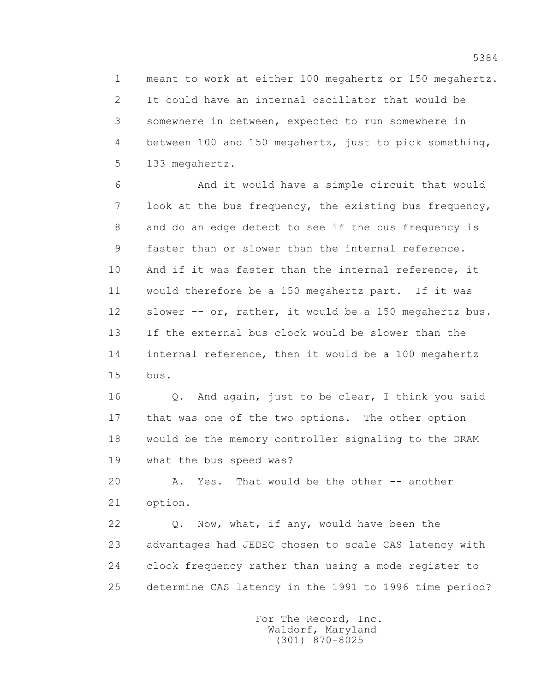1 meant to work at either 100 megahertz or 150 megahertz. 2 It could have an internal oscillator that would be 3 somewhere in between, expected to run somewhere in 4 between 100 and 150 megahertz, just to pick something, 5 133 megahertz.

 6 And it would have a simple circuit that would 7 look at the bus frequency, the existing bus frequency, 8 and do an edge detect to see if the bus frequency is 9 faster than or slower than the internal reference. 10 And if it was faster than the internal reference, it 11 would therefore be a 150 megahertz part. If it was 12 slower -- or, rather, it would be a 150 megahertz bus. 13 If the external bus clock would be slower than the 14 internal reference, then it would be a 100 megahertz 15 bus.

 16 Q. And again, just to be clear, I think you said 17 that was one of the two options. The other option 18 would be the memory controller signaling to the DRAM 19 what the bus speed was?

 20 A. Yes. That would be the other -- another 21 option.

 22 Q. Now, what, if any, would have been the 23 advantages had JEDEC chosen to scale CAS latency with 24 clock frequency rather than using a mode register to 25 determine CAS latency in the 1991 to 1996 time period?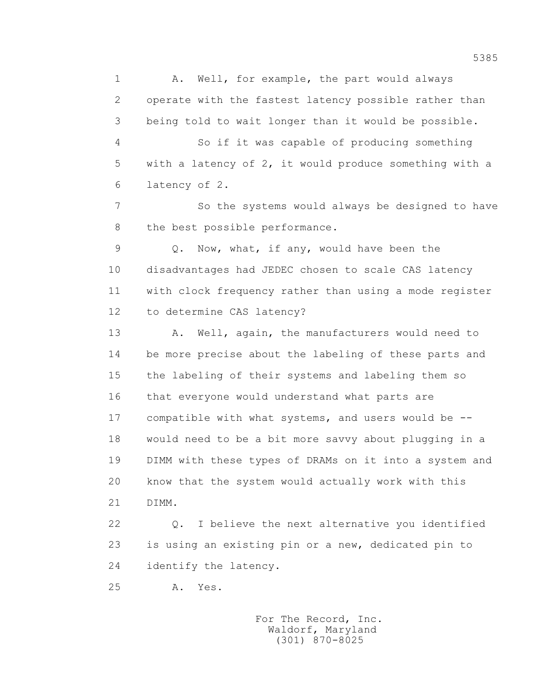1 A. Well, for example, the part would always 2 operate with the fastest latency possible rather than 3 being told to wait longer than it would be possible. 4 So if it was capable of producing something 5 with a latency of 2, it would produce something with a 6 latency of 2.

 7 So the systems would always be designed to have 8 the best possible performance.

 9 Q. Now, what, if any, would have been the 10 disadvantages had JEDEC chosen to scale CAS latency 11 with clock frequency rather than using a mode register 12 to determine CAS latency?

13 A. Well, again, the manufacturers would need to 14 be more precise about the labeling of these parts and 15 the labeling of their systems and labeling them so 16 that everyone would understand what parts are 17 compatible with what systems, and users would be -- 18 would need to be a bit more savvy about plugging in a 19 DIMM with these types of DRAMs on it into a system and 20 know that the system would actually work with this 21 DIMM.

 22 Q. I believe the next alternative you identified 23 is using an existing pin or a new, dedicated pin to 24 identify the latency.

25 A. Yes.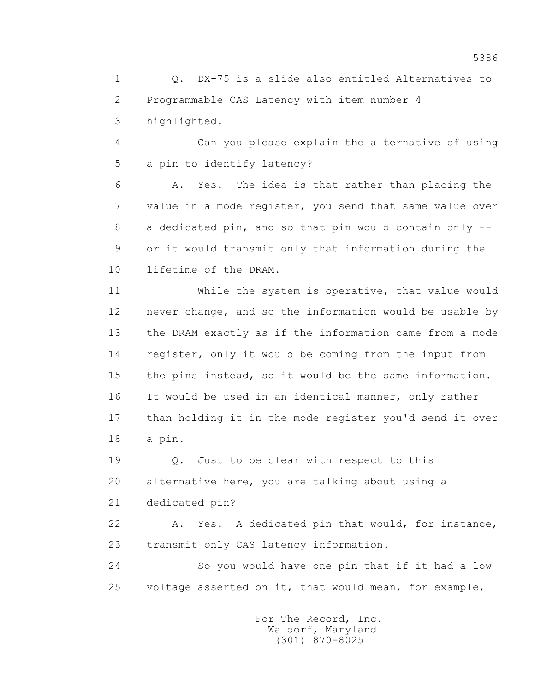1 Q. DX-75 is a slide also entitled Alternatives to 2 Programmable CAS Latency with item number 4 3 highlighted.

 4 Can you please explain the alternative of using 5 a pin to identify latency?

 6 A. Yes. The idea is that rather than placing the 7 value in a mode register, you send that same value over 8 a dedicated pin, and so that pin would contain only -- 9 or it would transmit only that information during the 10 lifetime of the DRAM.

 11 While the system is operative, that value would 12 never change, and so the information would be usable by 13 the DRAM exactly as if the information came from a mode 14 register, only it would be coming from the input from 15 the pins instead, so it would be the same information. 16 It would be used in an identical manner, only rather 17 than holding it in the mode register you'd send it over 18 a pin.

 19 Q. Just to be clear with respect to this 20 alternative here, you are talking about using a

21 dedicated pin?

 22 A. Yes. A dedicated pin that would, for instance, 23 transmit only CAS latency information.

 24 So you would have one pin that if it had a low 25 voltage asserted on it, that would mean, for example,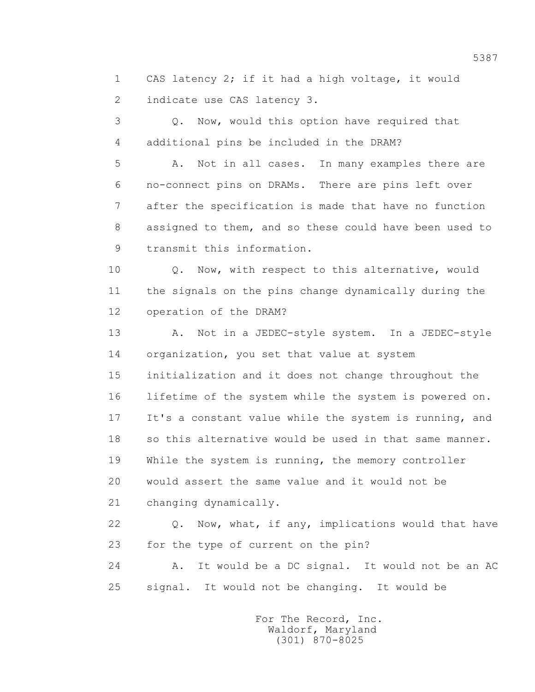1 CAS latency 2; if it had a high voltage, it would 2 indicate use CAS latency 3.

 3 Q. Now, would this option have required that 4 additional pins be included in the DRAM?

 5 A. Not in all cases. In many examples there are 6 no-connect pins on DRAMs. There are pins left over 7 after the specification is made that have no function 8 assigned to them, and so these could have been used to 9 transmit this information.

 10 Q. Now, with respect to this alternative, would 11 the signals on the pins change dynamically during the 12 operation of the DRAM?

13 A. Not in a JEDEC-style system. In a JEDEC-style 14 organization, you set that value at system 15 initialization and it does not change throughout the 16 lifetime of the system while the system is powered on. 17 It's a constant value while the system is running, and 18 so this alternative would be used in that same manner. 19 While the system is running, the memory controller 20 would assert the same value and it would not be 21 changing dynamically.

22 Q. Now, what, if any, implications would that have 23 for the type of current on the pin?

 24 A. It would be a DC signal. It would not be an AC 25 signal. It would not be changing. It would be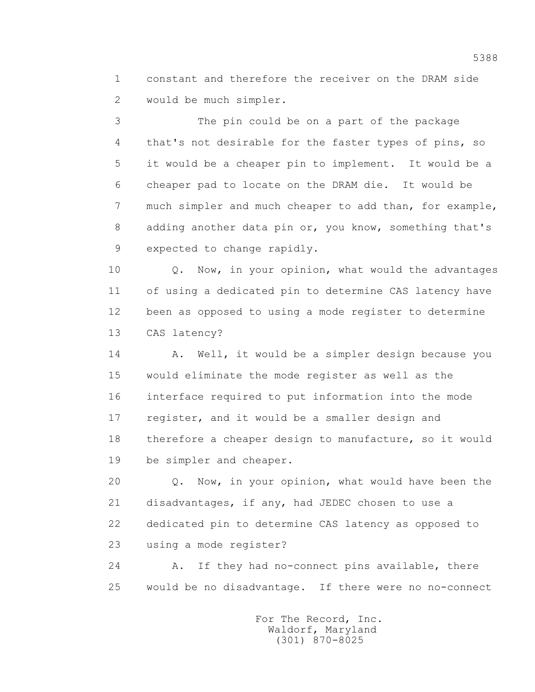1 constant and therefore the receiver on the DRAM side 2 would be much simpler.

 3 The pin could be on a part of the package 4 that's not desirable for the faster types of pins, so 5 it would be a cheaper pin to implement. It would be a 6 cheaper pad to locate on the DRAM die. It would be 7 much simpler and much cheaper to add than, for example, 8 adding another data pin or, you know, something that's 9 expected to change rapidly.

10 Q. Now, in your opinion, what would the advantages 11 of using a dedicated pin to determine CAS latency have 12 been as opposed to using a mode register to determine 13 CAS latency?

14 A. Well, it would be a simpler design because you 15 would eliminate the mode register as well as the 16 interface required to put information into the mode 17 register, and it would be a smaller design and 18 therefore a cheaper design to manufacture, so it would 19 be simpler and cheaper.

 20 Q. Now, in your opinion, what would have been the 21 disadvantages, if any, had JEDEC chosen to use a 22 dedicated pin to determine CAS latency as opposed to 23 using a mode register?

 24 A. If they had no-connect pins available, there 25 would be no disadvantage. If there were no no-connect

> For The Record, Inc. Waldorf, Maryland (301) 870-8025

5388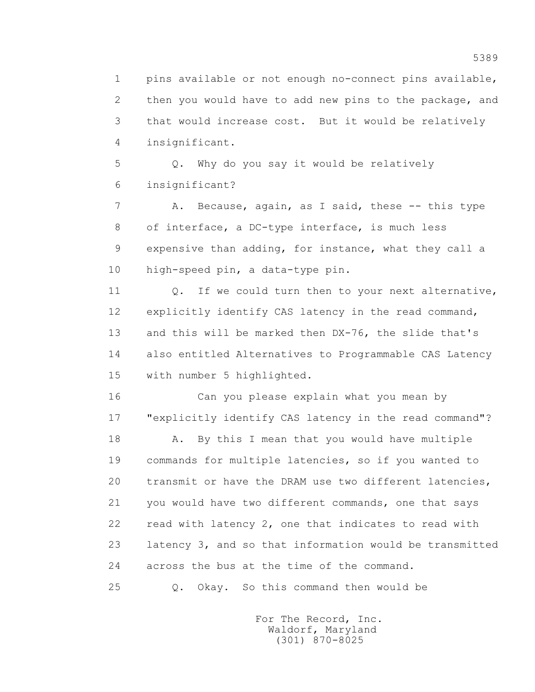1 pins available or not enough no-connect pins available, 2 then you would have to add new pins to the package, and 3 that would increase cost. But it would be relatively 4 insignificant.

 5 Q. Why do you say it would be relatively 6 insignificant?

7 A. Because, again, as I said, these -- this type 8 of interface, a DC-type interface, is much less 9 expensive than adding, for instance, what they call a 10 high-speed pin, a data-type pin.

11 0. If we could turn then to your next alternative, 12 explicitly identify CAS latency in the read command, 13 and this will be marked then DX-76, the slide that's 14 also entitled Alternatives to Programmable CAS Latency 15 with number 5 highlighted.

 16 Can you please explain what you mean by 17 "explicitly identify CAS latency in the read command"?

18 A. By this I mean that you would have multiple 19 commands for multiple latencies, so if you wanted to 20 transmit or have the DRAM use two different latencies, 21 you would have two different commands, one that says 22 read with latency 2, one that indicates to read with 23 latency 3, and so that information would be transmitted 24 across the bus at the time of the command.

25 Q. Okay. So this command then would be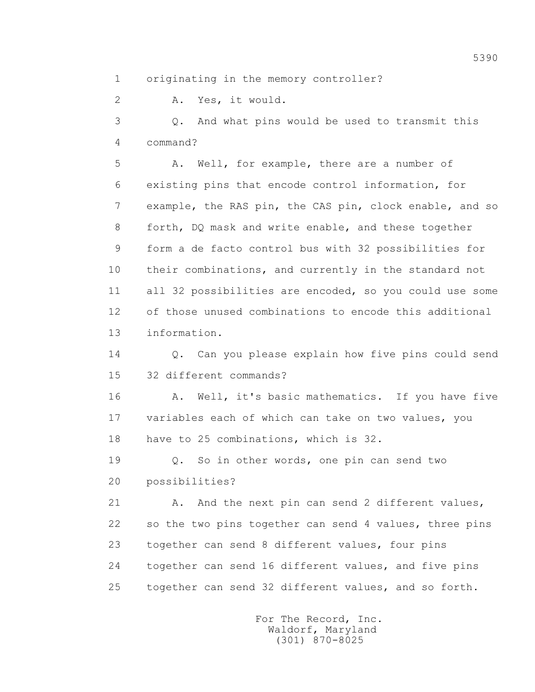1 originating in the memory controller?

2 A. Yes, it would.

 3 Q. And what pins would be used to transmit this 4 command?

 5 A. Well, for example, there are a number of 6 existing pins that encode control information, for 7 example, the RAS pin, the CAS pin, clock enable, and so 8 forth, DQ mask and write enable, and these together 9 form a de facto control bus with 32 possibilities for 10 their combinations, and currently in the standard not 11 all 32 possibilities are encoded, so you could use some 12 of those unused combinations to encode this additional 13 information.

 14 Q. Can you please explain how five pins could send 15 32 different commands?

16 A. Well, it's basic mathematics. If you have five 17 variables each of which can take on two values, you 18 have to 25 combinations, which is 32.

 19 Q. So in other words, one pin can send two 20 possibilities?

21 A. And the next pin can send 2 different values, 22 so the two pins together can send 4 values, three pins 23 together can send 8 different values, four pins 24 together can send 16 different values, and five pins 25 together can send 32 different values, and so forth.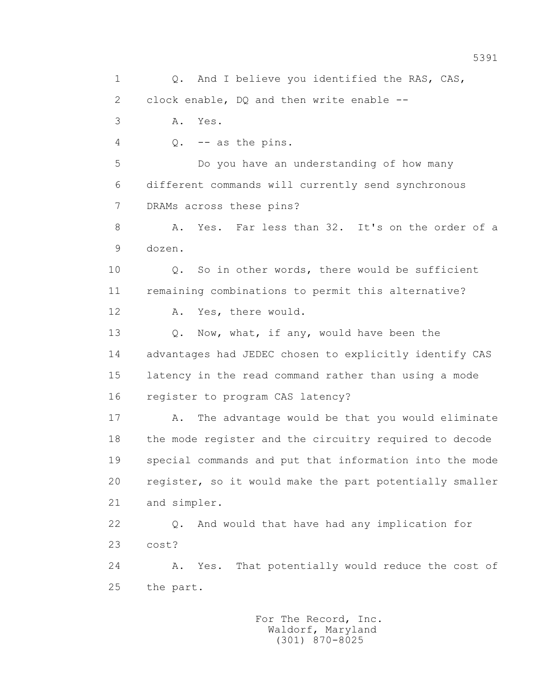1 Q. And I believe you identified the RAS, CAS, 2 clock enable, DQ and then write enable -- 3 A. Yes. 4 Q. -- as the pins. 5 Do you have an understanding of how many 6 different commands will currently send synchronous 7 DRAMs across these pins? 8 A. Yes. Far less than 32. It's on the order of a 9 dozen. 10 Q. So in other words, there would be sufficient 11 remaining combinations to permit this alternative? 12 A. Yes, there would. 13 O. Now, what, if any, would have been the 14 advantages had JEDEC chosen to explicitly identify CAS 15 latency in the read command rather than using a mode 16 register to program CAS latency? 17 A. The advantage would be that you would eliminate 18 the mode register and the circuitry required to decode 19 special commands and put that information into the mode 20 register, so it would make the part potentially smaller 21 and simpler. 22 Q. And would that have had any implication for 23 cost? 24 A. Yes. That potentially would reduce the cost of 25 the part.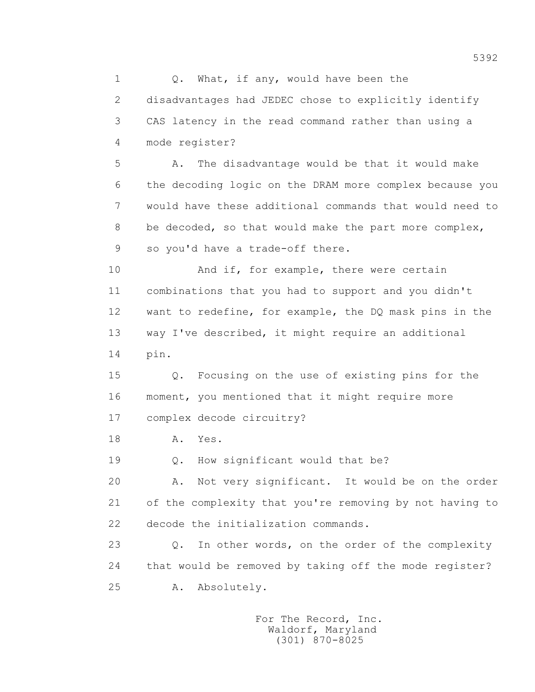1 0. What, if any, would have been the 2 disadvantages had JEDEC chose to explicitly identify 3 CAS latency in the read command rather than using a 4 mode register? 5 A. The disadvantage would be that it would make 6 the decoding logic on the DRAM more complex because you 7 would have these additional commands that would need to 8 be decoded, so that would make the part more complex, 9 so you'd have a trade-off there. 10 And if, for example, there were certain 11 combinations that you had to support and you didn't 12 want to redefine, for example, the DQ mask pins in the 13 way I've described, it might require an additional 14 pin. 15 Q. Focusing on the use of existing pins for the 16 moment, you mentioned that it might require more 17 complex decode circuitry? 18 **A.** Yes. 19 Q. How significant would that be? 20 A. Not very significant. It would be on the order 21 of the complexity that you're removing by not having to 22 decode the initialization commands. 23 Q. In other words, on the order of the complexity 24 that would be removed by taking off the mode register? 25 A. Absolutely.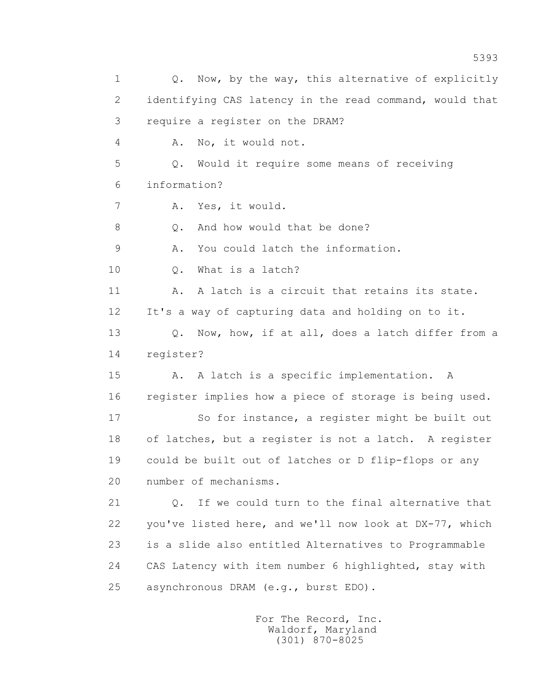1 0. Now, by the way, this alternative of explicitly 2 identifying CAS latency in the read command, would that 3 require a register on the DRAM? 4 A. No, it would not. 5 Q. Would it require some means of receiving 6 information? 7 A. Yes, it would. 8 O. And how would that be done? 9 A. You could latch the information. 10 0. What is a latch? 11 A. A latch is a circuit that retains its state. 12 It's a way of capturing data and holding on to it. 13 Q. Now, how, if at all, does a latch differ from a 14 register? 15 A. A latch is a specific implementation. A 16 register implies how a piece of storage is being used. 17 So for instance, a register might be built out 18 of latches, but a register is not a latch. A register 19 could be built out of latches or D flip-flops or any 20 number of mechanisms. 21 Q. If we could turn to the final alternative that 22 you've listed here, and we'll now look at DX-77, which 23 is a slide also entitled Alternatives to Programmable 24 CAS Latency with item number 6 highlighted, stay with 25 asynchronous DRAM (e.g., burst EDO).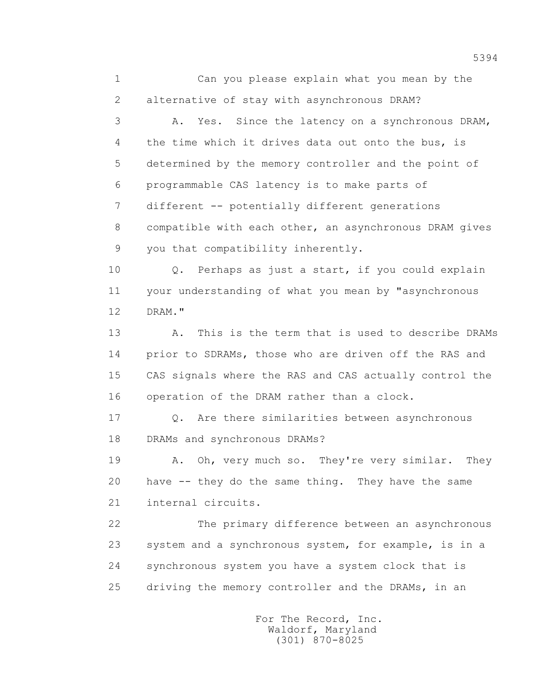1 Can you please explain what you mean by the 2 alternative of stay with asynchronous DRAM?

 3 A. Yes. Since the latency on a synchronous DRAM, 4 the time which it drives data out onto the bus, is 5 determined by the memory controller and the point of 6 programmable CAS latency is to make parts of 7 different -- potentially different generations 8 compatible with each other, an asynchronous DRAM gives 9 you that compatibility inherently.

 10 Q. Perhaps as just a start, if you could explain 11 your understanding of what you mean by "asynchronous 12 DRAM."

 13 A. This is the term that is used to describe DRAMs 14 prior to SDRAMs, those who are driven off the RAS and 15 CAS signals where the RAS and CAS actually control the 16 operation of the DRAM rather than a clock.

17 0. Are there similarities between asynchronous 18 DRAMs and synchronous DRAMs?

 19 A. Oh, very much so. They're very similar. They 20 have -- they do the same thing. They have the same 21 internal circuits.

 22 The primary difference between an asynchronous 23 system and a synchronous system, for example, is in a 24 synchronous system you have a system clock that is 25 driving the memory controller and the DRAMs, in an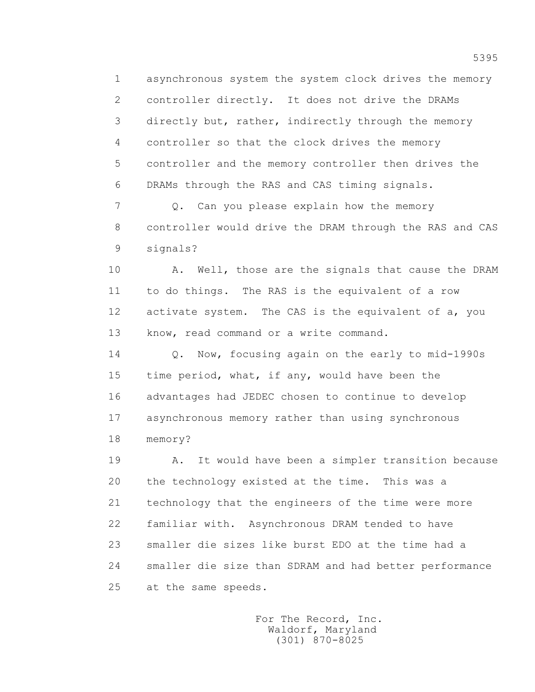1 asynchronous system the system clock drives the memory 2 controller directly. It does not drive the DRAMs 3 directly but, rather, indirectly through the memory 4 controller so that the clock drives the memory 5 controller and the memory controller then drives the 6 DRAMs through the RAS and CAS timing signals.

7 Q. Can you please explain how the memory 8 controller would drive the DRAM through the RAS and CAS 9 signals?

10 A. Well, those are the signals that cause the DRAM 11 to do things. The RAS is the equivalent of a row 12 activate system. The CAS is the equivalent of a, you 13 know, read command or a write command.

 14 Q. Now, focusing again on the early to mid-1990s 15 time period, what, if any, would have been the 16 advantages had JEDEC chosen to continue to develop 17 asynchronous memory rather than using synchronous 18 memory?

 19 A. It would have been a simpler transition because 20 the technology existed at the time. This was a 21 technology that the engineers of the time were more 22 familiar with. Asynchronous DRAM tended to have 23 smaller die sizes like burst EDO at the time had a 24 smaller die size than SDRAM and had better performance 25 at the same speeds.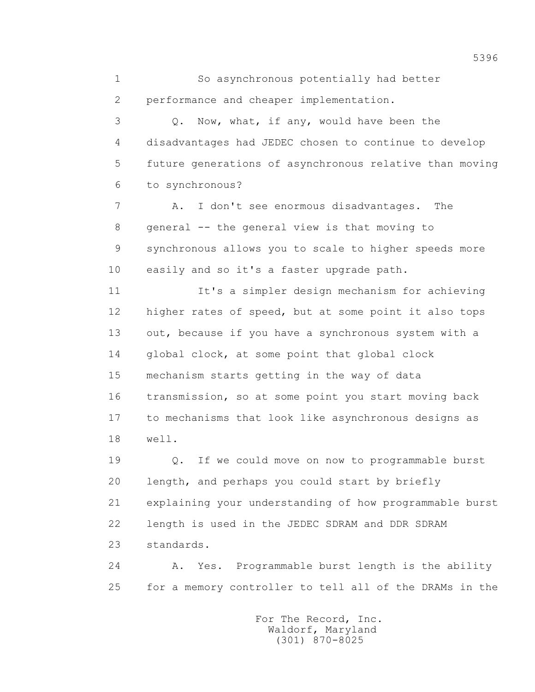1 So asynchronous potentially had better 2 performance and cheaper implementation.

 3 Q. Now, what, if any, would have been the 4 disadvantages had JEDEC chosen to continue to develop 5 future generations of asynchronous relative than moving 6 to synchronous?

7 A. I don't see enormous disadvantages. The 8 general -- the general view is that moving to 9 synchronous allows you to scale to higher speeds more 10 easily and so it's a faster upgrade path.

 11 It's a simpler design mechanism for achieving 12 higher rates of speed, but at some point it also tops 13 out, because if you have a synchronous system with a 14 global clock, at some point that global clock 15 mechanism starts getting in the way of data 16 transmission, so at some point you start moving back 17 to mechanisms that look like asynchronous designs as 18 well.

 19 Q. If we could move on now to programmable burst 20 length, and perhaps you could start by briefly 21 explaining your understanding of how programmable burst 22 length is used in the JEDEC SDRAM and DDR SDRAM 23 standards.

 24 A. Yes. Programmable burst length is the ability 25 for a memory controller to tell all of the DRAMs in the

> For The Record, Inc. Waldorf, Maryland (301) 870-8025

5396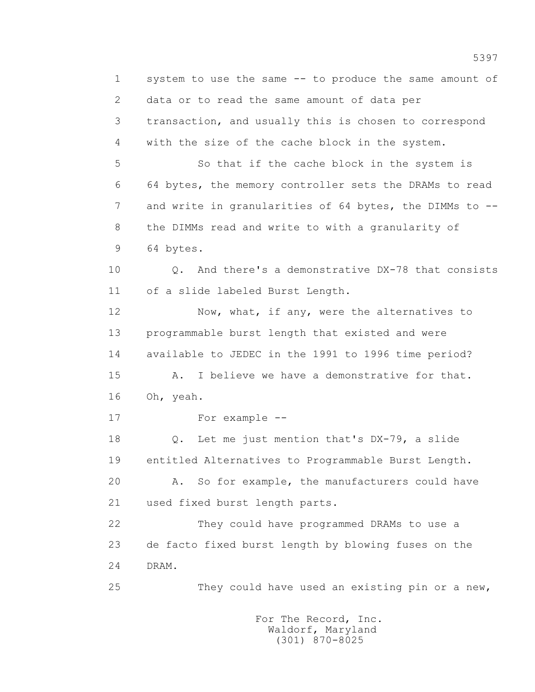1 system to use the same -- to produce the same amount of 2 data or to read the same amount of data per 3 transaction, and usually this is chosen to correspond 4 with the size of the cache block in the system. 5 So that if the cache block in the system is 6 64 bytes, the memory controller sets the DRAMs to read 7 and write in granularities of 64 bytes, the DIMMs to -- 8 the DIMMs read and write to with a granularity of 9 64 bytes. 10 Q. And there's a demonstrative DX-78 that consists 11 of a slide labeled Burst Length. 12 Now, what, if any, were the alternatives to 13 programmable burst length that existed and were 14 available to JEDEC in the 1991 to 1996 time period? 15 A. I believe we have a demonstrative for that. 16 Oh, yeah. 17 For example -- 18 Q. Let me just mention that's DX-79, a slide 19 entitled Alternatives to Programmable Burst Length. 20 A. So for example, the manufacturers could have 21 used fixed burst length parts. 22 They could have programmed DRAMs to use a 23 de facto fixed burst length by blowing fuses on the 24 DRAM. 25 They could have used an existing pin or a new,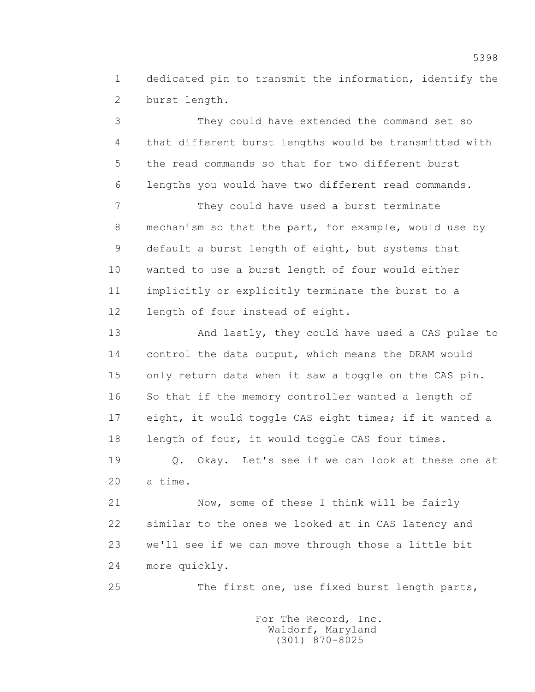1 dedicated pin to transmit the information, identify the 2 burst length.

 3 They could have extended the command set so 4 that different burst lengths would be transmitted with 5 the read commands so that for two different burst 6 lengths you would have two different read commands.

 7 They could have used a burst terminate 8 mechanism so that the part, for example, would use by 9 default a burst length of eight, but systems that 10 wanted to use a burst length of four would either 11 implicitly or explicitly terminate the burst to a 12 length of four instead of eight.

 13 And lastly, they could have used a CAS pulse to 14 control the data output, which means the DRAM would 15 only return data when it saw a toggle on the CAS pin. 16 So that if the memory controller wanted a length of 17 eight, it would toggle CAS eight times; if it wanted a 18 length of four, it would toggle CAS four times.

 19 Q. Okay. Let's see if we can look at these one at 20 a time.

 21 Now, some of these I think will be fairly 22 similar to the ones we looked at in CAS latency and 23 we'll see if we can move through those a little bit 24 more quickly.

25 The first one, use fixed burst length parts,

 For The Record, Inc. Waldorf, Maryland (301) 870-8025

5398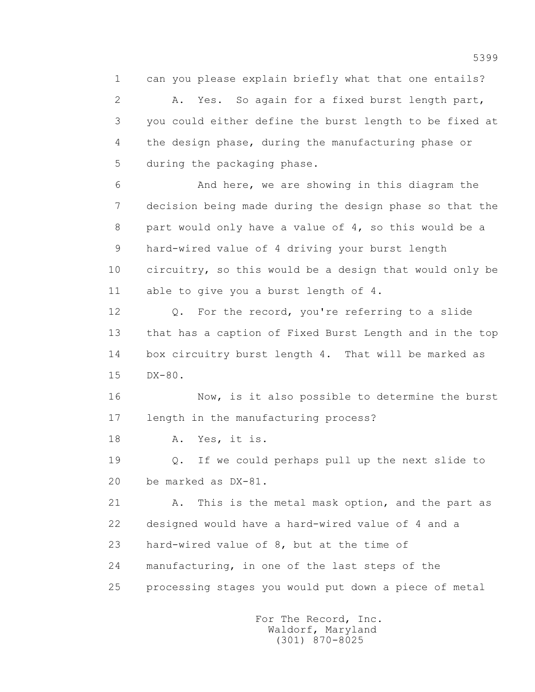1 can you please explain briefly what that one entails?

 2 A. Yes. So again for a fixed burst length part, 3 you could either define the burst length to be fixed at 4 the design phase, during the manufacturing phase or 5 during the packaging phase.

 6 And here, we are showing in this diagram the 7 decision being made during the design phase so that the 8 part would only have a value of 4, so this would be a 9 hard-wired value of 4 driving your burst length 10 circuitry, so this would be a design that would only be 11 able to give you a burst length of 4.

12 Q. For the record, you're referring to a slide 13 that has a caption of Fixed Burst Length and in the top 14 box circuitry burst length 4. That will be marked as 15 DX-80.

 16 Now, is it also possible to determine the burst 17 length in the manufacturing process?

18 A. Yes, it is.

 19 Q. If we could perhaps pull up the next slide to 20 be marked as DX-81.

 21 A. This is the metal mask option, and the part as 22 designed would have a hard-wired value of 4 and a 23 hard-wired value of 8, but at the time of 24 manufacturing, in one of the last steps of the 25 processing stages you would put down a piece of metal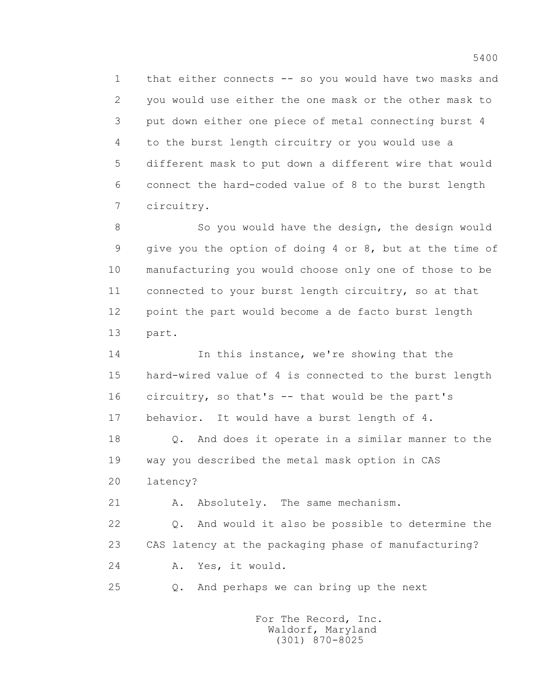1 that either connects -- so you would have two masks and 2 you would use either the one mask or the other mask to 3 put down either one piece of metal connecting burst 4 4 to the burst length circuitry or you would use a 5 different mask to put down a different wire that would 6 connect the hard-coded value of 8 to the burst length 7 circuitry.

 8 So you would have the design, the design would 9 give you the option of doing 4 or 8, but at the time of 10 manufacturing you would choose only one of those to be 11 connected to your burst length circuitry, so at that 12 point the part would become a de facto burst length 13 part.

14 In this instance, we're showing that the 15 hard-wired value of 4 is connected to the burst length 16 circuitry, so that's -- that would be the part's 17 behavior. It would have a burst length of 4.

 18 Q. And does it operate in a similar manner to the 19 way you described the metal mask option in CAS 20 latency?

21 A. Absolutely. The same mechanism.

 22 Q. And would it also be possible to determine the 23 CAS latency at the packaging phase of manufacturing? 24 A. Yes, it would.

25 Q. And perhaps we can bring up the next

 For The Record, Inc. Waldorf, Maryland (301) 870-8025

5400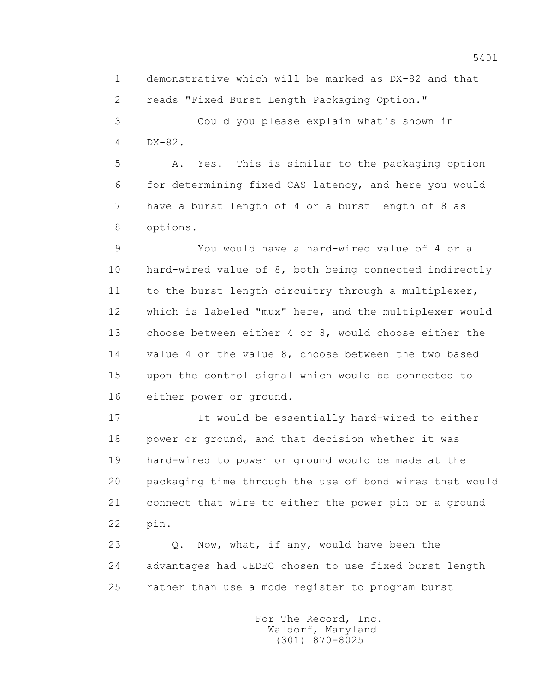1 demonstrative which will be marked as DX-82 and that 2 reads "Fixed Burst Length Packaging Option."

 3 Could you please explain what's shown in 4 DX-82.

 5 A. Yes. This is similar to the packaging option 6 for determining fixed CAS latency, and here you would 7 have a burst length of 4 or a burst length of 8 as 8 options.

 9 You would have a hard-wired value of 4 or a 10 hard-wired value of 8, both being connected indirectly 11 to the burst length circuitry through a multiplexer, 12 which is labeled "mux" here, and the multiplexer would 13 choose between either 4 or 8, would choose either the 14 value 4 or the value 8, choose between the two based 15 upon the control signal which would be connected to 16 either power or ground.

 17 It would be essentially hard-wired to either 18 power or ground, and that decision whether it was 19 hard-wired to power or ground would be made at the 20 packaging time through the use of bond wires that would 21 connect that wire to either the power pin or a ground 22 pin.

 23 Q. Now, what, if any, would have been the 24 advantages had JEDEC chosen to use fixed burst length 25 rather than use a mode register to program burst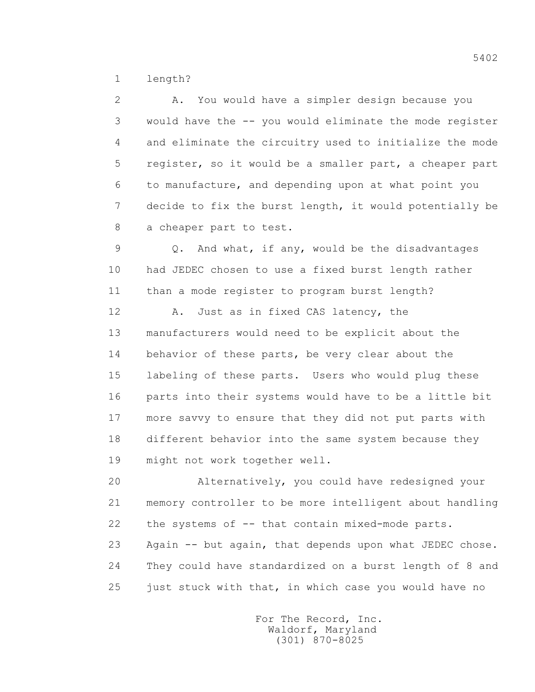1 length?

 2 A. You would have a simpler design because you 3 would have the -- you would eliminate the mode register 4 and eliminate the circuitry used to initialize the mode 5 register, so it would be a smaller part, a cheaper part 6 to manufacture, and depending upon at what point you 7 decide to fix the burst length, it would potentially be 8 a cheaper part to test.

 9 Q. And what, if any, would be the disadvantages 10 had JEDEC chosen to use a fixed burst length rather 11 than a mode register to program burst length?

12 A. Just as in fixed CAS latency, the 13 manufacturers would need to be explicit about the 14 behavior of these parts, be very clear about the 15 labeling of these parts. Users who would plug these 16 parts into their systems would have to be a little bit 17 more savvy to ensure that they did not put parts with 18 different behavior into the same system because they 19 might not work together well.

 20 Alternatively, you could have redesigned your 21 memory controller to be more intelligent about handling 22 the systems of -- that contain mixed-mode parts. 23 Again -- but again, that depends upon what JEDEC chose. 24 They could have standardized on a burst length of 8 and 25 just stuck with that, in which case you would have no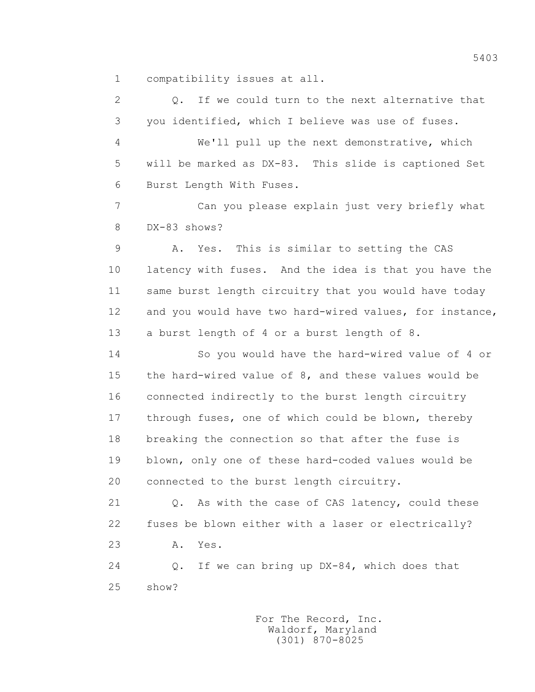1 compatibility issues at all.

 2 Q. If we could turn to the next alternative that 3 you identified, which I believe was use of fuses. 4 We'll pull up the next demonstrative, which 5 will be marked as DX-83. This slide is captioned Set 6 Burst Length With Fuses. 7 Can you please explain just very briefly what 8 DX-83 shows? 9 A. Yes. This is similar to setting the CAS 10 latency with fuses. And the idea is that you have the 11 same burst length circuitry that you would have today 12 and you would have two hard-wired values, for instance, 13 a burst length of 4 or a burst length of 8. 14 So you would have the hard-wired value of 4 or 15 the hard-wired value of 8, and these values would be 16 connected indirectly to the burst length circuitry 17 through fuses, one of which could be blown, thereby 18 breaking the connection so that after the fuse is 19 blown, only one of these hard-coded values would be 20 connected to the burst length circuitry. 21 Q. As with the case of CAS latency, could these 22 fuses be blown either with a laser or electrically? 23 A. Yes.

 24 Q. If we can bring up DX-84, which does that 25 show?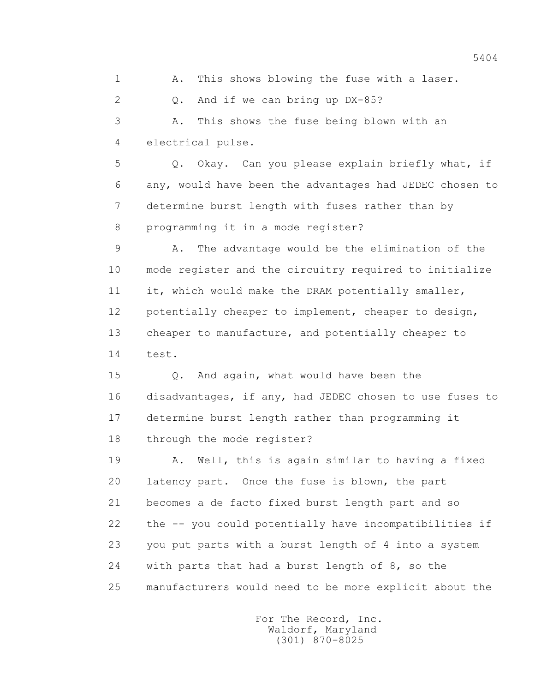1 A. This shows blowing the fuse with a laser. 2 Q. And if we can bring up DX-85? 3 A. This shows the fuse being blown with an 4 electrical pulse.

 5 Q. Okay. Can you please explain briefly what, if 6 any, would have been the advantages had JEDEC chosen to 7 determine burst length with fuses rather than by 8 programming it in a mode register?

 9 A. The advantage would be the elimination of the 10 mode register and the circuitry required to initialize 11 it, which would make the DRAM potentially smaller, 12 potentially cheaper to implement, cheaper to design, 13 cheaper to manufacture, and potentially cheaper to 14 test.

 15 Q. And again, what would have been the 16 disadvantages, if any, had JEDEC chosen to use fuses to 17 determine burst length rather than programming it 18 through the mode register?

 19 A. Well, this is again similar to having a fixed 20 latency part. Once the fuse is blown, the part 21 becomes a de facto fixed burst length part and so 22 the -- you could potentially have incompatibilities if 23 you put parts with a burst length of 4 into a system 24 with parts that had a burst length of 8, so the 25 manufacturers would need to be more explicit about the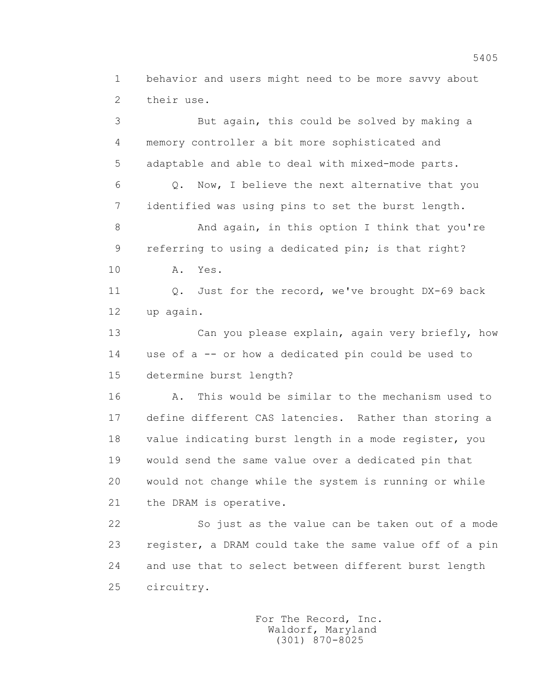1 behavior and users might need to be more savvy about 2 their use.

 3 But again, this could be solved by making a 4 memory controller a bit more sophisticated and 5 adaptable and able to deal with mixed-mode parts. 6 Q. Now, I believe the next alternative that you 7 identified was using pins to set the burst length. 8 And again, in this option I think that you're 9 referring to using a dedicated pin; is that right? 10 A. Yes. 11 Q. Just for the record, we've brought DX-69 back 12 up again. 13 Can you please explain, again very briefly, how 14 use of a -- or how a dedicated pin could be used to 15 determine burst length? 16 A. This would be similar to the mechanism used to 17 define different CAS latencies. Rather than storing a 18 value indicating burst length in a mode register, you 19 would send the same value over a dedicated pin that 20 would not change while the system is running or while 21 the DRAM is operative.

 22 So just as the value can be taken out of a mode 23 register, a DRAM could take the same value off of a pin 24 and use that to select between different burst length 25 circuitry.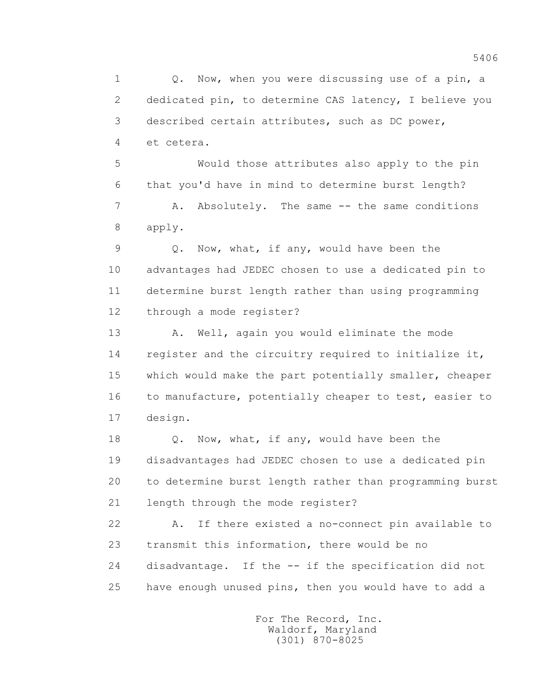1 0. Now, when you were discussing use of a pin, a 2 dedicated pin, to determine CAS latency, I believe you 3 described certain attributes, such as DC power, 4 et cetera.

 5 Would those attributes also apply to the pin 6 that you'd have in mind to determine burst length?

 7 A. Absolutely. The same -- the same conditions 8 apply.

 9 Q. Now, what, if any, would have been the 10 advantages had JEDEC chosen to use a dedicated pin to 11 determine burst length rather than using programming 12 through a mode register?

 13 A. Well, again you would eliminate the mode 14 register and the circuitry required to initialize it, 15 which would make the part potentially smaller, cheaper 16 to manufacture, potentially cheaper to test, easier to 17 design.

18 Q. Now, what, if any, would have been the 19 disadvantages had JEDEC chosen to use a dedicated pin 20 to determine burst length rather than programming burst 21 length through the mode register?

 22 A. If there existed a no-connect pin available to 23 transmit this information, there would be no 24 disadvantage. If the -- if the specification did not 25 have enough unused pins, then you would have to add a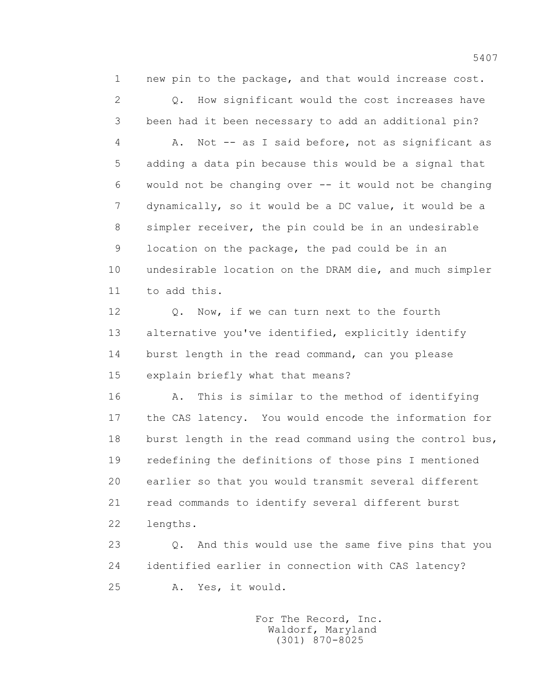1 new pin to the package, and that would increase cost. 2 Q. How significant would the cost increases have 3 been had it been necessary to add an additional pin? 4 A. Not -- as I said before, not as significant as 5 adding a data pin because this would be a signal that 6 would not be changing over -- it would not be changing 7 dynamically, so it would be a DC value, it would be a 8 simpler receiver, the pin could be in an undesirable 9 location on the package, the pad could be in an 10 undesirable location on the DRAM die, and much simpler

11 to add this.

12 0. Now, if we can turn next to the fourth 13 alternative you've identified, explicitly identify 14 burst length in the read command, can you please 15 explain briefly what that means?

 16 A. This is similar to the method of identifying 17 the CAS latency. You would encode the information for 18 burst length in the read command using the control bus, 19 redefining the definitions of those pins I mentioned 20 earlier so that you would transmit several different 21 read commands to identify several different burst 22 lengths.

 23 Q. And this would use the same five pins that you 24 identified earlier in connection with CAS latency? 25 A. Yes, it would.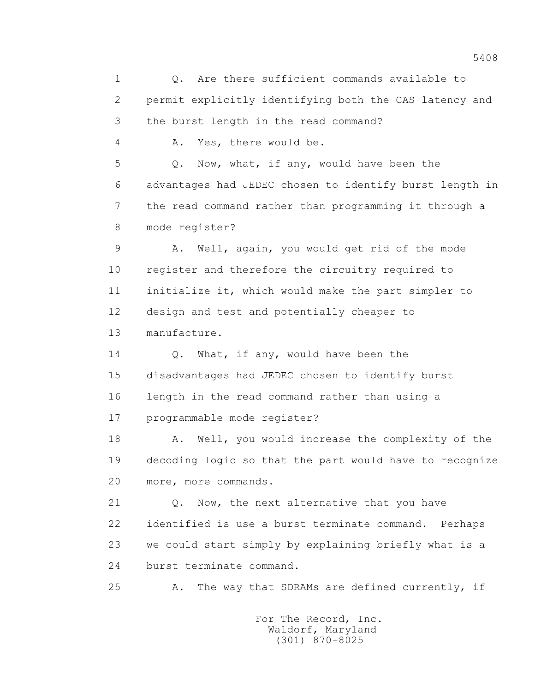1 Q. Are there sufficient commands available to 2 permit explicitly identifying both the CAS latency and 3 the burst length in the read command? 4 A. Yes, there would be. 5 Q. Now, what, if any, would have been the 6 advantages had JEDEC chosen to identify burst length in 7 the read command rather than programming it through a 8 mode register? 9 A. Well, again, you would get rid of the mode 10 register and therefore the circuitry required to 11 initialize it, which would make the part simpler to 12 design and test and potentially cheaper to 13 manufacture. 14 Q. What, if any, would have been the 15 disadvantages had JEDEC chosen to identify burst 16 length in the read command rather than using a 17 programmable mode register? 18 A. Well, you would increase the complexity of the 19 decoding logic so that the part would have to recognize 20 more, more commands. 21 Q. Now, the next alternative that you have 22 identified is use a burst terminate command. Perhaps 23 we could start simply by explaining briefly what is a 24 burst terminate command. 25 A. The way that SDRAMs are defined currently, if For The Record, Inc.

 Waldorf, Maryland (301) 870-8025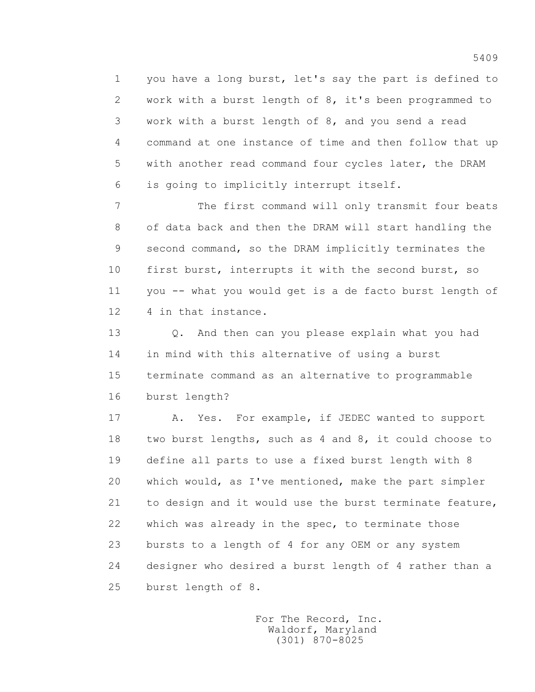1 you have a long burst, let's say the part is defined to 2 work with a burst length of 8, it's been programmed to 3 work with a burst length of 8, and you send a read 4 command at one instance of time and then follow that up 5 with another read command four cycles later, the DRAM 6 is going to implicitly interrupt itself.

 7 The first command will only transmit four beats 8 of data back and then the DRAM will start handling the 9 second command, so the DRAM implicitly terminates the 10 first burst, interrupts it with the second burst, so 11 you -- what you would get is a de facto burst length of 12 4 in that instance.

 13 Q. And then can you please explain what you had 14 in mind with this alternative of using a burst 15 terminate command as an alternative to programmable 16 burst length?

17 A. Yes. For example, if JEDEC wanted to support 18 two burst lengths, such as 4 and 8, it could choose to 19 define all parts to use a fixed burst length with 8 20 which would, as I've mentioned, make the part simpler 21 to design and it would use the burst terminate feature, 22 which was already in the spec, to terminate those 23 bursts to a length of 4 for any OEM or any system 24 designer who desired a burst length of 4 rather than a 25 burst length of 8.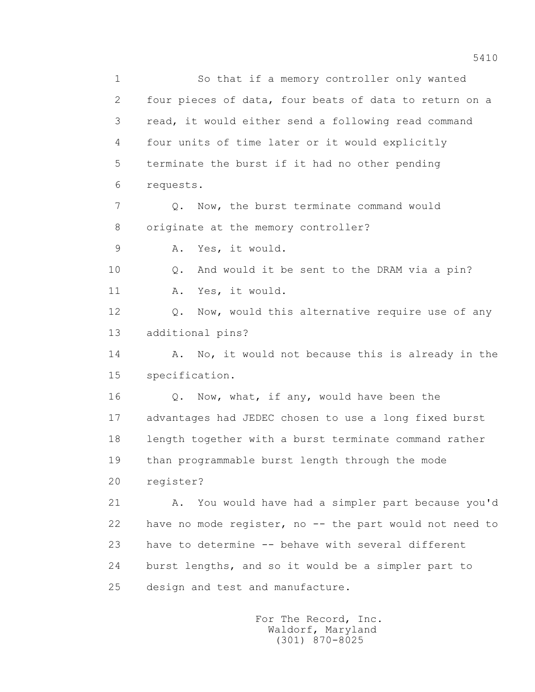1 So that if a memory controller only wanted 2 four pieces of data, four beats of data to return on a 3 read, it would either send a following read command 4 four units of time later or it would explicitly 5 terminate the burst if it had no other pending 6 requests. 7 Q. Now, the burst terminate command would 8 originate at the memory controller? 9 A. Yes, it would. 10 Q. And would it be sent to the DRAM via a pin? 11 A. Yes, it would. 12 Q. Now, would this alternative require use of any 13 additional pins? 14 A. No, it would not because this is already in the 15 specification. 16 0. Now, what, if any, would have been the 17 advantages had JEDEC chosen to use a long fixed burst 18 length together with a burst terminate command rather 19 than programmable burst length through the mode 20 register? 21 A. You would have had a simpler part because you'd 22 have no mode register, no -- the part would not need to 23 have to determine -- behave with several different 24 burst lengths, and so it would be a simpler part to 25 design and test and manufacture.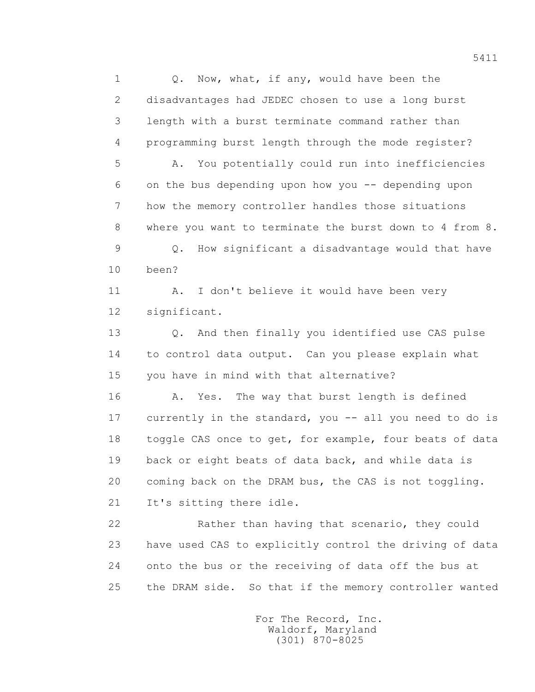1 0. Now, what, if any, would have been the 2 disadvantages had JEDEC chosen to use a long burst 3 length with a burst terminate command rather than 4 programming burst length through the mode register?

 5 A. You potentially could run into inefficiencies 6 on the bus depending upon how you -- depending upon 7 how the memory controller handles those situations 8 where you want to terminate the burst down to 4 from 8.

 9 Q. How significant a disadvantage would that have 10 been?

 11 A. I don't believe it would have been very 12 significant.

 13 Q. And then finally you identified use CAS pulse 14 to control data output. Can you please explain what 15 you have in mind with that alternative?

 16 A. Yes. The way that burst length is defined 17 currently in the standard, you -- all you need to do is 18 toggle CAS once to get, for example, four beats of data 19 back or eight beats of data back, and while data is 20 coming back on the DRAM bus, the CAS is not toggling. 21 It's sitting there idle.

 22 Rather than having that scenario, they could 23 have used CAS to explicitly control the driving of data 24 onto the bus or the receiving of data off the bus at 25 the DRAM side. So that if the memory controller wanted

> For The Record, Inc. Waldorf, Maryland (301) 870-8025

5411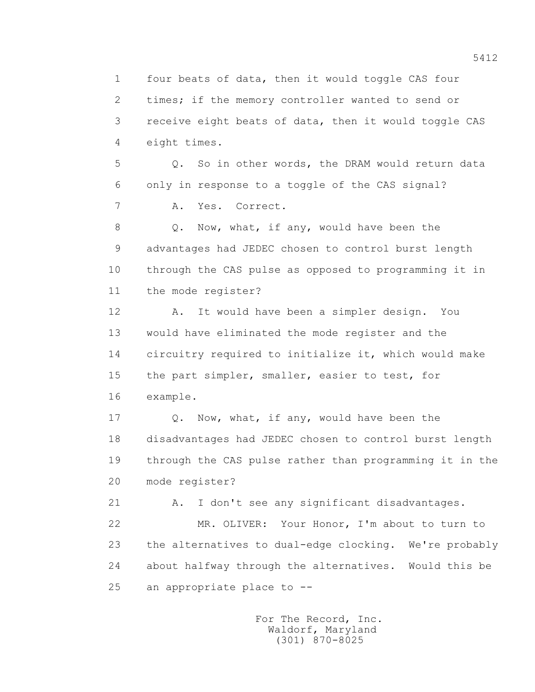1 four beats of data, then it would toggle CAS four 2 times; if the memory controller wanted to send or 3 receive eight beats of data, then it would toggle CAS 4 eight times.

 5 Q. So in other words, the DRAM would return data 6 only in response to a toggle of the CAS signal?

7 A. Yes. Correct.

 8 Q. Now, what, if any, would have been the 9 advantages had JEDEC chosen to control burst length 10 through the CAS pulse as opposed to programming it in 11 the mode register?

 12 A. It would have been a simpler design. You 13 would have eliminated the mode register and the 14 circuitry required to initialize it, which would make 15 the part simpler, smaller, easier to test, for 16 example.

 17 Q. Now, what, if any, would have been the 18 disadvantages had JEDEC chosen to control burst length 19 through the CAS pulse rather than programming it in the 20 mode register?

 21 A. I don't see any significant disadvantages. 22 MR. OLIVER: Your Honor, I'm about to turn to 23 the alternatives to dual-edge clocking. We're probably 24 about halfway through the alternatives. Would this be 25 an appropriate place to --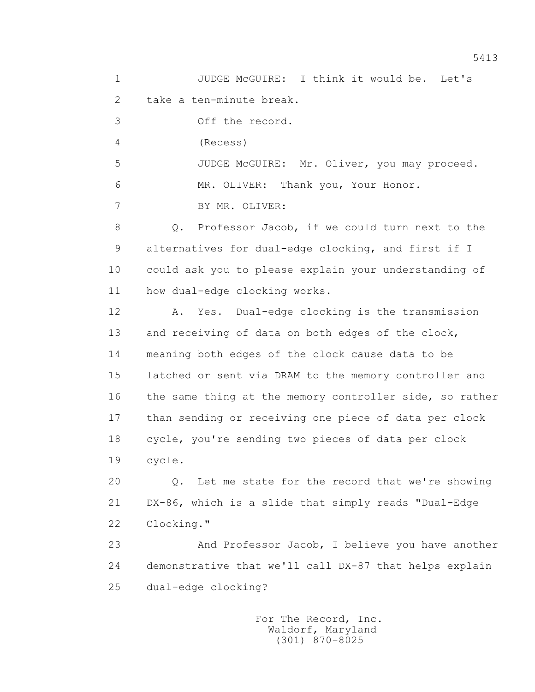1 JUDGE McGUIRE: I think it would be. Let's 2 take a ten-minute break. 3 Off the record. 4 (Recess) 5 JUDGE McGUIRE: Mr. Oliver, you may proceed. 6 MR. OLIVER: Thank you, Your Honor. 7 BY MR. OLIVER: 8 Q. Professor Jacob, if we could turn next to the 9 alternatives for dual-edge clocking, and first if I 10 could ask you to please explain your understanding of 11 how dual-edge clocking works. 12 A. Yes. Dual-edge clocking is the transmission 13 and receiving of data on both edges of the clock, 14 meaning both edges of the clock cause data to be 15 latched or sent via DRAM to the memory controller and 16 the same thing at the memory controller side, so rather 17 than sending or receiving one piece of data per clock 18 cycle, you're sending two pieces of data per clock 19 cycle. 20 Q. Let me state for the record that we're showing 21 DX-86, which is a slide that simply reads "Dual-Edge 22 Clocking." 23 And Professor Jacob, I believe you have another 24 demonstrative that we'll call DX-87 that helps explain 25 dual-edge clocking?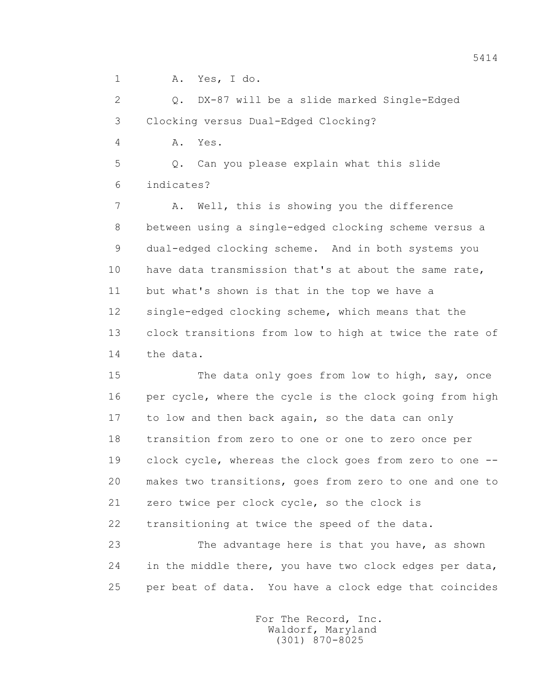1 A. Yes, I do.

 2 Q. DX-87 will be a slide marked Single-Edged 3 Clocking versus Dual-Edged Clocking?

4 A. Yes.

 5 Q. Can you please explain what this slide 6 indicates?

 7 A. Well, this is showing you the difference 8 between using a single-edged clocking scheme versus a 9 dual-edged clocking scheme. And in both systems you 10 have data transmission that's at about the same rate, 11 but what's shown is that in the top we have a 12 single-edged clocking scheme, which means that the 13 clock transitions from low to high at twice the rate of 14 the data.

 15 The data only goes from low to high, say, once 16 per cycle, where the cycle is the clock going from high 17 to low and then back again, so the data can only 18 transition from zero to one or one to zero once per 19 clock cycle, whereas the clock goes from zero to one -- 20 makes two transitions, goes from zero to one and one to 21 zero twice per clock cycle, so the clock is 22 transitioning at twice the speed of the data.

 23 The advantage here is that you have, as shown 24 in the middle there, you have two clock edges per data, 25 per beat of data. You have a clock edge that coincides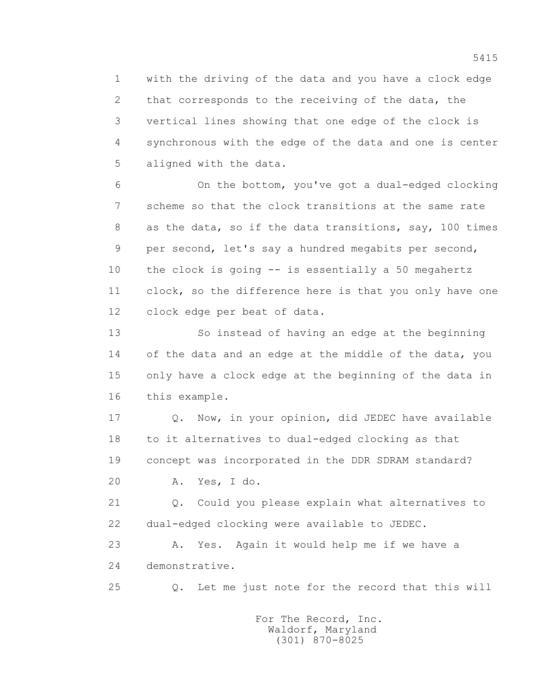1 with the driving of the data and you have a clock edge 2 that corresponds to the receiving of the data, the 3 vertical lines showing that one edge of the clock is 4 synchronous with the edge of the data and one is center 5 aligned with the data.

 6 On the bottom, you've got a dual-edged clocking 7 scheme so that the clock transitions at the same rate 8 as the data, so if the data transitions, say, 100 times 9 per second, let's say a hundred megabits per second, 10 the clock is going -- is essentially a 50 megahertz 11 clock, so the difference here is that you only have one 12 clock edge per beat of data.

 13 So instead of having an edge at the beginning 14 of the data and an edge at the middle of the data, you 15 only have a clock edge at the beginning of the data in 16 this example.

 17 Q. Now, in your opinion, did JEDEC have available 18 to it alternatives to dual-edged clocking as that 19 concept was incorporated in the DDR SDRAM standard?

20 A. Yes, I do.

 21 Q. Could you please explain what alternatives to 22 dual-edged clocking were available to JEDEC.

 23 A. Yes. Again it would help me if we have a 24 demonstrative.

25 Q. Let me just note for the record that this will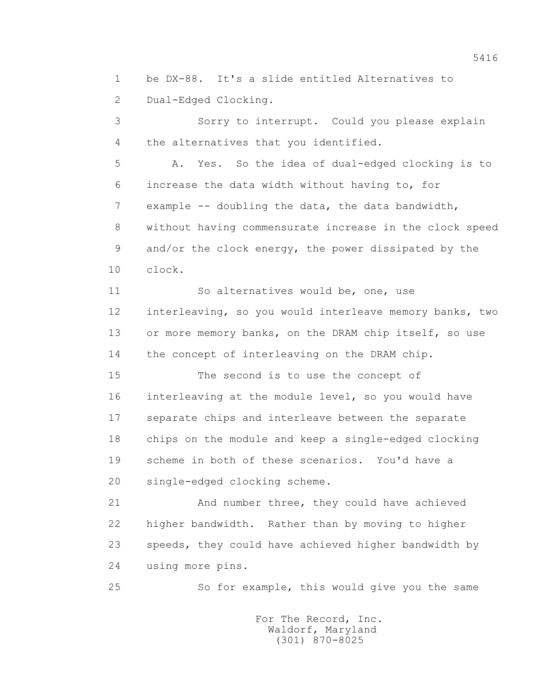1 be DX-88. It's a slide entitled Alternatives to 2 Dual-Edged Clocking.

 3 Sorry to interrupt. Could you please explain 4 the alternatives that you identified.

 5 A. Yes. So the idea of dual-edged clocking is to 6 increase the data width without having to, for 7 example -- doubling the data, the data bandwidth, 8 without having commensurate increase in the clock speed 9 and/or the clock energy, the power dissipated by the 10 clock.

 11 So alternatives would be, one, use 12 interleaving, so you would interleave memory banks, two 13 or more memory banks, on the DRAM chip itself, so use 14 the concept of interleaving on the DRAM chip.

 15 The second is to use the concept of 16 interleaving at the module level, so you would have 17 separate chips and interleave between the separate 18 chips on the module and keep a single-edged clocking 19 scheme in both of these scenarios. You'd have a 20 single-edged clocking scheme.

 21 And number three, they could have achieved 22 higher bandwidth. Rather than by moving to higher 23 speeds, they could have achieved higher bandwidth by 24 using more pins.

25 So for example, this would give you the same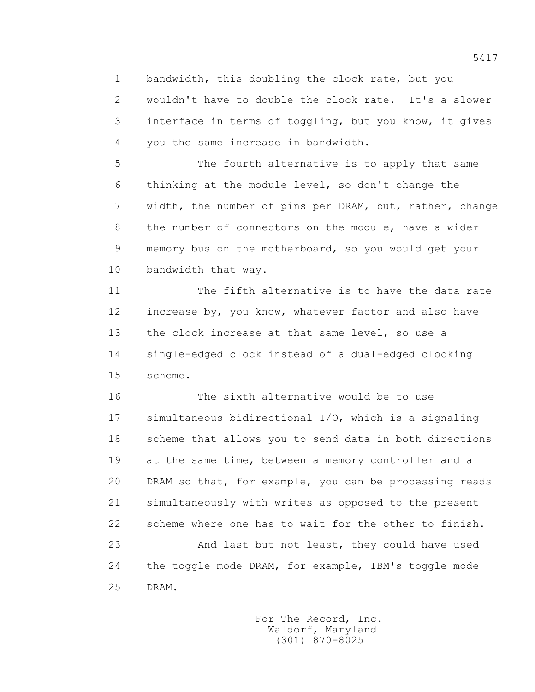1 bandwidth, this doubling the clock rate, but you 2 wouldn't have to double the clock rate. It's a slower 3 interface in terms of toggling, but you know, it gives 4 you the same increase in bandwidth.

 5 The fourth alternative is to apply that same 6 thinking at the module level, so don't change the 7 width, the number of pins per DRAM, but, rather, change 8 the number of connectors on the module, have a wider 9 memory bus on the motherboard, so you would get your 10 bandwidth that way.

 11 The fifth alternative is to have the data rate 12 increase by, you know, whatever factor and also have 13 the clock increase at that same level, so use a 14 single-edged clock instead of a dual-edged clocking 15 scheme.

 16 The sixth alternative would be to use 17 simultaneous bidirectional I/O, which is a signaling 18 scheme that allows you to send data in both directions 19 at the same time, between a memory controller and a 20 DRAM so that, for example, you can be processing reads 21 simultaneously with writes as opposed to the present 22 scheme where one has to wait for the other to finish. 23 And last but not least, they could have used 24 the toggle mode DRAM, for example, IBM's toggle mode 25 DRAM.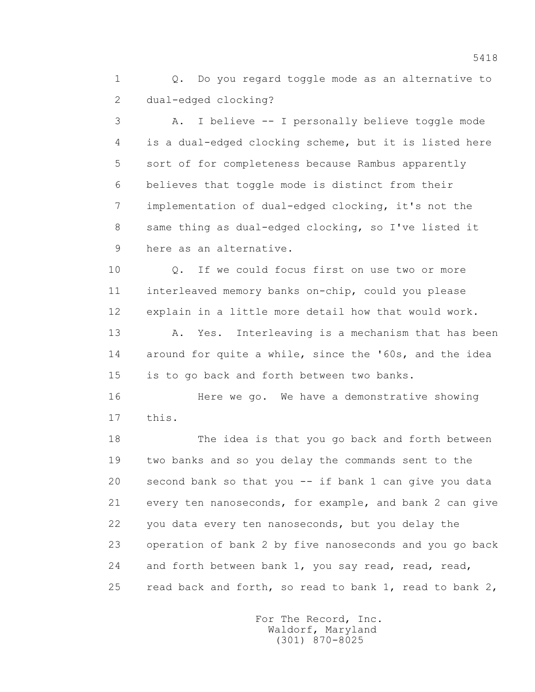1 0. Do you regard toggle mode as an alternative to 2 dual-edged clocking?

 3 A. I believe -- I personally believe toggle mode 4 is a dual-edged clocking scheme, but it is listed here 5 sort of for completeness because Rambus apparently 6 believes that toggle mode is distinct from their 7 implementation of dual-edged clocking, it's not the 8 same thing as dual-edged clocking, so I've listed it 9 here as an alternative.

 10 Q. If we could focus first on use two or more 11 interleaved memory banks on-chip, could you please 12 explain in a little more detail how that would work.

 13 A. Yes. Interleaving is a mechanism that has been 14 around for quite a while, since the '60s, and the idea 15 is to go back and forth between two banks.

 16 Here we go. We have a demonstrative showing 17 this.

 18 The idea is that you go back and forth between 19 two banks and so you delay the commands sent to the 20 second bank so that you -- if bank 1 can give you data 21 every ten nanoseconds, for example, and bank 2 can give 22 you data every ten nanoseconds, but you delay the 23 operation of bank 2 by five nanoseconds and you go back 24 and forth between bank 1, you say read, read, read, 25 read back and forth, so read to bank 1, read to bank 2,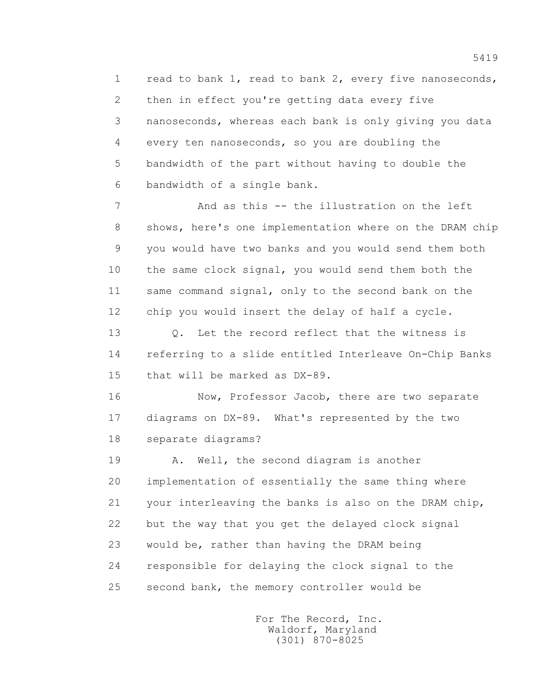1 read to bank 1, read to bank 2, every five nanoseconds, 2 then in effect you're getting data every five 3 nanoseconds, whereas each bank is only giving you data 4 every ten nanoseconds, so you are doubling the 5 bandwidth of the part without having to double the 6 bandwidth of a single bank.

 7 And as this -- the illustration on the left 8 shows, here's one implementation where on the DRAM chip 9 you would have two banks and you would send them both 10 the same clock signal, you would send them both the 11 same command signal, only to the second bank on the 12 chip you would insert the delay of half a cycle.

13 0. Let the record reflect that the witness is 14 referring to a slide entitled Interleave On-Chip Banks 15 that will be marked as DX-89.

 16 Now, Professor Jacob, there are two separate 17 diagrams on DX-89. What's represented by the two 18 separate diagrams?

19 A. Well, the second diagram is another 20 implementation of essentially the same thing where 21 your interleaving the banks is also on the DRAM chip, 22 but the way that you get the delayed clock signal 23 would be, rather than having the DRAM being 24 responsible for delaying the clock signal to the 25 second bank, the memory controller would be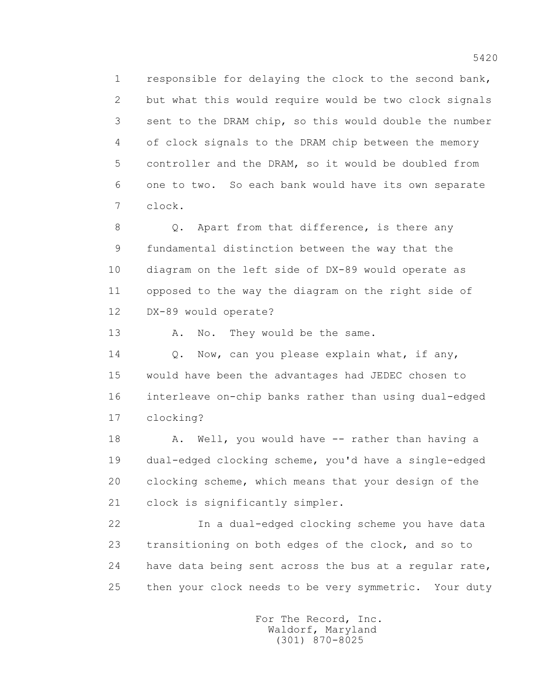1 responsible for delaying the clock to the second bank, 2 but what this would require would be two clock signals 3 sent to the DRAM chip, so this would double the number 4 of clock signals to the DRAM chip between the memory 5 controller and the DRAM, so it would be doubled from 6 one to two. So each bank would have its own separate 7 clock.

8 Q. Apart from that difference, is there any 9 fundamental distinction between the way that the 10 diagram on the left side of DX-89 would operate as 11 opposed to the way the diagram on the right side of 12 DX-89 would operate?

13 A. No. They would be the same.

14 Q. Now, can you please explain what, if any, 15 would have been the advantages had JEDEC chosen to 16 interleave on-chip banks rather than using dual-edged 17 clocking?

18 A. Well, you would have -- rather than having a 19 dual-edged clocking scheme, you'd have a single-edged 20 clocking scheme, which means that your design of the 21 clock is significantly simpler.

 22 In a dual-edged clocking scheme you have data 23 transitioning on both edges of the clock, and so to 24 have data being sent across the bus at a regular rate, 25 then your clock needs to be very symmetric. Your duty

> For The Record, Inc. Waldorf, Maryland (301) 870-8025

5420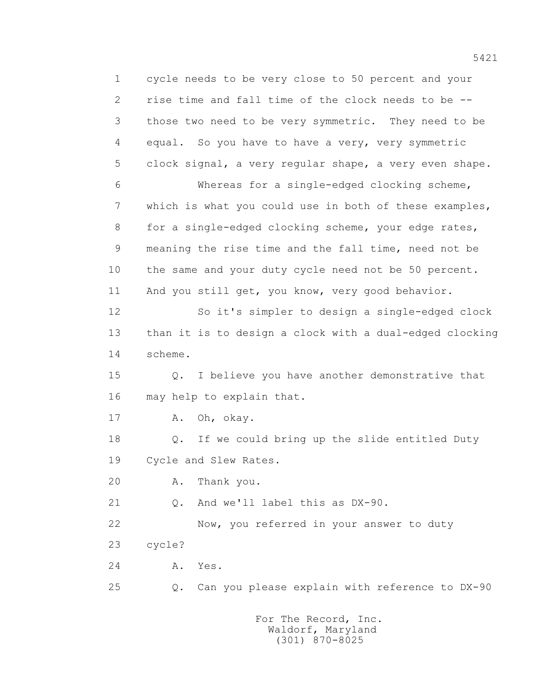1 cycle needs to be very close to 50 percent and your 2 rise time and fall time of the clock needs to be -- 3 those two need to be very symmetric. They need to be 4 equal. So you have to have a very, very symmetric 5 clock signal, a very regular shape, a very even shape. 6 Whereas for a single-edged clocking scheme, 7 which is what you could use in both of these examples, 8 for a single-edged clocking scheme, your edge rates, 9 meaning the rise time and the fall time, need not be 10 the same and your duty cycle need not be 50 percent. 11 And you still get, you know, very good behavior. 12 So it's simpler to design a single-edged clock 13 than it is to design a clock with a dual-edged clocking 14 scheme. 15 Q. I believe you have another demonstrative that 16 may help to explain that. 17 A. Oh, okay. 18 Q. If we could bring up the slide entitled Duty 19 Cycle and Slew Rates. 20 A. Thank you. 21 O. And we'll label this as DX-90. 22 Now, you referred in your answer to duty 23 cycle? 24 A. Yes. 25 Q. Can you please explain with reference to DX-90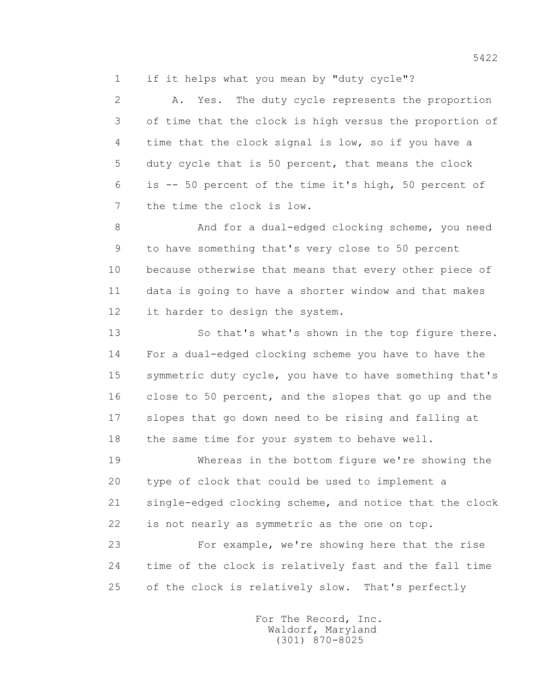1 if it helps what you mean by "duty cycle"?

 2 A. Yes. The duty cycle represents the proportion 3 of time that the clock is high versus the proportion of 4 time that the clock signal is low, so if you have a 5 duty cycle that is 50 percent, that means the clock 6 is -- 50 percent of the time it's high, 50 percent of 7 the time the clock is low.

 8 And for a dual-edged clocking scheme, you need 9 to have something that's very close to 50 percent 10 because otherwise that means that every other piece of 11 data is going to have a shorter window and that makes 12 it harder to design the system.

 13 So that's what's shown in the top figure there. 14 For a dual-edged clocking scheme you have to have the 15 symmetric duty cycle, you have to have something that's 16 close to 50 percent, and the slopes that go up and the 17 slopes that go down need to be rising and falling at 18 the same time for your system to behave well.

 19 Whereas in the bottom figure we're showing the 20 type of clock that could be used to implement a 21 single-edged clocking scheme, and notice that the clock 22 is not nearly as symmetric as the one on top.

 23 For example, we're showing here that the rise 24 time of the clock is relatively fast and the fall time 25 of the clock is relatively slow. That's perfectly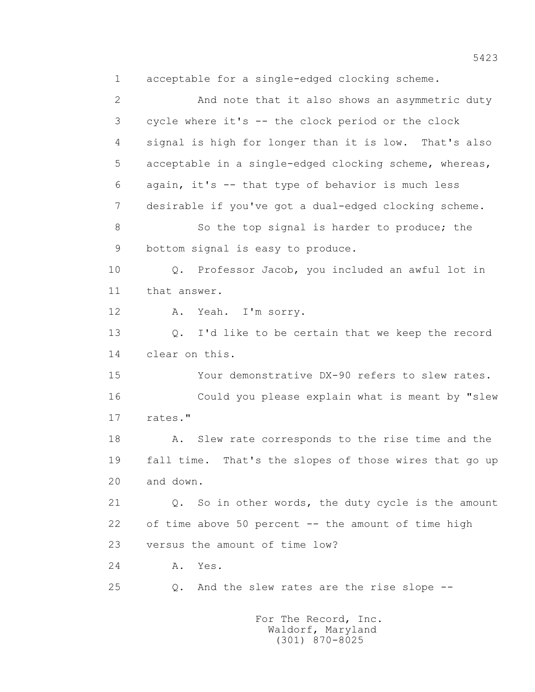1 acceptable for a single-edged clocking scheme. 2 And note that it also shows an asymmetric duty 3 cycle where it's -- the clock period or the clock 4 signal is high for longer than it is low. That's also 5 acceptable in a single-edged clocking scheme, whereas, 6 again, it's -- that type of behavior is much less 7 desirable if you've got a dual-edged clocking scheme. 8 So the top signal is harder to produce; the 9 bottom signal is easy to produce. 10 Q. Professor Jacob, you included an awful lot in 11 that answer. 12 A. Yeah. I'm sorry. 13 Q. I'd like to be certain that we keep the record 14 clear on this. 15 Your demonstrative DX-90 refers to slew rates. 16 Could you please explain what is meant by "slew 17 rates." 18 A. Slew rate corresponds to the rise time and the 19 fall time. That's the slopes of those wires that go up 20 and down. 21 Q. So in other words, the duty cycle is the amount 22 of time above 50 percent -- the amount of time high 23 versus the amount of time low? 24 A. Yes. 25 Q. And the slew rates are the rise slope --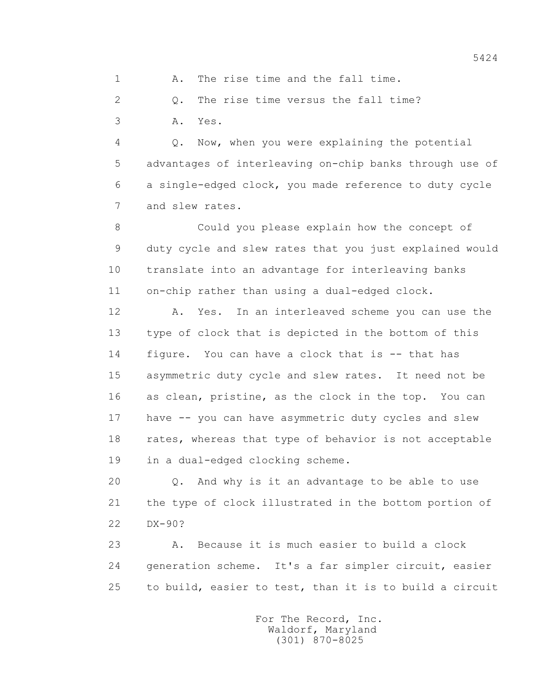1 A. The rise time and the fall time.

2 Q. The rise time versus the fall time?

3 A. Yes.

 4 Q. Now, when you were explaining the potential 5 advantages of interleaving on-chip banks through use of 6 a single-edged clock, you made reference to duty cycle 7 and slew rates.

 8 Could you please explain how the concept of 9 duty cycle and slew rates that you just explained would 10 translate into an advantage for interleaving banks 11 on-chip rather than using a dual-edged clock.

 12 A. Yes. In an interleaved scheme you can use the 13 type of clock that is depicted in the bottom of this 14 figure. You can have a clock that is -- that has 15 asymmetric duty cycle and slew rates. It need not be 16 as clean, pristine, as the clock in the top. You can 17 have -- you can have asymmetric duty cycles and slew 18 rates, whereas that type of behavior is not acceptable 19 in a dual-edged clocking scheme.

 20 Q. And why is it an advantage to be able to use 21 the type of clock illustrated in the bottom portion of 22 DX-90?

 23 A. Because it is much easier to build a clock 24 generation scheme. It's a far simpler circuit, easier 25 to build, easier to test, than it is to build a circuit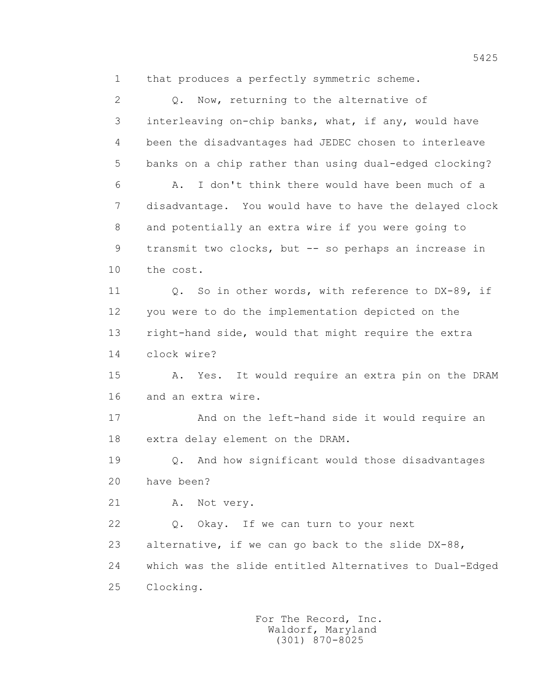1 that produces a perfectly symmetric scheme.

 2 Q. Now, returning to the alternative of 3 interleaving on-chip banks, what, if any, would have 4 been the disadvantages had JEDEC chosen to interleave 5 banks on a chip rather than using dual-edged clocking? 6 A. I don't think there would have been much of a 7 disadvantage. You would have to have the delayed clock 8 and potentially an extra wire if you were going to 9 transmit two clocks, but -- so perhaps an increase in 10 the cost. 11 0. So in other words, with reference to DX-89, if 12 you were to do the implementation depicted on the 13 right-hand side, would that might require the extra 14 clock wire? 15 A. Yes. It would require an extra pin on the DRAM 16 and an extra wire. 17 And on the left-hand side it would require an 18 extra delay element on the DRAM. 19 Q. And how significant would those disadvantages 20 have been? 21 A. Not very. 22 Q. Okay. If we can turn to your next 23 alternative, if we can go back to the slide DX-88, 24 which was the slide entitled Alternatives to Dual-Edged 25 Clocking.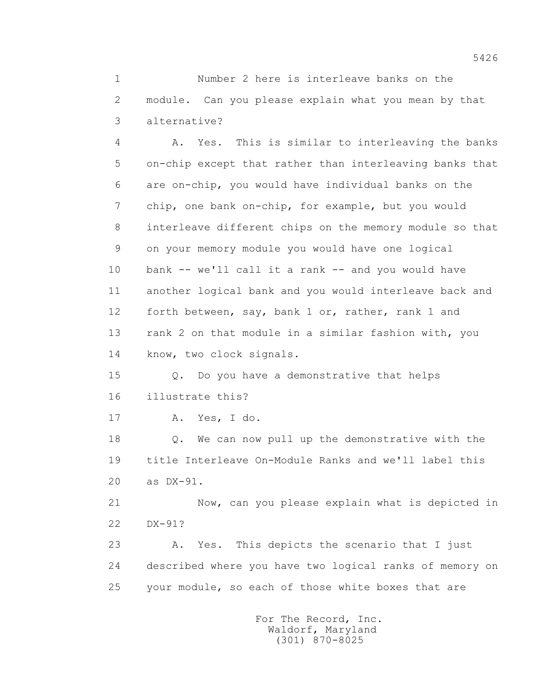1 Number 2 here is interleave banks on the 2 module. Can you please explain what you mean by that 3 alternative?

 4 A. Yes. This is similar to interleaving the banks 5 on-chip except that rather than interleaving banks that 6 are on-chip, you would have individual banks on the 7 chip, one bank on-chip, for example, but you would 8 interleave different chips on the memory module so that 9 on your memory module you would have one logical 10 bank -- we'll call it a rank -- and you would have 11 another logical bank and you would interleave back and 12 forth between, say, bank 1 or, rather, rank 1 and 13 rank 2 on that module in a similar fashion with, you 14 know, two clock signals.

 15 Q. Do you have a demonstrative that helps 16 illustrate this?

17 A. Yes, I do.

 18 Q. We can now pull up the demonstrative with the 19 title Interleave On-Module Ranks and we'll label this 20 as DX-91.

 21 Now, can you please explain what is depicted in 22 DX-91?

 23 A. Yes. This depicts the scenario that I just 24 described where you have two logical ranks of memory on 25 your module, so each of those white boxes that are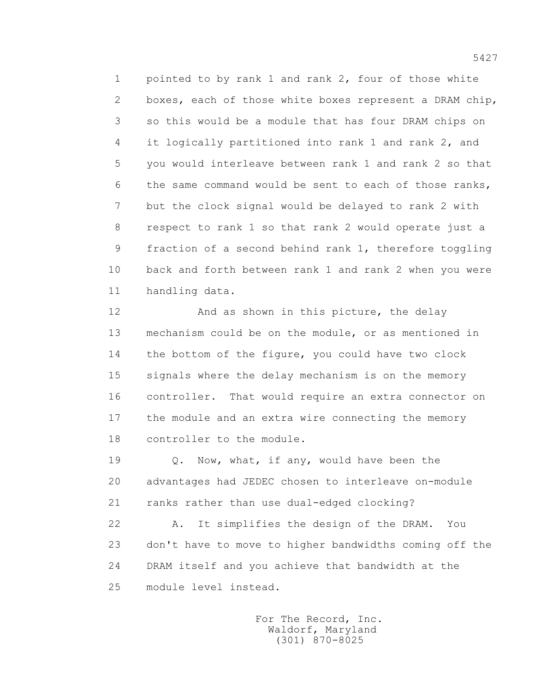1 pointed to by rank 1 and rank 2, four of those white 2 boxes, each of those white boxes represent a DRAM chip, 3 so this would be a module that has four DRAM chips on 4 it logically partitioned into rank 1 and rank 2, and 5 you would interleave between rank 1 and rank 2 so that 6 the same command would be sent to each of those ranks, 7 but the clock signal would be delayed to rank 2 with 8 respect to rank 1 so that rank 2 would operate just a 9 fraction of a second behind rank 1, therefore toggling 10 back and forth between rank 1 and rank 2 when you were 11 handling data.

12 And as shown in this picture, the delay 13 mechanism could be on the module, or as mentioned in 14 the bottom of the figure, you could have two clock 15 signals where the delay mechanism is on the memory 16 controller. That would require an extra connector on 17 the module and an extra wire connecting the memory 18 controller to the module.

19 Q. Now, what, if any, would have been the 20 advantages had JEDEC chosen to interleave on-module 21 ranks rather than use dual-edged clocking?

 22 A. It simplifies the design of the DRAM. You 23 don't have to move to higher bandwidths coming off the 24 DRAM itself and you achieve that bandwidth at the 25 module level instead.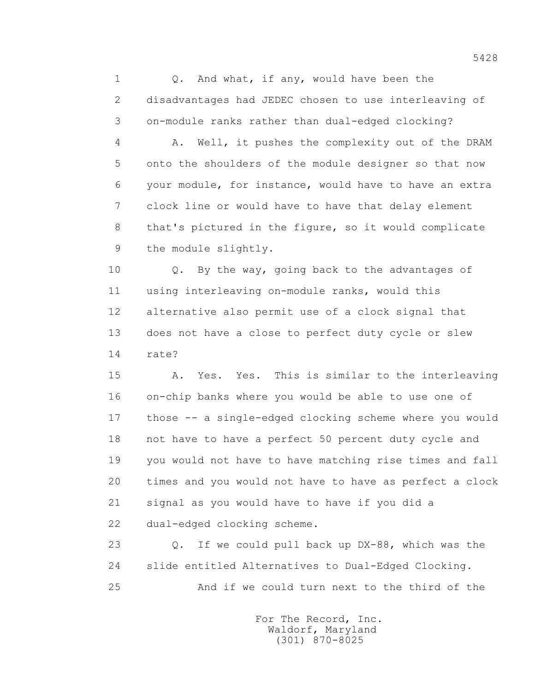1 0. And what, if any, would have been the 2 disadvantages had JEDEC chosen to use interleaving of 3 on-module ranks rather than dual-edged clocking?

 4 A. Well, it pushes the complexity out of the DRAM 5 onto the shoulders of the module designer so that now 6 your module, for instance, would have to have an extra 7 clock line or would have to have that delay element 8 that's pictured in the figure, so it would complicate 9 the module slightly.

 10 Q. By the way, going back to the advantages of 11 using interleaving on-module ranks, would this 12 alternative also permit use of a clock signal that 13 does not have a close to perfect duty cycle or slew 14 rate?

 15 A. Yes. Yes. This is similar to the interleaving 16 on-chip banks where you would be able to use one of 17 those -- a single-edged clocking scheme where you would 18 not have to have a perfect 50 percent duty cycle and 19 you would not have to have matching rise times and fall 20 times and you would not have to have as perfect a clock 21 signal as you would have to have if you did a 22 dual-edged clocking scheme.

 23 Q. If we could pull back up DX-88, which was the 24 slide entitled Alternatives to Dual-Edged Clocking. 25 And if we could turn next to the third of the

> For The Record, Inc. Waldorf, Maryland (301) 870-8025

5428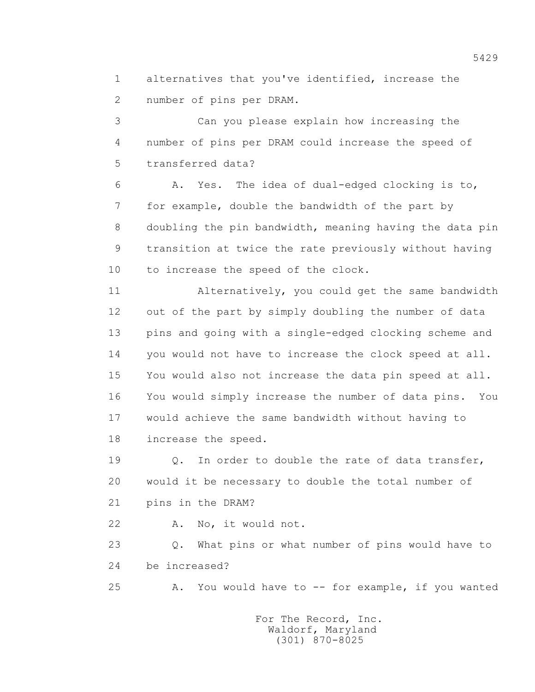1 alternatives that you've identified, increase the 2 number of pins per DRAM.

 3 Can you please explain how increasing the 4 number of pins per DRAM could increase the speed of 5 transferred data?

 6 A. Yes. The idea of dual-edged clocking is to, 7 for example, double the bandwidth of the part by 8 doubling the pin bandwidth, meaning having the data pin 9 transition at twice the rate previously without having 10 to increase the speed of the clock.

 11 Alternatively, you could get the same bandwidth 12 out of the part by simply doubling the number of data 13 pins and going with a single-edged clocking scheme and 14 you would not have to increase the clock speed at all. 15 You would also not increase the data pin speed at all. 16 You would simply increase the number of data pins. You 17 would achieve the same bandwidth without having to 18 increase the speed.

19 Q. In order to double the rate of data transfer, 20 would it be necessary to double the total number of 21 pins in the DRAM?

22 A. No, it would not.

 23 Q. What pins or what number of pins would have to 24 be increased?

25 A. You would have to -- for example, if you wanted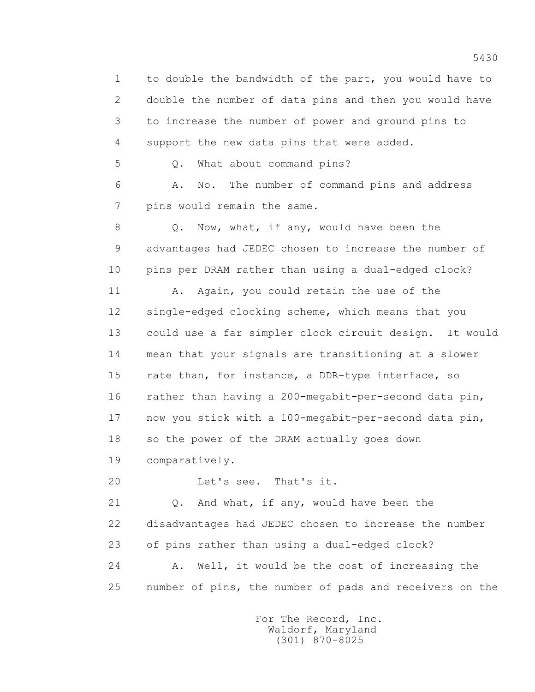1 to double the bandwidth of the part, you would have to 2 double the number of data pins and then you would have 3 to increase the number of power and ground pins to 4 support the new data pins that were added.

5 Q. What about command pins?

 6 A. No. The number of command pins and address 7 pins would remain the same.

 8 Q. Now, what, if any, would have been the 9 advantages had JEDEC chosen to increase the number of 10 pins per DRAM rather than using a dual-edged clock?

 11 A. Again, you could retain the use of the 12 single-edged clocking scheme, which means that you 13 could use a far simpler clock circuit design. It would 14 mean that your signals are transitioning at a slower 15 rate than, for instance, a DDR-type interface, so 16 rather than having a 200-megabit-per-second data pin, 17 now you stick with a 100-megabit-per-second data pin, 18 so the power of the DRAM actually goes down 19 comparatively.

20 Let's see. That's it.

 21 Q. And what, if any, would have been the 22 disadvantages had JEDEC chosen to increase the number 23 of pins rather than using a dual-edged clock? 24 A. Well, it would be the cost of increasing the 25 number of pins, the number of pads and receivers on the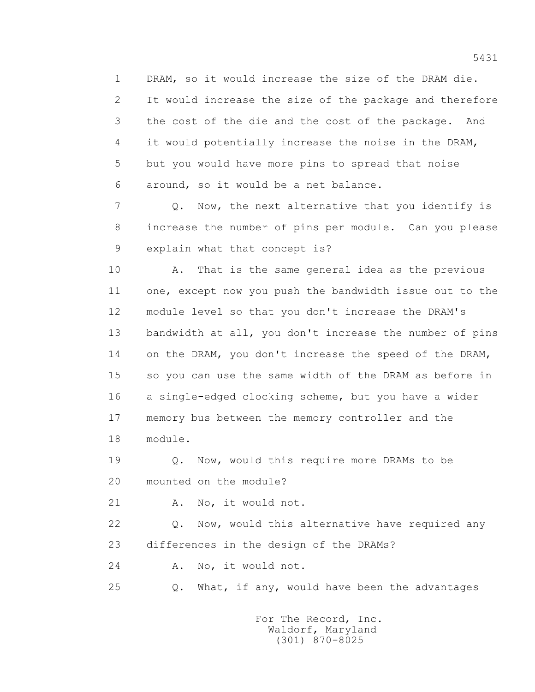1 DRAM, so it would increase the size of the DRAM die. 2 It would increase the size of the package and therefore 3 the cost of the die and the cost of the package. And 4 it would potentially increase the noise in the DRAM, 5 but you would have more pins to spread that noise 6 around, so it would be a net balance.

 7 Q. Now, the next alternative that you identify is 8 increase the number of pins per module. Can you please 9 explain what that concept is?

 10 A. That is the same general idea as the previous 11 one, except now you push the bandwidth issue out to the 12 module level so that you don't increase the DRAM's 13 bandwidth at all, you don't increase the number of pins 14 on the DRAM, you don't increase the speed of the DRAM, 15 so you can use the same width of the DRAM as before in 16 a single-edged clocking scheme, but you have a wider 17 memory bus between the memory controller and the 18 module.

 19 Q. Now, would this require more DRAMs to be 20 mounted on the module?

21 A. No, it would not.

 22 Q. Now, would this alternative have required any 23 differences in the design of the DRAMs?

24 A. No, it would not.

25 Q. What, if any, would have been the advantages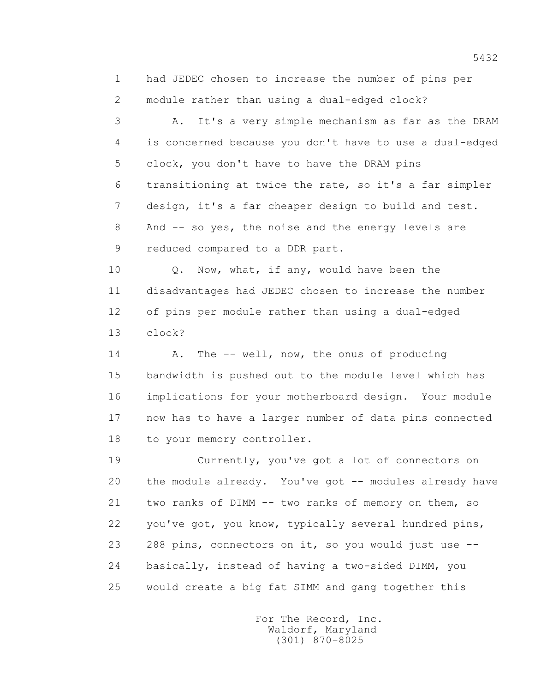1 had JEDEC chosen to increase the number of pins per 2 module rather than using a dual-edged clock?

 3 A. It's a very simple mechanism as far as the DRAM 4 is concerned because you don't have to use a dual-edged 5 clock, you don't have to have the DRAM pins 6 transitioning at twice the rate, so it's a far simpler 7 design, it's a far cheaper design to build and test. 8 And -- so yes, the noise and the energy levels are 9 reduced compared to a DDR part.

10 Q. Now, what, if any, would have been the 11 disadvantages had JEDEC chosen to increase the number 12 of pins per module rather than using a dual-edged 13 clock?

14 A. The -- well, now, the onus of producing 15 bandwidth is pushed out to the module level which has 16 implications for your motherboard design. Your module 17 now has to have a larger number of data pins connected 18 to your memory controller.

 19 Currently, you've got a lot of connectors on 20 the module already. You've got -- modules already have 21 two ranks of DIMM -- two ranks of memory on them, so 22 you've got, you know, typically several hundred pins, 23 288 pins, connectors on it, so you would just use -- 24 basically, instead of having a two-sided DIMM, you 25 would create a big fat SIMM and gang together this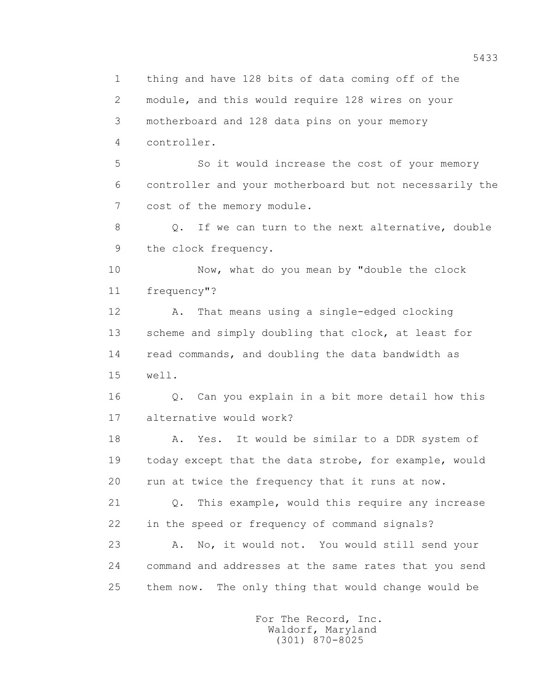1 thing and have 128 bits of data coming off of the 2 module, and this would require 128 wires on your 3 motherboard and 128 data pins on your memory 4 controller. 5 So it would increase the cost of your memory 6 controller and your motherboard but not necessarily the 7 cost of the memory module. 8 Q. If we can turn to the next alternative, double 9 the clock frequency. 10 Now, what do you mean by "double the clock 11 frequency"? 12 A. That means using a single-edged clocking 13 scheme and simply doubling that clock, at least for 14 read commands, and doubling the data bandwidth as 15 well. 16 Q. Can you explain in a bit more detail how this 17 alternative would work? 18 A. Yes. It would be similar to a DDR system of 19 today except that the data strobe, for example, would 20 run at twice the frequency that it runs at now. 21 Q. This example, would this require any increase 22 in the speed or frequency of command signals? 23 A. No, it would not. You would still send your 24 command and addresses at the same rates that you send 25 them now. The only thing that would change would be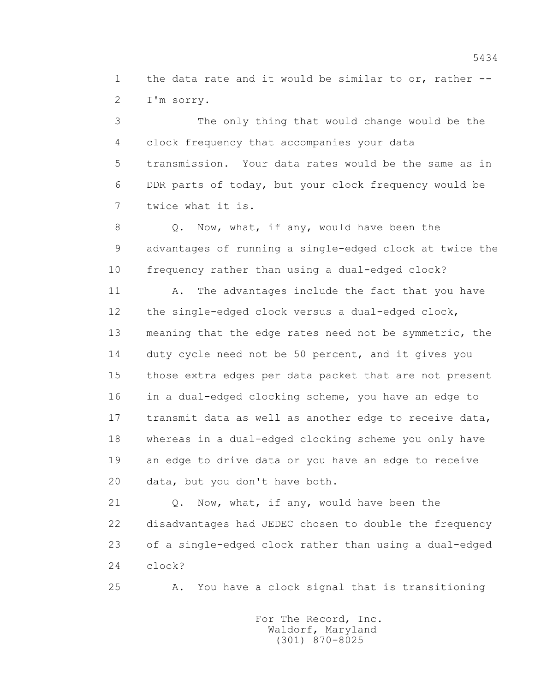1 the data rate and it would be similar to or, rather -- 2 I'm sorry.

 3 The only thing that would change would be the 4 clock frequency that accompanies your data 5 transmission. Your data rates would be the same as in 6 DDR parts of today, but your clock frequency would be 7 twice what it is.

 8 Q. Now, what, if any, would have been the 9 advantages of running a single-edged clock at twice the 10 frequency rather than using a dual-edged clock?

11 A. The advantages include the fact that you have 12 the single-edged clock versus a dual-edged clock, 13 meaning that the edge rates need not be symmetric, the 14 duty cycle need not be 50 percent, and it gives you 15 those extra edges per data packet that are not present 16 in a dual-edged clocking scheme, you have an edge to 17 transmit data as well as another edge to receive data, 18 whereas in a dual-edged clocking scheme you only have 19 an edge to drive data or you have an edge to receive 20 data, but you don't have both.

21 Q. Now, what, if any, would have been the 22 disadvantages had JEDEC chosen to double the frequency 23 of a single-edged clock rather than using a dual-edged 24 clock?

25 A. You have a clock signal that is transitioning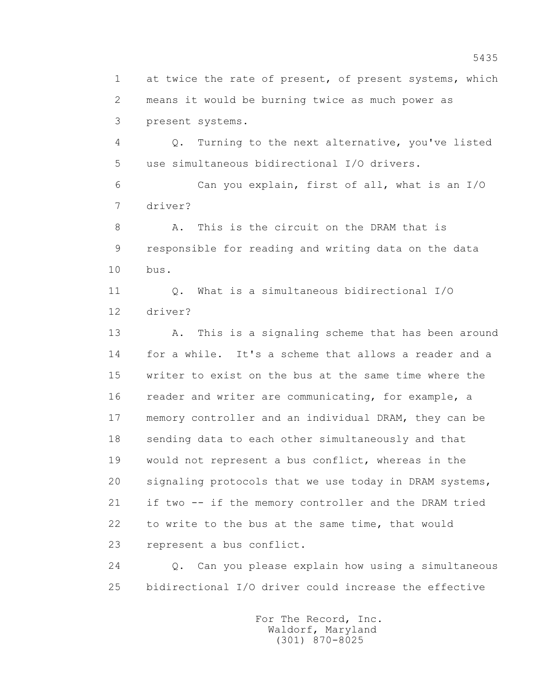1 at twice the rate of present, of present systems, which 2 means it would be burning twice as much power as 3 present systems.

 4 Q. Turning to the next alternative, you've listed 5 use simultaneous bidirectional I/O drivers.

 6 Can you explain, first of all, what is an I/O 7 driver?

8 A. This is the circuit on the DRAM that is 9 responsible for reading and writing data on the data 10 bus.

 11 Q. What is a simultaneous bidirectional I/O 12 driver?

 13 A. This is a signaling scheme that has been around 14 for a while. It's a scheme that allows a reader and a 15 writer to exist on the bus at the same time where the 16 reader and writer are communicating, for example, a 17 memory controller and an individual DRAM, they can be 18 sending data to each other simultaneously and that 19 would not represent a bus conflict, whereas in the 20 signaling protocols that we use today in DRAM systems, 21 if two -- if the memory controller and the DRAM tried 22 to write to the bus at the same time, that would 23 represent a bus conflict.

 24 Q. Can you please explain how using a simultaneous 25 bidirectional I/O driver could increase the effective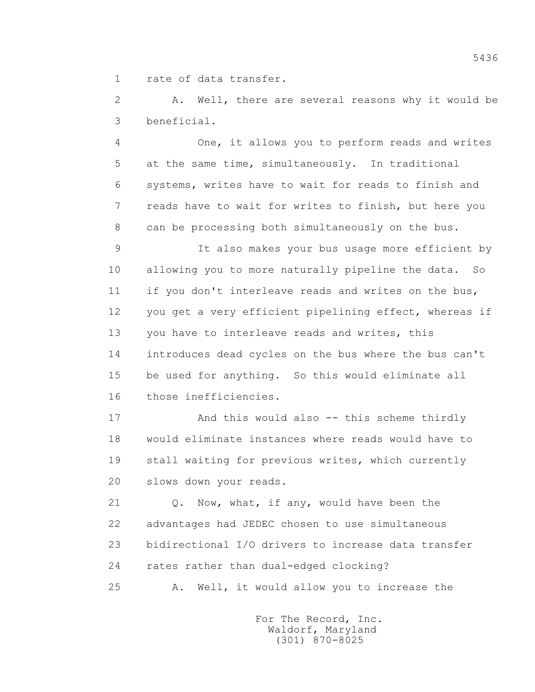1 rate of data transfer.

 2 A. Well, there are several reasons why it would be 3 beneficial.

 4 One, it allows you to perform reads and writes 5 at the same time, simultaneously. In traditional 6 systems, writes have to wait for reads to finish and 7 reads have to wait for writes to finish, but here you 8 can be processing both simultaneously on the bus.

 9 It also makes your bus usage more efficient by 10 allowing you to more naturally pipeline the data. So 11 if you don't interleave reads and writes on the bus, 12 you get a very efficient pipelining effect, whereas if 13 you have to interleave reads and writes, this 14 introduces dead cycles on the bus where the bus can't 15 be used for anything. So this would eliminate all 16 those inefficiencies.

 17 And this would also -- this scheme thirdly 18 would eliminate instances where reads would have to 19 stall waiting for previous writes, which currently 20 slows down your reads.

 21 Q. Now, what, if any, would have been the 22 advantages had JEDEC chosen to use simultaneous 23 bidirectional I/O drivers to increase data transfer 24 rates rather than dual-edged clocking? 25 A. Well, it would allow you to increase the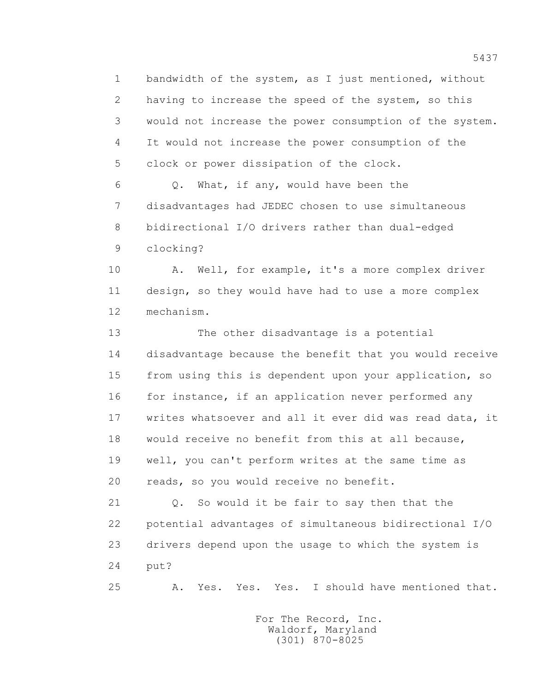1 bandwidth of the system, as I just mentioned, without 2 having to increase the speed of the system, so this 3 would not increase the power consumption of the system. 4 It would not increase the power consumption of the 5 clock or power dissipation of the clock.

 6 Q. What, if any, would have been the 7 disadvantages had JEDEC chosen to use simultaneous 8 bidirectional I/O drivers rather than dual-edged 9 clocking?

 10 A. Well, for example, it's a more complex driver 11 design, so they would have had to use a more complex 12 mechanism.

 13 The other disadvantage is a potential 14 disadvantage because the benefit that you would receive 15 from using this is dependent upon your application, so 16 for instance, if an application never performed any 17 writes whatsoever and all it ever did was read data, it 18 would receive no benefit from this at all because, 19 well, you can't perform writes at the same time as 20 reads, so you would receive no benefit.

 21 Q. So would it be fair to say then that the 22 potential advantages of simultaneous bidirectional I/O 23 drivers depend upon the usage to which the system is 24 put?

25 A. Yes. Yes. Yes. I should have mentioned that.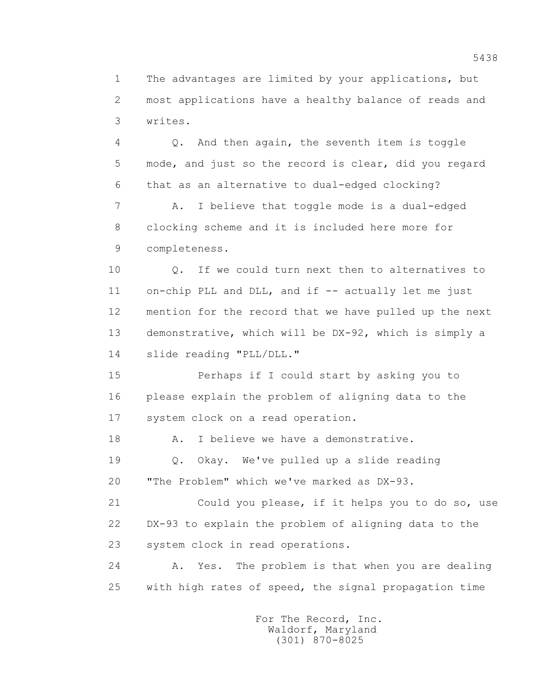1 The advantages are limited by your applications, but 2 most applications have a healthy balance of reads and 3 writes.

 4 Q. And then again, the seventh item is toggle 5 mode, and just so the record is clear, did you regard 6 that as an alternative to dual-edged clocking?

 7 A. I believe that toggle mode is a dual-edged 8 clocking scheme and it is included here more for 9 completeness.

 10 Q. If we could turn next then to alternatives to 11 on-chip PLL and DLL, and if -- actually let me just 12 mention for the record that we have pulled up the next 13 demonstrative, which will be DX-92, which is simply a 14 slide reading "PLL/DLL."

 15 Perhaps if I could start by asking you to 16 please explain the problem of aligning data to the 17 system clock on a read operation.

18 A. I believe we have a demonstrative.

 19 Q. Okay. We've pulled up a slide reading 20 "The Problem" which we've marked as DX-93.

 21 Could you please, if it helps you to do so, use 22 DX-93 to explain the problem of aligning data to the 23 system clock in read operations.

 24 A. Yes. The problem is that when you are dealing 25 with high rates of speed, the signal propagation time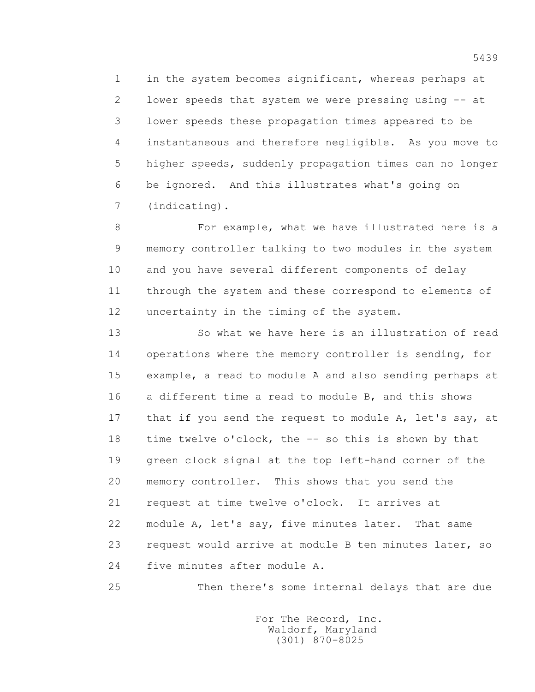1 in the system becomes significant, whereas perhaps at 2 lower speeds that system we were pressing using -- at 3 lower speeds these propagation times appeared to be 4 instantaneous and therefore negligible. As you move to 5 higher speeds, suddenly propagation times can no longer 6 be ignored. And this illustrates what's going on 7 (indicating).

 8 For example, what we have illustrated here is a 9 memory controller talking to two modules in the system 10 and you have several different components of delay 11 through the system and these correspond to elements of 12 uncertainty in the timing of the system.

 13 So what we have here is an illustration of read 14 operations where the memory controller is sending, for 15 example, a read to module A and also sending perhaps at 16 a different time a read to module B, and this shows 17 that if you send the request to module A, let's say, at 18 time twelve o'clock, the -- so this is shown by that 19 green clock signal at the top left-hand corner of the 20 memory controller. This shows that you send the 21 request at time twelve o'clock. It arrives at 22 module A, let's say, five minutes later. That same 23 request would arrive at module B ten minutes later, so 24 five minutes after module A.

25 Then there's some internal delays that are due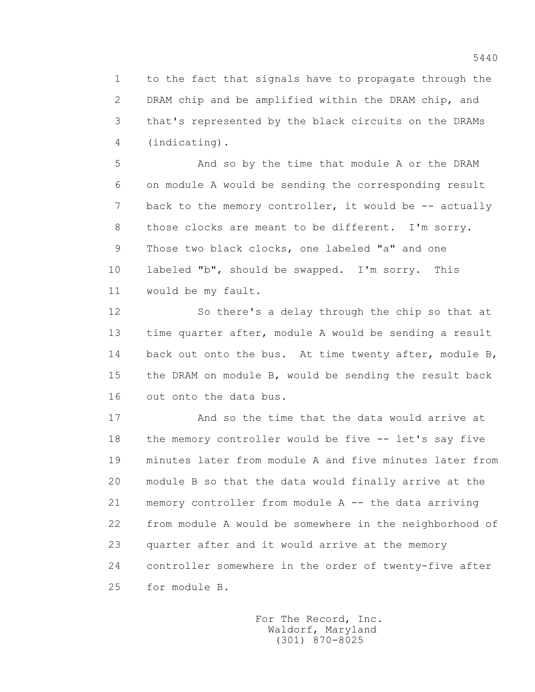1 to the fact that signals have to propagate through the 2 DRAM chip and be amplified within the DRAM chip, and 3 that's represented by the black circuits on the DRAMs 4 (indicating).

 5 And so by the time that module A or the DRAM 6 on module A would be sending the corresponding result 7 back to the memory controller, it would be -- actually 8 those clocks are meant to be different. I'm sorry. 9 Those two black clocks, one labeled "a" and one 10 labeled "b", should be swapped. I'm sorry. This 11 would be my fault.

 12 So there's a delay through the chip so that at 13 time quarter after, module A would be sending a result 14 back out onto the bus. At time twenty after, module B, 15 the DRAM on module B, would be sending the result back 16 out onto the data bus.

 17 And so the time that the data would arrive at 18 the memory controller would be five -- let's say five 19 minutes later from module A and five minutes later from 20 module B so that the data would finally arrive at the 21 memory controller from module A -- the data arriving 22 from module A would be somewhere in the neighborhood of 23 quarter after and it would arrive at the memory 24 controller somewhere in the order of twenty-five after 25 for module B.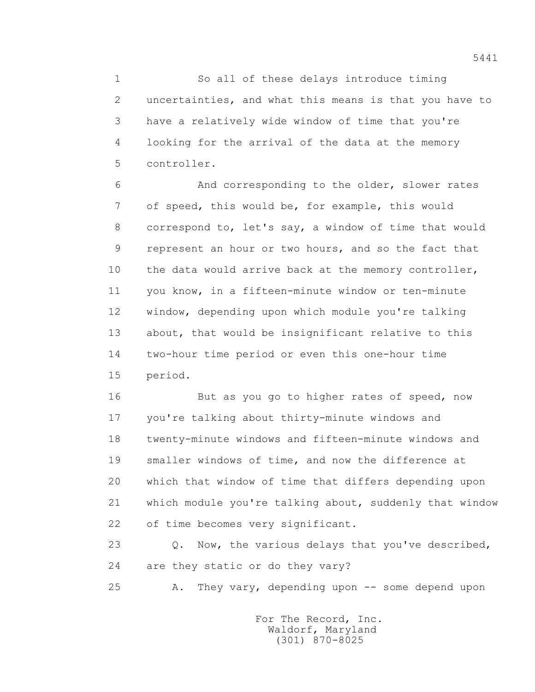1 So all of these delays introduce timing 2 uncertainties, and what this means is that you have to 3 have a relatively wide window of time that you're 4 looking for the arrival of the data at the memory 5 controller.

 6 And corresponding to the older, slower rates 7 of speed, this would be, for example, this would 8 correspond to, let's say, a window of time that would 9 represent an hour or two hours, and so the fact that 10 the data would arrive back at the memory controller, 11 you know, in a fifteen-minute window or ten-minute 12 window, depending upon which module you're talking 13 about, that would be insignificant relative to this 14 two-hour time period or even this one-hour time 15 period.

 16 But as you go to higher rates of speed, now 17 you're talking about thirty-minute windows and 18 twenty-minute windows and fifteen-minute windows and 19 smaller windows of time, and now the difference at 20 which that window of time that differs depending upon 21 which module you're talking about, suddenly that window 22 of time becomes very significant.

23 0. Now, the various delays that you've described, 24 are they static or do they vary?

25 A. They vary, depending upon -- some depend upon

 For The Record, Inc. Waldorf, Maryland (301) 870-8025

5441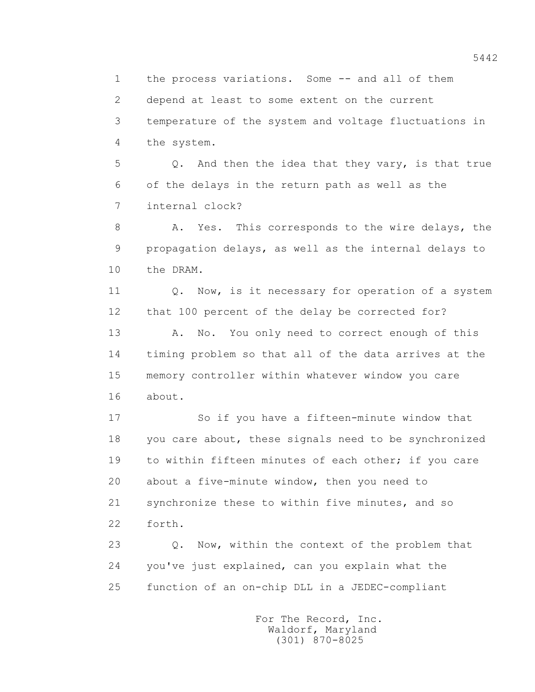1 the process variations. Some -- and all of them

2 depend at least to some extent on the current

 3 temperature of the system and voltage fluctuations in 4 the system.

 5 Q. And then the idea that they vary, is that true 6 of the delays in the return path as well as the 7 internal clock?

8 A. Yes. This corresponds to the wire delays, the 9 propagation delays, as well as the internal delays to 10 the DRAM.

11 0. Now, is it necessary for operation of a system 12 that 100 percent of the delay be corrected for?

13 A. No. You only need to correct enough of this 14 timing problem so that all of the data arrives at the 15 memory controller within whatever window you care 16 about.

 17 So if you have a fifteen-minute window that 18 you care about, these signals need to be synchronized 19 to within fifteen minutes of each other; if you care 20 about a five-minute window, then you need to 21 synchronize these to within five minutes, and so 22 forth.

23 0. Now, within the context of the problem that 24 you've just explained, can you explain what the 25 function of an on-chip DLL in a JEDEC-compliant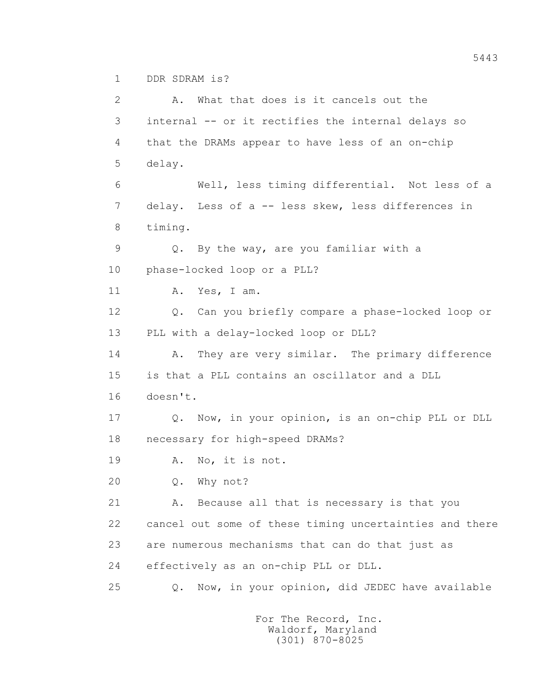1 DDR SDRAM is?

 2 A. What that does is it cancels out the 3 internal -- or it rectifies the internal delays so 4 that the DRAMs appear to have less of an on-chip 5 delay. 6 Well, less timing differential. Not less of a 7 delay. Less of a -- less skew, less differences in 8 timing. 9 Q. By the way, are you familiar with a 10 phase-locked loop or a PLL? 11 A. Yes, I am. 12 Q. Can you briefly compare a phase-locked loop or 13 PLL with a delay-locked loop or DLL? 14 A. They are very similar. The primary difference 15 is that a PLL contains an oscillator and a DLL 16 doesn't. 17 Q. Now, in your opinion, is an on-chip PLL or DLL 18 necessary for high-speed DRAMs? 19 A. No, it is not. 20 Q. Why not? 21 A. Because all that is necessary is that you 22 cancel out some of these timing uncertainties and there 23 are numerous mechanisms that can do that just as 24 effectively as an on-chip PLL or DLL. 25 Q. Now, in your opinion, did JEDEC have available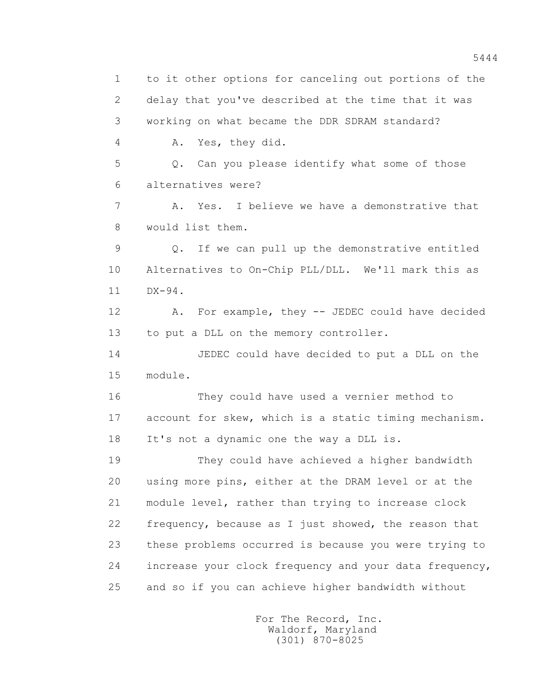1 to it other options for canceling out portions of the 2 delay that you've described at the time that it was 3 working on what became the DDR SDRAM standard? 4 A. Yes, they did. 5 Q. Can you please identify what some of those 6 alternatives were? 7 A. Yes. I believe we have a demonstrative that 8 would list them. 9 Q. If we can pull up the demonstrative entitled 10 Alternatives to On-Chip PLL/DLL. We'll mark this as 11 DX-94. 12 A. For example, they -- JEDEC could have decided 13 to put a DLL on the memory controller. 14 JEDEC could have decided to put a DLL on the 15 module. 16 They could have used a vernier method to 17 account for skew, which is a static timing mechanism. 18 It's not a dynamic one the way a DLL is. 19 They could have achieved a higher bandwidth 20 using more pins, either at the DRAM level or at the 21 module level, rather than trying to increase clock 22 frequency, because as I just showed, the reason that 23 these problems occurred is because you were trying to 24 increase your clock frequency and your data frequency, 25 and so if you can achieve higher bandwidth without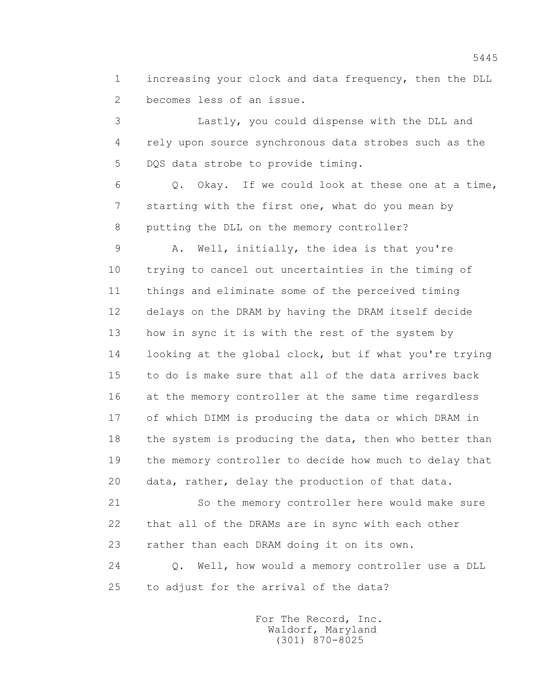1 increasing your clock and data frequency, then the DLL 2 becomes less of an issue.

 3 Lastly, you could dispense with the DLL and 4 rely upon source synchronous data strobes such as the 5 DQS data strobe to provide timing.

 6 Q. Okay. If we could look at these one at a time, 7 starting with the first one, what do you mean by 8 putting the DLL on the memory controller?

 9 A. Well, initially, the idea is that you're 10 trying to cancel out uncertainties in the timing of 11 things and eliminate some of the perceived timing 12 delays on the DRAM by having the DRAM itself decide 13 how in sync it is with the rest of the system by 14 looking at the global clock, but if what you're trying 15 to do is make sure that all of the data arrives back 16 at the memory controller at the same time regardless 17 of which DIMM is producing the data or which DRAM in 18 the system is producing the data, then who better than 19 the memory controller to decide how much to delay that 20 data, rather, delay the production of that data.

 21 So the memory controller here would make sure 22 that all of the DRAMs are in sync with each other 23 rather than each DRAM doing it on its own.

 24 Q. Well, how would a memory controller use a DLL 25 to adjust for the arrival of the data?

> For The Record, Inc. Waldorf, Maryland (301) 870-8025

5445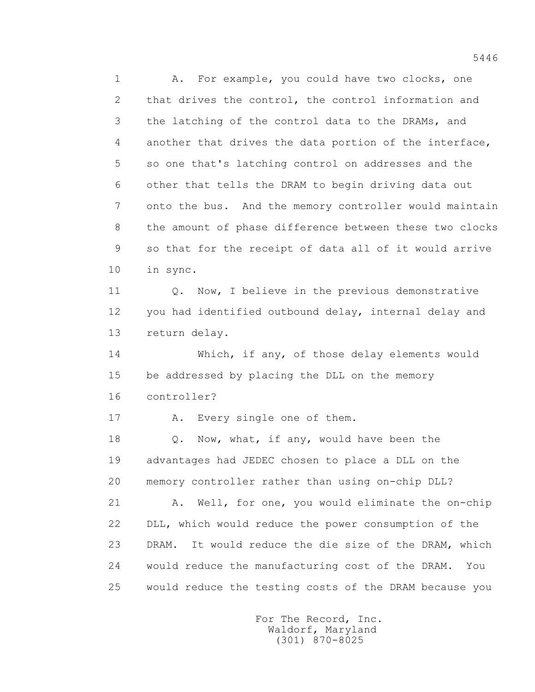1 A. For example, you could have two clocks, one 2 that drives the control, the control information and 3 the latching of the control data to the DRAMs, and 4 another that drives the data portion of the interface, 5 so one that's latching control on addresses and the 6 other that tells the DRAM to begin driving data out 7 onto the bus. And the memory controller would maintain 8 the amount of phase difference between these two clocks 9 so that for the receipt of data all of it would arrive 10 in sync. 11 0. Now, I believe in the previous demonstrative

12 you had identified outbound delay, internal delay and 13 return delay.

 14 Which, if any, of those delay elements would 15 be addressed by placing the DLL on the memory 16 controller?

17 A. Every single one of them.

18 Q. Now, what, if any, would have been the 19 advantages had JEDEC chosen to place a DLL on the 20 memory controller rather than using on-chip DLL?

 21 A. Well, for one, you would eliminate the on-chip 22 DLL, which would reduce the power consumption of the 23 DRAM. It would reduce the die size of the DRAM, which 24 would reduce the manufacturing cost of the DRAM. You 25 would reduce the testing costs of the DRAM because you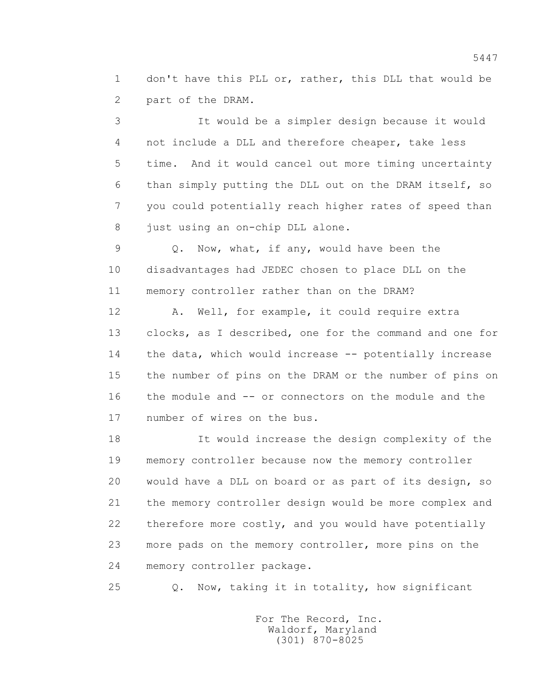1 don't have this PLL or, rather, this DLL that would be 2 part of the DRAM.

 3 It would be a simpler design because it would 4 not include a DLL and therefore cheaper, take less 5 time. And it would cancel out more timing uncertainty 6 than simply putting the DLL out on the DRAM itself, so 7 you could potentially reach higher rates of speed than 8 just using an on-chip DLL alone.

 9 Q. Now, what, if any, would have been the 10 disadvantages had JEDEC chosen to place DLL on the 11 memory controller rather than on the DRAM?

12 A. Well, for example, it could require extra 13 clocks, as I described, one for the command and one for 14 the data, which would increase -- potentially increase 15 the number of pins on the DRAM or the number of pins on 16 the module and -- or connectors on the module and the 17 number of wires on the bus.

 18 It would increase the design complexity of the 19 memory controller because now the memory controller 20 would have a DLL on board or as part of its design, so 21 the memory controller design would be more complex and 22 therefore more costly, and you would have potentially 23 more pads on the memory controller, more pins on the 24 memory controller package.

25 Q. Now, taking it in totality, how significant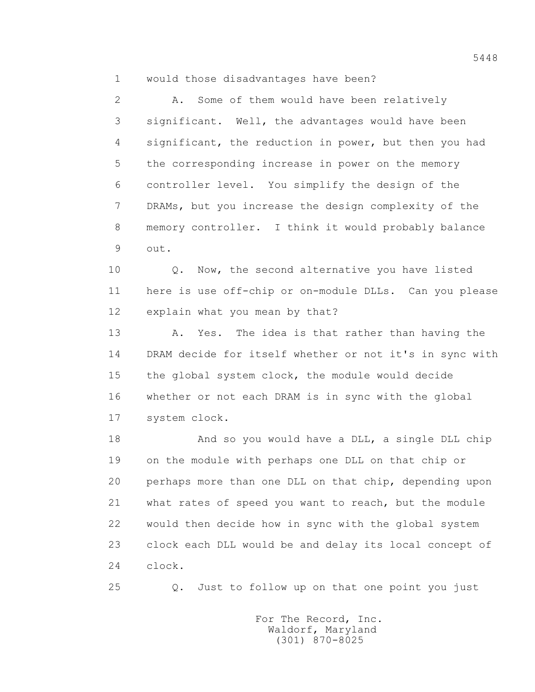1 would those disadvantages have been?

 2 A. Some of them would have been relatively 3 significant. Well, the advantages would have been 4 significant, the reduction in power, but then you had 5 the corresponding increase in power on the memory 6 controller level. You simplify the design of the 7 DRAMs, but you increase the design complexity of the 8 memory controller. I think it would probably balance 9 out.

10 0. Now, the second alternative you have listed 11 here is use off-chip or on-module DLLs. Can you please 12 explain what you mean by that?

 13 A. Yes. The idea is that rather than having the 14 DRAM decide for itself whether or not it's in sync with 15 the global system clock, the module would decide 16 whether or not each DRAM is in sync with the global 17 system clock.

 18 And so you would have a DLL, a single DLL chip 19 on the module with perhaps one DLL on that chip or 20 perhaps more than one DLL on that chip, depending upon 21 what rates of speed you want to reach, but the module 22 would then decide how in sync with the global system 23 clock each DLL would be and delay its local concept of 24 clock.

25 Q. Just to follow up on that one point you just

 For The Record, Inc. Waldorf, Maryland (301) 870-8025

5448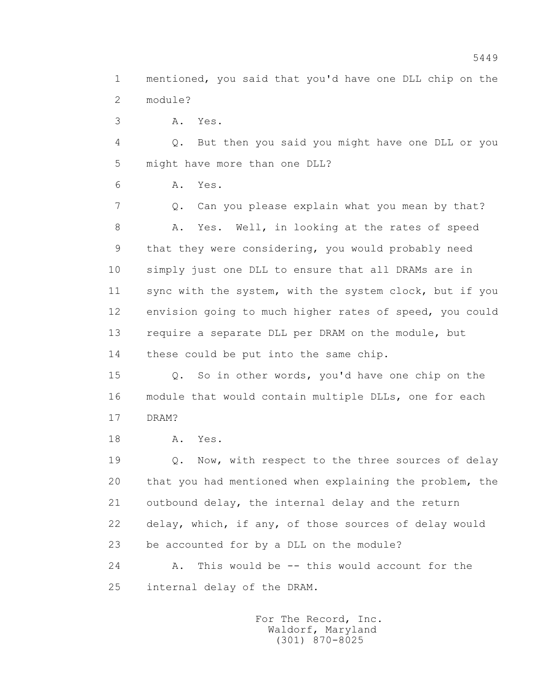1 mentioned, you said that you'd have one DLL chip on the 2 module?

3 A. Yes.

 4 Q. But then you said you might have one DLL or you 5 might have more than one DLL?

6 A. Yes.

 7 Q. Can you please explain what you mean by that? 8 A. Yes. Well, in looking at the rates of speed 9 that they were considering, you would probably need 10 simply just one DLL to ensure that all DRAMs are in 11 sync with the system, with the system clock, but if you 12 envision going to much higher rates of speed, you could 13 require a separate DLL per DRAM on the module, but 14 these could be put into the same chip.

 15 Q. So in other words, you'd have one chip on the 16 module that would contain multiple DLLs, one for each 17 DRAM?

18 **A.** Yes.

19 **Q.** Now, with respect to the three sources of delay 20 that you had mentioned when explaining the problem, the 21 outbound delay, the internal delay and the return 22 delay, which, if any, of those sources of delay would 23 be accounted for by a DLL on the module?

24 A. This would be -- this would account for the 25 internal delay of the DRAM.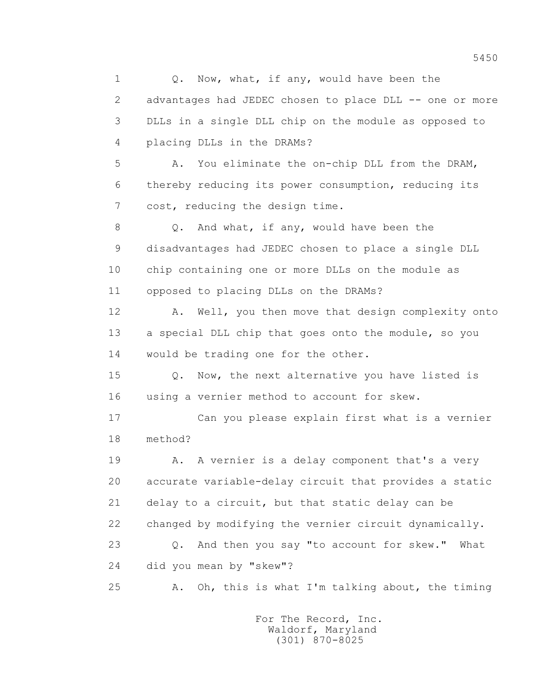1 0. Now, what, if any, would have been the 2 advantages had JEDEC chosen to place DLL -- one or more 3 DLLs in a single DLL chip on the module as opposed to 4 placing DLLs in the DRAMs? 5 A. You eliminate the on-chip DLL from the DRAM, 6 thereby reducing its power consumption, reducing its 7 cost, reducing the design time. 8 Q. And what, if any, would have been the 9 disadvantages had JEDEC chosen to place a single DLL 10 chip containing one or more DLLs on the module as 11 opposed to placing DLLs on the DRAMs? 12 A. Well, you then move that design complexity onto 13 a special DLL chip that goes onto the module, so you 14 would be trading one for the other. 15 Q. Now, the next alternative you have listed is 16 using a vernier method to account for skew. 17 Can you please explain first what is a vernier 18 method? 19 A. A vernier is a delay component that's a very 20 accurate variable-delay circuit that provides a static 21 delay to a circuit, but that static delay can be 22 changed by modifying the vernier circuit dynamically. 23 Q. And then you say "to account for skew." What 24 did you mean by "skew"? 25 A. Oh, this is what I'm talking about, the timing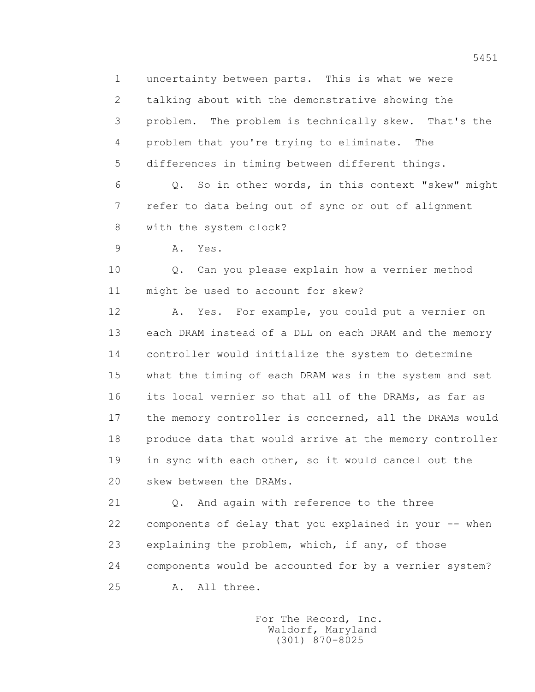1 uncertainty between parts. This is what we were 2 talking about with the demonstrative showing the 3 problem. The problem is technically skew. That's the 4 problem that you're trying to eliminate. The 5 differences in timing between different things.

 6 Q. So in other words, in this context "skew" might 7 refer to data being out of sync or out of alignment 8 with the system clock?

9 A. Yes.

 10 Q. Can you please explain how a vernier method 11 might be used to account for skew?

 12 A. Yes. For example, you could put a vernier on 13 each DRAM instead of a DLL on each DRAM and the memory 14 controller would initialize the system to determine 15 what the timing of each DRAM was in the system and set 16 its local vernier so that all of the DRAMs, as far as 17 the memory controller is concerned, all the DRAMs would 18 produce data that would arrive at the memory controller 19 in sync with each other, so it would cancel out the 20 skew between the DRAMs.

 21 Q. And again with reference to the three 22 components of delay that you explained in your -- when 23 explaining the problem, which, if any, of those 24 components would be accounted for by a vernier system? 25 A. All three.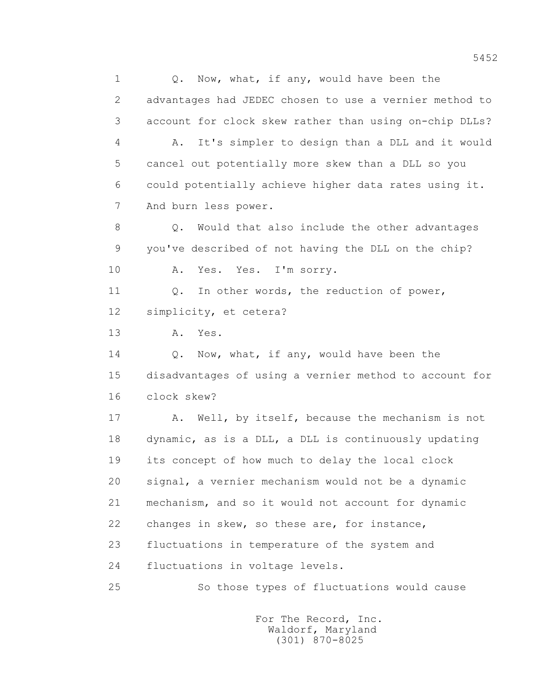1 0. Now, what, if any, would have been the 2 advantages had JEDEC chosen to use a vernier method to 3 account for clock skew rather than using on-chip DLLs? 4 A. It's simpler to design than a DLL and it would 5 cancel out potentially more skew than a DLL so you 6 could potentially achieve higher data rates using it. 7 And burn less power. 8 Q. Would that also include the other advantages 9 you've described of not having the DLL on the chip? 10 A. Yes. Yes. I'm sorry. 11 0. In other words, the reduction of power, 12 simplicity, et cetera? 13 A. Yes. 14 Q. Now, what, if any, would have been the 15 disadvantages of using a vernier method to account for 16 clock skew? 17 A. Well, by itself, because the mechanism is not 18 dynamic, as is a DLL, a DLL is continuously updating 19 its concept of how much to delay the local clock 20 signal, a vernier mechanism would not be a dynamic 21 mechanism, and so it would not account for dynamic 22 changes in skew, so these are, for instance, 23 fluctuations in temperature of the system and 24 fluctuations in voltage levels. 25 So those types of fluctuations would cause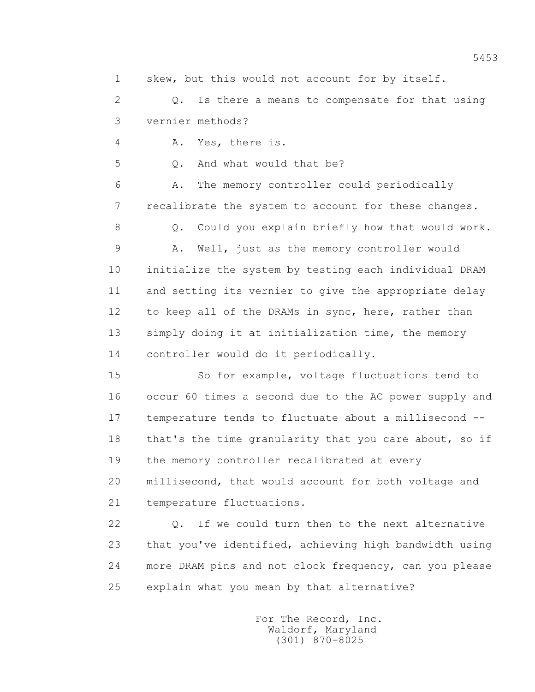1 skew, but this would not account for by itself.

 2 Q. Is there a means to compensate for that using 3 vernier methods?

4 A. Yes, there is.

5 0. And what would that be?

 6 A. The memory controller could periodically 7 recalibrate the system to account for these changes.

8 Q. Could you explain briefly how that would work.

 9 A. Well, just as the memory controller would 10 initialize the system by testing each individual DRAM 11 and setting its vernier to give the appropriate delay 12 to keep all of the DRAMs in sync, here, rather than 13 simply doing it at initialization time, the memory 14 controller would do it periodically.

 15 So for example, voltage fluctuations tend to 16 occur 60 times a second due to the AC power supply and 17 temperature tends to fluctuate about a millisecond -- 18 that's the time granularity that you care about, so if 19 the memory controller recalibrated at every

 20 millisecond, that would account for both voltage and 21 temperature fluctuations.

 22 Q. If we could turn then to the next alternative 23 that you've identified, achieving high bandwidth using 24 more DRAM pins and not clock frequency, can you please 25 explain what you mean by that alternative?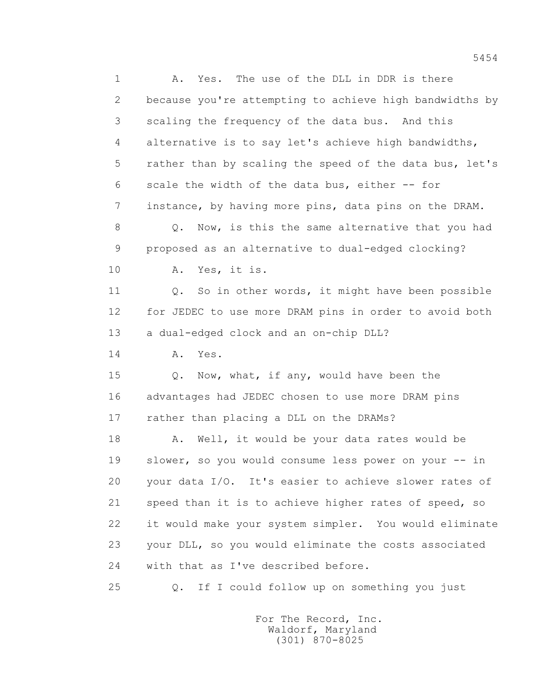1 A. Yes. The use of the DLL in DDR is there 2 because you're attempting to achieve high bandwidths by 3 scaling the frequency of the data bus. And this 4 alternative is to say let's achieve high bandwidths, 5 rather than by scaling the speed of the data bus, let's 6 scale the width of the data bus, either -- for 7 instance, by having more pins, data pins on the DRAM. 8 Q. Now, is this the same alternative that you had 9 proposed as an alternative to dual-edged clocking? 10 A. Yes, it is. 11 0. So in other words, it might have been possible 12 for JEDEC to use more DRAM pins in order to avoid both 13 a dual-edged clock and an on-chip DLL? 14 **A.** Yes. 15 Q. Now, what, if any, would have been the 16 advantages had JEDEC chosen to use more DRAM pins 17 rather than placing a DLL on the DRAMs? 18 A. Well, it would be your data rates would be 19 slower, so you would consume less power on your -- in 20 your data I/O. It's easier to achieve slower rates of 21 speed than it is to achieve higher rates of speed, so 22 it would make your system simpler. You would eliminate 23 your DLL, so you would eliminate the costs associated 24 with that as I've described before. 25 Q. If I could follow up on something you just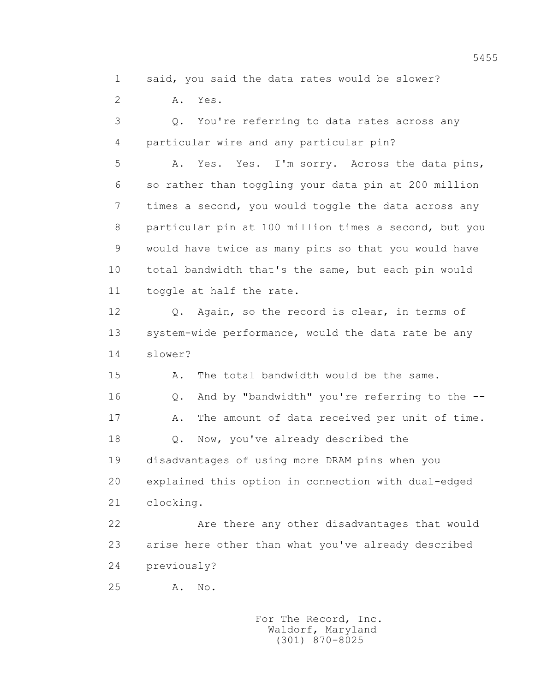1 said, you said the data rates would be slower?

2 A. Yes.

 3 Q. You're referring to data rates across any 4 particular wire and any particular pin?

 5 A. Yes. Yes. I'm sorry. Across the data pins, 6 so rather than toggling your data pin at 200 million 7 times a second, you would toggle the data across any 8 particular pin at 100 million times a second, but you 9 would have twice as many pins so that you would have 10 total bandwidth that's the same, but each pin would 11 toggle at half the rate.

 12 Q. Again, so the record is clear, in terms of 13 system-wide performance, would the data rate be any 14 slower?

 15 A. The total bandwidth would be the same. 16 Q. And by "bandwidth" you're referring to the -- 17 A. The amount of data received per unit of time. 18 Q. Now, you've already described the 19 disadvantages of using more DRAM pins when you 20 explained this option in connection with dual-edged 21 clocking.

 22 Are there any other disadvantages that would 23 arise here other than what you've already described 24 previously?

25 A. No.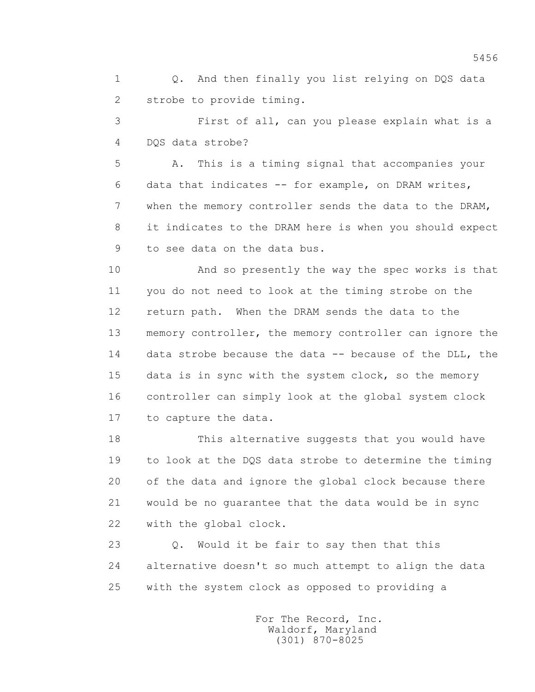1 Q. And then finally you list relying on DQS data 2 strobe to provide timing.

 3 First of all, can you please explain what is a 4 DQS data strobe?

 5 A. This is a timing signal that accompanies your 6 data that indicates -- for example, on DRAM writes, 7 when the memory controller sends the data to the DRAM, 8 it indicates to the DRAM here is when you should expect 9 to see data on the data bus.

 10 And so presently the way the spec works is that 11 you do not need to look at the timing strobe on the 12 return path. When the DRAM sends the data to the 13 memory controller, the memory controller can ignore the 14 data strobe because the data -- because of the DLL, the 15 data is in sync with the system clock, so the memory 16 controller can simply look at the global system clock 17 to capture the data.

 18 This alternative suggests that you would have 19 to look at the DQS data strobe to determine the timing 20 of the data and ignore the global clock because there 21 would be no guarantee that the data would be in sync 22 with the global clock.

 23 Q. Would it be fair to say then that this 24 alternative doesn't so much attempt to align the data 25 with the system clock as opposed to providing a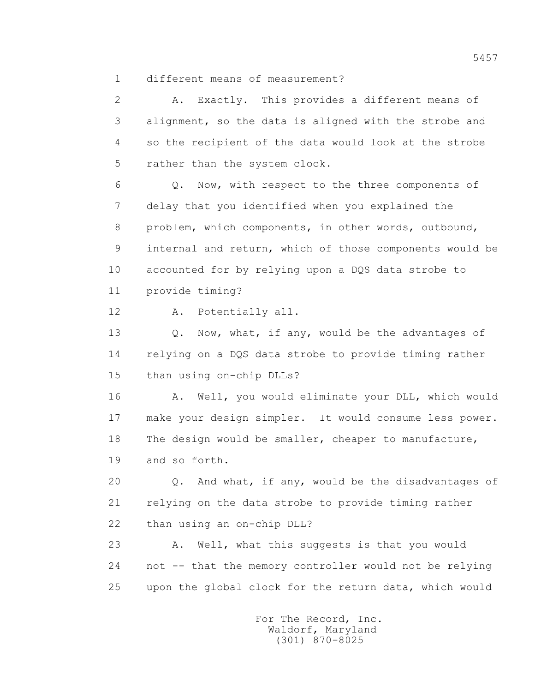1 different means of measurement?

 2 A. Exactly. This provides a different means of 3 alignment, so the data is aligned with the strobe and 4 so the recipient of the data would look at the strobe 5 rather than the system clock.

 6 Q. Now, with respect to the three components of 7 delay that you identified when you explained the 8 problem, which components, in other words, outbound, 9 internal and return, which of those components would be 10 accounted for by relying upon a DQS data strobe to 11 provide timing?

12 A. Potentially all.

13 O. Now, what, if any, would be the advantages of 14 relying on a DQS data strobe to provide timing rather 15 than using on-chip DLLs?

 16 A. Well, you would eliminate your DLL, which would 17 make your design simpler. It would consume less power. 18 The design would be smaller, cheaper to manufacture, 19 and so forth.

 20 Q. And what, if any, would be the disadvantages of 21 relying on the data strobe to provide timing rather 22 than using an on-chip DLL?

 23 A. Well, what this suggests is that you would 24 not -- that the memory controller would not be relying 25 upon the global clock for the return data, which would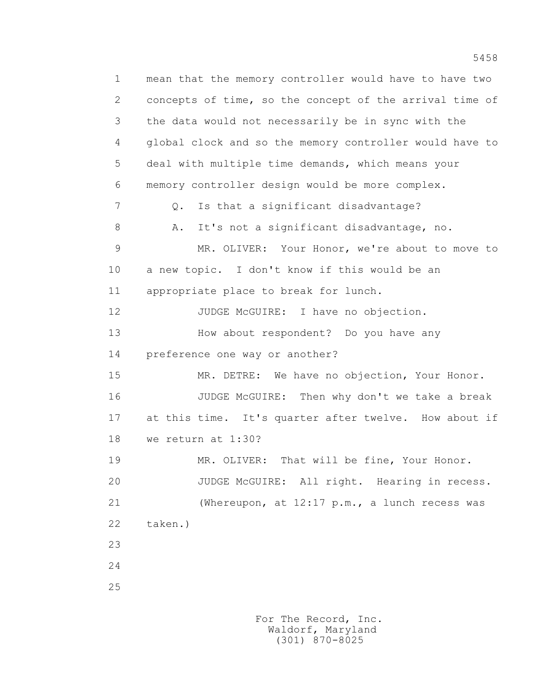1 mean that the memory controller would have to have two 2 concepts of time, so the concept of the arrival time of 3 the data would not necessarily be in sync with the 4 global clock and so the memory controller would have to 5 deal with multiple time demands, which means your 6 memory controller design would be more complex. 7 Q. Is that a significant disadvantage? 8 A. It's not a significant disadvantage, no. 9 MR. OLIVER: Your Honor, we're about to move to 10 a new topic. I don't know if this would be an 11 appropriate place to break for lunch. 12 JUDGE McGUIRE: I have no objection. 13 How about respondent? Do you have any 14 preference one way or another? 15 MR. DETRE: We have no objection, Your Honor. 16 JUDGE McGUIRE: Then why don't we take a break 17 at this time. It's quarter after twelve. How about if 18 we return at 1:30? 19 MR. OLIVER: That will be fine, Your Honor. 20 JUDGE McGUIRE: All right. Hearing in recess. 21 (Whereupon, at 12:17 p.m., a lunch recess was 22 taken.) 23 24 25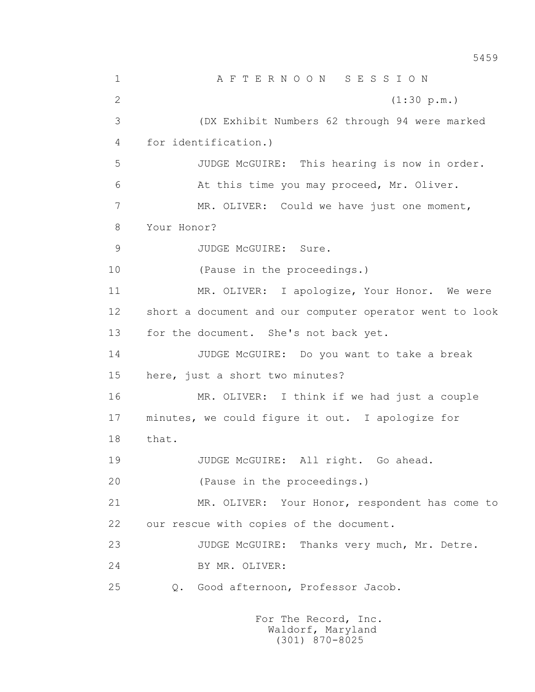1 A F T E R N O O N S E S S I O N 2 (1:30 p.m.) 3 (DX Exhibit Numbers 62 through 94 were marked 4 for identification.) 5 JUDGE McGUIRE: This hearing is now in order. 6 At this time you may proceed, Mr. Oliver. 7 MR. OLIVER: Could we have just one moment, 8 Your Honor? 9 JUDGE McGUIRE: Sure. 10 (Pause in the proceedings.) 11 MR. OLIVER: I apologize, Your Honor. We were 12 short a document and our computer operator went to look 13 for the document. She's not back yet. 14 JUDGE McGUIRE: Do you want to take a break 15 here, just a short two minutes? 16 MR. OLIVER: I think if we had just a couple 17 minutes, we could figure it out. I apologize for 18 that. 19 JUDGE McGUIRE: All right. Go ahead. 20 (Pause in the proceedings.) 21 MR. OLIVER: Your Honor, respondent has come to 22 our rescue with copies of the document. 23 JUDGE McGUIRE: Thanks very much, Mr. Detre. 24 BY MR. OLIVER: 25 Q. Good afternoon, Professor Jacob.

> For The Record, Inc. Waldorf, Maryland (301) 870-8025

5459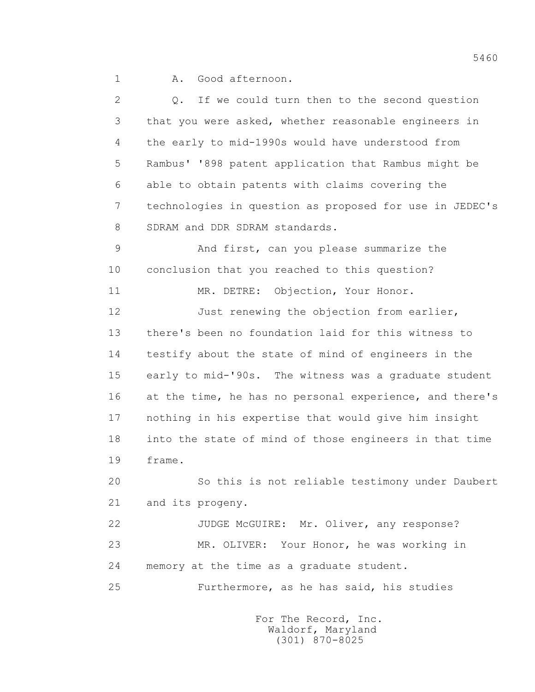1 A. Good afternoon.

 2 Q. If we could turn then to the second question 3 that you were asked, whether reasonable engineers in 4 the early to mid-1990s would have understood from 5 Rambus' '898 patent application that Rambus might be 6 able to obtain patents with claims covering the 7 technologies in question as proposed for use in JEDEC's 8 SDRAM and DDR SDRAM standards. 9 And first, can you please summarize the 10 conclusion that you reached to this question? 11 MR. DETRE: Objection, Your Honor. 12 Just renewing the objection from earlier, 13 there's been no foundation laid for this witness to 14 testify about the state of mind of engineers in the 15 early to mid-'90s. The witness was a graduate student 16 at the time, he has no personal experience, and there's 17 nothing in his expertise that would give him insight 18 into the state of mind of those engineers in that time 19 frame. 20 So this is not reliable testimony under Daubert 21 and its progeny. 22 JUDGE McGUIRE: Mr. Oliver, any response? 23 MR. OLIVER: Your Honor, he was working in 24 memory at the time as a graduate student. 25 Furthermore, as he has said, his studies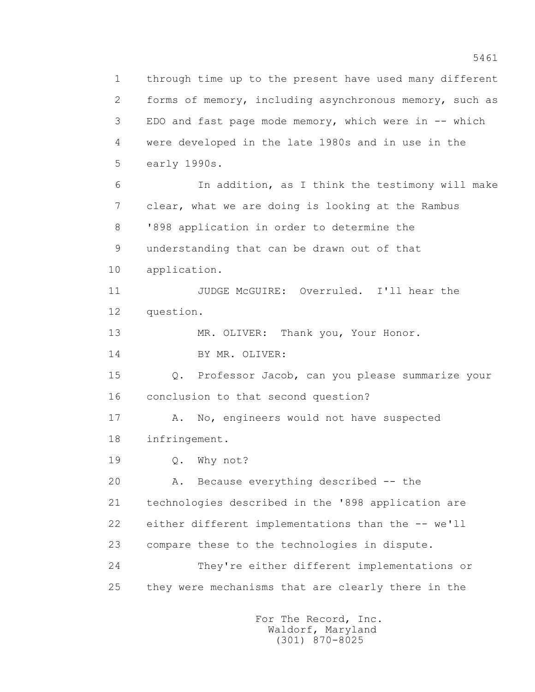1 through time up to the present have used many different 2 forms of memory, including asynchronous memory, such as 3 EDO and fast page mode memory, which were in -- which 4 were developed in the late 1980s and in use in the 5 early 1990s. 6 In addition, as I think the testimony will make 7 clear, what we are doing is looking at the Rambus 8 '898 application in order to determine the 9 understanding that can be drawn out of that 10 application. 11 JUDGE McGUIRE: Overruled. I'll hear the 12 question. 13 MR. OLIVER: Thank you, Your Honor. 14 BY MR. OLIVER: 15 Q. Professor Jacob, can you please summarize your 16 conclusion to that second question? 17 A. No, engineers would not have suspected 18 infringement. 19 Q. Why not? 20 A. Because everything described -- the 21 technologies described in the '898 application are 22 either different implementations than the -- we'll 23 compare these to the technologies in dispute. 24 They're either different implementations or 25 they were mechanisms that are clearly there in the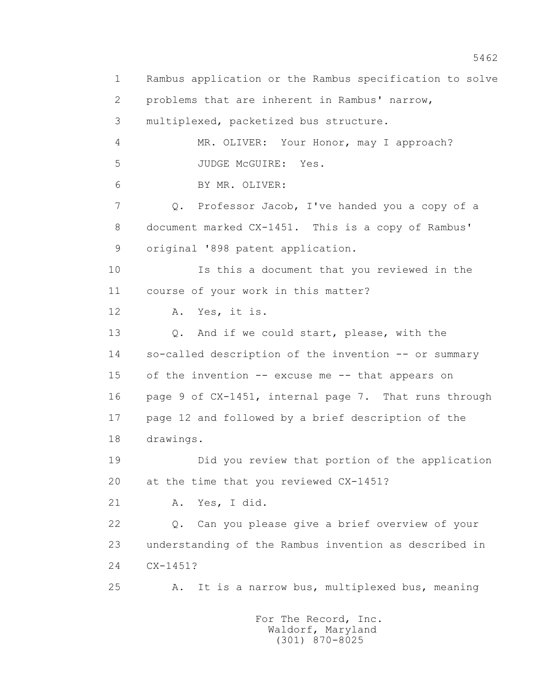1 Rambus application or the Rambus specification to solve 2 problems that are inherent in Rambus' narrow, 3 multiplexed, packetized bus structure. 4 MR. OLIVER: Your Honor, may I approach? 5 JUDGE McGUIRE: Yes. 6 BY MR. OLIVER: 7 Q. Professor Jacob, I've handed you a copy of a 8 document marked CX-1451. This is a copy of Rambus' 9 original '898 patent application. 10 Is this a document that you reviewed in the 11 course of your work in this matter? 12 A. Yes, it is. 13 Q. And if we could start, please, with the 14 so-called description of the invention -- or summary 15 of the invention -- excuse me -- that appears on 16 page 9 of CX-1451, internal page 7. That runs through 17 page 12 and followed by a brief description of the 18 drawings. 19 Did you review that portion of the application 20 at the time that you reviewed CX-1451? 21 A. Yes, I did. 22 Q. Can you please give a brief overview of your 23 understanding of the Rambus invention as described in 24 CX-1451? 25 A. It is a narrow bus, multiplexed bus, meaning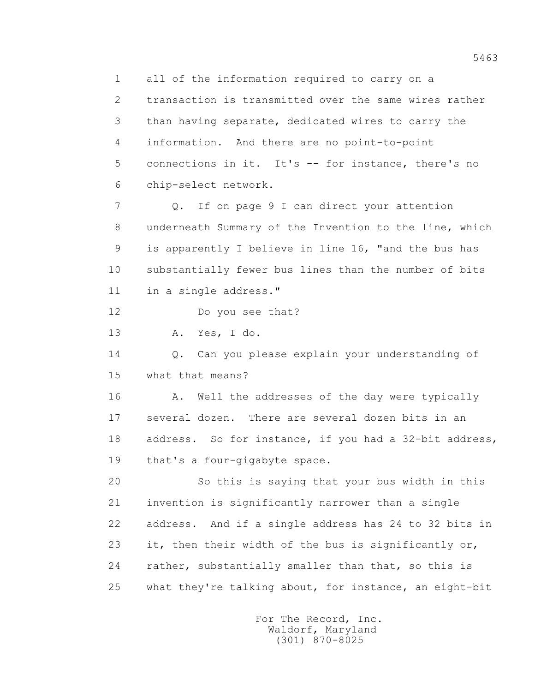1 all of the information required to carry on a 2 transaction is transmitted over the same wires rather 3 than having separate, dedicated wires to carry the 4 information. And there are no point-to-point 5 connections in it. It's -- for instance, there's no 6 chip-select network.

 7 Q. If on page 9 I can direct your attention 8 underneath Summary of the Invention to the line, which 9 is apparently I believe in line 16, "and the bus has 10 substantially fewer bus lines than the number of bits 11 in a single address."

12 Do you see that?

13 A. Yes, I do.

 14 Q. Can you please explain your understanding of 15 what that means?

16 A. Well the addresses of the day were typically 17 several dozen. There are several dozen bits in an 18 address. So for instance, if you had a 32-bit address, 19 that's a four-gigabyte space.

 20 So this is saying that your bus width in this 21 invention is significantly narrower than a single 22 address. And if a single address has 24 to 32 bits in 23 it, then their width of the bus is significantly or, 24 rather, substantially smaller than that, so this is 25 what they're talking about, for instance, an eight-bit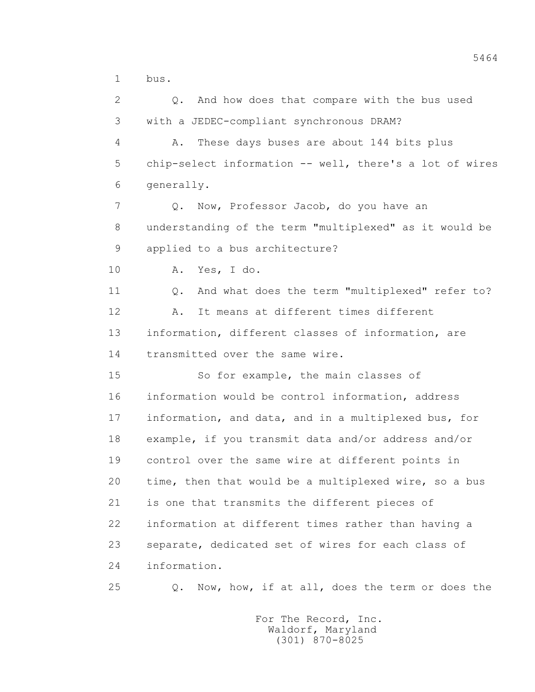1 bus.

 2 Q. And how does that compare with the bus used 3 with a JEDEC-compliant synchronous DRAM?

 4 A. These days buses are about 144 bits plus 5 chip-select information -- well, there's a lot of wires 6 generally.

 7 Q. Now, Professor Jacob, do you have an 8 understanding of the term "multiplexed" as it would be 9 applied to a bus architecture?

10 A. Yes, I do.

 11 Q. And what does the term "multiplexed" refer to? 12 A. It means at different times different 13 information, different classes of information, are 14 transmitted over the same wire.

 15 So for example, the main classes of 16 information would be control information, address 17 information, and data, and in a multiplexed bus, for 18 example, if you transmit data and/or address and/or 19 control over the same wire at different points in 20 time, then that would be a multiplexed wire, so a bus 21 is one that transmits the different pieces of 22 information at different times rather than having a 23 separate, dedicated set of wires for each class of 24 information.

25 Q. Now, how, if at all, does the term or does the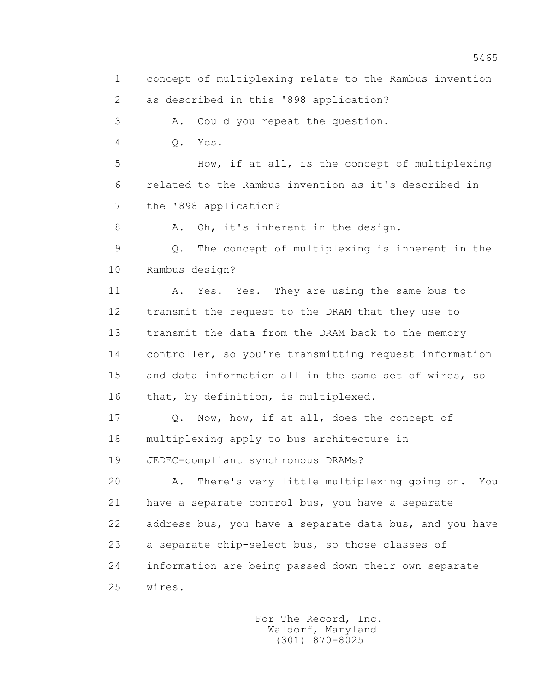2 as described in this '898 application?

3 A. Could you repeat the question.

4 Q. Yes.

 5 How, if at all, is the concept of multiplexing 6 related to the Rambus invention as it's described in 7 the '898 application?

8 A. Oh, it's inherent in the design.

 9 Q. The concept of multiplexing is inherent in the 10 Rambus design?

 11 A. Yes. Yes. They are using the same bus to 12 transmit the request to the DRAM that they use to 13 transmit the data from the DRAM back to the memory 14 controller, so you're transmitting request information 15 and data information all in the same set of wires, so 16 that, by definition, is multiplexed.

 17 Q. Now, how, if at all, does the concept of 18 multiplexing apply to bus architecture in 19 JEDEC-compliant synchronous DRAMs?

 20 A. There's very little multiplexing going on. You 21 have a separate control bus, you have a separate 22 address bus, you have a separate data bus, and you have 23 a separate chip-select bus, so those classes of 24 information are being passed down their own separate 25 wires.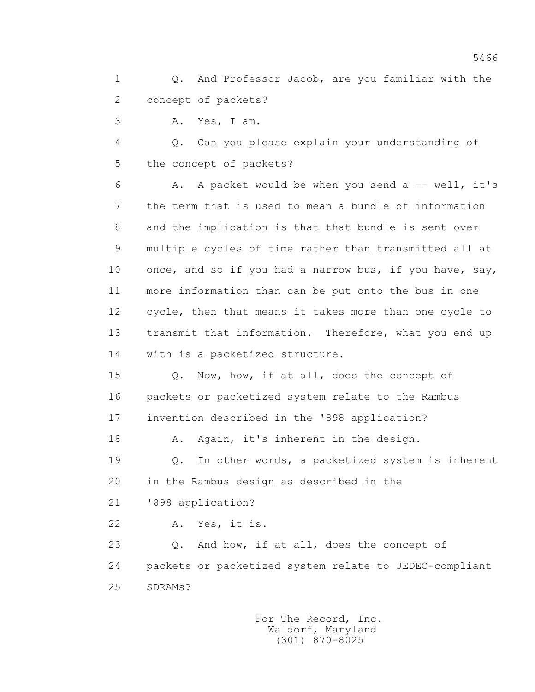1 Q. And Professor Jacob, are you familiar with the 2 concept of packets?

3 A. Yes, I am.

 4 Q. Can you please explain your understanding of 5 the concept of packets?

 6 A. A packet would be when you send a -- well, it's 7 the term that is used to mean a bundle of information 8 and the implication is that that bundle is sent over 9 multiple cycles of time rather than transmitted all at 10 once, and so if you had a narrow bus, if you have, say, 11 more information than can be put onto the bus in one 12 cycle, then that means it takes more than one cycle to 13 transmit that information. Therefore, what you end up 14 with is a packetized structure.

 15 Q. Now, how, if at all, does the concept of 16 packets or packetized system relate to the Rambus 17 invention described in the '898 application?

18 A. Again, it's inherent in the design.

 19 Q. In other words, a packetized system is inherent 20 in the Rambus design as described in the

21 '898 application?

22 A. Yes, it is.

23 0. And how, if at all, does the concept of 24 packets or packetized system relate to JEDEC-compliant 25 SDRAMs?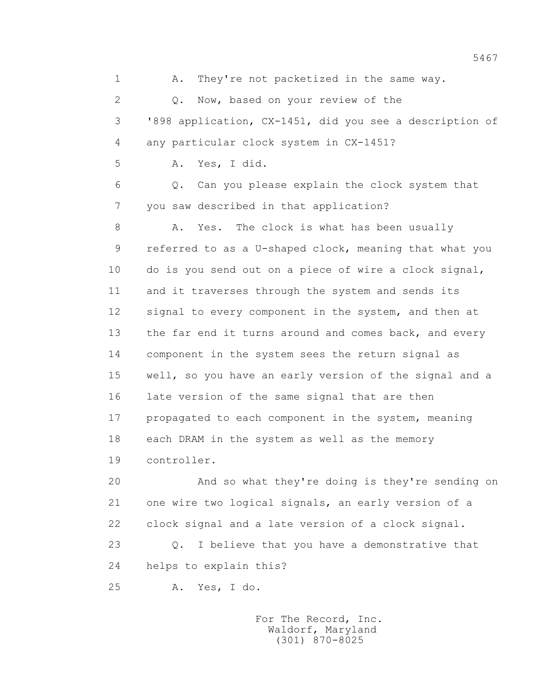1 A. They're not packetized in the same way. 2 Q. Now, based on your review of the 3 '898 application, CX-1451, did you see a description of 4 any particular clock system in CX-1451? 5 A. Yes, I did. 6 Q. Can you please explain the clock system that 7 you saw described in that application? 8 A. Yes. The clock is what has been usually 9 referred to as a U-shaped clock, meaning that what you 10 do is you send out on a piece of wire a clock signal, 11 and it traverses through the system and sends its 12 signal to every component in the system, and then at 13 the far end it turns around and comes back, and every 14 component in the system sees the return signal as 15 well, so you have an early version of the signal and a 16 late version of the same signal that are then 17 propagated to each component in the system, meaning 18 each DRAM in the system as well as the memory 19 controller. 20 And so what they're doing is they're sending on

 21 one wire two logical signals, an early version of a 22 clock signal and a late version of a clock signal. 23 Q. I believe that you have a demonstrative that 24 helps to explain this?

25 A. Yes, I do.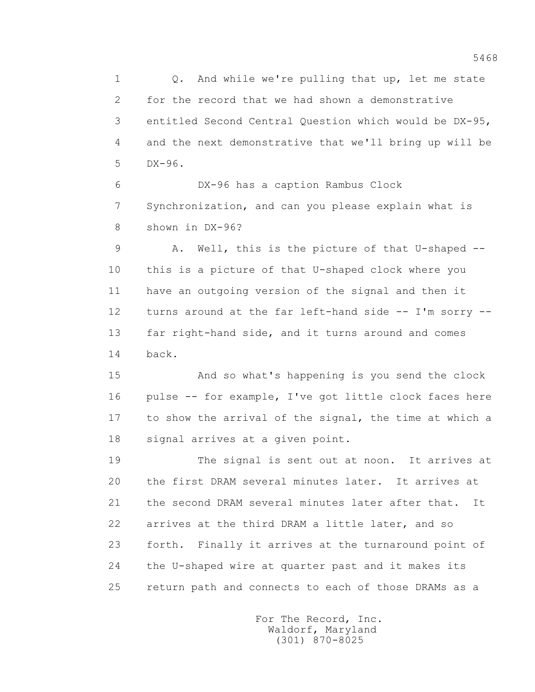1 0. And while we're pulling that up, let me state 2 for the record that we had shown a demonstrative 3 entitled Second Central Question which would be DX-95, 4 and the next demonstrative that we'll bring up will be 5 DX-96.

 6 DX-96 has a caption Rambus Clock 7 Synchronization, and can you please explain what is 8 shown in DX-96?

 9 A. Well, this is the picture of that U-shaped -- 10 this is a picture of that U-shaped clock where you 11 have an outgoing version of the signal and then it 12 turns around at the far left-hand side -- I'm sorry -- 13 far right-hand side, and it turns around and comes 14 back.

 15 And so what's happening is you send the clock 16 pulse -- for example, I've got little clock faces here 17 to show the arrival of the signal, the time at which a 18 signal arrives at a given point.

 19 The signal is sent out at noon. It arrives at 20 the first DRAM several minutes later. It arrives at 21 the second DRAM several minutes later after that. It 22 arrives at the third DRAM a little later, and so 23 forth. Finally it arrives at the turnaround point of 24 the U-shaped wire at quarter past and it makes its 25 return path and connects to each of those DRAMs as a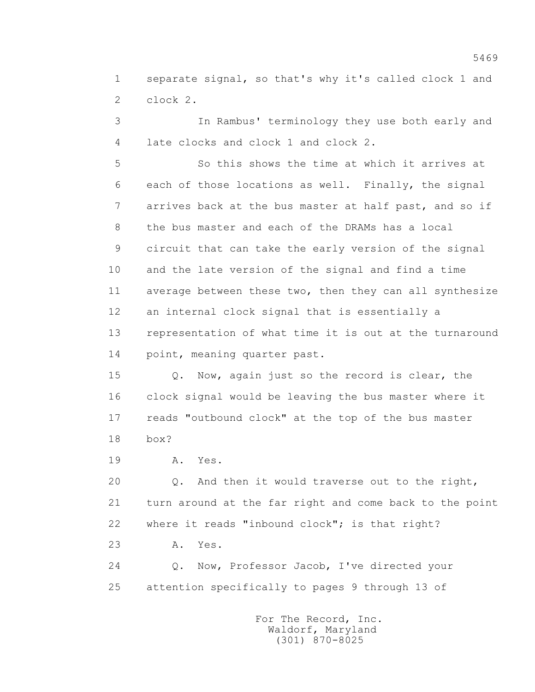1 separate signal, so that's why it's called clock 1 and 2 clock 2.

 3 In Rambus' terminology they use both early and 4 late clocks and clock 1 and clock 2.

 5 So this shows the time at which it arrives at 6 each of those locations as well. Finally, the signal 7 arrives back at the bus master at half past, and so if 8 the bus master and each of the DRAMs has a local 9 circuit that can take the early version of the signal 10 and the late version of the signal and find a time 11 average between these two, then they can all synthesize 12 an internal clock signal that is essentially a 13 representation of what time it is out at the turnaround 14 point, meaning quarter past.

 15 Q. Now, again just so the record is clear, the 16 clock signal would be leaving the bus master where it 17 reads "outbound clock" at the top of the bus master 18 box?

19 **A.** Yes.

 20 Q. And then it would traverse out to the right, 21 turn around at the far right and come back to the point 22 where it reads "inbound clock"; is that right?

23 A. Yes.

 24 Q. Now, Professor Jacob, I've directed your 25 attention specifically to pages 9 through 13 of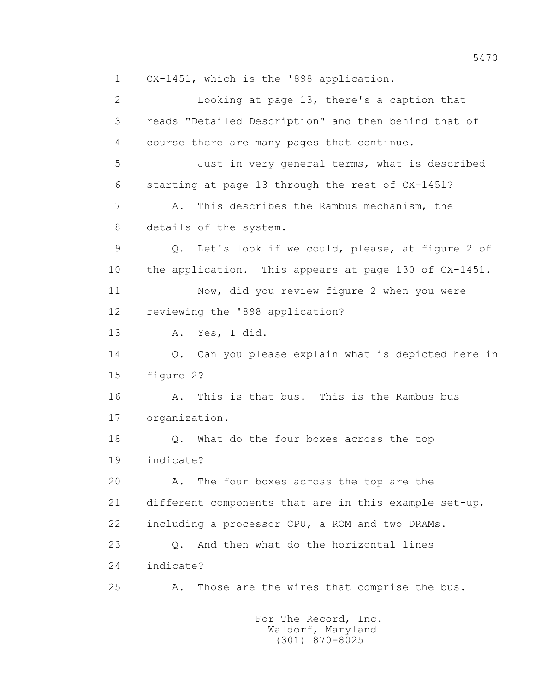2 Looking at page 13, there's a caption that 3 reads "Detailed Description" and then behind that of 4 course there are many pages that continue. 5 Just in very general terms, what is described 6 starting at page 13 through the rest of CX-1451? 7 A. This describes the Rambus mechanism, the 8 details of the system. 9 Q. Let's look if we could, please, at figure 2 of 10 the application. This appears at page 130 of CX-1451. 11 Now, did you review figure 2 when you were 12 reviewing the '898 application? 13 A. Yes, I did. 14 Q. Can you please explain what is depicted here in 15 figure 2? 16 A. This is that bus. This is the Rambus bus 17 organization. 18 Q. What do the four boxes across the top 19 indicate? 20 A. The four boxes across the top are the 21 different components that are in this example set-up, 22 including a processor CPU, a ROM and two DRAMs. 23 Q. And then what do the horizontal lines 24 indicate? 25 A. Those are the wires that comprise the bus.

1 CX-1451, which is the '898 application.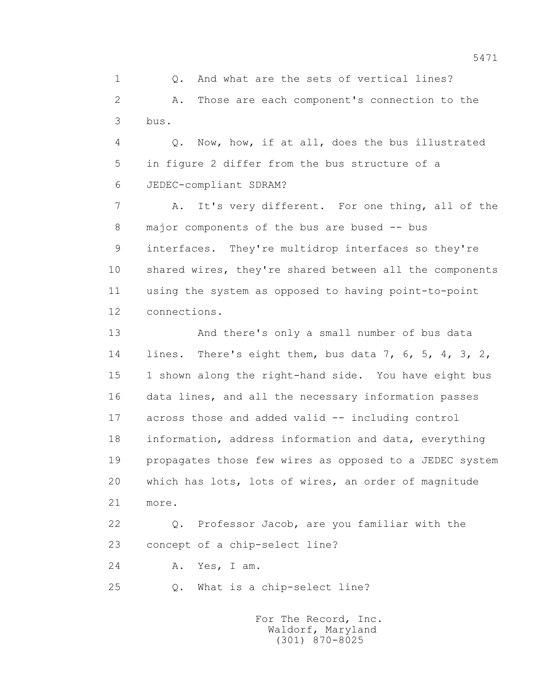1 Q. And what are the sets of vertical lines? 2 A. Those are each component's connection to the 3 bus.

 4 Q. Now, how, if at all, does the bus illustrated 5 in figure 2 differ from the bus structure of a 6 JEDEC-compliant SDRAM?

 7 A. It's very different. For one thing, all of the 8 major components of the bus are bused -- bus 9 interfaces. They're multidrop interfaces so they're 10 shared wires, they're shared between all the components 11 using the system as opposed to having point-to-point 12 connections.

 13 And there's only a small number of bus data 14 lines. There's eight them, bus data 7, 6, 5, 4, 3, 2, 15 1 shown along the right-hand side. You have eight bus 16 data lines, and all the necessary information passes 17 across those and added valid -- including control 18 information, address information and data, everything 19 propagates those few wires as opposed to a JEDEC system 20 which has lots, lots of wires, an order of magnitude 21 more.

 22 Q. Professor Jacob, are you familiar with the 23 concept of a chip-select line?

24 A. Yes, I am.

25 Q. What is a chip-select line?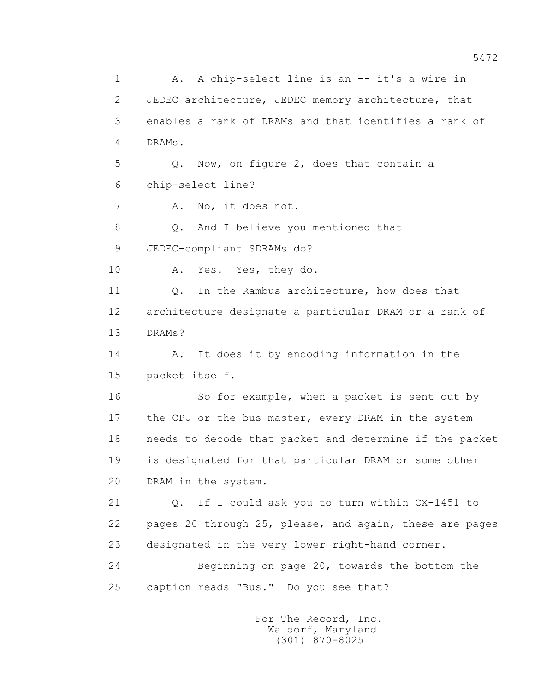1 A. A chip-select line is an -- it's a wire in 2 JEDEC architecture, JEDEC memory architecture, that 3 enables a rank of DRAMs and that identifies a rank of 4 DRAMs. 5 Q. Now, on figure 2, does that contain a 6 chip-select line? 7 A. No, it does not. 8 Q. And I believe you mentioned that 9 JEDEC-compliant SDRAMs do? 10 A. Yes. Yes, they do. 11 0. In the Rambus architecture, how does that 12 architecture designate a particular DRAM or a rank of 13 DRAMs? 14 A. It does it by encoding information in the 15 packet itself. 16 So for example, when a packet is sent out by 17 the CPU or the bus master, every DRAM in the system 18 needs to decode that packet and determine if the packet 19 is designated for that particular DRAM or some other 20 DRAM in the system. 21 Q. If I could ask you to turn within CX-1451 to 22 pages 20 through 25, please, and again, these are pages 23 designated in the very lower right-hand corner. 24 Beginning on page 20, towards the bottom the 25 caption reads "Bus." Do you see that?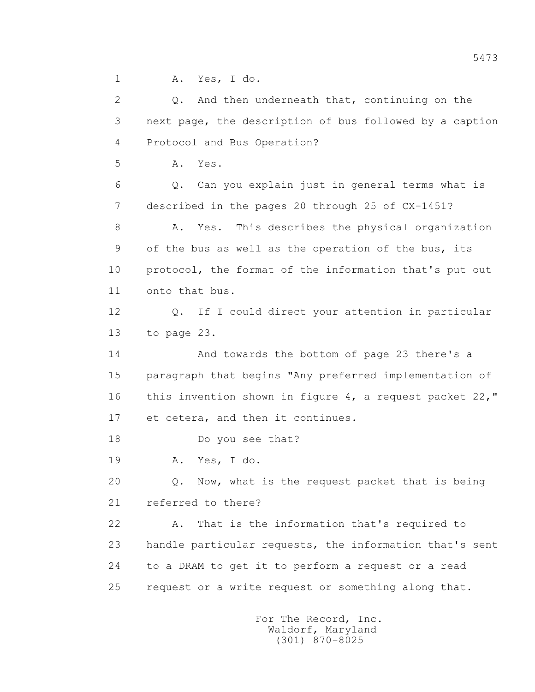1 A. Yes, I do.

 2 Q. And then underneath that, continuing on the 3 next page, the description of bus followed by a caption 4 Protocol and Bus Operation? 5 A. Yes. 6 Q. Can you explain just in general terms what is 7 described in the pages 20 through 25 of CX-1451? 8 A. Yes. This describes the physical organization 9 of the bus as well as the operation of the bus, its 10 protocol, the format of the information that's put out 11 onto that bus. 12 Q. If I could direct your attention in particular 13 to page 23. 14 And towards the bottom of page 23 there's a 15 paragraph that begins "Any preferred implementation of 16 this invention shown in figure 4, a request packet 22," 17 et cetera, and then it continues. 18 Do you see that? 19 A. Yes, I do. 20 Q. Now, what is the request packet that is being 21 referred to there? 22 A. That is the information that's required to 23 handle particular requests, the information that's sent 24 to a DRAM to get it to perform a request or a read 25 request or a write request or something along that.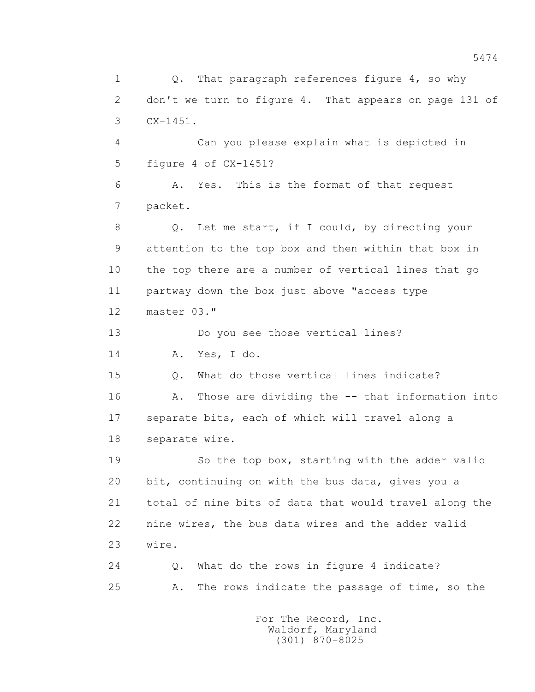1 Q. That paragraph references figure 4, so why 2 don't we turn to figure 4. That appears on page 131 of 3 CX-1451. 4 Can you please explain what is depicted in 5 figure 4 of CX-1451? 6 A. Yes. This is the format of that request 7 packet. 8 Q. Let me start, if I could, by directing your 9 attention to the top box and then within that box in 10 the top there are a number of vertical lines that go 11 partway down the box just above "access type 12 master 03." 13 Do you see those vertical lines? 14 A. Yes, I do. 15 Q. What do those vertical lines indicate? 16 A. Those are dividing the -- that information into 17 separate bits, each of which will travel along a 18 separate wire. 19 So the top box, starting with the adder valid 20 bit, continuing on with the bus data, gives you a 21 total of nine bits of data that would travel along the 22 nine wires, the bus data wires and the adder valid 23 wire. 24 Q. What do the rows in figure 4 indicate? 25 A. The rows indicate the passage of time, so the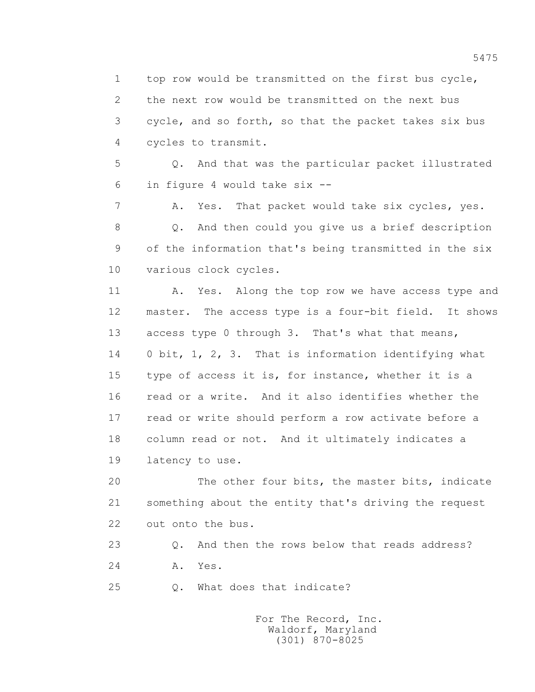1 top row would be transmitted on the first bus cycle, 2 the next row would be transmitted on the next bus 3 cycle, and so forth, so that the packet takes six bus 4 cycles to transmit.

 5 Q. And that was the particular packet illustrated 6 in figure 4 would take six --

 7 A. Yes. That packet would take six cycles, yes. 8 Q. And then could you give us a brief description 9 of the information that's being transmitted in the six 10 various clock cycles.

11 A. Yes. Along the top row we have access type and 12 master. The access type is a four-bit field. It shows 13 access type 0 through 3. That's what that means, 14 0 bit, 1, 2, 3. That is information identifying what 15 type of access it is, for instance, whether it is a 16 read or a write. And it also identifies whether the 17 read or write should perform a row activate before a 18 column read or not. And it ultimately indicates a 19 latency to use.

 20 The other four bits, the master bits, indicate 21 something about the entity that's driving the request 22 out onto the bus.

23 Q. And then the rows below that reads address?

24 **A.** Yes.

25 Q. What does that indicate?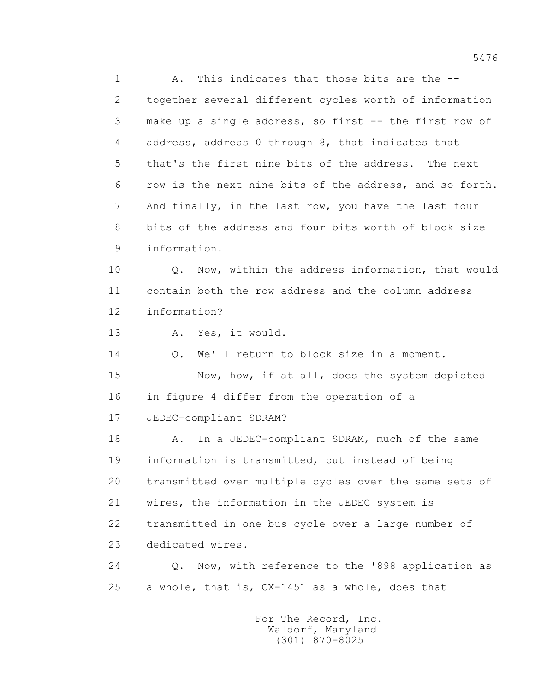1 A. This indicates that those bits are the -- 2 together several different cycles worth of information 3 make up a single address, so first -- the first row of 4 address, address 0 through 8, that indicates that 5 that's the first nine bits of the address. The next 6 row is the next nine bits of the address, and so forth. 7 And finally, in the last row, you have the last four 8 bits of the address and four bits worth of block size 9 information. 10 Q. Now, within the address information, that would 11 contain both the row address and the column address 12 information? 13 A. Yes, it would. 14 Q. We'll return to block size in a moment. 15 Now, how, if at all, does the system depicted

 16 in figure 4 differ from the operation of a 17 JEDEC-compliant SDRAM?

18 A. In a JEDEC-compliant SDRAM, much of the same 19 information is transmitted, but instead of being 20 transmitted over multiple cycles over the same sets of 21 wires, the information in the JEDEC system is 22 transmitted in one bus cycle over a large number of 23 dedicated wires.

 24 Q. Now, with reference to the '898 application as 25 a whole, that is, CX-1451 as a whole, does that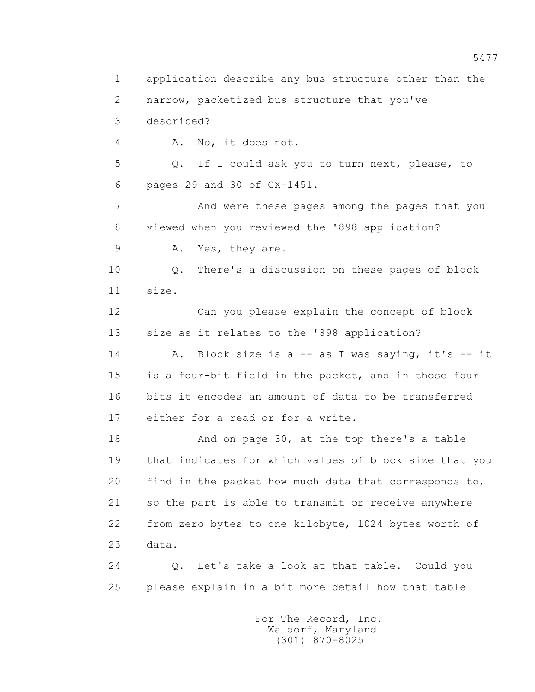1 application describe any bus structure other than the 2 narrow, packetized bus structure that you've 3 described? 4 A. No, it does not. 5 Q. If I could ask you to turn next, please, to 6 pages 29 and 30 of CX-1451. 7 And were these pages among the pages that you 8 viewed when you reviewed the '898 application? 9 A. Yes, they are. 10 Q. There's a discussion on these pages of block 11 size. 12 Can you please explain the concept of block 13 size as it relates to the '898 application? 14 A. Block size is a -- as I was saying, it's -- it 15 is a four-bit field in the packet, and in those four 16 bits it encodes an amount of data to be transferred 17 either for a read or for a write. 18 And on page 30, at the top there's a table 19 that indicates for which values of block size that you 20 find in the packet how much data that corresponds to, 21 so the part is able to transmit or receive anywhere 22 from zero bytes to one kilobyte, 1024 bytes worth of 23 data. 24 Q. Let's take a look at that table. Could you 25 please explain in a bit more detail how that table For The Record, Inc.

 Waldorf, Maryland (301) 870-8025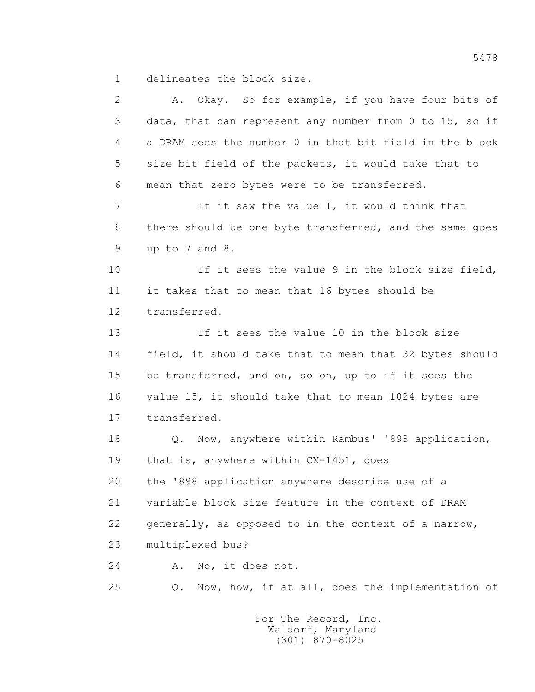1 delineates the block size.

 2 A. Okay. So for example, if you have four bits of 3 data, that can represent any number from 0 to 15, so if 4 a DRAM sees the number 0 in that bit field in the block 5 size bit field of the packets, it would take that to 6 mean that zero bytes were to be transferred. 7 If it saw the value 1, it would think that 8 there should be one byte transferred, and the same goes 9 up to 7 and 8. 10 If it sees the value 9 in the block size field, 11 it takes that to mean that 16 bytes should be 12 transferred. 13 If it sees the value 10 in the block size 14 field, it should take that to mean that 32 bytes should 15 be transferred, and on, so on, up to if it sees the 16 value 15, it should take that to mean 1024 bytes are 17 transferred. 18 Q. Now, anywhere within Rambus' '898 application, 19 that is, anywhere within CX-1451, does 20 the '898 application anywhere describe use of a 21 variable block size feature in the context of DRAM 22 generally, as opposed to in the context of a narrow, 23 multiplexed bus? 24 A. No, it does not. 25 Q. Now, how, if at all, does the implementation of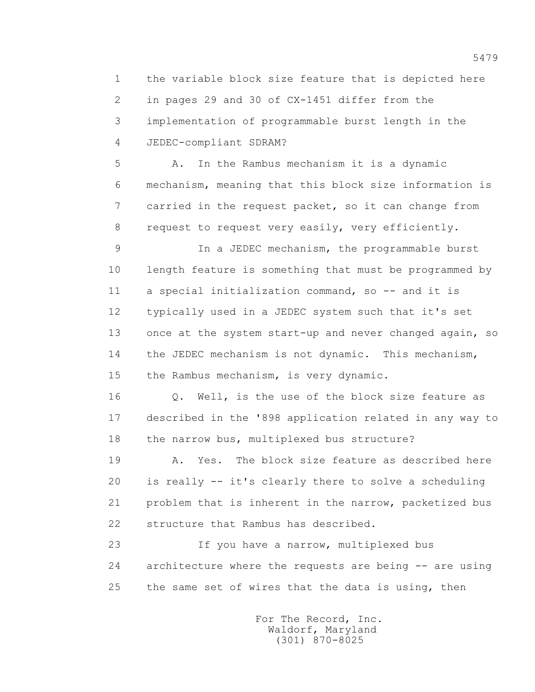1 the variable block size feature that is depicted here 2 in pages 29 and 30 of CX-1451 differ from the 3 implementation of programmable burst length in the 4 JEDEC-compliant SDRAM?

 5 A. In the Rambus mechanism it is a dynamic 6 mechanism, meaning that this block size information is 7 carried in the request packet, so it can change from 8 request to request very easily, very efficiently.

 9 In a JEDEC mechanism, the programmable burst 10 length feature is something that must be programmed by 11 a special initialization command, so -- and it is 12 typically used in a JEDEC system such that it's set 13 once at the system start-up and never changed again, so 14 the JEDEC mechanism is not dynamic. This mechanism, 15 the Rambus mechanism, is very dynamic.

16 0. Well, is the use of the block size feature as 17 described in the '898 application related in any way to 18 the narrow bus, multiplexed bus structure?

 19 A. Yes. The block size feature as described here 20 is really -- it's clearly there to solve a scheduling 21 problem that is inherent in the narrow, packetized bus 22 structure that Rambus has described.

 23 If you have a narrow, multiplexed bus 24 architecture where the requests are being -- are using 25 the same set of wires that the data is using, then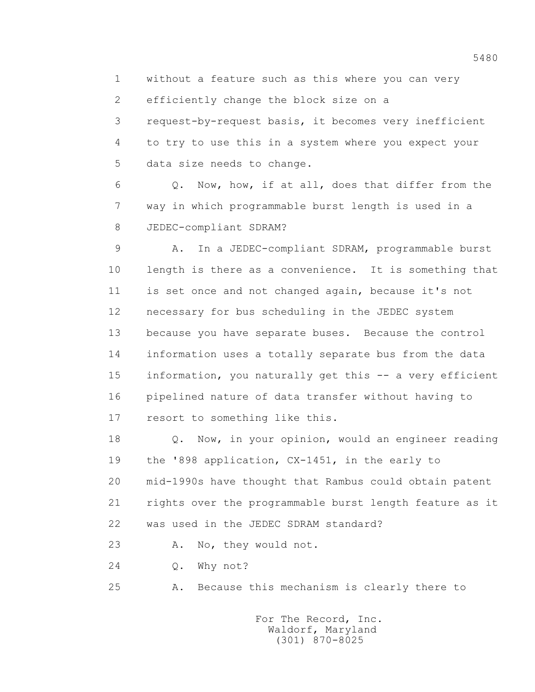1 without a feature such as this where you can very

2 efficiently change the block size on a

 3 request-by-request basis, it becomes very inefficient 4 to try to use this in a system where you expect your 5 data size needs to change.

 6 Q. Now, how, if at all, does that differ from the 7 way in which programmable burst length is used in a 8 JEDEC-compliant SDRAM?

 9 A. In a JEDEC-compliant SDRAM, programmable burst 10 length is there as a convenience. It is something that 11 is set once and not changed again, because it's not 12 necessary for bus scheduling in the JEDEC system 13 because you have separate buses. Because the control 14 information uses a totally separate bus from the data 15 information, you naturally get this -- a very efficient 16 pipelined nature of data transfer without having to 17 resort to something like this.

 18 Q. Now, in your opinion, would an engineer reading 19 the '898 application, CX-1451, in the early to 20 mid-1990s have thought that Rambus could obtain patent 21 rights over the programmable burst length feature as it 22 was used in the JEDEC SDRAM standard?

23 A. No, they would not.

24 Q. Why not?

25 A. Because this mechanism is clearly there to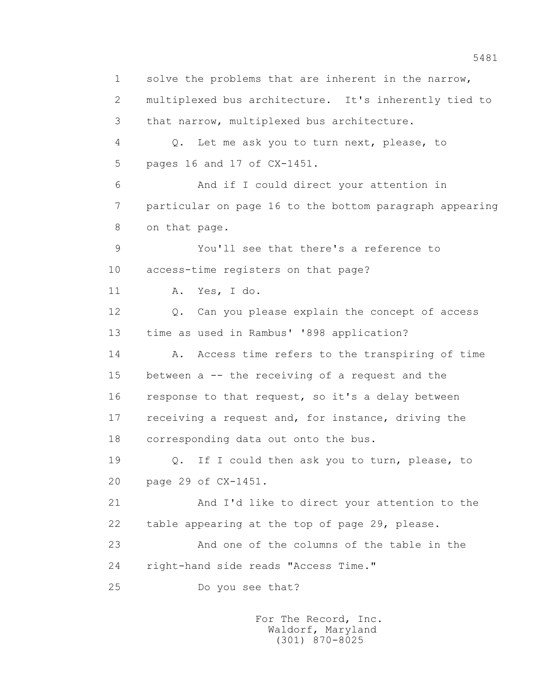1 solve the problems that are inherent in the narrow, 2 multiplexed bus architecture. It's inherently tied to 3 that narrow, multiplexed bus architecture. 4 Q. Let me ask you to turn next, please, to 5 pages 16 and 17 of CX-1451. 6 And if I could direct your attention in 7 particular on page 16 to the bottom paragraph appearing 8 on that page. 9 You'll see that there's a reference to 10 access-time registers on that page? 11 A. Yes, I do. 12 Q. Can you please explain the concept of access 13 time as used in Rambus' '898 application? 14 A. Access time refers to the transpiring of time 15 between a -- the receiving of a request and the 16 response to that request, so it's a delay between 17 receiving a request and, for instance, driving the 18 corresponding data out onto the bus. 19 Q. If I could then ask you to turn, please, to 20 page 29 of CX-1451. 21 And I'd like to direct your attention to the 22 table appearing at the top of page 29, please. 23 And one of the columns of the table in the 24 right-hand side reads "Access Time." 25 Do you see that?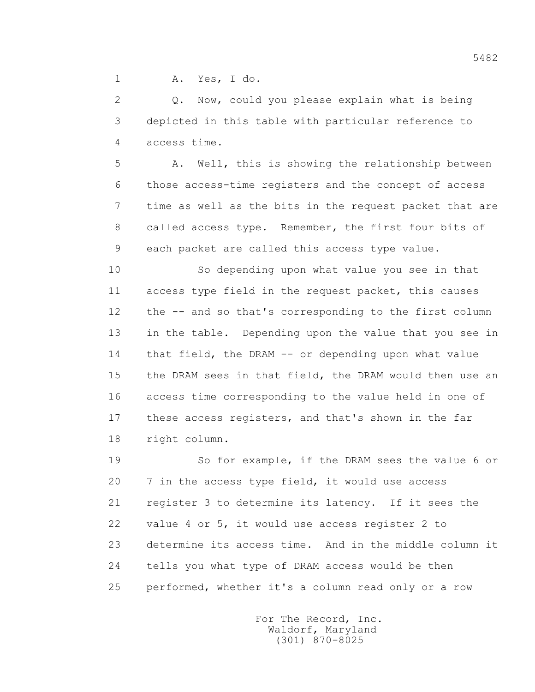1 A. Yes, I do.

 2 Q. Now, could you please explain what is being 3 depicted in this table with particular reference to 4 access time.

 5 A. Well, this is showing the relationship between 6 those access-time registers and the concept of access 7 time as well as the bits in the request packet that are 8 called access type. Remember, the first four bits of 9 each packet are called this access type value.

 10 So depending upon what value you see in that 11 access type field in the request packet, this causes 12 the -- and so that's corresponding to the first column 13 in the table. Depending upon the value that you see in 14 that field, the DRAM -- or depending upon what value 15 the DRAM sees in that field, the DRAM would then use an 16 access time corresponding to the value held in one of 17 these access registers, and that's shown in the far 18 right column.

 19 So for example, if the DRAM sees the value 6 or 20 7 in the access type field, it would use access 21 register 3 to determine its latency. If it sees the 22 value 4 or 5, it would use access register 2 to 23 determine its access time. And in the middle column it 24 tells you what type of DRAM access would be then 25 performed, whether it's a column read only or a row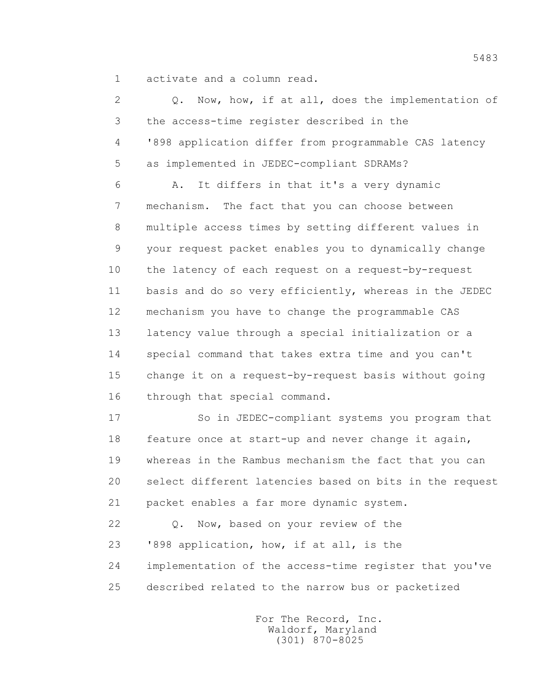1 activate and a column read.

| $\overline{2}$ | Q. Now, how, if at all, does the implementation of      |
|----------------|---------------------------------------------------------|
| 3              | the access-time register described in the               |
| 4              | '898 application differ from programmable CAS latency   |
| 5              | as implemented in JEDEC-compliant SDRAMs?               |
| 6              | It differs in that it's a very dynamic<br>Α.            |
| 7              | mechanism. The fact that you can choose between         |
| 8              | multiple access times by setting different values in    |
| 9              | your request packet enables you to dynamically change   |
| 10             | the latency of each request on a request-by-request     |
| 11             | basis and do so very efficiently, whereas in the JEDEC  |
| 12             | mechanism you have to change the programmable CAS       |
| 13             | latency value through a special initialization or a     |
| 14             | special command that takes extra time and you can't     |
| 15             | change it on a request-by-request basis without going   |
| 16             | through that special command.                           |
| 17             | So in JEDEC-compliant systems you program that          |
| 18             | feature once at start-up and never change it again,     |
| 19             | whereas in the Rambus mechanism the fact that you can   |
| 20             | select different latencies based on bits in the request |
| 21             | packet enables a far more dynamic system.               |
| 22             | Now, based on your review of the<br>Q.                  |
| 23             | '898 application, how, if at all, is the                |
| 24             | implementation of the access-time register that you've  |
| 25             | described related to the narrow bus or packetized       |

 For The Record, Inc. Waldorf, Maryland (301) 870-8025

5483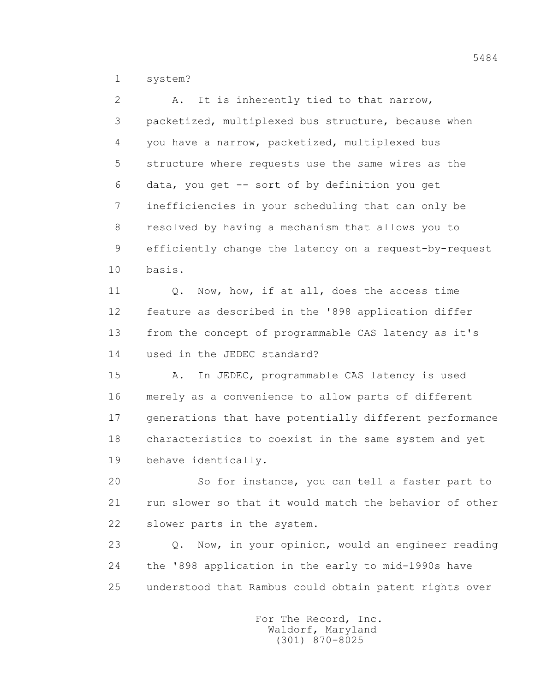1 system?

 2 A. It is inherently tied to that narrow, 3 packetized, multiplexed bus structure, because when 4 you have a narrow, packetized, multiplexed bus 5 structure where requests use the same wires as the 6 data, you get -- sort of by definition you get 7 inefficiencies in your scheduling that can only be 8 resolved by having a mechanism that allows you to 9 efficiently change the latency on a request-by-request 10 basis.

11 0. Now, how, if at all, does the access time 12 feature as described in the '898 application differ 13 from the concept of programmable CAS latency as it's 14 used in the JEDEC standard?

 15 A. In JEDEC, programmable CAS latency is used 16 merely as a convenience to allow parts of different 17 generations that have potentially different performance 18 characteristics to coexist in the same system and yet 19 behave identically.

 20 So for instance, you can tell a faster part to 21 run slower so that it would match the behavior of other 22 slower parts in the system.

 23 Q. Now, in your opinion, would an engineer reading 24 the '898 application in the early to mid-1990s have 25 understood that Rambus could obtain patent rights over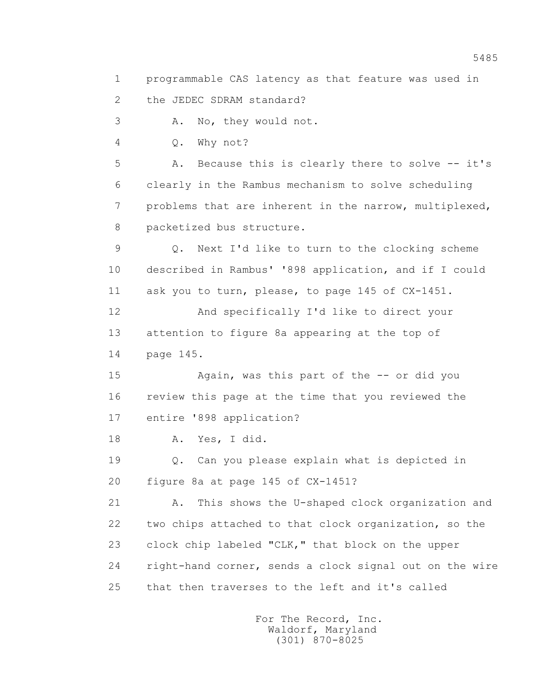1 programmable CAS latency as that feature was used in

2 the JEDEC SDRAM standard?

3 A. No, they would not.

4 Q. Why not?

 5 A. Because this is clearly there to solve -- it's 6 clearly in the Rambus mechanism to solve scheduling 7 problems that are inherent in the narrow, multiplexed, 8 packetized bus structure.

 9 Q. Next I'd like to turn to the clocking scheme 10 described in Rambus' '898 application, and if I could 11 ask you to turn, please, to page 145 of CX-1451.

 12 And specifically I'd like to direct your 13 attention to figure 8a appearing at the top of 14 page 145.

 15 Again, was this part of the -- or did you 16 review this page at the time that you reviewed the 17 entire '898 application?

18 A. Yes, I did.

 19 Q. Can you please explain what is depicted in 20 figure 8a at page 145 of CX-1451?

 21 A. This shows the U-shaped clock organization and 22 two chips attached to that clock organization, so the 23 clock chip labeled "CLK," that block on the upper 24 right-hand corner, sends a clock signal out on the wire 25 that then traverses to the left and it's called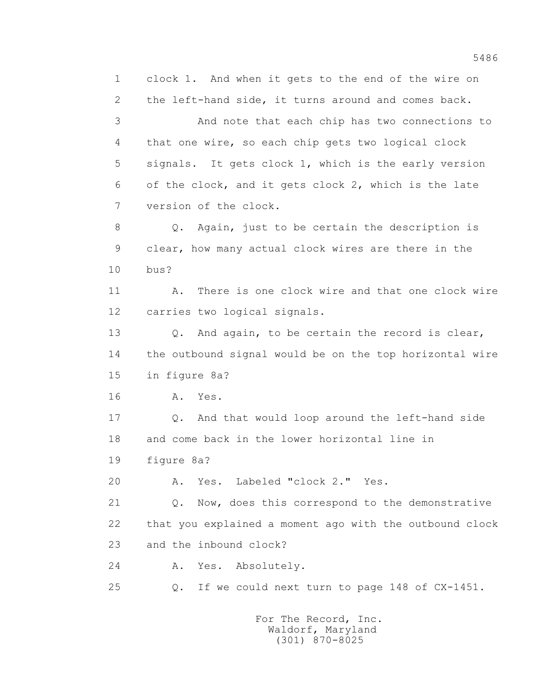1 clock 1. And when it gets to the end of the wire on 2 the left-hand side, it turns around and comes back. 3 And note that each chip has two connections to 4 that one wire, so each chip gets two logical clock 5 signals. It gets clock 1, which is the early version 6 of the clock, and it gets clock 2, which is the late 7 version of the clock. 8 Q. Again, just to be certain the description is 9 clear, how many actual clock wires are there in the 10 bus? 11 A. There is one clock wire and that one clock wire 12 carries two logical signals. 13 Q. And again, to be certain the record is clear, 14 the outbound signal would be on the top horizontal wire 15 in figure 8a? 16 **A.** Yes. 17 0. And that would loop around the left-hand side 18 and come back in the lower horizontal line in 19 figure 8a? 20 A. Yes. Labeled "clock 2." Yes. 21 Q. Now, does this correspond to the demonstrative 22 that you explained a moment ago with the outbound clock 23 and the inbound clock? 24 A. Yes. Absolutely. 25 Q. If we could next turn to page 148 of CX-1451.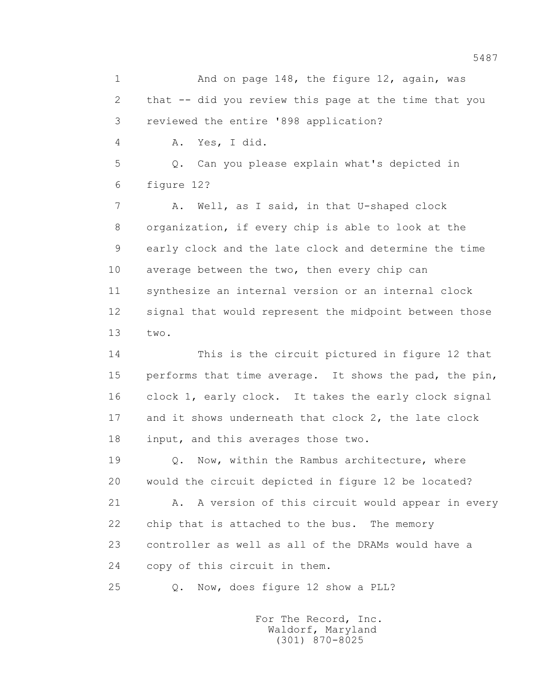1 And on page 148, the figure 12, again, was 2 that -- did you review this page at the time that you 3 reviewed the entire '898 application? 4 A. Yes, I did. 5 Q. Can you please explain what's depicted in 6 figure 12? 7 A. Well, as I said, in that U-shaped clock 8 organization, if every chip is able to look at the 9 early clock and the late clock and determine the time 10 average between the two, then every chip can 11 synthesize an internal version or an internal clock 12 signal that would represent the midpoint between those 13 two.

 14 This is the circuit pictured in figure 12 that 15 performs that time average. It shows the pad, the pin, 16 clock 1, early clock. It takes the early clock signal 17 and it shows underneath that clock 2, the late clock 18 input, and this averages those two.

 19 Q. Now, within the Rambus architecture, where 20 would the circuit depicted in figure 12 be located?

21 A. A version of this circuit would appear in every 22 chip that is attached to the bus. The memory 23 controller as well as all of the DRAMs would have a 24 copy of this circuit in them.

25 Q. Now, does figure 12 show a PLL?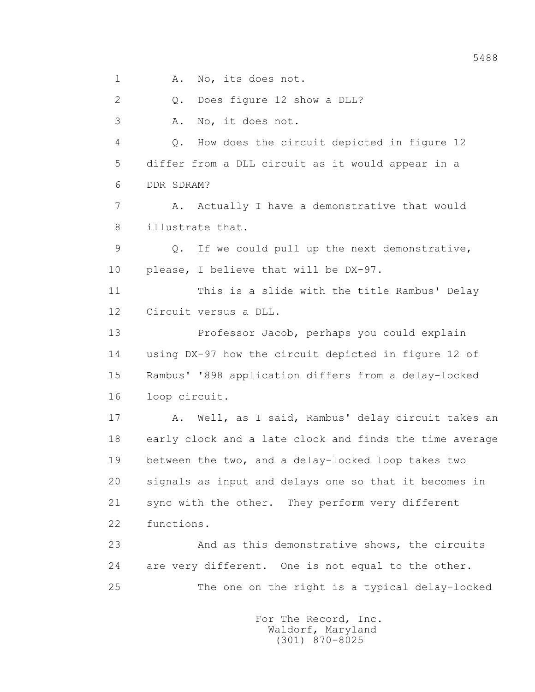1 A. No, its does not.

 2 Q. Does figure 12 show a DLL? 3 A. No, it does not. 4 Q. How does the circuit depicted in figure 12 5 differ from a DLL circuit as it would appear in a 6 DDR SDRAM? 7 A. Actually I have a demonstrative that would 8 illustrate that. 9 Q. If we could pull up the next demonstrative, 10 please, I believe that will be DX-97. 11 This is a slide with the title Rambus' Delay 12 Circuit versus a DLL. 13 Professor Jacob, perhaps you could explain 14 using DX-97 how the circuit depicted in figure 12 of 15 Rambus' '898 application differs from a delay-locked 16 loop circuit. 17 A. Well, as I said, Rambus' delay circuit takes an 18 early clock and a late clock and finds the time average 19 between the two, and a delay-locked loop takes two 20 signals as input and delays one so that it becomes in 21 sync with the other. They perform very different 22 functions. 23 And as this demonstrative shows, the circuits

 24 are very different. One is not equal to the other. 25 The one on the right is a typical delay-locked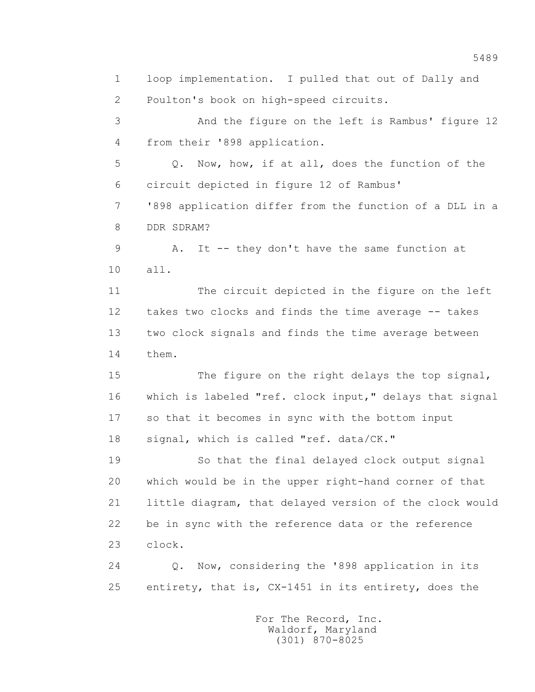1 loop implementation. I pulled that out of Dally and 2 Poulton's book on high-speed circuits. 3 And the figure on the left is Rambus' figure 12 4 from their '898 application. 5 Q. Now, how, if at all, does the function of the 6 circuit depicted in figure 12 of Rambus' 7 '898 application differ from the function of a DLL in a 8 DDR SDRAM? 9 A. It -- they don't have the same function at 10 all. 11 The circuit depicted in the figure on the left 12 takes two clocks and finds the time average -- takes 13 two clock signals and finds the time average between 14 them. 15 The figure on the right delays the top signal, 16 which is labeled "ref. clock input," delays that signal 17 so that it becomes in sync with the bottom input 18 signal, which is called "ref. data/CK." 19 So that the final delayed clock output signal 20 which would be in the upper right-hand corner of that 21 little diagram, that delayed version of the clock would 22 be in sync with the reference data or the reference 23 clock. 24 Q. Now, considering the '898 application in its 25 entirety, that is, CX-1451 in its entirety, does the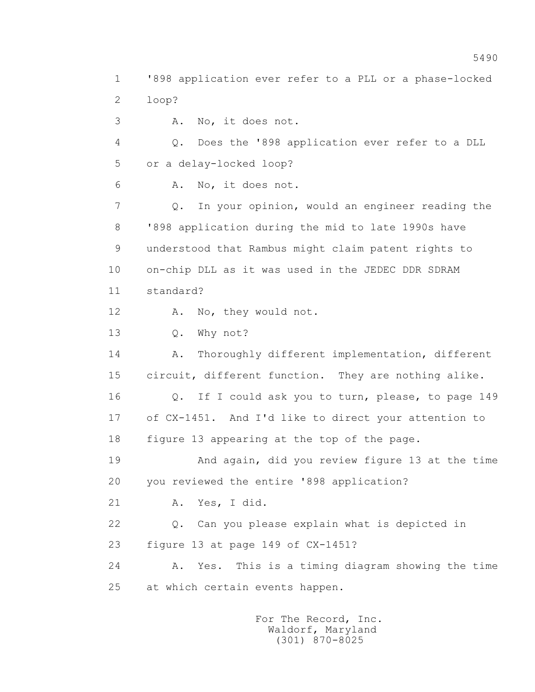1 '898 application ever refer to a PLL or a phase-locked 2 loop? 3 A. No, it does not. 4 Q. Does the '898 application ever refer to a DLL 5 or a delay-locked loop? 6 A. No, it does not. 7 Q. In your opinion, would an engineer reading the 8 '898 application during the mid to late 1990s have 9 understood that Rambus might claim patent rights to 10 on-chip DLL as it was used in the JEDEC DDR SDRAM 11 standard? 12 A. No, they would not. 13 Q. Why not? 14 A. Thoroughly different implementation, different 15 circuit, different function. They are nothing alike. 16 Q. If I could ask you to turn, please, to page 149 17 of CX-1451. And I'd like to direct your attention to 18 figure 13 appearing at the top of the page. 19 And again, did you review figure 13 at the time 20 you reviewed the entire '898 application? 21 A. Yes, I did. 22 Q. Can you please explain what is depicted in 23 figure 13 at page 149 of CX-1451? 24 A. Yes. This is a timing diagram showing the time 25 at which certain events happen.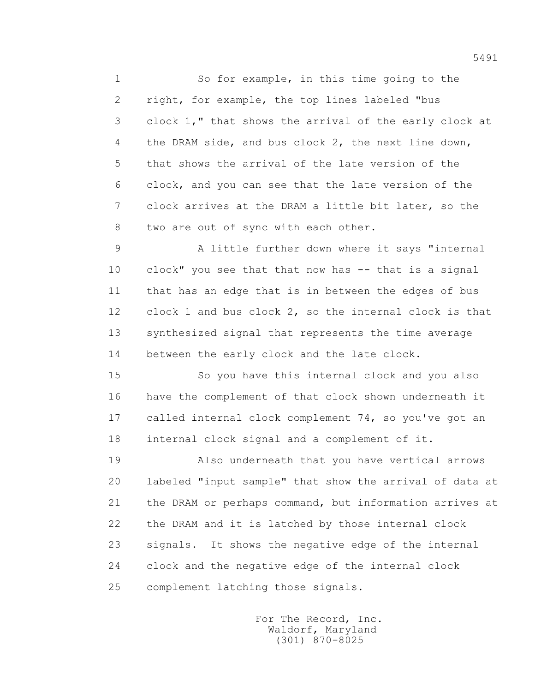1 So for example, in this time going to the 2 right, for example, the top lines labeled "bus 3 clock 1," that shows the arrival of the early clock at 4 the DRAM side, and bus clock 2, the next line down, 5 that shows the arrival of the late version of the 6 clock, and you can see that the late version of the 7 clock arrives at the DRAM a little bit later, so the 8 two are out of sync with each other.

 9 A little further down where it says "internal 10 clock" you see that that now has -- that is a signal 11 that has an edge that is in between the edges of bus 12 clock 1 and bus clock 2, so the internal clock is that 13 synthesized signal that represents the time average 14 between the early clock and the late clock.

 15 So you have this internal clock and you also 16 have the complement of that clock shown underneath it 17 called internal clock complement 74, so you've got an 18 internal clock signal and a complement of it.

 19 Also underneath that you have vertical arrows 20 labeled "input sample" that show the arrival of data at 21 the DRAM or perhaps command, but information arrives at 22 the DRAM and it is latched by those internal clock 23 signals. It shows the negative edge of the internal 24 clock and the negative edge of the internal clock 25 complement latching those signals.

> For The Record, Inc. Waldorf, Maryland (301) 870-8025

5491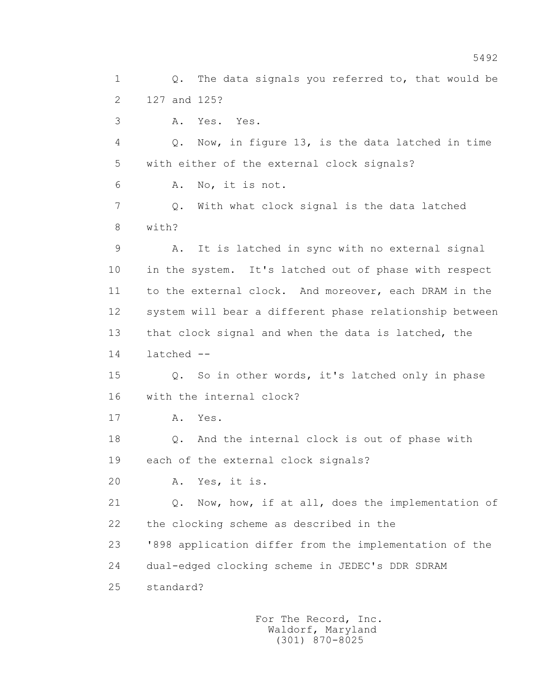1 Q. The data signals you referred to, that would be 2 127 and 125? 3 A. Yes. Yes. 4 Q. Now, in figure 13, is the data latched in time 5 with either of the external clock signals? 6 A. No, it is not. 7 Q. With what clock signal is the data latched 8 with? 9 A. It is latched in sync with no external signal 10 in the system. It's latched out of phase with respect 11 to the external clock. And moreover, each DRAM in the 12 system will bear a different phase relationship between 13 that clock signal and when the data is latched, the 14 latched -- 15 Q. So in other words, it's latched only in phase 16 with the internal clock? 17 A. Yes. 18 Q. And the internal clock is out of phase with 19 each of the external clock signals? 20 A. Yes, it is. 21 Q. Now, how, if at all, does the implementation of 22 the clocking scheme as described in the 23 '898 application differ from the implementation of the 24 dual-edged clocking scheme in JEDEC's DDR SDRAM 25 standard?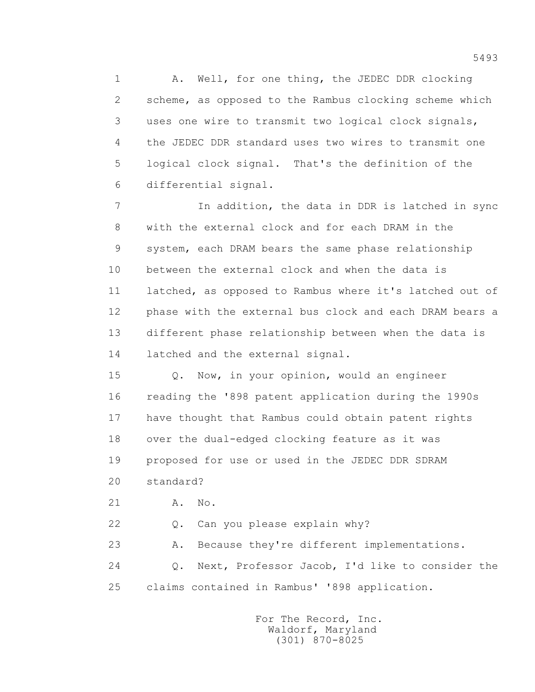1 A. Well, for one thing, the JEDEC DDR clocking 2 scheme, as opposed to the Rambus clocking scheme which 3 uses one wire to transmit two logical clock signals, 4 the JEDEC DDR standard uses two wires to transmit one 5 logical clock signal. That's the definition of the 6 differential signal.

 7 In addition, the data in DDR is latched in sync 8 with the external clock and for each DRAM in the 9 system, each DRAM bears the same phase relationship 10 between the external clock and when the data is 11 latched, as opposed to Rambus where it's latched out of 12 phase with the external bus clock and each DRAM bears a 13 different phase relationship between when the data is 14 latched and the external signal.

 15 Q. Now, in your opinion, would an engineer 16 reading the '898 patent application during the 1990s 17 have thought that Rambus could obtain patent rights 18 over the dual-edged clocking feature as it was 19 proposed for use or used in the JEDEC DDR SDRAM

20 standard?

21 A. No.

22 Q. Can you please explain why?

23 A. Because they're different implementations.

 24 Q. Next, Professor Jacob, I'd like to consider the 25 claims contained in Rambus' '898 application.

> For The Record, Inc. Waldorf, Maryland (301) 870-8025

5493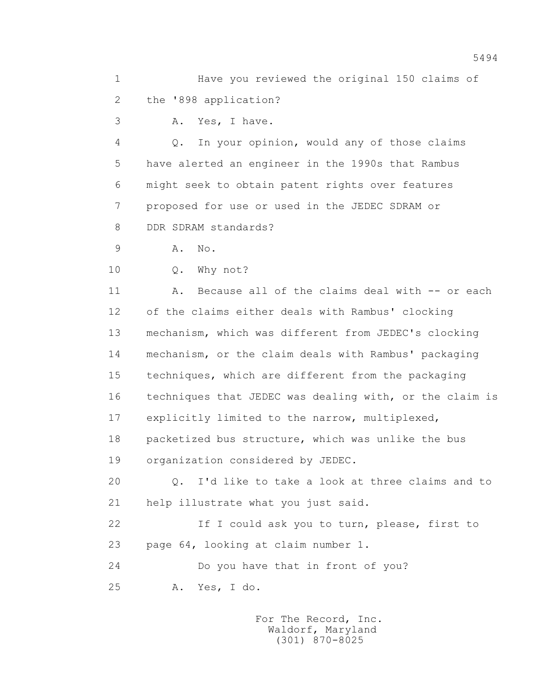1 Have you reviewed the original 150 claims of 2 the '898 application?

3 A. Yes, I have.

 4 Q. In your opinion, would any of those claims 5 have alerted an engineer in the 1990s that Rambus 6 might seek to obtain patent rights over features 7 proposed for use or used in the JEDEC SDRAM or 8 DDR SDRAM standards?

9 A. No.

10 Q. Why not?

 11 A. Because all of the claims deal with -- or each 12 of the claims either deals with Rambus' clocking 13 mechanism, which was different from JEDEC's clocking 14 mechanism, or the claim deals with Rambus' packaging 15 techniques, which are different from the packaging 16 techniques that JEDEC was dealing with, or the claim is 17 explicitly limited to the narrow, multiplexed, 18 packetized bus structure, which was unlike the bus 19 organization considered by JEDEC.

 20 Q. I'd like to take a look at three claims and to 21 help illustrate what you just said.

 22 If I could ask you to turn, please, first to 23 page 64, looking at claim number 1.

24 Do you have that in front of you?

25 A. Yes, I do.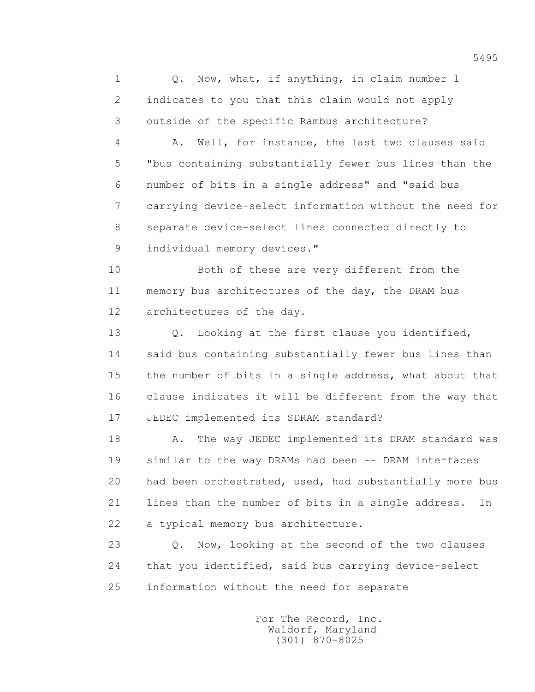1 Q. Now, what, if anything, in claim number 1 2 indicates to you that this claim would not apply 3 outside of the specific Rambus architecture?

 4 A. Well, for instance, the last two clauses said 5 "bus containing substantially fewer bus lines than the 6 number of bits in a single address" and "said bus 7 carrying device-select information without the need for 8 separate device-select lines connected directly to 9 individual memory devices."

 10 Both of these are very different from the 11 memory bus architectures of the day, the DRAM bus 12 architectures of the day.

13 0. Looking at the first clause you identified, 14 said bus containing substantially fewer bus lines than 15 the number of bits in a single address, what about that 16 clause indicates it will be different from the way that 17 JEDEC implemented its SDRAM standard?

18 A. The way JEDEC implemented its DRAM standard was 19 similar to the way DRAMs had been -- DRAM interfaces 20 had been orchestrated, used, had substantially more bus 21 lines than the number of bits in a single address. In 22 a typical memory bus architecture.

23 O. Now, looking at the second of the two clauses 24 that you identified, said bus carrying device-select 25 information without the need for separate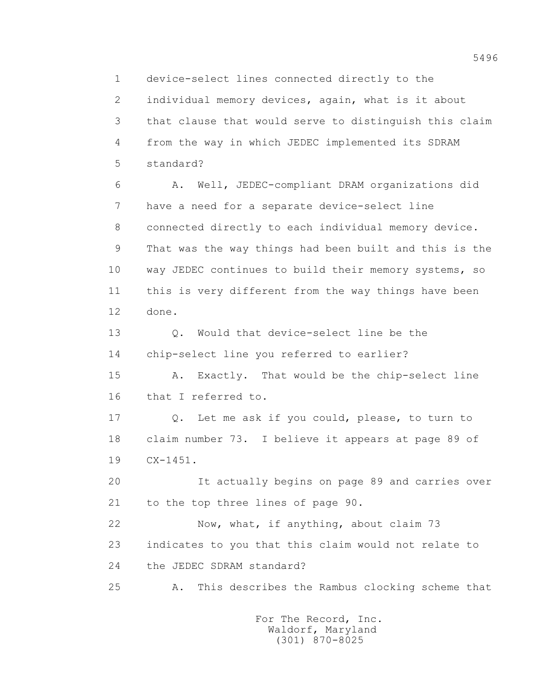1 device-select lines connected directly to the 2 individual memory devices, again, what is it about 3 that clause that would serve to distinguish this claim 4 from the way in which JEDEC implemented its SDRAM 5 standard? 6 A. Well, JEDEC-compliant DRAM organizations did 7 have a need for a separate device-select line 8 connected directly to each individual memory device. 9 That was the way things had been built and this is the 10 way JEDEC continues to build their memory systems, so 11 this is very different from the way things have been 12 done. 13 0. Would that device-select line be the

14 chip-select line you referred to earlier?

 15 A. Exactly. That would be the chip-select line 16 that I referred to.

 17 Q. Let me ask if you could, please, to turn to 18 claim number 73. I believe it appears at page 89 of 19 CX-1451.

 20 It actually begins on page 89 and carries over 21 to the top three lines of page 90.

 22 Now, what, if anything, about claim 73 23 indicates to you that this claim would not relate to 24 the JEDEC SDRAM standard?

25 A. This describes the Rambus clocking scheme that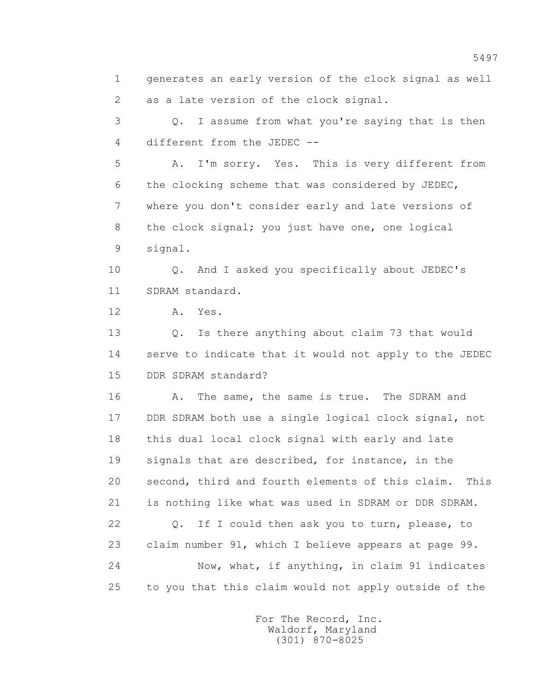1 generates an early version of the clock signal as well 2 as a late version of the clock signal.

 3 Q. I assume from what you're saying that is then 4 different from the JEDEC --

 5 A. I'm sorry. Yes. This is very different from 6 the clocking scheme that was considered by JEDEC, 7 where you don't consider early and late versions of 8 the clock signal; you just have one, one logical 9 signal.

 10 Q. And I asked you specifically about JEDEC's 11 SDRAM standard.

12 A. Yes.

 13 Q. Is there anything about claim 73 that would 14 serve to indicate that it would not apply to the JEDEC 15 DDR SDRAM standard?

 16 A. The same, the same is true. The SDRAM and 17 DDR SDRAM both use a single logical clock signal, not 18 this dual local clock signal with early and late 19 signals that are described, for instance, in the 20 second, third and fourth elements of this claim. This 21 is nothing like what was used in SDRAM or DDR SDRAM. 22 Q. If I could then ask you to turn, please, to 23 claim number 91, which I believe appears at page 99. 24 Now, what, if anything, in claim 91 indicates

25 to you that this claim would not apply outside of the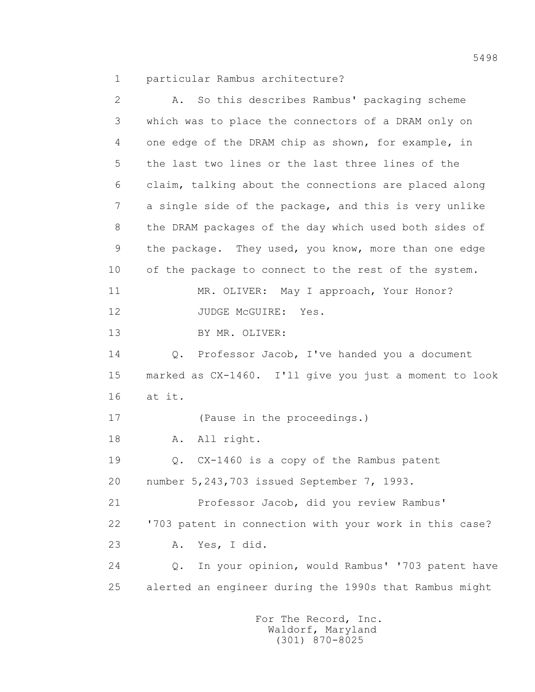1 particular Rambus architecture?

| $\overline{2}$ | So this describes Rambus' packaging scheme<br>Α.       |
|----------------|--------------------------------------------------------|
| 3              | which was to place the connectors of a DRAM only on    |
| 4              | one edge of the DRAM chip as shown, for example, in    |
| 5              | the last two lines or the last three lines of the      |
| 6              | claim, talking about the connections are placed along  |
| 7              | a single side of the package, and this is very unlike  |
| 8              | the DRAM packages of the day which used both sides of  |
| 9              | the package. They used, you know, more than one edge   |
| 10             | of the package to connect to the rest of the system.   |
| 11             | MR. OLIVER: May I approach, Your Honor?                |
| 12             | JUDGE MCGUIRE:<br>Yes.                                 |
| 13             | BY MR. OLIVER:                                         |
| 14             | Q. Professor Jacob, I've handed you a document         |
| 15             | marked as CX-1460. I'll give you just a moment to look |
| 16             | at it.                                                 |
| 17             | (Pause in the proceedings.)                            |
| 18             | All right.<br>Α.                                       |
| 19             | Q. CX-1460 is a copy of the Rambus patent              |
| 20             | number 5, 243, 703 issued September 7, 1993.           |
| 21             | Professor Jacob, did you review Rambus'                |
| 22             | '703 patent in connection with your work in this case? |
| 23             | Yes, I did.<br>Α.                                      |
| 24             | In your opinion, would Rambus' '703 patent have<br>Q.  |
| 25             | alerted an engineer during the 1990s that Rambus might |
|                |                                                        |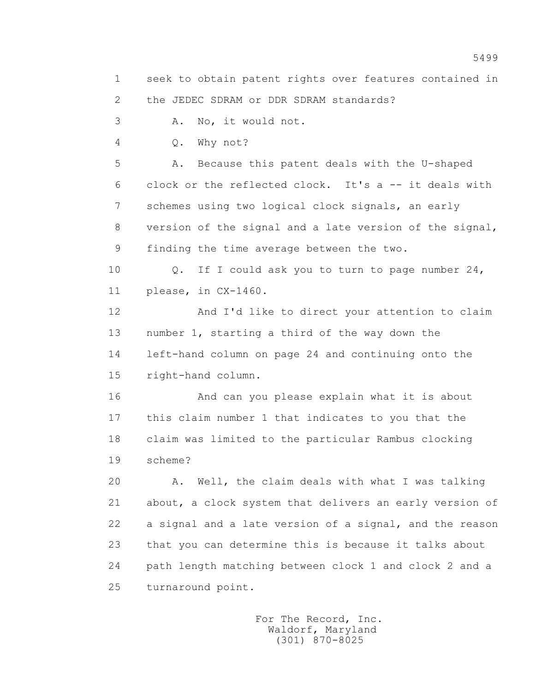1 seek to obtain patent rights over features contained in 2 the JEDEC SDRAM or DDR SDRAM standards?

3 A. No, it would not.

4 Q. Why not?

 5 A. Because this patent deals with the U-shaped 6 clock or the reflected clock. It's a -- it deals with 7 schemes using two logical clock signals, an early 8 version of the signal and a late version of the signal, 9 finding the time average between the two.

 10 Q. If I could ask you to turn to page number 24, 11 please, in CX-1460.

 12 And I'd like to direct your attention to claim 13 number 1, starting a third of the way down the 14 left-hand column on page 24 and continuing onto the 15 right-hand column.

 16 And can you please explain what it is about 17 this claim number 1 that indicates to you that the 18 claim was limited to the particular Rambus clocking 19 scheme?

 20 A. Well, the claim deals with what I was talking 21 about, a clock system that delivers an early version of 22 a signal and a late version of a signal, and the reason 23 that you can determine this is because it talks about 24 path length matching between clock 1 and clock 2 and a 25 turnaround point.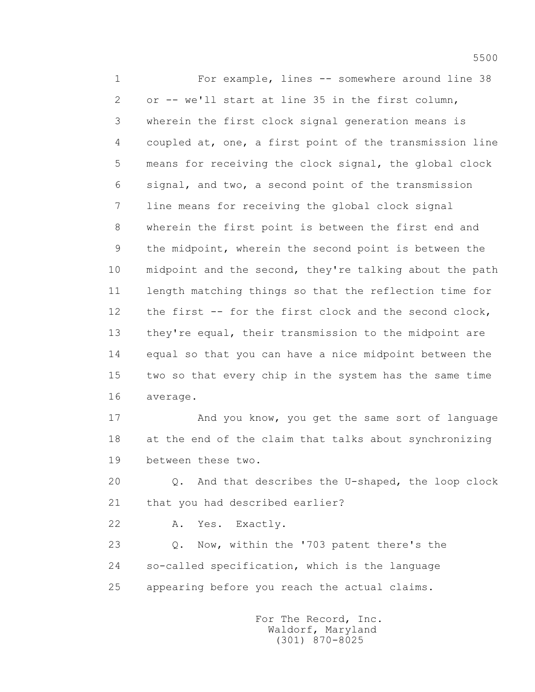1 For example, lines -- somewhere around line 38 2 or -- we'll start at line 35 in the first column, 3 wherein the first clock signal generation means is 4 coupled at, one, a first point of the transmission line 5 means for receiving the clock signal, the global clock 6 signal, and two, a second point of the transmission 7 line means for receiving the global clock signal 8 wherein the first point is between the first end and 9 the midpoint, wherein the second point is between the 10 midpoint and the second, they're talking about the path 11 length matching things so that the reflection time for 12 the first -- for the first clock and the second clock, 13 they're equal, their transmission to the midpoint are 14 equal so that you can have a nice midpoint between the 15 two so that every chip in the system has the same time 16 average.

 17 And you know, you get the same sort of language 18 at the end of the claim that talks about synchronizing 19 between these two.

 20 Q. And that describes the U-shaped, the loop clock 21 that you had described earlier?

22 A. Yes. Exactly.

 23 Q. Now, within the '703 patent there's the 24 so-called specification, which is the language 25 appearing before you reach the actual claims.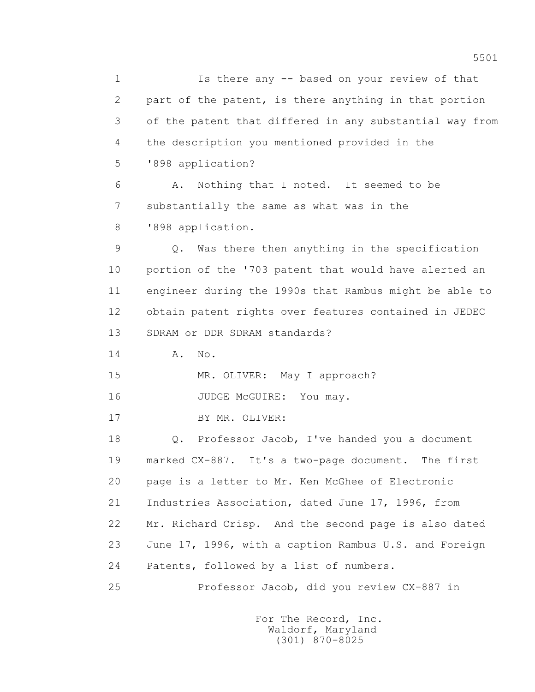1 Is there any -- based on your review of that 2 part of the patent, is there anything in that portion 3 of the patent that differed in any substantial way from 4 the description you mentioned provided in the 5 '898 application? 6 A. Nothing that I noted. It seemed to be 7 substantially the same as what was in the 8 '898 application. 9 Q. Was there then anything in the specification 10 portion of the '703 patent that would have alerted an 11 engineer during the 1990s that Rambus might be able to 12 obtain patent rights over features contained in JEDEC 13 SDRAM or DDR SDRAM standards? 14 A. No. 15 MR. OLIVER: May I approach? 16 JUDGE McGUIRE: You may. 17 BY MR. OLIVER: 18 Q. Professor Jacob, I've handed you a document 19 marked CX-887. It's a two-page document. The first 20 page is a letter to Mr. Ken McGhee of Electronic 21 Industries Association, dated June 17, 1996, from 22 Mr. Richard Crisp. And the second page is also dated 23 June 17, 1996, with a caption Rambus U.S. and Foreign 24 Patents, followed by a list of numbers. 25 Professor Jacob, did you review CX-887 in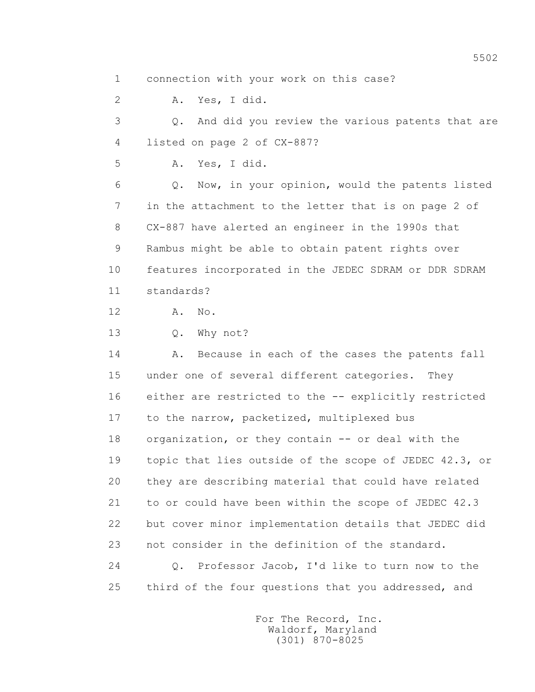1 connection with your work on this case?

 2 A. Yes, I did. 3 Q. And did you review the various patents that are 4 listed on page 2 of CX-887? 5 A. Yes, I did. 6 Q. Now, in your opinion, would the patents listed 7 in the attachment to the letter that is on page 2 of 8 CX-887 have alerted an engineer in the 1990s that 9 Rambus might be able to obtain patent rights over 10 features incorporated in the JEDEC SDRAM or DDR SDRAM 11 standards? 12 A. No. 13 Q. Why not? 14 A. Because in each of the cases the patents fall 15 under one of several different categories. They 16 either are restricted to the -- explicitly restricted 17 to the narrow, packetized, multiplexed bus 18 organization, or they contain -- or deal with the 19 topic that lies outside of the scope of JEDEC 42.3, or 20 they are describing material that could have related 21 to or could have been within the scope of JEDEC 42.3 22 but cover minor implementation details that JEDEC did 23 not consider in the definition of the standard. 24 Q. Professor Jacob, I'd like to turn now to the 25 third of the four questions that you addressed, and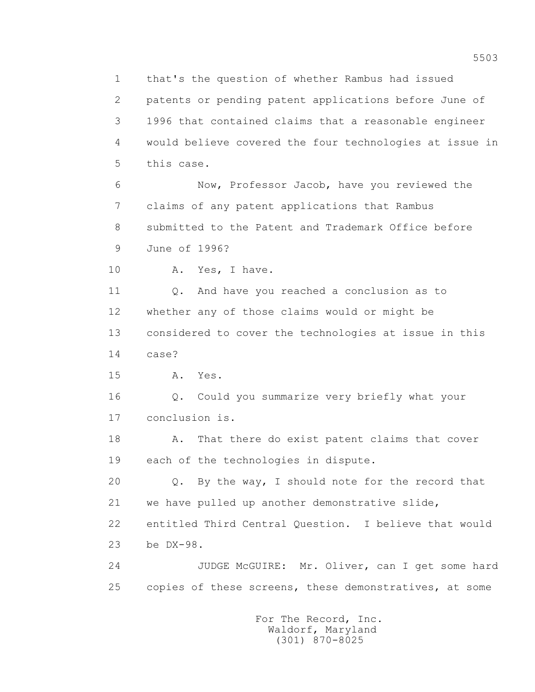1 that's the question of whether Rambus had issued 2 patents or pending patent applications before June of 3 1996 that contained claims that a reasonable engineer 4 would believe covered the four technologies at issue in 5 this case. 6 Now, Professor Jacob, have you reviewed the 7 claims of any patent applications that Rambus 8 submitted to the Patent and Trademark Office before 9 June of 1996? 10 A. Yes, I have. 11 0. And have you reached a conclusion as to 12 whether any of those claims would or might be 13 considered to cover the technologies at issue in this 14 case? 15 A. Yes. 16 Q. Could you summarize very briefly what your 17 conclusion is. 18 A. That there do exist patent claims that cover 19 each of the technologies in dispute. 20 Q. By the way, I should note for the record that 21 we have pulled up another demonstrative slide, 22 entitled Third Central Question. I believe that would 23 be DX-98. 24 JUDGE McGUIRE: Mr. Oliver, can I get some hard 25 copies of these screens, these demonstratives, at some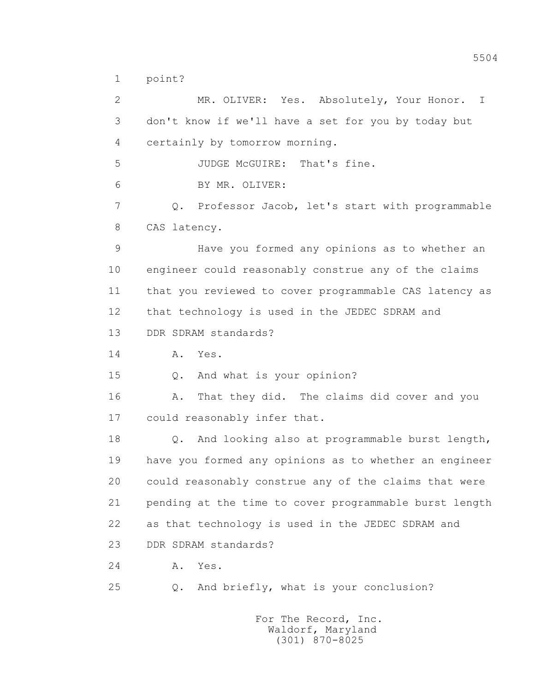1 point?

 2 MR. OLIVER: Yes. Absolutely, Your Honor. I 3 don't know if we'll have a set for you by today but 4 certainly by tomorrow morning. 5 JUDGE McGUIRE: That's fine. 6 BY MR. OLIVER: 7 Q. Professor Jacob, let's start with programmable 8 CAS latency. 9 Have you formed any opinions as to whether an 10 engineer could reasonably construe any of the claims 11 that you reviewed to cover programmable CAS latency as 12 that technology is used in the JEDEC SDRAM and 13 DDR SDRAM standards? 14 A. Yes. 15 Q. And what is your opinion? 16 A. That they did. The claims did cover and you 17 could reasonably infer that. 18 Q. And looking also at programmable burst length, 19 have you formed any opinions as to whether an engineer 20 could reasonably construe any of the claims that were 21 pending at the time to cover programmable burst length 22 as that technology is used in the JEDEC SDRAM and 23 DDR SDRAM standards? 24 **A.** Yes. 25 Q. And briefly, what is your conclusion? For The Record, Inc.

> Waldorf, Maryland (301) 870-8025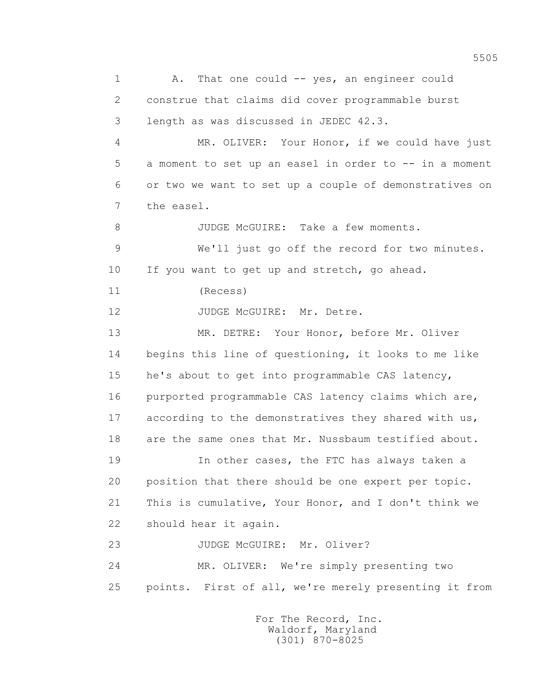1 A. That one could -- yes, an engineer could 2 construe that claims did cover programmable burst 3 length as was discussed in JEDEC 42.3. 4 MR. OLIVER: Your Honor, if we could have just 5 a moment to set up an easel in order to -- in a moment 6 or two we want to set up a couple of demonstratives on 7 the easel. 8 JUDGE McGUIRE: Take a few moments. 9 We'll just go off the record for two minutes. 10 If you want to get up and stretch, go ahead. 11 (Recess) 12 JUDGE McGUIRE: Mr. Detre. 13 MR. DETRE: Your Honor, before Mr. Oliver 14 begins this line of questioning, it looks to me like 15 he's about to get into programmable CAS latency, 16 purported programmable CAS latency claims which are, 17 according to the demonstratives they shared with us, 18 are the same ones that Mr. Nussbaum testified about. 19 In other cases, the FTC has always taken a 20 position that there should be one expert per topic. 21 This is cumulative, Your Honor, and I don't think we 22 should hear it again. 23 JUDGE McGUIRE: Mr. Oliver? 24 MR. OLIVER: We're simply presenting two 25 points. First of all, we're merely presenting it from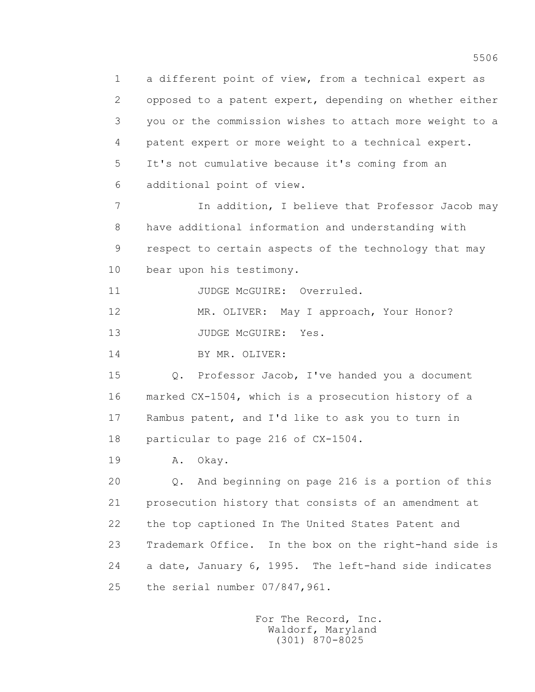1 a different point of view, from a technical expert as 2 opposed to a patent expert, depending on whether either 3 you or the commission wishes to attach more weight to a 4 patent expert or more weight to a technical expert. 5 It's not cumulative because it's coming from an 6 additional point of view.

7 In addition, I believe that Professor Jacob may 8 have additional information and understanding with 9 respect to certain aspects of the technology that may 10 bear upon his testimony.

11 JUDGE McGUIRE: Overruled.

12 MR. OLIVER: May I approach, Your Honor?

13 JUDGE McGUIRE: Yes.

14 BY MR. OLIVER:

 15 Q. Professor Jacob, I've handed you a document 16 marked CX-1504, which is a prosecution history of a 17 Rambus patent, and I'd like to ask you to turn in 18 particular to page 216 of CX-1504.

19 A. Okay.

 20 Q. And beginning on page 216 is a portion of this 21 prosecution history that consists of an amendment at 22 the top captioned In The United States Patent and 23 Trademark Office. In the box on the right-hand side is 24 a date, January 6, 1995. The left-hand side indicates 25 the serial number 07/847,961.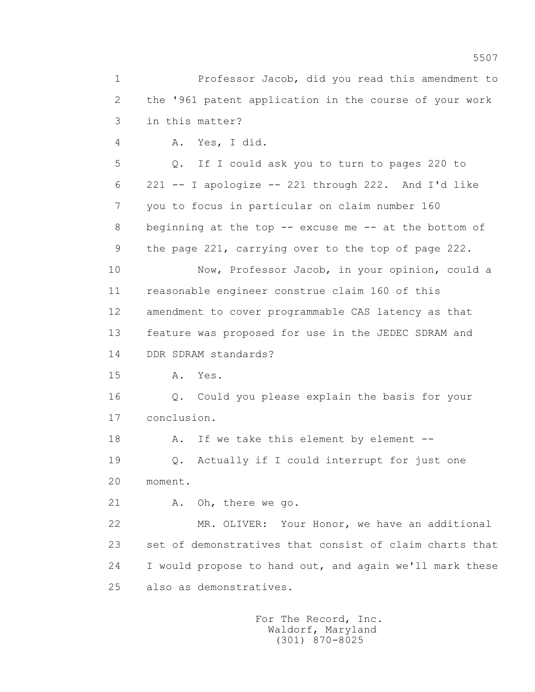1 Professor Jacob, did you read this amendment to 2 the '961 patent application in the course of your work 3 in this matter? 4 A. Yes, I did. 5 Q. If I could ask you to turn to pages 220 to 6 221 -- I apologize -- 221 through 222. And I'd like 7 you to focus in particular on claim number 160 8 beginning at the top -- excuse me -- at the bottom of 9 the page 221, carrying over to the top of page 222. 10 Now, Professor Jacob, in your opinion, could a 11 reasonable engineer construe claim 160 of this 12 amendment to cover programmable CAS latency as that 13 feature was proposed for use in the JEDEC SDRAM and 14 DDR SDRAM standards? 15 A. Yes. 16 Q. Could you please explain the basis for your 17 conclusion. 18 A. If we take this element by element -- 19 Q. Actually if I could interrupt for just one 20 moment. 21 A. Oh, there we go. 22 MR. OLIVER: Your Honor, we have an additional 23 set of demonstratives that consist of claim charts that 24 I would propose to hand out, and again we'll mark these 25 also as demonstratives.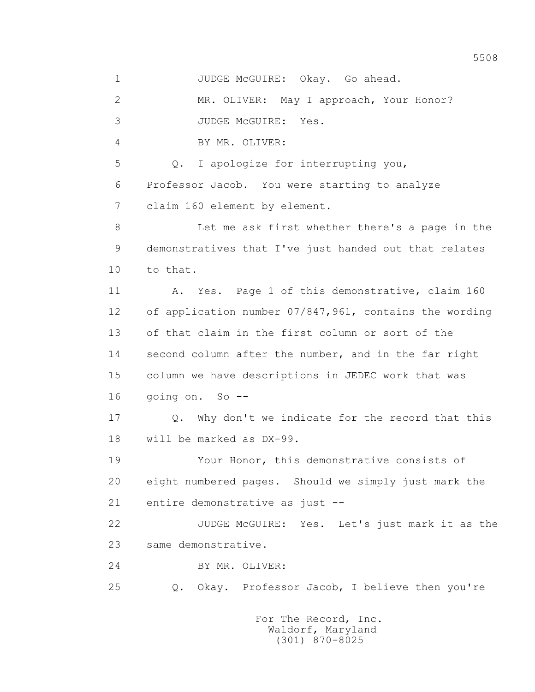1 JUDGE McGUIRE: Okay. Go ahead.

2 MR. OLIVER: May I approach, Your Honor?

3 JUDGE McGUIRE: Yes.

4 BY MR. OLIVER:

 5 Q. I apologize for interrupting you, 6 Professor Jacob. You were starting to analyze 7 claim 160 element by element.

 8 Let me ask first whether there's a page in the 9 demonstratives that I've just handed out that relates 10 to that.

 11 A. Yes. Page 1 of this demonstrative, claim 160 12 of application number 07/847,961, contains the wording 13 of that claim in the first column or sort of the 14 second column after the number, and in the far right 15 column we have descriptions in JEDEC work that was 16 going on. So --

 17 Q. Why don't we indicate for the record that this 18 will be marked as DX-99.

 19 Your Honor, this demonstrative consists of 20 eight numbered pages. Should we simply just mark the 21 entire demonstrative as just --

 22 JUDGE McGUIRE: Yes. Let's just mark it as the 23 same demonstrative.

24 BY MR. OLIVER:

25 Q. Okay. Professor Jacob, I believe then you're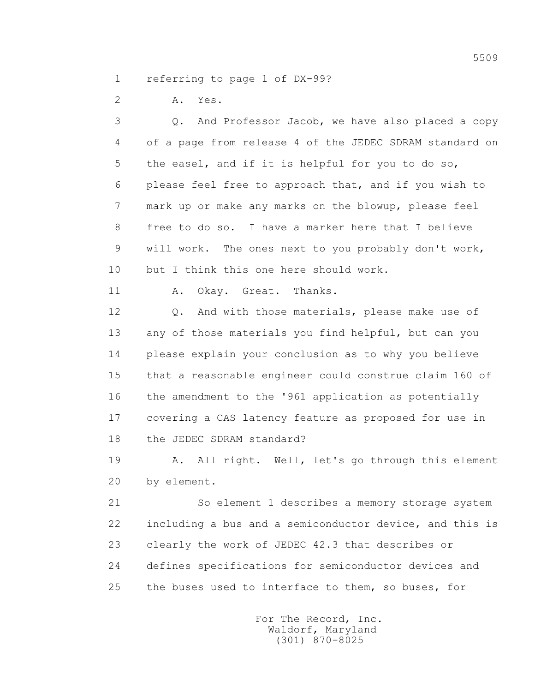1 referring to page 1 of DX-99?

2 A. Yes.

 3 Q. And Professor Jacob, we have also placed a copy 4 of a page from release 4 of the JEDEC SDRAM standard on 5 the easel, and if it is helpful for you to do so, 6 please feel free to approach that, and if you wish to 7 mark up or make any marks on the blowup, please feel 8 free to do so. I have a marker here that I believe 9 will work. The ones next to you probably don't work, 10 but I think this one here should work.

11 A. Okay. Great. Thanks.

 12 Q. And with those materials, please make use of 13 any of those materials you find helpful, but can you 14 please explain your conclusion as to why you believe 15 that a reasonable engineer could construe claim 160 of 16 the amendment to the '961 application as potentially 17 covering a CAS latency feature as proposed for use in 18 the JEDEC SDRAM standard?

 19 A. All right. Well, let's go through this element 20 by element.

 21 So element 1 describes a memory storage system 22 including a bus and a semiconductor device, and this is 23 clearly the work of JEDEC 42.3 that describes or 24 defines specifications for semiconductor devices and 25 the buses used to interface to them, so buses, for

> For The Record, Inc. Waldorf, Maryland (301) 870-8025

5509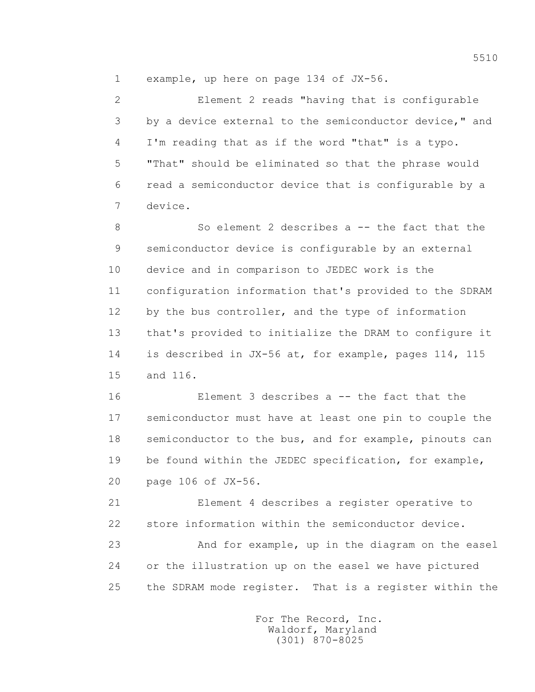1 example, up here on page 134 of JX-56.

 2 Element 2 reads "having that is configurable 3 by a device external to the semiconductor device," and 4 I'm reading that as if the word "that" is a typo. 5 "That" should be eliminated so that the phrase would 6 read a semiconductor device that is configurable by a 7 device.

 8 So element 2 describes a -- the fact that the 9 semiconductor device is configurable by an external 10 device and in comparison to JEDEC work is the 11 configuration information that's provided to the SDRAM 12 by the bus controller, and the type of information 13 that's provided to initialize the DRAM to configure it 14 is described in JX-56 at, for example, pages 114, 115 15 and 116.

 16 Element 3 describes a -- the fact that the 17 semiconductor must have at least one pin to couple the 18 semiconductor to the bus, and for example, pinouts can 19 be found within the JEDEC specification, for example, 20 page 106 of JX-56.

 21 Element 4 describes a register operative to 22 store information within the semiconductor device. 23 And for example, up in the diagram on the easel 24 or the illustration up on the easel we have pictured

25 the SDRAM mode register. That is a register within the

 For The Record, Inc. Waldorf, Maryland (301) 870-8025

5510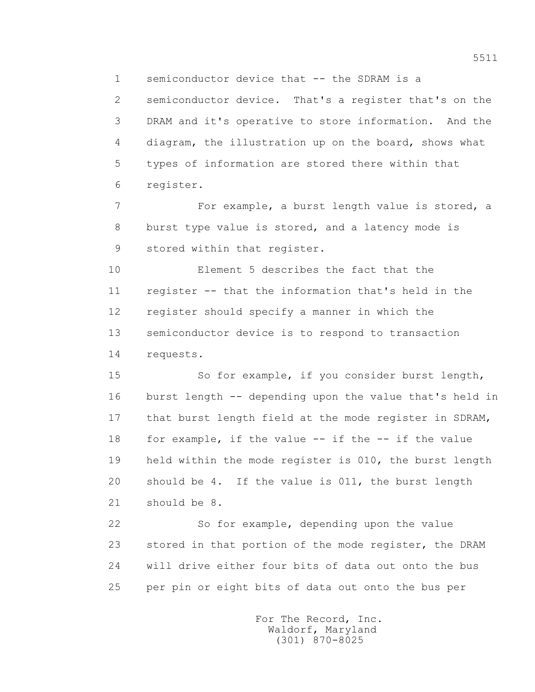1 semiconductor device that -- the SDRAM is a

 2 semiconductor device. That's a register that's on the 3 DRAM and it's operative to store information. And the 4 diagram, the illustration up on the board, shows what 5 types of information are stored there within that 6 register.

 7 For example, a burst length value is stored, a 8 burst type value is stored, and a latency mode is 9 stored within that register.

 10 Element 5 describes the fact that the 11 register -- that the information that's held in the 12 register should specify a manner in which the 13 semiconductor device is to respond to transaction 14 requests.

 15 So for example, if you consider burst length, 16 burst length -- depending upon the value that's held in 17 that burst length field at the mode register in SDRAM, 18 for example, if the value -- if the -- if the value 19 held within the mode register is 010, the burst length 20 should be 4. If the value is 011, the burst length 21 should be 8.

 22 So for example, depending upon the value 23 stored in that portion of the mode register, the DRAM 24 will drive either four bits of data out onto the bus 25 per pin or eight bits of data out onto the bus per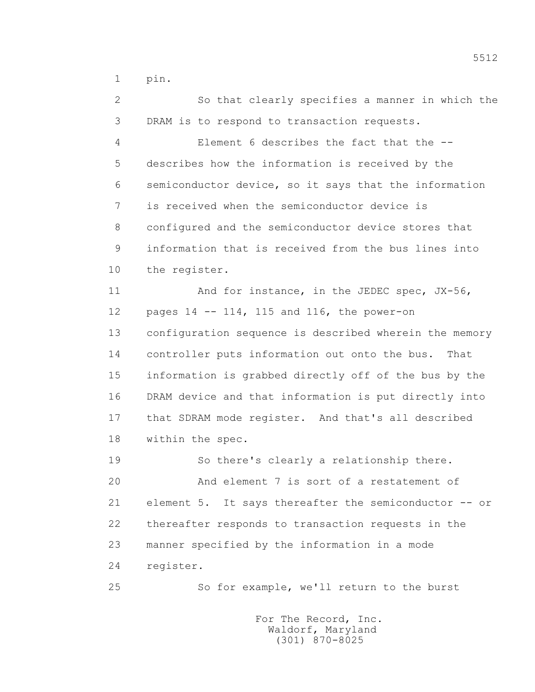1 pin.

 2 So that clearly specifies a manner in which the 3 DRAM is to respond to transaction requests. 4 Element 6 describes the fact that the -- 5 describes how the information is received by the 6 semiconductor device, so it says that the information 7 is received when the semiconductor device is 8 configured and the semiconductor device stores that 9 information that is received from the bus lines into 10 the register. 11 And for instance, in the JEDEC spec, JX-56, 12 pages 14 -- 114, 115 and 116, the power-on 13 configuration sequence is described wherein the memory 14 controller puts information out onto the bus. That 15 information is grabbed directly off of the bus by the 16 DRAM device and that information is put directly into 17 that SDRAM mode register. And that's all described 18 within the spec. 19 So there's clearly a relationship there. 20 And element 7 is sort of a restatement of 21 element 5. It says thereafter the semiconductor -- or 22 thereafter responds to transaction requests in the 23 manner specified by the information in a mode 24 register. 25 So for example, we'll return to the burst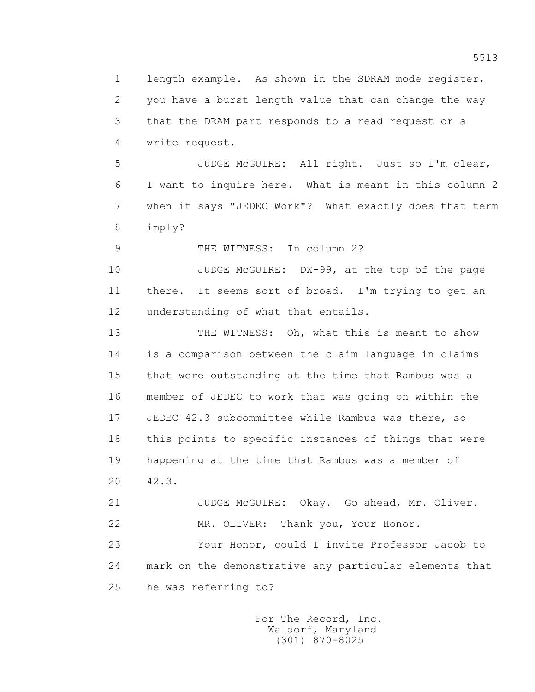1 length example. As shown in the SDRAM mode register, 2 you have a burst length value that can change the way 3 that the DRAM part responds to a read request or a 4 write request. 5 JUDGE McGUIRE: All right. Just so I'm clear, 6 I want to inquire here. What is meant in this column 2 7 when it says "JEDEC Work"? What exactly does that term 8 imply? 9 THE WITNESS: In column 2? 10 JUDGE McGUIRE: DX-99, at the top of the page 11 there. It seems sort of broad. I'm trying to get an 12 understanding of what that entails. 13 THE WITNESS: Oh, what this is meant to show 14 is a comparison between the claim language in claims 15 that were outstanding at the time that Rambus was a 16 member of JEDEC to work that was going on within the 17 JEDEC 42.3 subcommittee while Rambus was there, so 18 this points to specific instances of things that were 19 happening at the time that Rambus was a member of 20 42.3. 21 JUDGE McGUIRE: Okay. Go ahead, Mr. Oliver. 22 MR. OLIVER: Thank you, Your Honor. 23 Your Honor, could I invite Professor Jacob to 24 mark on the demonstrative any particular elements that 25 he was referring to?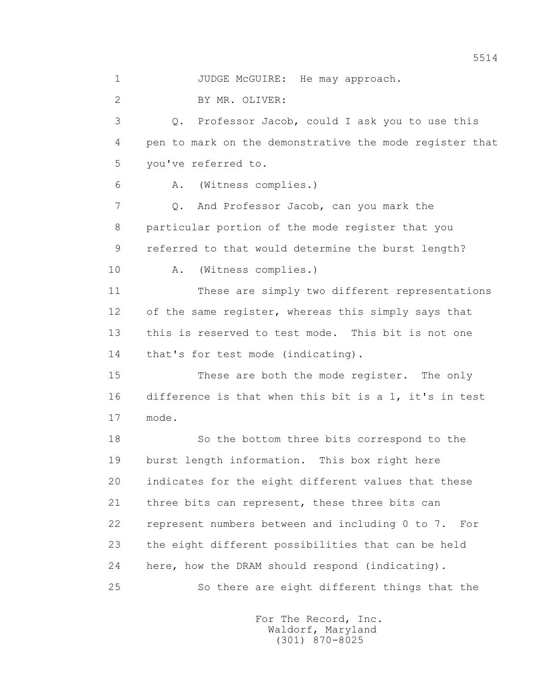1 JUDGE McGUIRE: He may approach.

2 BY MR. OLIVER:

 3 Q. Professor Jacob, could I ask you to use this 4 pen to mark on the demonstrative the mode register that 5 you've referred to.

6 A. (Witness complies.)

7 Q. And Professor Jacob, can you mark the 8 particular portion of the mode register that you 9 referred to that would determine the burst length?

10 A. (Witness complies.)

 11 These are simply two different representations 12 of the same register, whereas this simply says that 13 this is reserved to test mode. This bit is not one 14 that's for test mode (indicating).

 15 These are both the mode register. The only 16 difference is that when this bit is a 1, it's in test 17 mode.

 18 So the bottom three bits correspond to the 19 burst length information. This box right here 20 indicates for the eight different values that these 21 three bits can represent, these three bits can 22 represent numbers between and including 0 to 7. For 23 the eight different possibilities that can be held 24 here, how the DRAM should respond (indicating). 25 So there are eight different things that the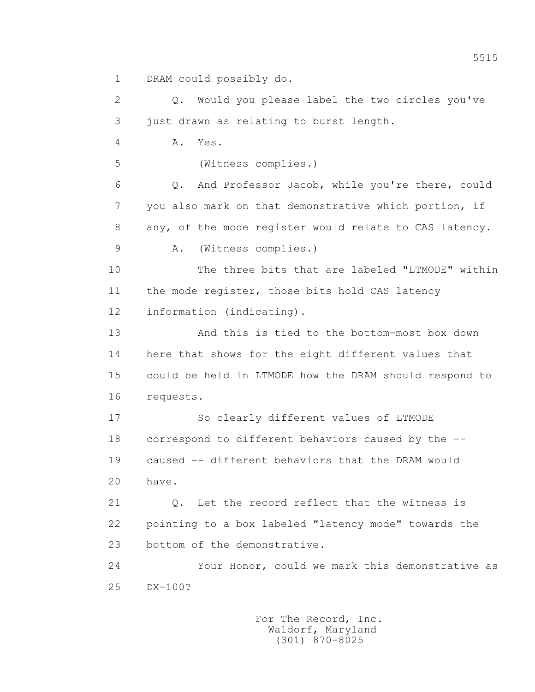1 DRAM could possibly do.

 2 Q. Would you please label the two circles you've 3 just drawn as relating to burst length.

4 A. Yes.

5 (Witness complies.)

 6 Q. And Professor Jacob, while you're there, could 7 you also mark on that demonstrative which portion, if 8 any, of the mode register would relate to CAS latency.

9 A. (Witness complies.)

 10 The three bits that are labeled "LTMODE" within 11 the mode register, those bits hold CAS latency 12 information (indicating).

 13 And this is tied to the bottom-most box down 14 here that shows for the eight different values that 15 could be held in LTMODE how the DRAM should respond to 16 requests.

 17 So clearly different values of LTMODE 18 correspond to different behaviors caused by the -- 19 caused -- different behaviors that the DRAM would 20 have.

21 0. Let the record reflect that the witness is 22 pointing to a box labeled "latency mode" towards the 23 bottom of the demonstrative.

 24 Your Honor, could we mark this demonstrative as 25 DX-100?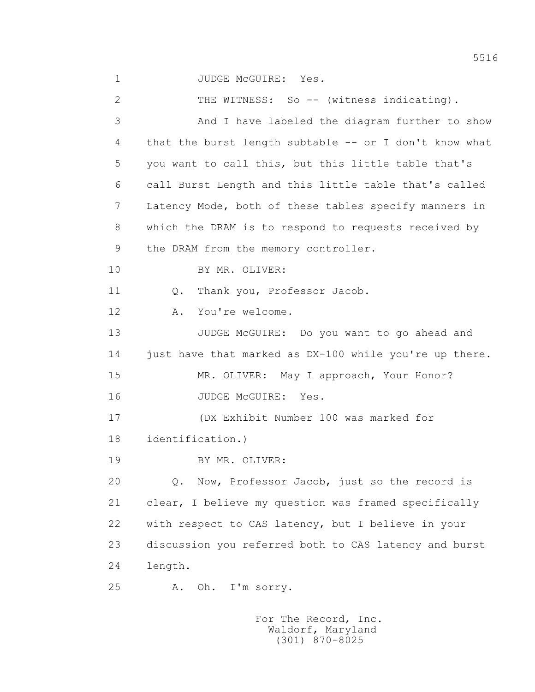1 JUDGE MCGUIRE: Yes. 2 THE WITNESS: So -- (witness indicating). 3 And I have labeled the diagram further to show 4 that the burst length subtable -- or I don't know what 5 you want to call this, but this little table that's 6 call Burst Length and this little table that's called 7 Latency Mode, both of these tables specify manners in 8 which the DRAM is to respond to requests received by 9 the DRAM from the memory controller. 10 BY MR. OLIVER: 11 0. Thank you, Professor Jacob. 12 A. You're welcome. 13 JUDGE McGUIRE: Do you want to go ahead and 14 just have that marked as DX-100 while you're up there. 15 MR. OLIVER: May I approach, Your Honor? 16 JUDGE McGUIRE: Yes. 17 (DX Exhibit Number 100 was marked for 18 identification.) 19 BY MR. OLIVER: 20 0. Now, Professor Jacob, just so the record is 21 clear, I believe my question was framed specifically 22 with respect to CAS latency, but I believe in your 23 discussion you referred both to CAS latency and burst 24 length. 25 A. Oh. I'm sorry.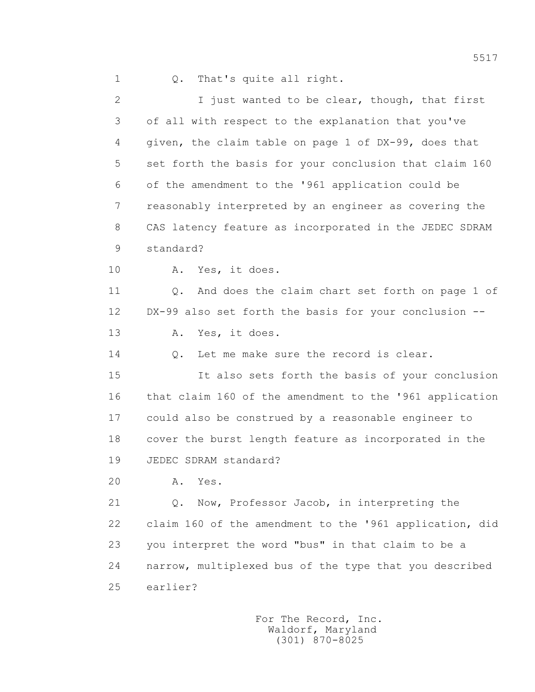1 Q. That's quite all right.

 2 I just wanted to be clear, though, that first 3 of all with respect to the explanation that you've 4 given, the claim table on page 1 of DX-99, does that 5 set forth the basis for your conclusion that claim 160 6 of the amendment to the '961 application could be 7 reasonably interpreted by an engineer as covering the 8 CAS latency feature as incorporated in the JEDEC SDRAM 9 standard? 10 A. Yes, it does. 11 Q. And does the claim chart set forth on page 1 of 12 DX-99 also set forth the basis for your conclusion -- 13 A. Yes, it does. 14 0. Let me make sure the record is clear. 15 It also sets forth the basis of your conclusion 16 that claim 160 of the amendment to the '961 application 17 could also be construed by a reasonable engineer to 18 cover the burst length feature as incorporated in the 19 JEDEC SDRAM standard? 20 A. Yes. 21 Q. Now, Professor Jacob, in interpreting the 22 claim 160 of the amendment to the '961 application, did 23 you interpret the word "bus" in that claim to be a 24 narrow, multiplexed bus of the type that you described 25 earlier?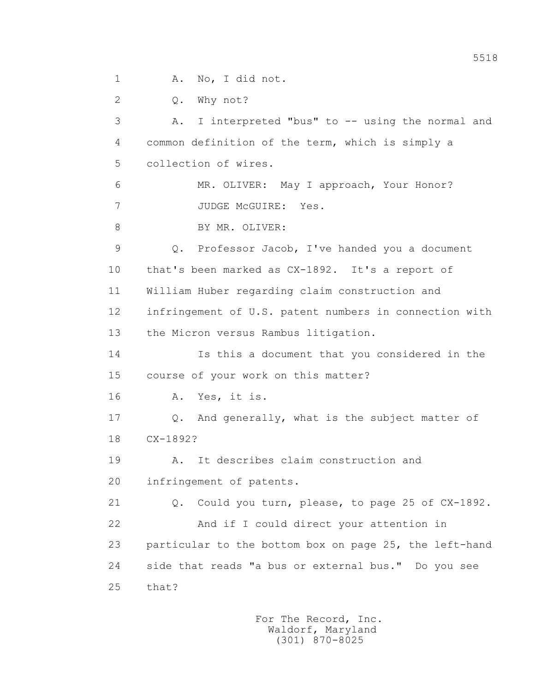1 A. No, I did not.

2 Q. Why not?

 3 A. I interpreted "bus" to -- using the normal and 4 common definition of the term, which is simply a 5 collection of wires. 6 MR. OLIVER: May I approach, Your Honor? 7 JUDGE McGUIRE: Yes. 8 BY MR. OLIVER: 9 Q. Professor Jacob, I've handed you a document 10 that's been marked as CX-1892. It's a report of 11 William Huber regarding claim construction and 12 infringement of U.S. patent numbers in connection with 13 the Micron versus Rambus litigation. 14 Is this a document that you considered in the 15 course of your work on this matter? 16 A. Yes, it is. 17 Q. And generally, what is the subject matter of 18 CX-1892? 19 A. It describes claim construction and 20 infringement of patents. 21 Q. Could you turn, please, to page 25 of CX-1892. 22 And if I could direct your attention in 23 particular to the bottom box on page 25, the left-hand 24 side that reads "a bus or external bus." Do you see 25 that?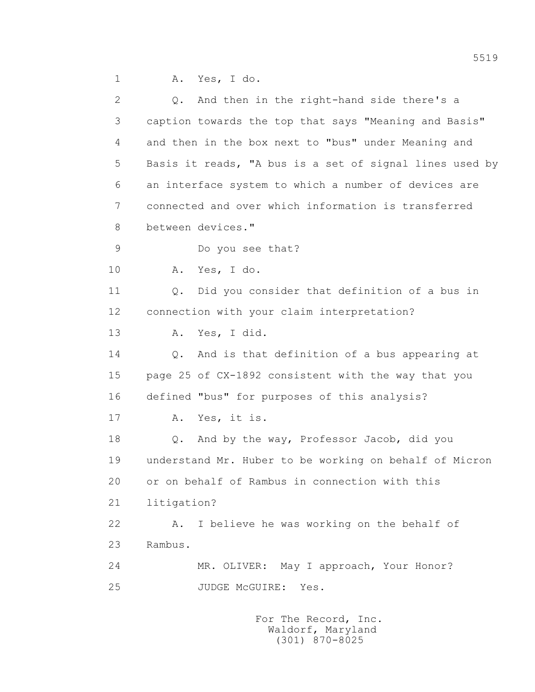1 A. Yes, I do.

| $\overline{2}$ |             | Q. And then in the right-hand side there's a            |
|----------------|-------------|---------------------------------------------------------|
| 3              |             | caption towards the top that says "Meaning and Basis"   |
| 4              |             | and then in the box next to "bus" under Meaning and     |
| 5              |             | Basis it reads, "A bus is a set of signal lines used by |
| 6              |             | an interface system to which a number of devices are    |
| 7              |             | connected and over which information is transferred     |
| 8              |             | between devices."                                       |
| 9              |             | Do you see that?                                        |
| 10             | Α.          | Yes, I do.                                              |
| 11             | Q.          | Did you consider that definition of a bus in            |
| 12             |             | connection with your claim interpretation?              |
| 13             | Α.          | Yes, I did.                                             |
| 14             | $Q$ .       | And is that definition of a bus appearing at            |
| 15             |             | page 25 of CX-1892 consistent with the way that you     |
| 16             |             | defined "bus" for purposes of this analysis?            |
| 17             | Α.          | Yes, it is.                                             |
| 18             | $Q$ .       | And by the way, Professor Jacob, did you                |
| 19             |             | understand Mr. Huber to be working on behalf of Micron  |
| 20             |             | or on behalf of Rambus in connection with this          |
| 21             | litigation? |                                                         |
| 22             | Α.          | I believe he was working on the behalf of               |
| 23             | Rambus.     |                                                         |
| 24             |             | MR. OLIVER: May I approach, Your Honor?                 |
| 25             |             | JUDGE MCGUIRE:<br>Yes.                                  |
|                |             |                                                         |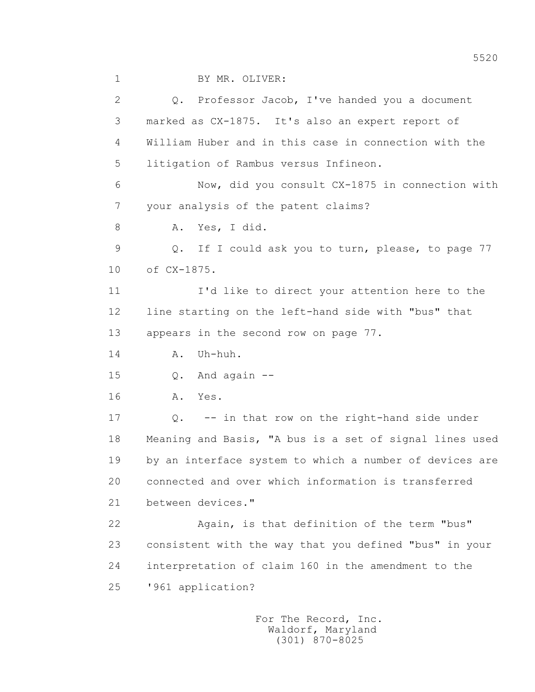2 Q. Professor Jacob, I've handed you a document 3 marked as CX-1875. It's also an expert report of 4 William Huber and in this case in connection with the 5 litigation of Rambus versus Infineon. 6 Now, did you consult CX-1875 in connection with 7 your analysis of the patent claims? 8 A. Yes, I did. 9 Q. If I could ask you to turn, please, to page 77 10 of CX-1875. 11 I'd like to direct your attention here to the 12 line starting on the left-hand side with "bus" that 13 appears in the second row on page 77. 14 A. Uh-huh. 15 Q. And again -- 16 A. Yes. 17 Q. -- in that row on the right-hand side under 18 Meaning and Basis, "A bus is a set of signal lines used 19 by an interface system to which a number of devices are 20 connected and over which information is transferred 21 between devices." 22 Again, is that definition of the term "bus" 23 consistent with the way that you defined "bus" in your 24 interpretation of claim 160 in the amendment to the 25 '961 application?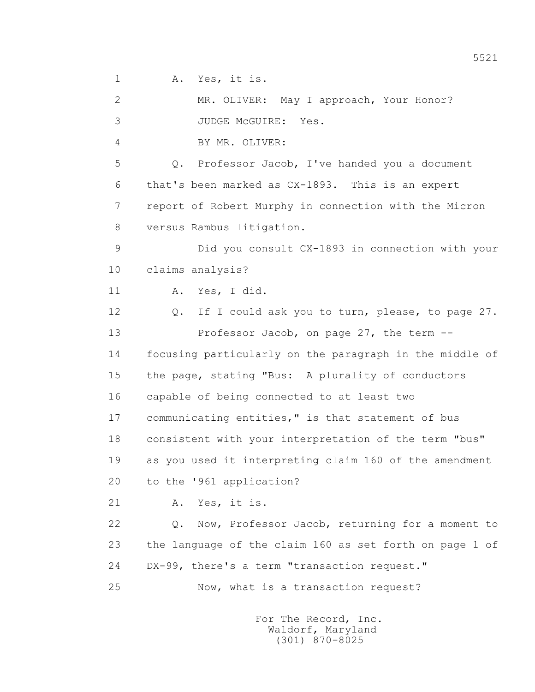1 A. Yes, it is.

 2 MR. OLIVER: May I approach, Your Honor? 3 JUDGE McGUIRE: Yes.

4 BY MR. OLIVER:

 5 Q. Professor Jacob, I've handed you a document 6 that's been marked as CX-1893. This is an expert 7 report of Robert Murphy in connection with the Micron 8 versus Rambus litigation.

 9 Did you consult CX-1893 in connection with your 10 claims analysis?

11 A. Yes, I did.

 12 Q. If I could ask you to turn, please, to page 27. 13 Professor Jacob, on page 27, the term -- 14 focusing particularly on the paragraph in the middle of 15 the page, stating "Bus: A plurality of conductors 16 capable of being connected to at least two 17 communicating entities," is that statement of bus 18 consistent with your interpretation of the term "bus" 19 as you used it interpreting claim 160 of the amendment 20 to the '961 application?

21 A. Yes, it is.

 22 Q. Now, Professor Jacob, returning for a moment to 23 the language of the claim 160 as set forth on page 1 of 24 DX-99, there's a term "transaction request."

25 Now, what is a transaction request?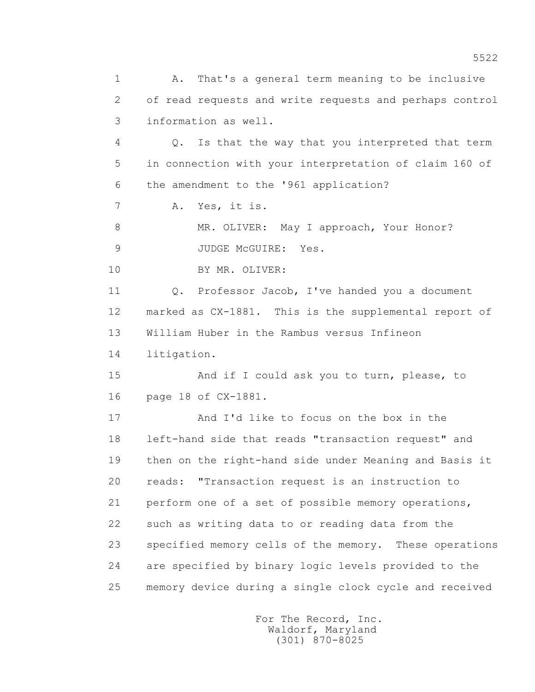1 A. That's a general term meaning to be inclusive 2 of read requests and write requests and perhaps control 3 information as well. 4 Q. Is that the way that you interpreted that term 5 in connection with your interpretation of claim 160 of 6 the amendment to the '961 application? 7 A. Yes, it is. 8 MR. OLIVER: May I approach, Your Honor? 9 JUDGE McGUIRE: Yes. 10 BY MR. OLIVER: 11 Q. Professor Jacob, I've handed you a document 12 marked as CX-1881. This is the supplemental report of 13 William Huber in the Rambus versus Infineon 14 litigation. 15 And if I could ask you to turn, please, to 16 page 18 of CX-1881. 17 And I'd like to focus on the box in the 18 left-hand side that reads "transaction request" and 19 then on the right-hand side under Meaning and Basis it 20 reads: "Transaction request is an instruction to 21 perform one of a set of possible memory operations, 22 such as writing data to or reading data from the 23 specified memory cells of the memory. These operations 24 are specified by binary logic levels provided to the 25 memory device during a single clock cycle and received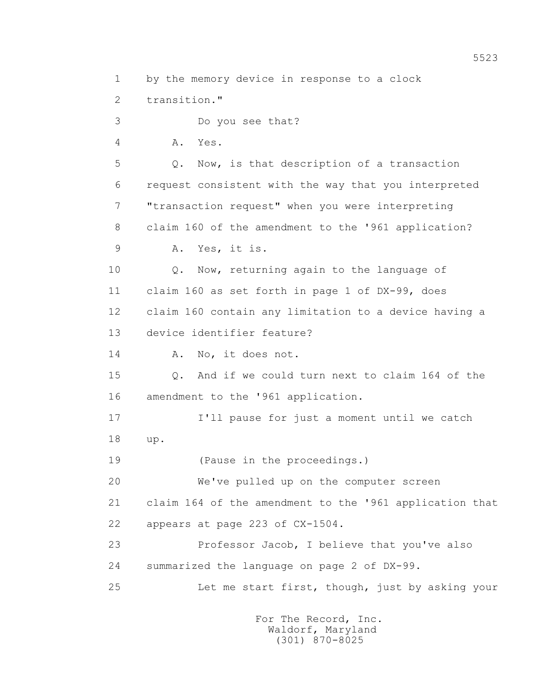1 by the memory device in response to a clock

2 transition."

 3 Do you see that? 4 A. Yes. 5 Q. Now, is that description of a transaction 6 request consistent with the way that you interpreted

8 claim 160 of the amendment to the '961 application?

7 "transaction request" when you were interpreting

9 A. Yes, it is.

 10 Q. Now, returning again to the language of 11 claim 160 as set forth in page 1 of DX-99, does 12 claim 160 contain any limitation to a device having a 13 device identifier feature?

14 A. No, it does not.

 15 Q. And if we could turn next to claim 164 of the 16 amendment to the '961 application.

 17 I'll pause for just a moment until we catch 18 up.

19 (Pause in the proceedings.)

20 We've pulled up on the computer screen

21 claim 164 of the amendment to the '961 application that

22 appears at page 223 of CX-1504.

 23 Professor Jacob, I believe that you've also 24 summarized the language on page 2 of DX-99.

25 Let me start first, though, just by asking your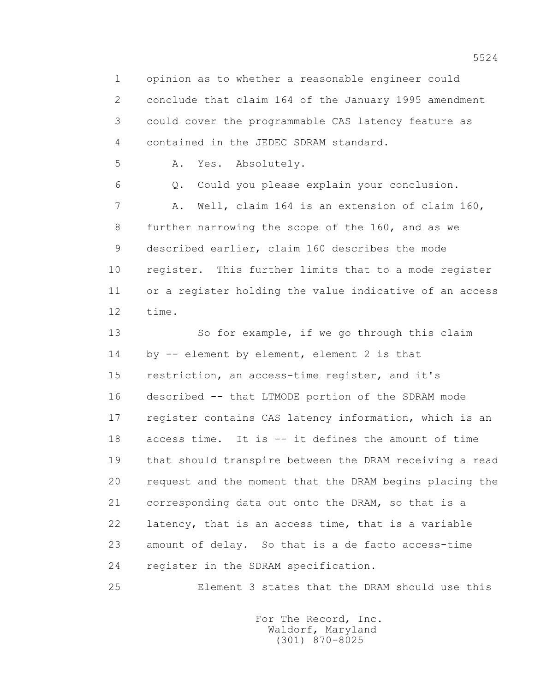1 opinion as to whether a reasonable engineer could 2 conclude that claim 164 of the January 1995 amendment 3 could cover the programmable CAS latency feature as 4 contained in the JEDEC SDRAM standard.

5 A. Yes. Absolutely.

 6 Q. Could you please explain your conclusion. 7 A. Well, claim 164 is an extension of claim 160, 8 further narrowing the scope of the 160, and as we 9 described earlier, claim 160 describes the mode 10 register. This further limits that to a mode register 11 or a register holding the value indicative of an access 12 time.

 13 So for example, if we go through this claim 14 by -- element by element, element 2 is that 15 restriction, an access-time register, and it's 16 described -- that LTMODE portion of the SDRAM mode 17 register contains CAS latency information, which is an 18 access time. It is -- it defines the amount of time 19 that should transpire between the DRAM receiving a read 20 request and the moment that the DRAM begins placing the 21 corresponding data out onto the DRAM, so that is a 22 latency, that is an access time, that is a variable 23 amount of delay. So that is a de facto access-time 24 register in the SDRAM specification.

25 Element 3 states that the DRAM should use this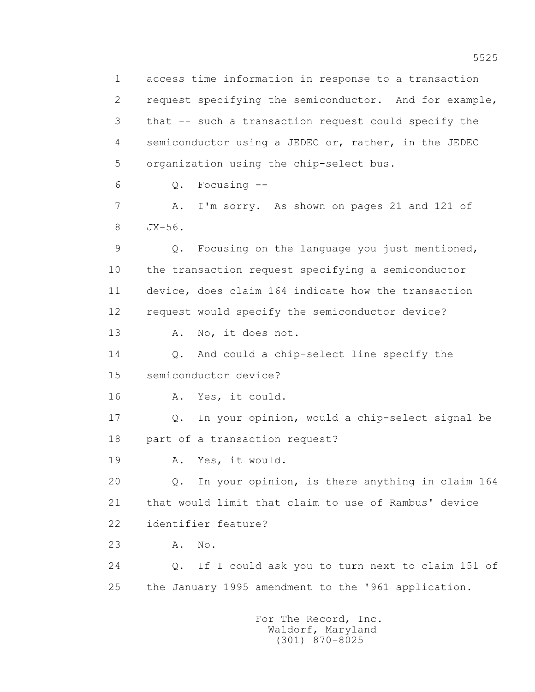1 access time information in response to a transaction 2 request specifying the semiconductor. And for example, 3 that -- such a transaction request could specify the 4 semiconductor using a JEDEC or, rather, in the JEDEC 5 organization using the chip-select bus.

6 Q. Focusing --

7 A. I'm sorry. As shown on pages 21 and 121 of 8 JX-56.

 9 Q. Focusing on the language you just mentioned, 10 the transaction request specifying a semiconductor 11 device, does claim 164 indicate how the transaction 12 request would specify the semiconductor device?

13 A. No, it does not.

 14 Q. And could a chip-select line specify the 15 semiconductor device?

16 A. Yes, it could.

 17 Q. In your opinion, would a chip-select signal be 18 part of a transaction request?

19 A. Yes, it would.

 20 Q. In your opinion, is there anything in claim 164 21 that would limit that claim to use of Rambus' device 22 identifier feature?

23 A. No.

 24 Q. If I could ask you to turn next to claim 151 of 25 the January 1995 amendment to the '961 application.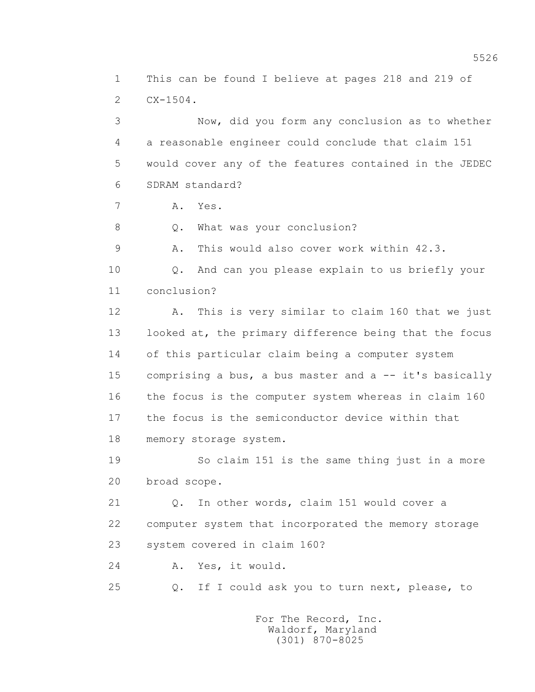1 This can be found I believe at pages 218 and 219 of 2 CX-1504.

 3 Now, did you form any conclusion as to whether 4 a reasonable engineer could conclude that claim 151 5 would cover any of the features contained in the JEDEC 6 SDRAM standard?

7 A. Yes.

8 Q. What was your conclusion?

9 A. This would also cover work within 42.3.

 10 Q. And can you please explain to us briefly your 11 conclusion?

 12 A. This is very similar to claim 160 that we just 13 looked at, the primary difference being that the focus 14 of this particular claim being a computer system 15 comprising a bus, a bus master and a -- it's basically 16 the focus is the computer system whereas in claim 160 17 the focus is the semiconductor device within that 18 memory storage system.

 19 So claim 151 is the same thing just in a more 20 broad scope.

 21 Q. In other words, claim 151 would cover a 22 computer system that incorporated the memory storage 23 system covered in claim 160?

24 A. Yes, it would.

25 Q. If I could ask you to turn next, please, to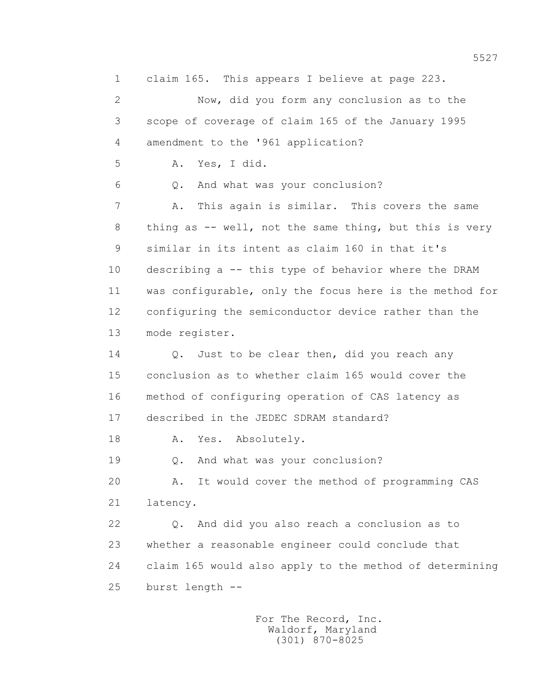1 claim 165. This appears I believe at page 223.

 2 Now, did you form any conclusion as to the 3 scope of coverage of claim 165 of the January 1995 4 amendment to the '961 application?

5 A. Yes, I did.

6 Q. And what was your conclusion?

 7 A. This again is similar. This covers the same 8 thing as -- well, not the same thing, but this is very 9 similar in its intent as claim 160 in that it's 10 describing a -- this type of behavior where the DRAM 11 was configurable, only the focus here is the method for 12 configuring the semiconductor device rather than the 13 mode register.

14 Q. Just to be clear then, did you reach any 15 conclusion as to whether claim 165 would cover the 16 method of configuring operation of CAS latency as 17 described in the JEDEC SDRAM standard?

18 A. Yes. Absolutely.

19 Q. And what was your conclusion?

 20 A. It would cover the method of programming CAS 21 latency.

 22 Q. And did you also reach a conclusion as to 23 whether a reasonable engineer could conclude that 24 claim 165 would also apply to the method of determining 25 burst length --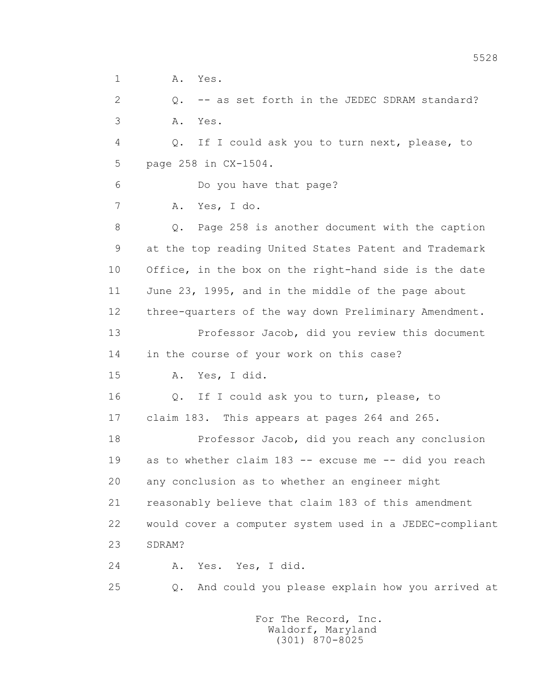1 A. Yes. 2 Q. -- as set forth in the JEDEC SDRAM standard? 3 A. Yes. 4 Q. If I could ask you to turn next, please, to 5 page 258 in CX-1504. 6 Do you have that page? 7 A. Yes, I do. 8 Q. Page 258 is another document with the caption 9 at the top reading United States Patent and Trademark 10 Office, in the box on the right-hand side is the date 11 June 23, 1995, and in the middle of the page about 12 three-quarters of the way down Preliminary Amendment. 13 Professor Jacob, did you review this document 14 in the course of your work on this case? 15 A. Yes, I did. 16 Q. If I could ask you to turn, please, to 17 claim 183. This appears at pages 264 and 265. 18 Professor Jacob, did you reach any conclusion 19 as to whether claim 183 -- excuse me -- did you reach 20 any conclusion as to whether an engineer might 21 reasonably believe that claim 183 of this amendment 22 would cover a computer system used in a JEDEC-compliant 23 SDRAM? 24 A. Yes. Yes, I did. 25 Q. And could you please explain how you arrived at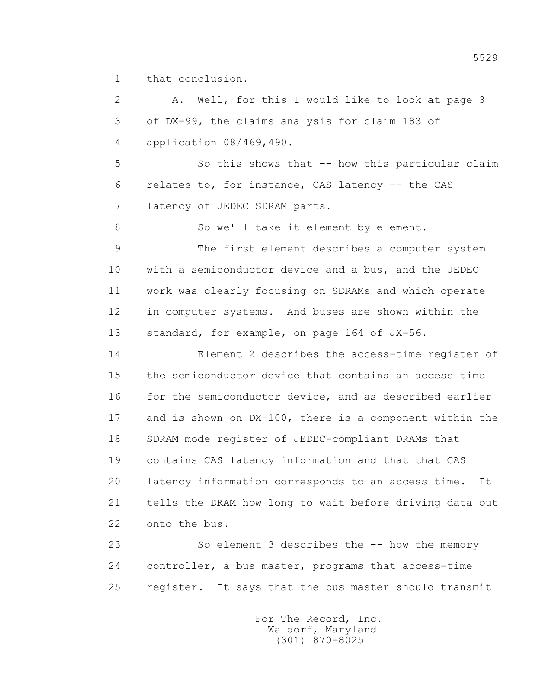1 that conclusion.

 2 A. Well, for this I would like to look at page 3 3 of DX-99, the claims analysis for claim 183 of 4 application 08/469,490. 5 So this shows that -- how this particular claim 6 relates to, for instance, CAS latency -- the CAS 7 latency of JEDEC SDRAM parts. 8 So we'll take it element by element. 9 The first element describes a computer system 10 with a semiconductor device and a bus, and the JEDEC 11 work was clearly focusing on SDRAMs and which operate 12 in computer systems. And buses are shown within the 13 standard, for example, on page 164 of JX-56. 14 Element 2 describes the access-time register of 15 the semiconductor device that contains an access time 16 for the semiconductor device, and as described earlier 17 and is shown on DX-100, there is a component within the 18 SDRAM mode register of JEDEC-compliant DRAMs that 19 contains CAS latency information and that that CAS 20 latency information corresponds to an access time. It 21 tells the DRAM how long to wait before driving data out 22 onto the bus. 23 So element 3 describes the -- how the memory 24 controller, a bus master, programs that access-time

25 register. It says that the bus master should transmit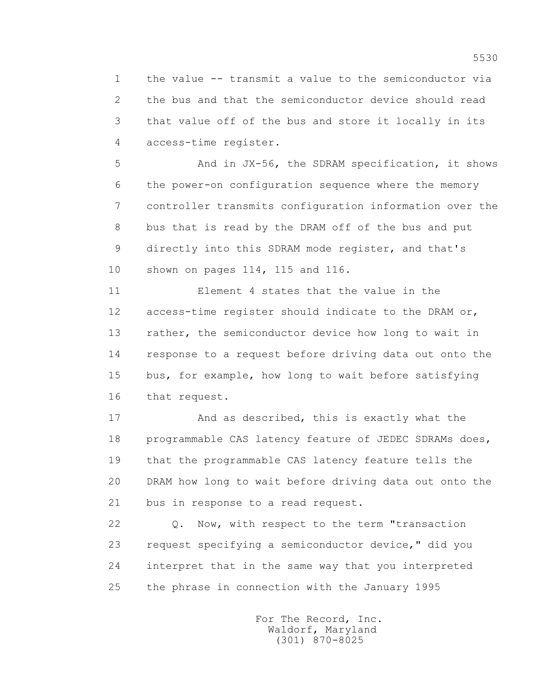1 the value -- transmit a value to the semiconductor via 2 the bus and that the semiconductor device should read 3 that value off of the bus and store it locally in its 4 access-time register.

 5 And in JX-56, the SDRAM specification, it shows 6 the power-on configuration sequence where the memory 7 controller transmits configuration information over the 8 bus that is read by the DRAM off of the bus and put 9 directly into this SDRAM mode register, and that's 10 shown on pages 114, 115 and 116.

 11 Element 4 states that the value in the 12 access-time register should indicate to the DRAM or, 13 rather, the semiconductor device how long to wait in 14 response to a request before driving data out onto the 15 bus, for example, how long to wait before satisfying 16 that request.

 17 And as described, this is exactly what the 18 programmable CAS latency feature of JEDEC SDRAMs does, 19 that the programmable CAS latency feature tells the 20 DRAM how long to wait before driving data out onto the 21 bus in response to a read request.

 22 Q. Now, with respect to the term "transaction 23 request specifying a semiconductor device," did you 24 interpret that in the same way that you interpreted 25 the phrase in connection with the January 1995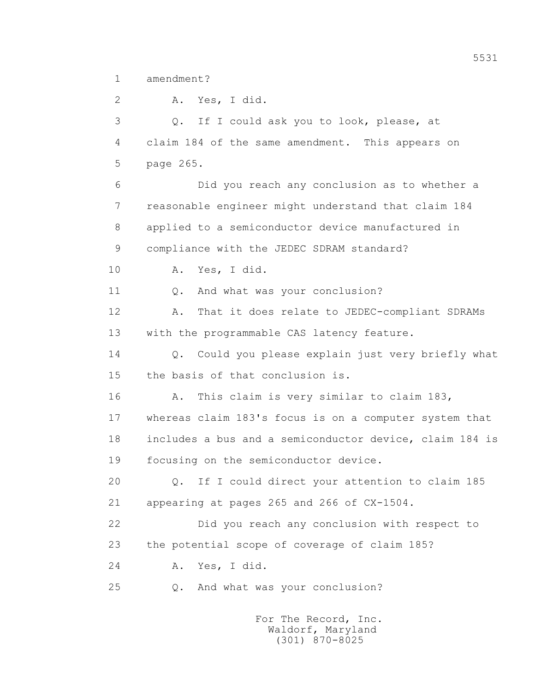1 amendment?

 2 A. Yes, I did. 3 Q. If I could ask you to look, please, at 4 claim 184 of the same amendment. This appears on 5 page 265. 6 Did you reach any conclusion as to whether a 7 reasonable engineer might understand that claim 184 8 applied to a semiconductor device manufactured in 9 compliance with the JEDEC SDRAM standard? 10 A. Yes, I did. 11 0. And what was your conclusion? 12 A. That it does relate to JEDEC-compliant SDRAMs 13 with the programmable CAS latency feature. 14 Q. Could you please explain just very briefly what 15 the basis of that conclusion is. 16 A. This claim is very similar to claim 183, 17 whereas claim 183's focus is on a computer system that 18 includes a bus and a semiconductor device, claim 184 is 19 focusing on the semiconductor device. 20 Q. If I could direct your attention to claim 185 21 appearing at pages 265 and 266 of CX-1504. 22 Did you reach any conclusion with respect to 23 the potential scope of coverage of claim 185? 24 A. Yes, I did. 25 Q. And what was your conclusion?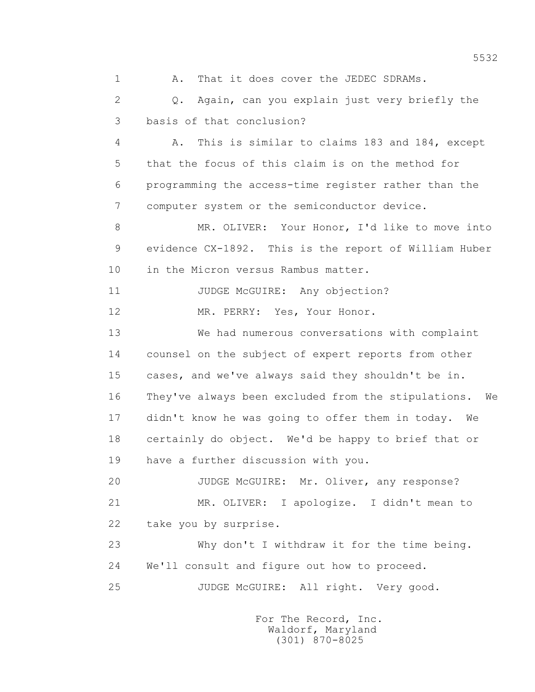1 A. That it does cover the JEDEC SDRAMs.

 2 Q. Again, can you explain just very briefly the 3 basis of that conclusion?

 4 A. This is similar to claims 183 and 184, except 5 that the focus of this claim is on the method for 6 programming the access-time register rather than the 7 computer system or the semiconductor device.

 8 MR. OLIVER: Your Honor, I'd like to move into 9 evidence CX-1892. This is the report of William Huber 10 in the Micron versus Rambus matter.

11 JUDGE McGUIRE: Any objection?

12 MR. PERRY: Yes, Your Honor.

 13 We had numerous conversations with complaint 14 counsel on the subject of expert reports from other 15 cases, and we've always said they shouldn't be in. 16 They've always been excluded from the stipulations. We 17 didn't know he was going to offer them in today. We 18 certainly do object. We'd be happy to brief that or 19 have a further discussion with you.

 20 JUDGE McGUIRE: Mr. Oliver, any response? 21 MR. OLIVER: I apologize. I didn't mean to 22 take you by surprise.

 23 Why don't I withdraw it for the time being. 24 We'll consult and figure out how to proceed.

25 JUDGE McGUIRE: All right. Very good.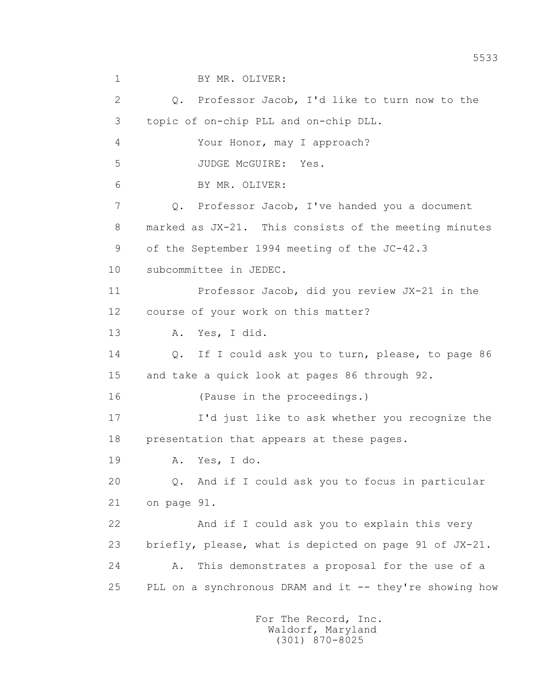2 Q. Professor Jacob, I'd like to turn now to the 3 topic of on-chip PLL and on-chip DLL. 4 Your Honor, may I approach? 5 JUDGE McGUIRE: Yes. 6 BY MR. OLIVER: 7 Q. Professor Jacob, I've handed you a document 8 marked as JX-21. This consists of the meeting minutes 9 of the September 1994 meeting of the JC-42.3 10 subcommittee in JEDEC. 11 Professor Jacob, did you review JX-21 in the 12 course of your work on this matter? 13 A. Yes, I did. 14 Q. If I could ask you to turn, please, to page 86 15 and take a quick look at pages 86 through 92. 16 (Pause in the proceedings.) 17 I'd just like to ask whether you recognize the 18 presentation that appears at these pages. 19 A. Yes, I do. 20 Q. And if I could ask you to focus in particular 21 on page 91. 22 And if I could ask you to explain this very 23 briefly, please, what is depicted on page 91 of JX-21. 24 A. This demonstrates a proposal for the use of a 25 PLL on a synchronous DRAM and it -- they're showing how

1 BY MR. OLIVER: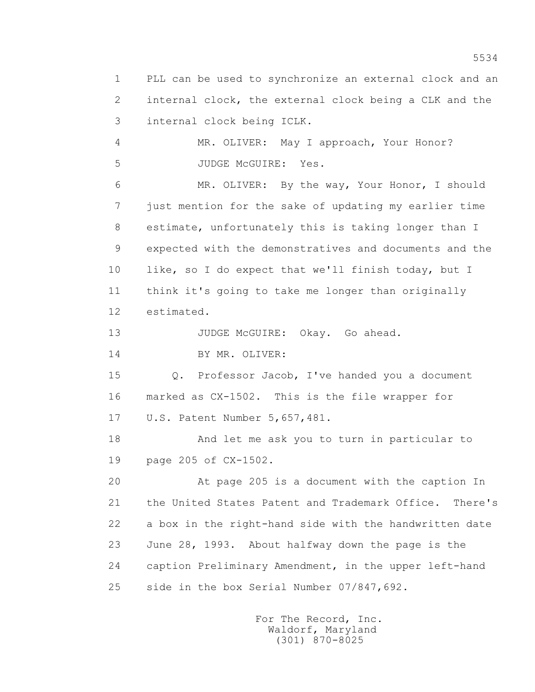1 PLL can be used to synchronize an external clock and an 2 internal clock, the external clock being a CLK and the 3 internal clock being ICLK. 4 MR. OLIVER: May I approach, Your Honor? 5 JUDGE McGUIRE: Yes. 6 MR. OLIVER: By the way, Your Honor, I should 7 just mention for the sake of updating my earlier time 8 estimate, unfortunately this is taking longer than I 9 expected with the demonstratives and documents and the 10 like, so I do expect that we'll finish today, but I 11 think it's going to take me longer than originally 12 estimated. 13 JUDGE McGUIRE: Okay. Go ahead. 14 BY MR. OLIVER: 15 Q. Professor Jacob, I've handed you a document 16 marked as CX-1502. This is the file wrapper for 17 U.S. Patent Number 5,657,481. 18 And let me ask you to turn in particular to 19 page 205 of CX-1502. 20 At page 205 is a document with the caption In 21 the United States Patent and Trademark Office. There's 22 a box in the right-hand side with the handwritten date 23 June 28, 1993. About halfway down the page is the 24 caption Preliminary Amendment, in the upper left-hand 25 side in the box Serial Number 07/847,692.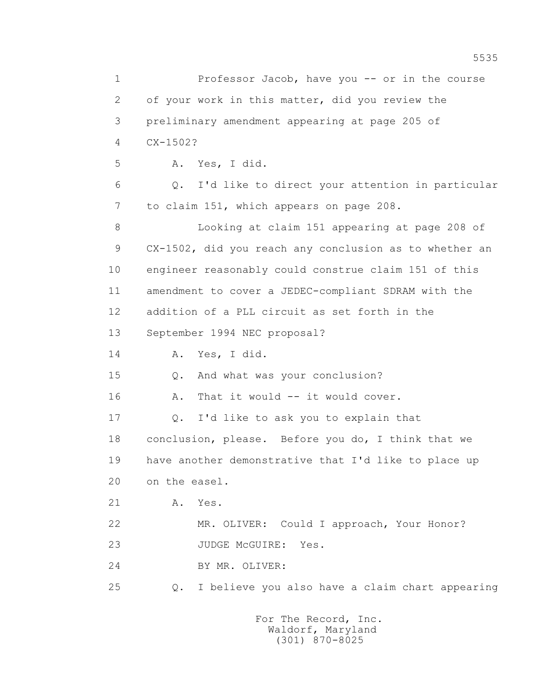1 Professor Jacob, have you -- or in the course 2 of your work in this matter, did you review the 3 preliminary amendment appearing at page 205 of 4 CX-1502? 5 A. Yes, I did. 6 Q. I'd like to direct your attention in particular 7 to claim 151, which appears on page 208. 8 Looking at claim 151 appearing at page 208 of 9 CX-1502, did you reach any conclusion as to whether an 10 engineer reasonably could construe claim 151 of this 11 amendment to cover a JEDEC-compliant SDRAM with the 12 addition of a PLL circuit as set forth in the 13 September 1994 NEC proposal? 14 A. Yes, I did. 15 Q. And what was your conclusion? 16 A. That it would -- it would cover. 17 0. I'd like to ask you to explain that 18 conclusion, please. Before you do, I think that we 19 have another demonstrative that I'd like to place up 20 on the easel. 21 A. Yes. 22 MR. OLIVER: Could I approach, Your Honor? 23 JUDGE McGUIRE: Yes. 24 BY MR. OLIVER: 25 Q. I believe you also have a claim chart appearing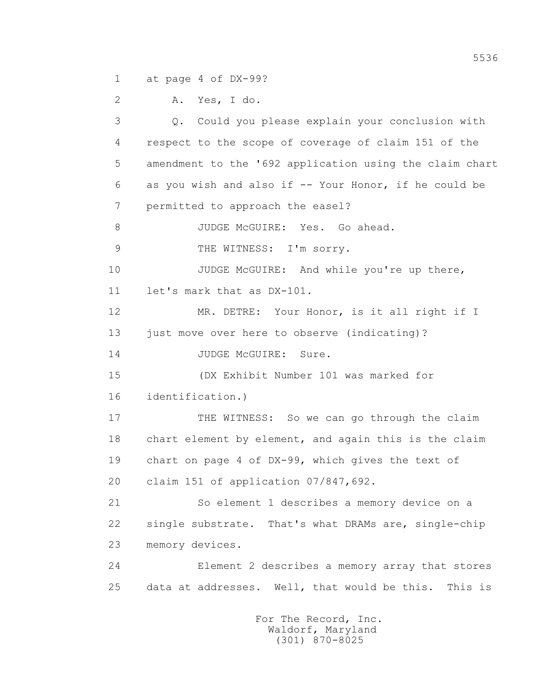1 at page 4 of DX-99?

2 A. Yes, I do.

 3 Q. Could you please explain your conclusion with 4 respect to the scope of coverage of claim 151 of the 5 amendment to the '692 application using the claim chart 6 as you wish and also if -- Your Honor, if he could be 7 permitted to approach the easel? 8 JUDGE McGUIRE: Yes. Go ahead. 9 THE WITNESS: I'm sorry. 10 JUDGE McGUIRE: And while you're up there, 11 let's mark that as DX-101. 12 MR. DETRE: Your Honor, is it all right if I 13 just move over here to observe (indicating)? 14 JUDGE McGUIRE: Sure. 15 (DX Exhibit Number 101 was marked for 16 identification.) 17 THE WITNESS: So we can go through the claim 18 chart element by element, and again this is the claim 19 chart on page 4 of DX-99, which gives the text of 20 claim 151 of application 07/847,692. 21 So element 1 describes a memory device on a 22 single substrate. That's what DRAMs are, single-chip 23 memory devices. 24 Element 2 describes a memory array that stores 25 data at addresses. Well, that would be this. This is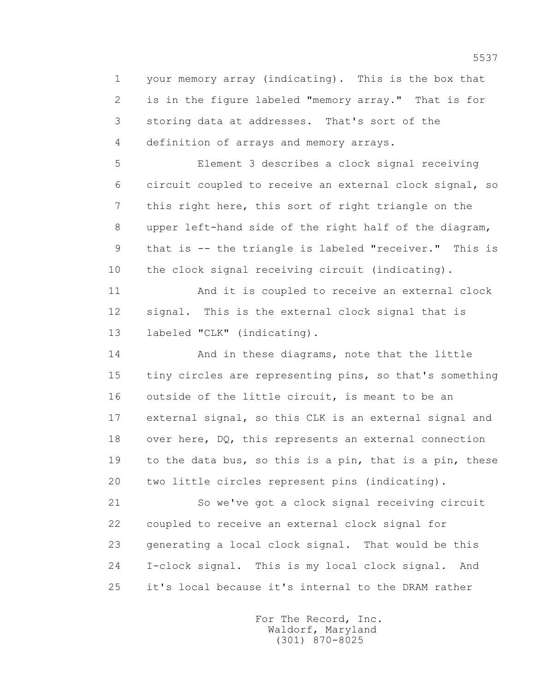1 your memory array (indicating). This is the box that 2 is in the figure labeled "memory array." That is for 3 storing data at addresses. That's sort of the 4 definition of arrays and memory arrays.

 5 Element 3 describes a clock signal receiving 6 circuit coupled to receive an external clock signal, so 7 this right here, this sort of right triangle on the 8 upper left-hand side of the right half of the diagram, 9 that is -- the triangle is labeled "receiver." This is 10 the clock signal receiving circuit (indicating).

 11 And it is coupled to receive an external clock 12 signal. This is the external clock signal that is 13 labeled "CLK" (indicating).

 14 And in these diagrams, note that the little 15 tiny circles are representing pins, so that's something 16 outside of the little circuit, is meant to be an 17 external signal, so this CLK is an external signal and 18 over here, DQ, this represents an external connection 19 to the data bus, so this is a pin, that is a pin, these 20 two little circles represent pins (indicating).

 21 So we've got a clock signal receiving circuit 22 coupled to receive an external clock signal for 23 generating a local clock signal. That would be this 24 I-clock signal. This is my local clock signal. And 25 it's local because it's internal to the DRAM rather

> For The Record, Inc. Waldorf, Maryland (301) 870-8025

5537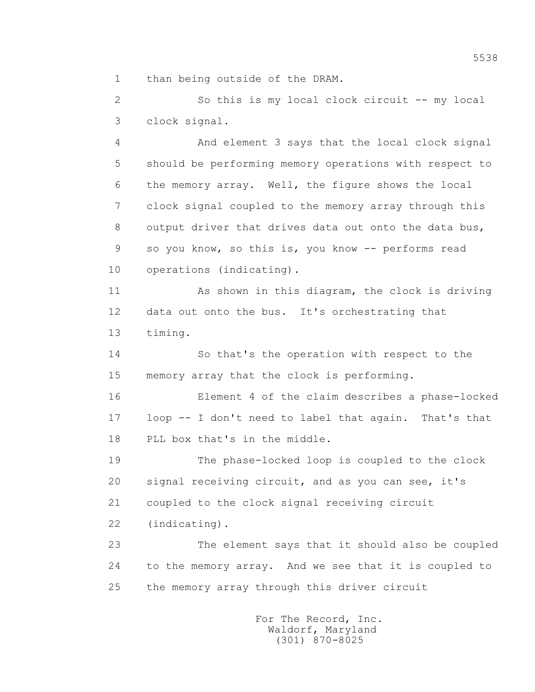1 than being outside of the DRAM.

 2 So this is my local clock circuit -- my local 3 clock signal.

 4 And element 3 says that the local clock signal 5 should be performing memory operations with respect to 6 the memory array. Well, the figure shows the local 7 clock signal coupled to the memory array through this 8 output driver that drives data out onto the data bus, 9 so you know, so this is, you know -- performs read 10 operations (indicating).

 11 As shown in this diagram, the clock is driving 12 data out onto the bus. It's orchestrating that 13 timing.

 14 So that's the operation with respect to the 15 memory array that the clock is performing.

 16 Element 4 of the claim describes a phase-locked 17 loop -- I don't need to label that again. That's that 18 PLL box that's in the middle.

 19 The phase-locked loop is coupled to the clock 20 signal receiving circuit, and as you can see, it's 21 coupled to the clock signal receiving circuit

22 (indicating).

 23 The element says that it should also be coupled 24 to the memory array. And we see that it is coupled to 25 the memory array through this driver circuit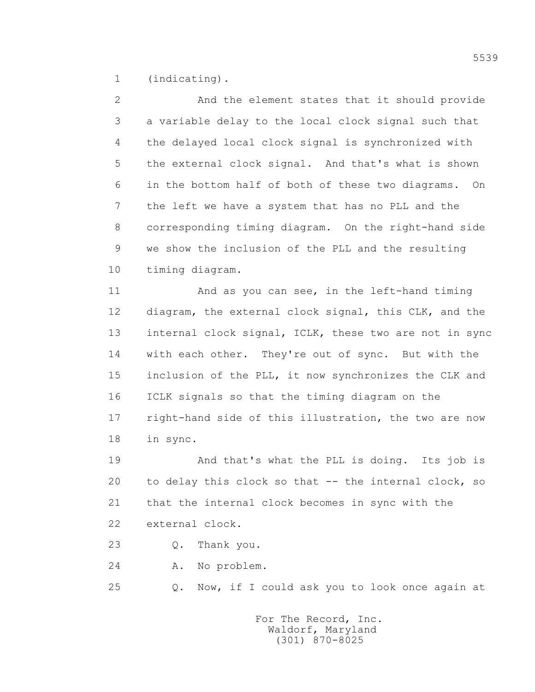1 (indicating).

 2 And the element states that it should provide 3 a variable delay to the local clock signal such that 4 the delayed local clock signal is synchronized with 5 the external clock signal. And that's what is shown 6 in the bottom half of both of these two diagrams. On 7 the left we have a system that has no PLL and the 8 corresponding timing diagram. On the right-hand side 9 we show the inclusion of the PLL and the resulting 10 timing diagram.

 11 And as you can see, in the left-hand timing 12 diagram, the external clock signal, this CLK, and the 13 internal clock signal, ICLK, these two are not in sync 14 with each other. They're out of sync. But with the 15 inclusion of the PLL, it now synchronizes the CLK and 16 ICLK signals so that the timing diagram on the 17 right-hand side of this illustration, the two are now 18 in sync.

 19 And that's what the PLL is doing. Its job is 20 to delay this clock so that -- the internal clock, so 21 that the internal clock becomes in sync with the 22 external clock.

23 Q. Thank you.

24 A. No problem.

25 Q. Now, if I could ask you to look once again at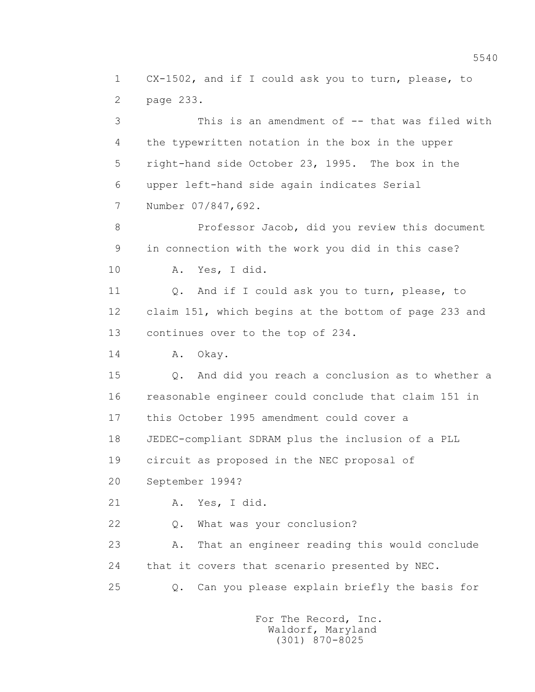1 CX-1502, and if I could ask you to turn, please, to 2 page 233.

 3 This is an amendment of -- that was filed with 4 the typewritten notation in the box in the upper 5 right-hand side October 23, 1995. The box in the 6 upper left-hand side again indicates Serial 7 Number 07/847,692.

 8 Professor Jacob, did you review this document 9 in connection with the work you did in this case? 10 A. Yes, I did.

11 0. And if I could ask you to turn, please, to 12 claim 151, which begins at the bottom of page 233 and 13 continues over to the top of 234.

14 A. Okay.

 15 Q. And did you reach a conclusion as to whether a 16 reasonable engineer could conclude that claim 151 in 17 this October 1995 amendment could cover a 18 JEDEC-compliant SDRAM plus the inclusion of a PLL

19 circuit as proposed in the NEC proposal of

20 September 1994?

21 A. Yes, I did.

22 Q. What was your conclusion?

 23 A. That an engineer reading this would conclude 24 that it covers that scenario presented by NEC.

25 Q. Can you please explain briefly the basis for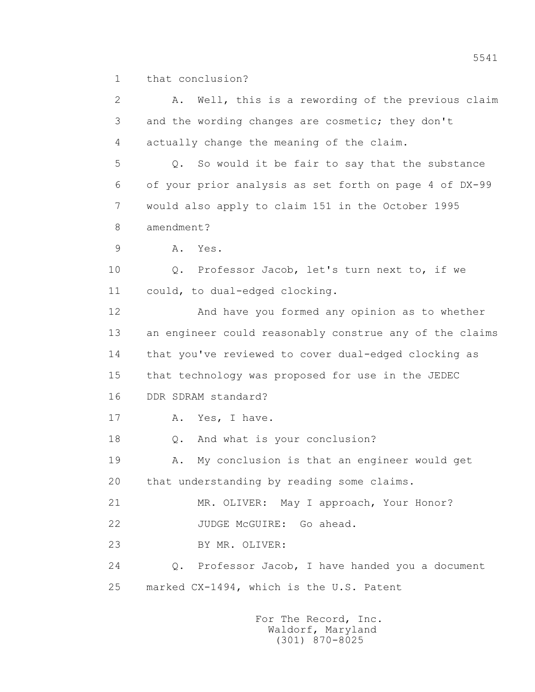1 that conclusion?

| $\mathbf{2}$  | Well, this is a rewording of the previous claim<br>Α.   |
|---------------|---------------------------------------------------------|
| 3             | and the wording changes are cosmetic; they don't        |
| 4             | actually change the meaning of the claim.               |
| 5             | Q. So would it be fair to say that the substance        |
| 6             | of your prior analysis as set forth on page 4 of DX-99  |
| 7             | would also apply to claim 151 in the October 1995       |
| $8\,$         | amendment?                                              |
| $\mathcal{G}$ | Yes.<br>Α.                                              |
| 10            | Professor Jacob, let's turn next to, if we<br>Q.        |
| 11            | could, to dual-edged clocking.                          |
| 12            | And have you formed any opinion as to whether           |
| 13            | an engineer could reasonably construe any of the claims |
| 14            | that you've reviewed to cover dual-edged clocking as    |
| 15            | that technology was proposed for use in the JEDEC       |
| 16            | DDR SDRAM standard?                                     |
| 17            | Yes, I have.<br>Α.                                      |
| 18            | And what is your conclusion?<br>Q.                      |
| 19            | My conclusion is that an engineer would get<br>Α.       |
| 20            | that understanding by reading some claims.              |
| 21            | MR. OLIVER: May I approach, Your Honor?                 |
| 22            | JUDGE McGUIRE: Go ahead.                                |
| 23            | BY MR. OLIVER:                                          |
| 24            | Q. Professor Jacob, I have handed you a document        |
| 25            | marked CX-1494, which is the U.S. Patent                |
|               |                                                         |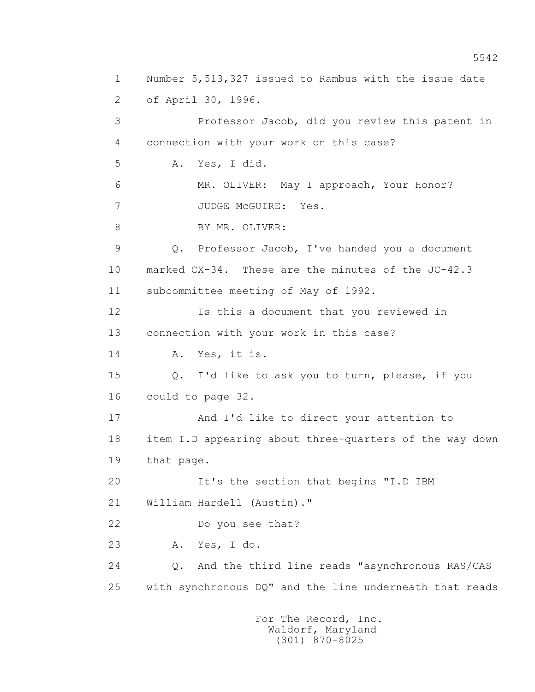1 Number 5,513,327 issued to Rambus with the issue date 2 of April 30, 1996. 3 Professor Jacob, did you review this patent in 4 connection with your work on this case? 5 A. Yes, I did. 6 MR. OLIVER: May I approach, Your Honor? 7 JUDGE McGUIRE: Yes. 8 BY MR. OLIVER: 9 Q. Professor Jacob, I've handed you a document 10 marked CX-34. These are the minutes of the JC-42.3 11 subcommittee meeting of May of 1992. 12 Is this a document that you reviewed in 13 connection with your work in this case? 14 A. Yes, it is. 15 Q. I'd like to ask you to turn, please, if you 16 could to page 32. 17 And I'd like to direct your attention to 18 item I.D appearing about three-quarters of the way down 19 that page. 20 It's the section that begins "I.D IBM 21 William Hardell (Austin)." 22 Do you see that? 23 A. Yes, I do. 24 Q. And the third line reads "asynchronous RAS/CAS 25 with synchronous DQ" and the line underneath that reads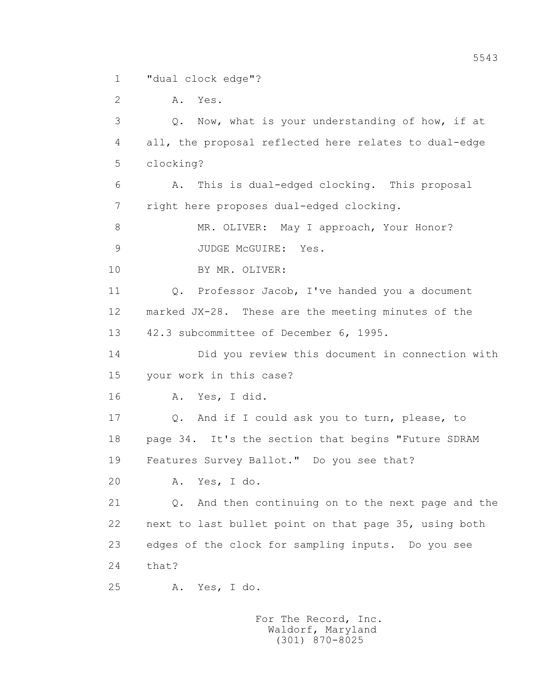1 "dual clock edge"?

 2 A. Yes. 3 Q. Now, what is your understanding of how, if at 4 all, the proposal reflected here relates to dual-edge 5 clocking? 6 A. This is dual-edged clocking. This proposal 7 right here proposes dual-edged clocking. 8 MR. OLIVER: May I approach, Your Honor? 9 JUDGE McGUIRE: Yes. 10 BY MR. OLIVER: 11 Q. Professor Jacob, I've handed you a document 12 marked JX-28. These are the meeting minutes of the 13 42.3 subcommittee of December 6, 1995. 14 Did you review this document in connection with 15 your work in this case? 16 A. Yes, I did. 17 Q. And if I could ask you to turn, please, to 18 page 34. It's the section that begins "Future SDRAM 19 Features Survey Ballot." Do you see that? 20 A. Yes, I do. 21 Q. And then continuing on to the next page and the 22 next to last bullet point on that page 35, using both 23 edges of the clock for sampling inputs. Do you see 24 that? 25 A. Yes, I do.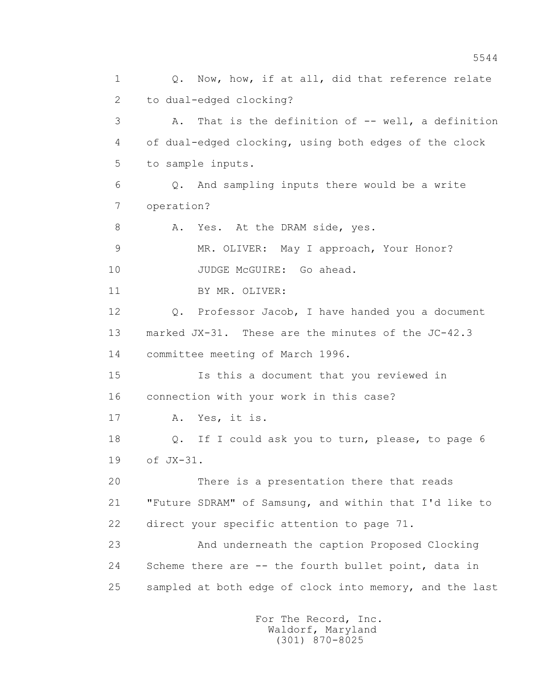1 0. Now, how, if at all, did that reference relate 2 to dual-edged clocking? 3 A. That is the definition of -- well, a definition 4 of dual-edged clocking, using both edges of the clock 5 to sample inputs. 6 Q. And sampling inputs there would be a write 7 operation? 8 A. Yes. At the DRAM side, yes. 9 MR. OLIVER: May I approach, Your Honor? 10 JUDGE McGUIRE: Go ahead. 11 BY MR. OLIVER: 12 Q. Professor Jacob, I have handed you a document 13 marked JX-31. These are the minutes of the JC-42.3 14 committee meeting of March 1996. 15 Is this a document that you reviewed in 16 connection with your work in this case? 17 A. Yes, it is. 18 Q. If I could ask you to turn, please, to page 6 19 of JX-31. 20 There is a presentation there that reads 21 "Future SDRAM" of Samsung, and within that I'd like to 22 direct your specific attention to page 71. 23 And underneath the caption Proposed Clocking 24 Scheme there are -- the fourth bullet point, data in 25 sampled at both edge of clock into memory, and the last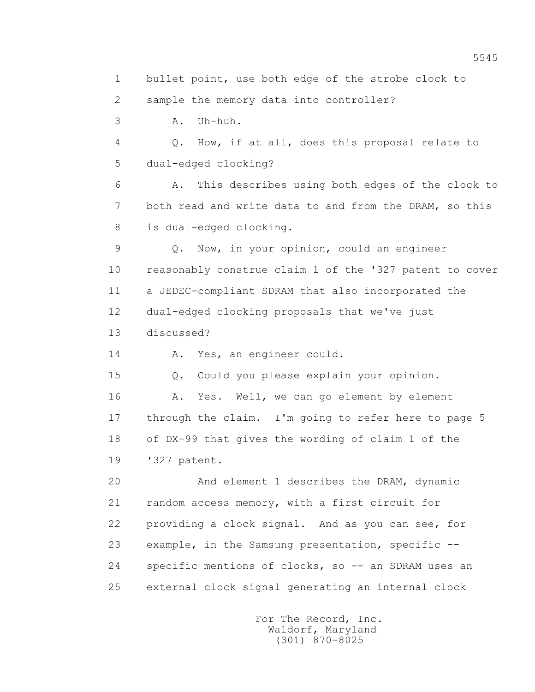1 bullet point, use both edge of the strobe clock to 2 sample the memory data into controller? 3 A. Uh-huh. 4 Q. How, if at all, does this proposal relate to 5 dual-edged clocking? 6 A. This describes using both edges of the clock to 7 both read and write data to and from the DRAM, so this 8 is dual-edged clocking. 9 Q. Now, in your opinion, could an engineer 10 reasonably construe claim 1 of the '327 patent to cover 11 a JEDEC-compliant SDRAM that also incorporated the 12 dual-edged clocking proposals that we've just

13 discussed?

14 A. Yes, an engineer could.

15 Q. Could you please explain your opinion.

16 A. Yes. Well, we can go element by element 17 through the claim. I'm going to refer here to page 5 18 of DX-99 that gives the wording of claim 1 of the 19 '327 patent.

 20 And element 1 describes the DRAM, dynamic 21 random access memory, with a first circuit for 22 providing a clock signal. And as you can see, for 23 example, in the Samsung presentation, specific -- 24 specific mentions of clocks, so -- an SDRAM uses an 25 external clock signal generating an internal clock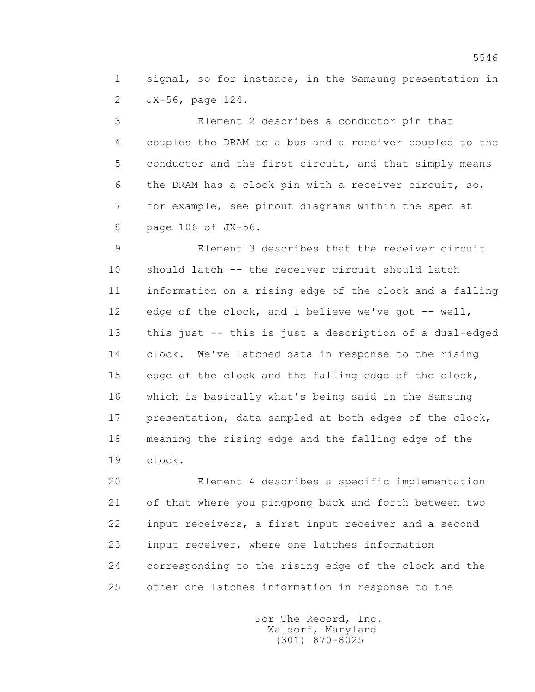1 signal, so for instance, in the Samsung presentation in 2 JX-56, page 124.

 3 Element 2 describes a conductor pin that 4 couples the DRAM to a bus and a receiver coupled to the 5 conductor and the first circuit, and that simply means 6 the DRAM has a clock pin with a receiver circuit, so, 7 for example, see pinout diagrams within the spec at 8 page 106 of JX-56.

 9 Element 3 describes that the receiver circuit 10 should latch -- the receiver circuit should latch 11 information on a rising edge of the clock and a falling 12 edge of the clock, and I believe we've got -- well, 13 this just -- this is just a description of a dual-edged 14 clock. We've latched data in response to the rising 15 edge of the clock and the falling edge of the clock, 16 which is basically what's being said in the Samsung 17 presentation, data sampled at both edges of the clock, 18 meaning the rising edge and the falling edge of the 19 clock.

 20 Element 4 describes a specific implementation 21 of that where you pingpong back and forth between two 22 input receivers, a first input receiver and a second 23 input receiver, where one latches information 24 corresponding to the rising edge of the clock and the 25 other one latches information in response to the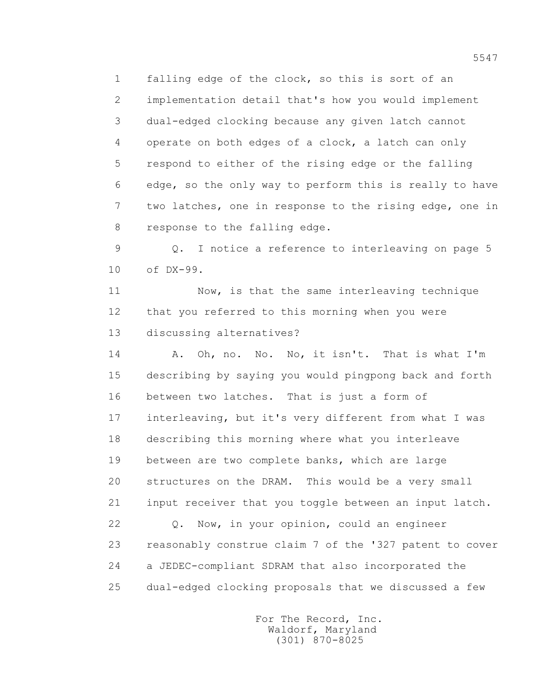1 falling edge of the clock, so this is sort of an 2 implementation detail that's how you would implement 3 dual-edged clocking because any given latch cannot 4 operate on both edges of a clock, a latch can only 5 respond to either of the rising edge or the falling 6 edge, so the only way to perform this is really to have 7 two latches, one in response to the rising edge, one in 8 response to the falling edge.

 9 Q. I notice a reference to interleaving on page 5 10 of DX-99.

 11 Now, is that the same interleaving technique 12 that you referred to this morning when you were 13 discussing alternatives?

 14 A. Oh, no. No. No, it isn't. That is what I'm 15 describing by saying you would pingpong back and forth 16 between two latches. That is just a form of 17 interleaving, but it's very different from what I was 18 describing this morning where what you interleave 19 between are two complete banks, which are large 20 structures on the DRAM. This would be a very small 21 input receiver that you toggle between an input latch.

 22 Q. Now, in your opinion, could an engineer 23 reasonably construe claim 7 of the '327 patent to cover 24 a JEDEC-compliant SDRAM that also incorporated the 25 dual-edged clocking proposals that we discussed a few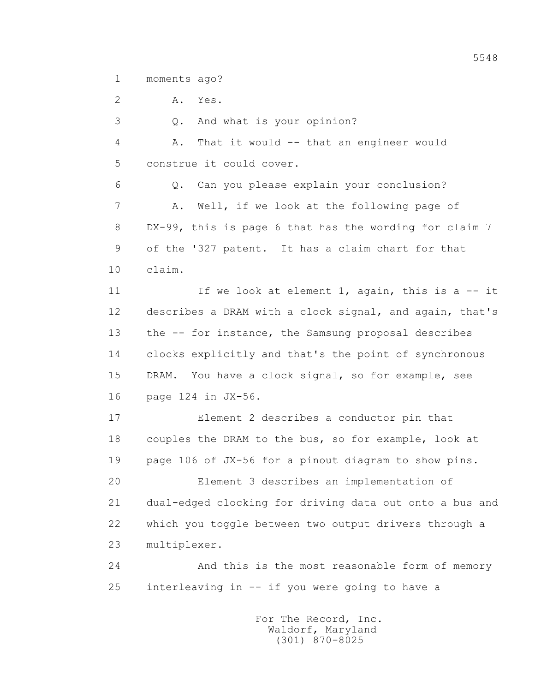1 moments ago?

2 A. Yes.

3 Q. And what is your opinion?

 4 A. That it would -- that an engineer would 5 construe it could cover.

 6 Q. Can you please explain your conclusion? 7 A. Well, if we look at the following page of 8 DX-99, this is page 6 that has the wording for claim 7 9 of the '327 patent. It has a claim chart for that 10 claim.

11 If we look at element 1, again, this is a -- it 12 describes a DRAM with a clock signal, and again, that's 13 the -- for instance, the Samsung proposal describes 14 clocks explicitly and that's the point of synchronous 15 DRAM. You have a clock signal, so for example, see 16 page 124 in JX-56.

 17 Element 2 describes a conductor pin that 18 couples the DRAM to the bus, so for example, look at 19 page 106 of JX-56 for a pinout diagram to show pins.

 20 Element 3 describes an implementation of 21 dual-edged clocking for driving data out onto a bus and 22 which you toggle between two output drivers through a 23 multiplexer.

 24 And this is the most reasonable form of memory 25 interleaving in -- if you were going to have a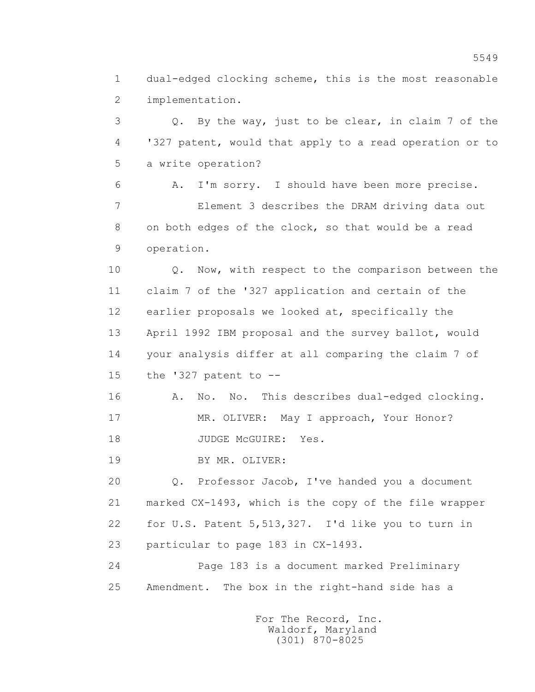1 dual-edged clocking scheme, this is the most reasonable 2 implementation.

 3 Q. By the way, just to be clear, in claim 7 of the 4 '327 patent, would that apply to a read operation or to 5 a write operation?

 6 A. I'm sorry. I should have been more precise. 7 Element 3 describes the DRAM driving data out 8 on both edges of the clock, so that would be a read 9 operation.

 10 Q. Now, with respect to the comparison between the 11 claim 7 of the '327 application and certain of the 12 earlier proposals we looked at, specifically the 13 April 1992 IBM proposal and the survey ballot, would 14 your analysis differ at all comparing the claim 7 of 15 the '327 patent to --

16 A. No. No. This describes dual-edged clocking. 17 MR. OLIVER: May I approach, Your Honor? 18 JUDGE McGUIRE: Yes.

19 BY MR. OLIVER:

 20 Q. Professor Jacob, I've handed you a document 21 marked CX-1493, which is the copy of the file wrapper 22 for U.S. Patent 5,513,327. I'd like you to turn in 23 particular to page 183 in CX-1493.

 24 Page 183 is a document marked Preliminary 25 Amendment. The box in the right-hand side has a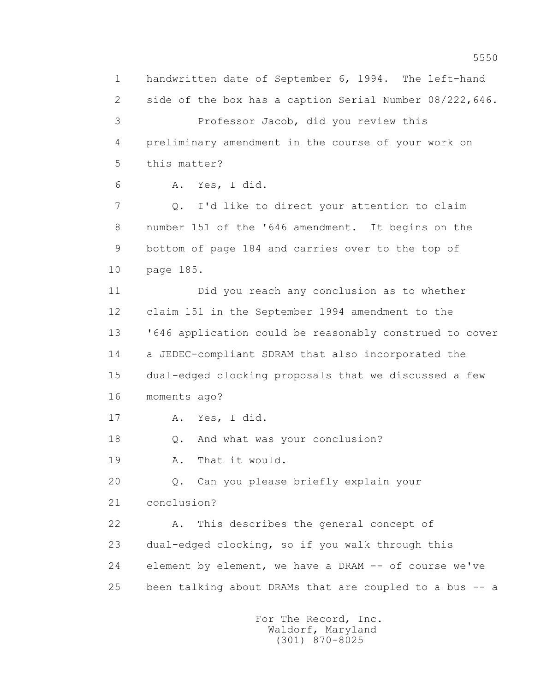1 handwritten date of September 6, 1994. The left-hand 2 side of the box has a caption Serial Number 08/222,646. 3 Professor Jacob, did you review this 4 preliminary amendment in the course of your work on 5 this matter? 6 A. Yes, I did. 7 Q. I'd like to direct your attention to claim 8 number 151 of the '646 amendment. It begins on the 9 bottom of page 184 and carries over to the top of 10 page 185. 11 Did you reach any conclusion as to whether 12 claim 151 in the September 1994 amendment to the 13 '646 application could be reasonably construed to cover 14 a JEDEC-compliant SDRAM that also incorporated the 15 dual-edged clocking proposals that we discussed a few 16 moments ago? 17 A. Yes, I did. 18 Q. And what was your conclusion? 19 A. That it would. 20 Q. Can you please briefly explain your 21 conclusion? 22 A. This describes the general concept of 23 dual-edged clocking, so if you walk through this 24 element by element, we have a DRAM -- of course we've 25 been talking about DRAMs that are coupled to a bus -- a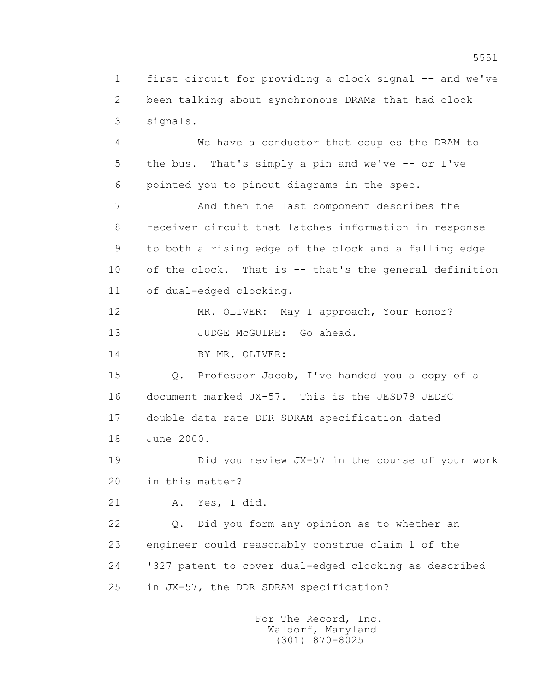1 first circuit for providing a clock signal -- and we've 2 been talking about synchronous DRAMs that had clock 3 signals.

 4 We have a conductor that couples the DRAM to 5 the bus. That's simply a pin and we've -- or I've 6 pointed you to pinout diagrams in the spec.

 7 And then the last component describes the 8 receiver circuit that latches information in response 9 to both a rising edge of the clock and a falling edge 10 of the clock. That is -- that's the general definition 11 of dual-edged clocking.

12 MR. OLIVER: May I approach, Your Honor? 13 JUDGE McGUIRE: Go ahead.

14 BY MR. OLIVER:

 15 Q. Professor Jacob, I've handed you a copy of a 16 document marked JX-57. This is the JESD79 JEDEC 17 double data rate DDR SDRAM specification dated 18 June 2000.

 19 Did you review JX-57 in the course of your work 20 in this matter?

21 A. Yes, I did.

 22 Q. Did you form any opinion as to whether an 23 engineer could reasonably construe claim 1 of the 24 '327 patent to cover dual-edged clocking as described 25 in JX-57, the DDR SDRAM specification?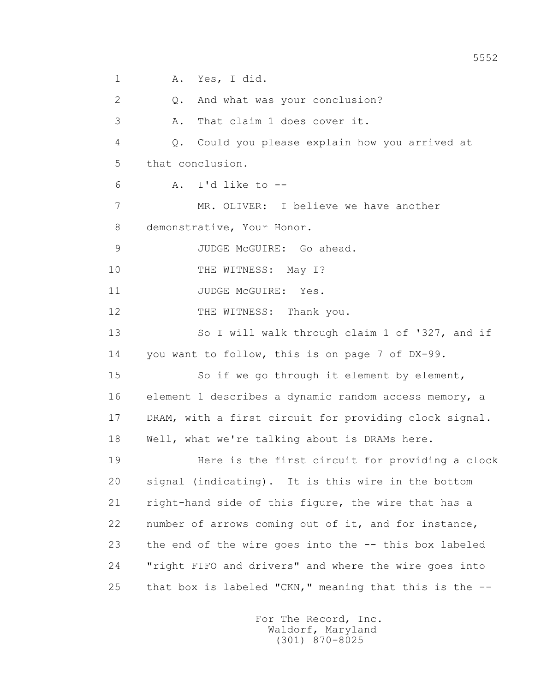1 A. Yes, I did. 2 Q. And what was your conclusion? 3 A. That claim 1 does cover it. 4 Q. Could you please explain how you arrived at 5 that conclusion.  $6 \qquad \qquad \text{A.} \quad \text{I'd like to --}$  7 MR. OLIVER: I believe we have another 8 demonstrative, Your Honor. 9 JUDGE McGUIRE: Go ahead. 10 THE WITNESS: May I? 11 JUDGE McGUIRE: Yes. 12 THE WITNESS: Thank you. 13 So I will walk through claim 1 of '327, and if 14 you want to follow, this is on page 7 of DX-99. 15 So if we go through it element by element, 16 element 1 describes a dynamic random access memory, a 17 DRAM, with a first circuit for providing clock signal. 18 Well, what we're talking about is DRAMs here. 19 Here is the first circuit for providing a clock 20 signal (indicating). It is this wire in the bottom 21 right-hand side of this figure, the wire that has a 22 number of arrows coming out of it, and for instance, 23 the end of the wire goes into the -- this box labeled 24 "right FIFO and drivers" and where the wire goes into 25 that box is labeled "CKN," meaning that this is the --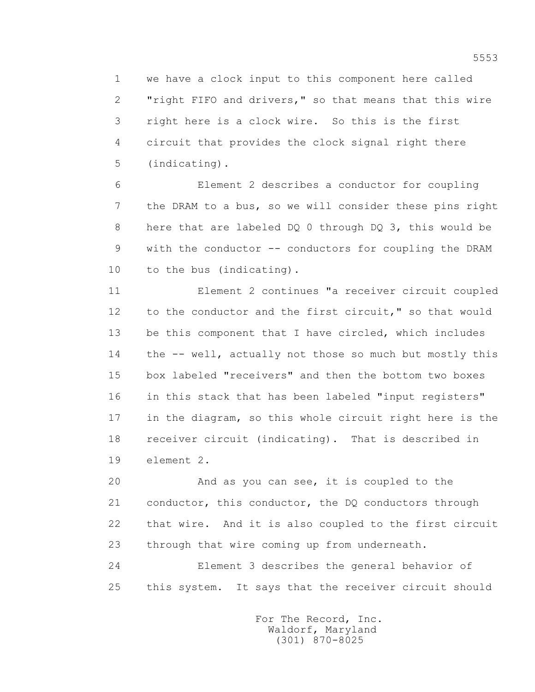1 we have a clock input to this component here called 2 "right FIFO and drivers," so that means that this wire 3 right here is a clock wire. So this is the first 4 circuit that provides the clock signal right there 5 (indicating).

 6 Element 2 describes a conductor for coupling 7 the DRAM to a bus, so we will consider these pins right 8 here that are labeled DQ 0 through DQ 3, this would be 9 with the conductor -- conductors for coupling the DRAM 10 to the bus (indicating).

 11 Element 2 continues "a receiver circuit coupled 12 to the conductor and the first circuit," so that would 13 be this component that I have circled, which includes 14 the -- well, actually not those so much but mostly this 15 box labeled "receivers" and then the bottom two boxes 16 in this stack that has been labeled "input registers" 17 in the diagram, so this whole circuit right here is the 18 receiver circuit (indicating). That is described in 19 element 2.

 20 And as you can see, it is coupled to the 21 conductor, this conductor, the DQ conductors through 22 that wire. And it is also coupled to the first circuit 23 through that wire coming up from underneath.

 24 Element 3 describes the general behavior of 25 this system. It says that the receiver circuit should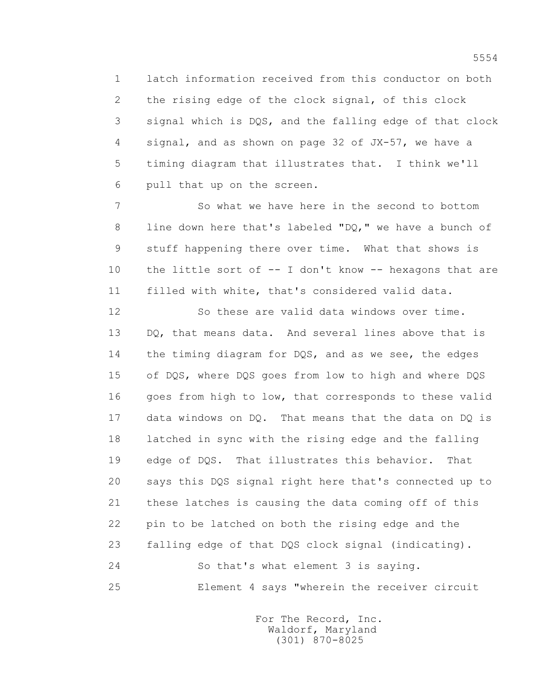1 latch information received from this conductor on both 2 the rising edge of the clock signal, of this clock 3 signal which is DQS, and the falling edge of that clock 4 signal, and as shown on page 32 of JX-57, we have a 5 timing diagram that illustrates that. I think we'll 6 pull that up on the screen.

 7 So what we have here in the second to bottom 8 line down here that's labeled "DQ," we have a bunch of 9 stuff happening there over time. What that shows is 10 the little sort of -- I don't know -- hexagons that are 11 filled with white, that's considered valid data.

 12 So these are valid data windows over time. 13 DQ, that means data. And several lines above that is 14 the timing diagram for DQS, and as we see, the edges 15 of DQS, where DQS goes from low to high and where DQS 16 goes from high to low, that corresponds to these valid 17 data windows on DQ. That means that the data on DQ is 18 latched in sync with the rising edge and the falling 19 edge of DQS. That illustrates this behavior. That 20 says this DQS signal right here that's connected up to 21 these latches is causing the data coming off of this 22 pin to be latched on both the rising edge and the 23 falling edge of that DQS clock signal (indicating). 24 So that's what element 3 is saying. 25 Element 4 says "wherein the receiver circuit

> For The Record, Inc. Waldorf, Maryland (301) 870-8025

5554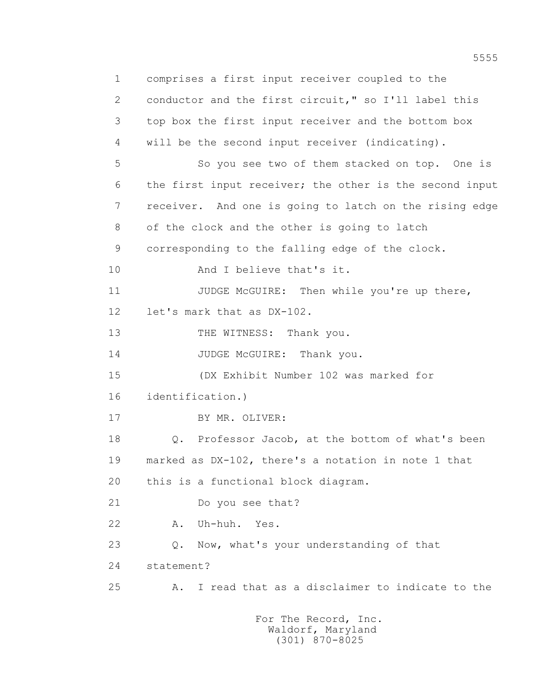1 comprises a first input receiver coupled to the 2 conductor and the first circuit," so I'll label this 3 top box the first input receiver and the bottom box 4 will be the second input receiver (indicating). 5 So you see two of them stacked on top. One is 6 the first input receiver; the other is the second input 7 receiver. And one is going to latch on the rising edge 8 of the clock and the other is going to latch 9 corresponding to the falling edge of the clock. 10 And I believe that's it. 11 JUDGE McGUIRE: Then while you're up there, 12 let's mark that as DX-102. 13 THE WITNESS: Thank you. 14 JUDGE McGUIRE: Thank you. 15 (DX Exhibit Number 102 was marked for 16 identification.) 17 BY MR. OLIVER: 18 Q. Professor Jacob, at the bottom of what's been 19 marked as DX-102, there's a notation in note 1 that 20 this is a functional block diagram. 21 Do you see that? 22 A. Uh-huh. Yes. 23 Q. Now, what's your understanding of that 24 statement? 25 A. I read that as a disclaimer to indicate to the For The Record, Inc.

 Waldorf, Maryland (301) 870-8025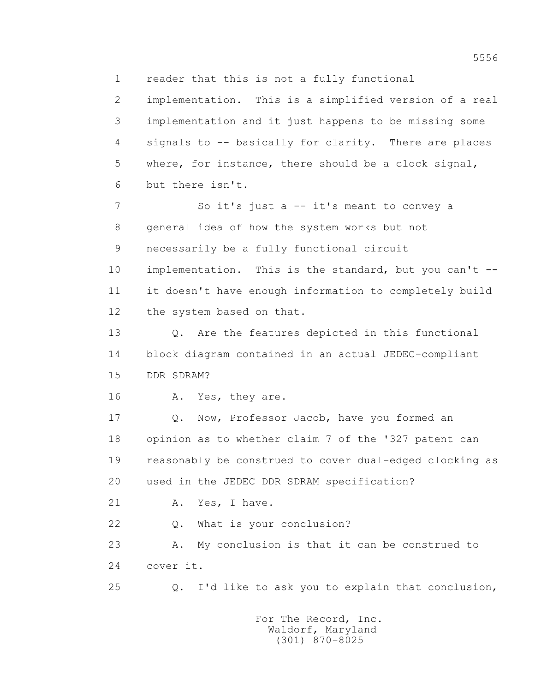1 reader that this is not a fully functional

 2 implementation. This is a simplified version of a real 3 implementation and it just happens to be missing some 4 signals to -- basically for clarity. There are places 5 where, for instance, there should be a clock signal, 6 but there isn't. 7 So it's just a -- it's meant to convey a 8 general idea of how the system works but not 9 necessarily be a fully functional circuit 10 implementation. This is the standard, but you can't --

 11 it doesn't have enough information to completely build 12 the system based on that.

 13 Q. Are the features depicted in this functional 14 block diagram contained in an actual JEDEC-compliant 15 DDR SDRAM?

16 A. Yes, they are.

 17 Q. Now, Professor Jacob, have you formed an 18 opinion as to whether claim 7 of the '327 patent can 19 reasonably be construed to cover dual-edged clocking as 20 used in the JEDEC DDR SDRAM specification?

21 A. Yes, I have.

22 Q. What is your conclusion?

 23 A. My conclusion is that it can be construed to 24 cover it.

25 Q. I'd like to ask you to explain that conclusion,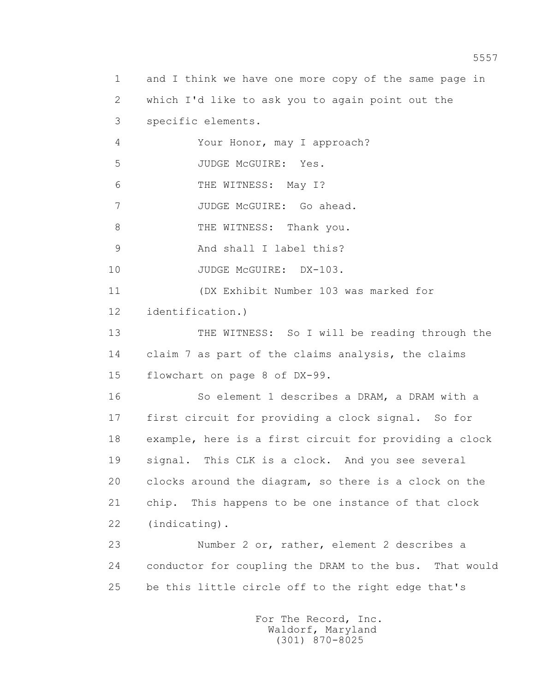1 and I think we have one more copy of the same page in 2 which I'd like to ask you to again point out the 3 specific elements. 4 Your Honor, may I approach? 5 JUDGE McGUIRE: Yes. 6 THE WITNESS: May I? 7 JUDGE McGUIRE: Go ahead. 8 THE WITNESS: Thank you. 9 And shall I label this? 10 JUDGE McGUIRE: DX-103. 11 (DX Exhibit Number 103 was marked for 12 identification.) 13 THE WITNESS: So I will be reading through the 14 claim 7 as part of the claims analysis, the claims 15 flowchart on page 8 of DX-99. 16 So element 1 describes a DRAM, a DRAM with a 17 first circuit for providing a clock signal. So for 18 example, here is a first circuit for providing a clock 19 signal. This CLK is a clock. And you see several 20 clocks around the diagram, so there is a clock on the 21 chip. This happens to be one instance of that clock 22 (indicating). 23 Number 2 or, rather, element 2 describes a 24 conductor for coupling the DRAM to the bus. That would 25 be this little circle off to the right edge that's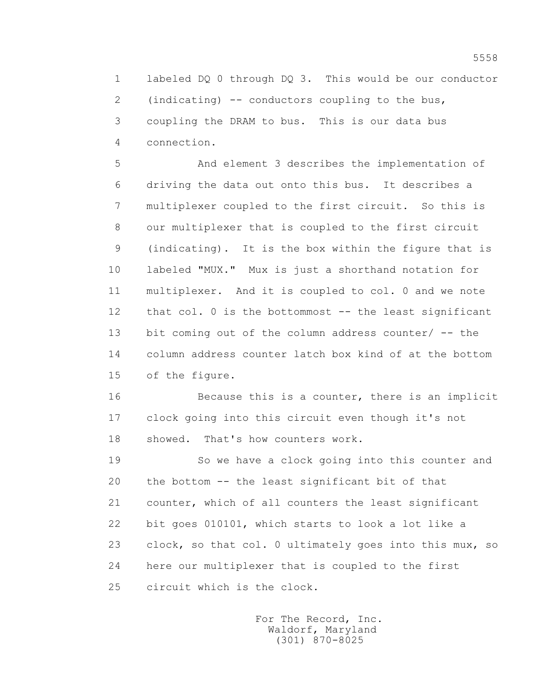1 labeled DQ 0 through DQ 3. This would be our conductor 2 (indicating) -- conductors coupling to the bus, 3 coupling the DRAM to bus. This is our data bus 4 connection.

 5 And element 3 describes the implementation of 6 driving the data out onto this bus. It describes a 7 multiplexer coupled to the first circuit. So this is 8 our multiplexer that is coupled to the first circuit 9 (indicating). It is the box within the figure that is 10 labeled "MUX." Mux is just a shorthand notation for 11 multiplexer. And it is coupled to col. 0 and we note 12 that col. 0 is the bottommost -- the least significant 13 bit coming out of the column address counter/ -- the 14 column address counter latch box kind of at the bottom 15 of the figure.

 16 Because this is a counter, there is an implicit 17 clock going into this circuit even though it's not 18 showed. That's how counters work.

 19 So we have a clock going into this counter and 20 the bottom -- the least significant bit of that 21 counter, which of all counters the least significant 22 bit goes 010101, which starts to look a lot like a 23 clock, so that col. 0 ultimately goes into this mux, so 24 here our multiplexer that is coupled to the first 25 circuit which is the clock.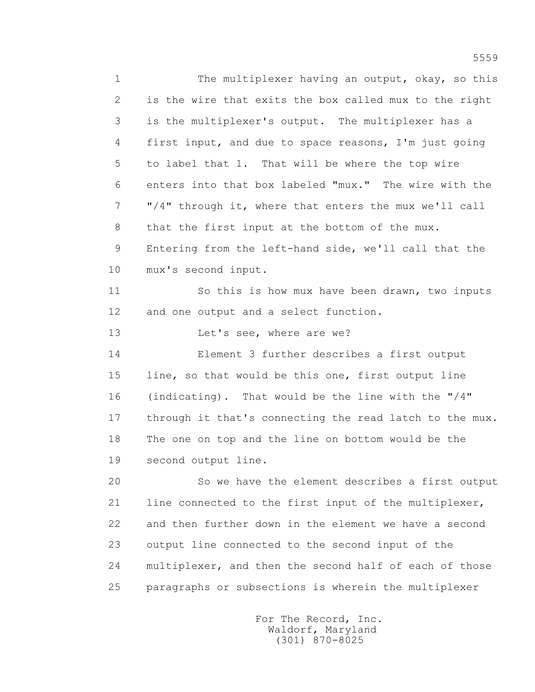1 The multiplexer having an output, okay, so this 2 is the wire that exits the box called mux to the right 3 is the multiplexer's output. The multiplexer has a 4 first input, and due to space reasons, I'm just going 5 to label that 1. That will be where the top wire 6 enters into that box labeled "mux." The wire with the 7 "/4" through it, where that enters the mux we'll call 8 that the first input at the bottom of the mux. 9 Entering from the left-hand side, we'll call that the 10 mux's second input. 11 So this is how mux have been drawn, two inputs 12 and one output and a select function. 13 Let's see, where are we? 14 Element 3 further describes a first output 15 line, so that would be this one, first output line 16 (indicating). That would be the line with the "/4" 17 through it that's connecting the read latch to the mux. 18 The one on top and the line on bottom would be the 19 second output line. 20 So we have the element describes a first output 21 line connected to the first input of the multiplexer, 22 and then further down in the element we have a second 23 output line connected to the second input of the 24 multiplexer, and then the second half of each of those 25 paragraphs or subsections is wherein the multiplexer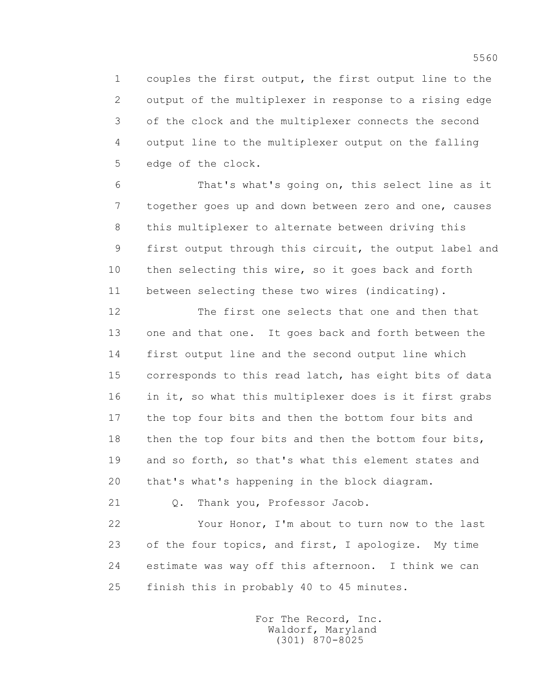1 couples the first output, the first output line to the 2 output of the multiplexer in response to a rising edge 3 of the clock and the multiplexer connects the second 4 output line to the multiplexer output on the falling 5 edge of the clock.

 6 That's what's going on, this select line as it 7 together goes up and down between zero and one, causes 8 this multiplexer to alternate between driving this 9 first output through this circuit, the output label and 10 then selecting this wire, so it goes back and forth 11 between selecting these two wires (indicating).

 12 The first one selects that one and then that 13 one and that one. It goes back and forth between the 14 first output line and the second output line which 15 corresponds to this read latch, has eight bits of data 16 in it, so what this multiplexer does is it first grabs 17 the top four bits and then the bottom four bits and 18 then the top four bits and then the bottom four bits, 19 and so forth, so that's what this element states and 20 that's what's happening in the block diagram.

```
 21 Q. Thank you, Professor Jacob.
```
 22 Your Honor, I'm about to turn now to the last 23 of the four topics, and first, I apologize. My time 24 estimate was way off this afternoon. I think we can 25 finish this in probably 40 to 45 minutes.

> For The Record, Inc. Waldorf, Maryland (301) 870-8025

5560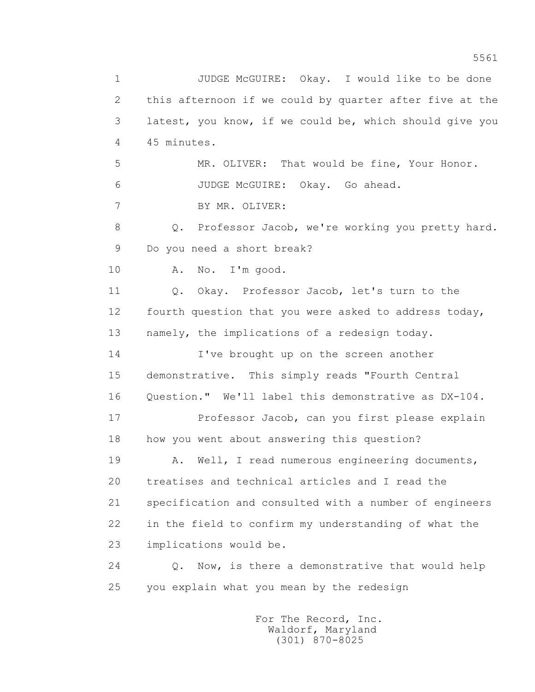1 JUDGE McGUIRE: Okay. I would like to be done 2 this afternoon if we could by quarter after five at the 3 latest, you know, if we could be, which should give you 4 45 minutes. 5 MR. OLIVER: That would be fine, Your Honor. 6 JUDGE McGUIRE: Okay. Go ahead. 7 BY MR. OLIVER: 8 Q. Professor Jacob, we're working you pretty hard. 9 Do you need a short break? 10 A. No. I'm good. 11 0. Okay. Professor Jacob, let's turn to the 12 fourth question that you were asked to address today, 13 namely, the implications of a redesign today. 14 I've brought up on the screen another 15 demonstrative. This simply reads "Fourth Central 16 Ouestion." We'll label this demonstrative as DX-104. 17 Professor Jacob, can you first please explain 18 how you went about answering this question? 19 A. Well, I read numerous engineering documents, 20 treatises and technical articles and I read the 21 specification and consulted with a number of engineers 22 in the field to confirm my understanding of what the 23 implications would be. 24 Q. Now, is there a demonstrative that would help 25 you explain what you mean by the redesign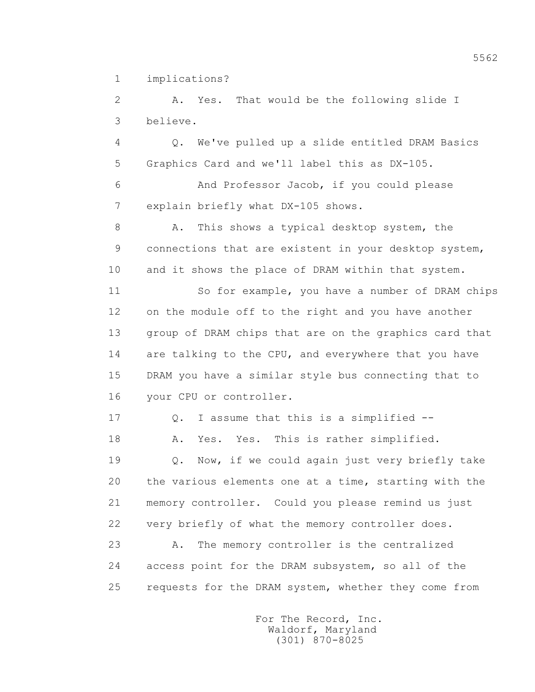1 implications?

 2 A. Yes. That would be the following slide I 3 believe.

 4 Q. We've pulled up a slide entitled DRAM Basics 5 Graphics Card and we'll label this as DX-105.

 6 And Professor Jacob, if you could please 7 explain briefly what DX-105 shows.

8 A. This shows a typical desktop system, the 9 connections that are existent in your desktop system, 10 and it shows the place of DRAM within that system.

 11 So for example, you have a number of DRAM chips 12 on the module off to the right and you have another 13 group of DRAM chips that are on the graphics card that 14 are talking to the CPU, and everywhere that you have 15 DRAM you have a similar style bus connecting that to 16 your CPU or controller.

17 0. I assume that this is a simplified --

18 A. Yes. Yes. This is rather simplified.

 19 Q. Now, if we could again just very briefly take 20 the various elements one at a time, starting with the 21 memory controller. Could you please remind us just 22 very briefly of what the memory controller does.

 23 A. The memory controller is the centralized 24 access point for the DRAM subsystem, so all of the 25 requests for the DRAM system, whether they come from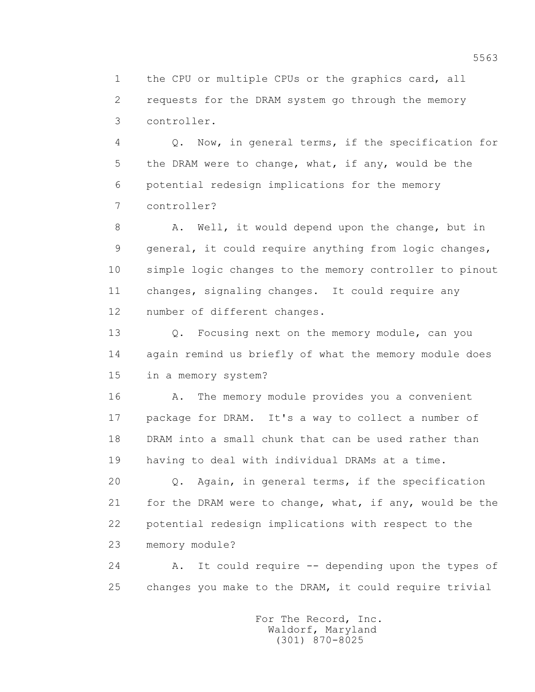1 the CPU or multiple CPUs or the graphics card, all 2 requests for the DRAM system go through the memory 3 controller.

 4 Q. Now, in general terms, if the specification for 5 the DRAM were to change, what, if any, would be the 6 potential redesign implications for the memory 7 controller?

 8 A. Well, it would depend upon the change, but in 9 general, it could require anything from logic changes, 10 simple logic changes to the memory controller to pinout 11 changes, signaling changes. It could require any 12 number of different changes.

 13 Q. Focusing next on the memory module, can you 14 again remind us briefly of what the memory module does 15 in a memory system?

16 A. The memory module provides you a convenient 17 package for DRAM. It's a way to collect a number of 18 DRAM into a small chunk that can be used rather than 19 having to deal with individual DRAMs at a time.

 20 Q. Again, in general terms, if the specification 21 for the DRAM were to change, what, if any, would be the 22 potential redesign implications with respect to the 23 memory module?

 24 A. It could require -- depending upon the types of 25 changes you make to the DRAM, it could require trivial

> For The Record, Inc. Waldorf, Maryland (301) 870-8025

5563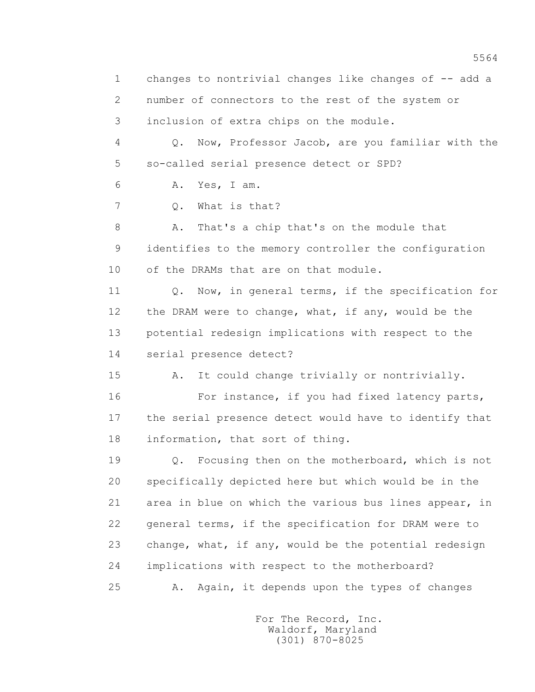1 changes to nontrivial changes like changes of -- add a 2 number of connectors to the rest of the system or 3 inclusion of extra chips on the module. 4 Q. Now, Professor Jacob, are you familiar with the 5 so-called serial presence detect or SPD? 6 A. Yes, I am. 7 Q. What is that? 8 A. That's a chip that's on the module that 9 identifies to the memory controller the configuration 10 of the DRAMs that are on that module. 11 0. Now, in general terms, if the specification for 12 the DRAM were to change, what, if any, would be the 13 potential redesign implications with respect to the 14 serial presence detect? 15 A. It could change trivially or nontrivially. 16 For instance, if you had fixed latency parts, 17 the serial presence detect would have to identify that 18 information, that sort of thing. 19 Q. Focusing then on the motherboard, which is not 20 specifically depicted here but which would be in the 21 area in blue on which the various bus lines appear, in 22 general terms, if the specification for DRAM were to 23 change, what, if any, would be the potential redesign 24 implications with respect to the motherboard? 25 A. Again, it depends upon the types of changes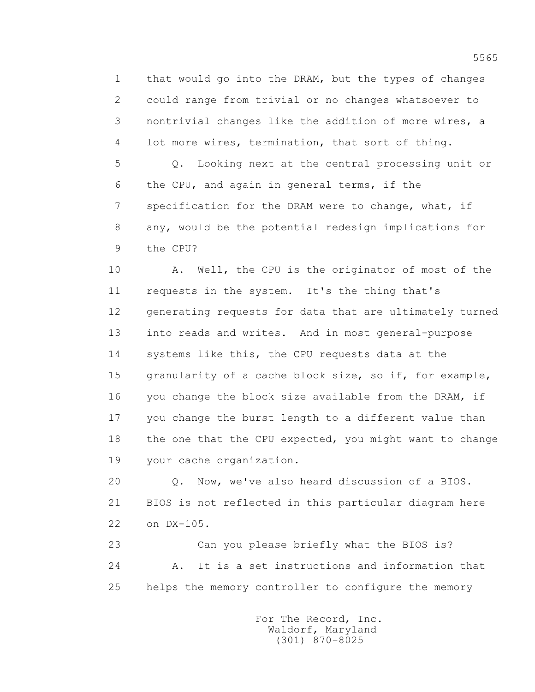1 that would go into the DRAM, but the types of changes 2 could range from trivial or no changes whatsoever to 3 nontrivial changes like the addition of more wires, a 4 lot more wires, termination, that sort of thing.

 5 Q. Looking next at the central processing unit or 6 the CPU, and again in general terms, if the 7 specification for the DRAM were to change, what, if 8 any, would be the potential redesign implications for 9 the CPU?

 10 A. Well, the CPU is the originator of most of the 11 requests in the system. It's the thing that's 12 generating requests for data that are ultimately turned 13 into reads and writes. And in most general-purpose 14 systems like this, the CPU requests data at the 15 granularity of a cache block size, so if, for example, 16 you change the block size available from the DRAM, if 17 you change the burst length to a different value than 18 the one that the CPU expected, you might want to change 19 your cache organization.

 20 Q. Now, we've also heard discussion of a BIOS. 21 BIOS is not reflected in this particular diagram here 22 on DX-105.

 23 Can you please briefly what the BIOS is? 24 A. It is a set instructions and information that 25 helps the memory controller to configure the memory

> For The Record, Inc. Waldorf, Maryland (301) 870-8025

5565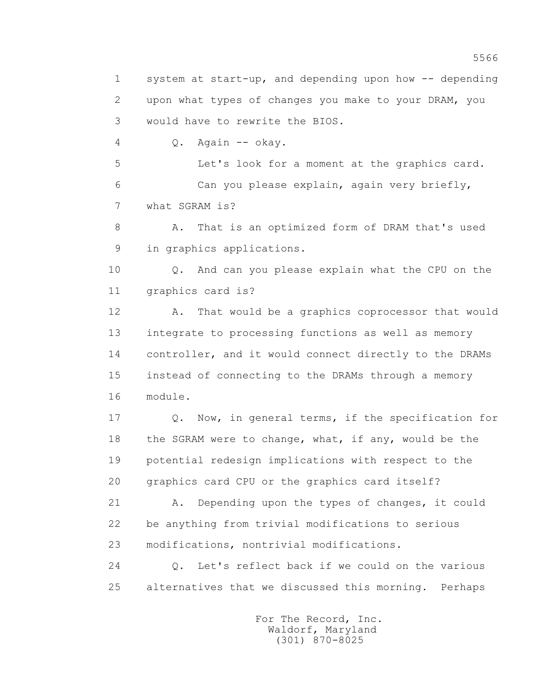1 system at start-up, and depending upon how -- depending 2 upon what types of changes you make to your DRAM, you 3 would have to rewrite the BIOS.

4 Q. Again -- okay.

 5 Let's look for a moment at the graphics card. 6 Can you please explain, again very briefly, 7 what SGRAM is?

 8 A. That is an optimized form of DRAM that's used 9 in graphics applications.

 10 Q. And can you please explain what the CPU on the 11 graphics card is?

12 A. That would be a graphics coprocessor that would 13 integrate to processing functions as well as memory 14 controller, and it would connect directly to the DRAMs 15 instead of connecting to the DRAMs through a memory 16 module.

 17 Q. Now, in general terms, if the specification for 18 the SGRAM were to change, what, if any, would be the 19 potential redesign implications with respect to the 20 graphics card CPU or the graphics card itself?

 21 A. Depending upon the types of changes, it could 22 be anything from trivial modifications to serious 23 modifications, nontrivial modifications.

 24 Q. Let's reflect back if we could on the various 25 alternatives that we discussed this morning. Perhaps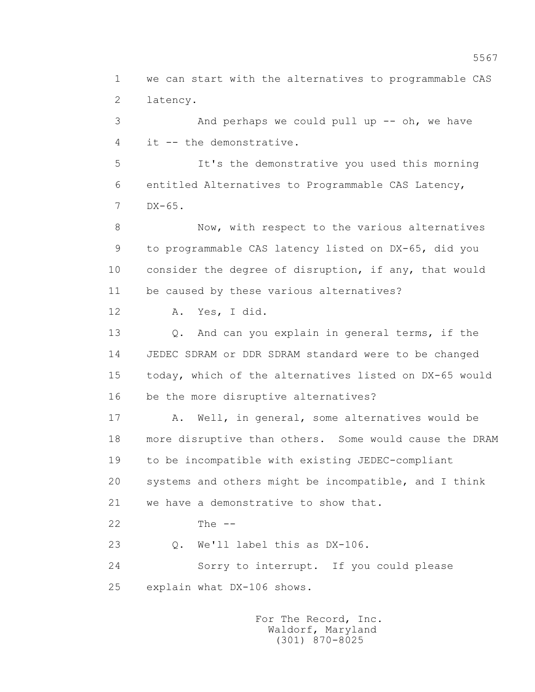1 we can start with the alternatives to programmable CAS 2 latency.

 3 And perhaps we could pull up -- oh, we have 4 it -- the demonstrative.

 5 It's the demonstrative you used this morning 6 entitled Alternatives to Programmable CAS Latency, 7 DX-65.

 8 Now, with respect to the various alternatives 9 to programmable CAS latency listed on DX-65, did you 10 consider the degree of disruption, if any, that would 11 be caused by these various alternatives?

12 A. Yes, I did.

 13 Q. And can you explain in general terms, if the 14 JEDEC SDRAM or DDR SDRAM standard were to be changed 15 today, which of the alternatives listed on DX-65 would 16 be the more disruptive alternatives?

 17 A. Well, in general, some alternatives would be 18 more disruptive than others. Some would cause the DRAM 19 to be incompatible with existing JEDEC-compliant 20 systems and others might be incompatible, and I think 21 we have a demonstrative to show that.

22 The --

23 Q. We'll label this as DX-106.

 24 Sorry to interrupt. If you could please 25 explain what DX-106 shows.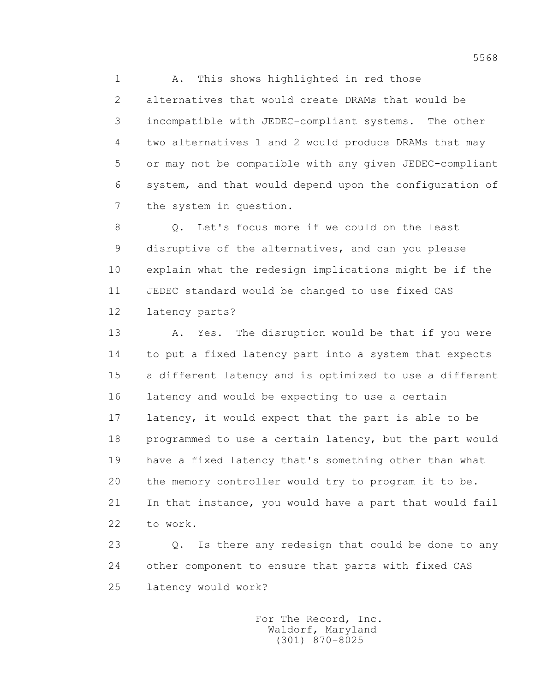1 A. This shows highlighted in red those 2 alternatives that would create DRAMs that would be 3 incompatible with JEDEC-compliant systems. The other 4 two alternatives 1 and 2 would produce DRAMs that may 5 or may not be compatible with any given JEDEC-compliant 6 system, and that would depend upon the configuration of 7 the system in question.

 8 Q. Let's focus more if we could on the least 9 disruptive of the alternatives, and can you please 10 explain what the redesign implications might be if the 11 JEDEC standard would be changed to use fixed CAS 12 latency parts?

13 A. Yes. The disruption would be that if you were 14 to put a fixed latency part into a system that expects 15 a different latency and is optimized to use a different 16 latency and would be expecting to use a certain 17 latency, it would expect that the part is able to be 18 programmed to use a certain latency, but the part would 19 have a fixed latency that's something other than what 20 the memory controller would try to program it to be. 21 In that instance, you would have a part that would fail 22 to work.

 23 Q. Is there any redesign that could be done to any 24 other component to ensure that parts with fixed CAS 25 latency would work?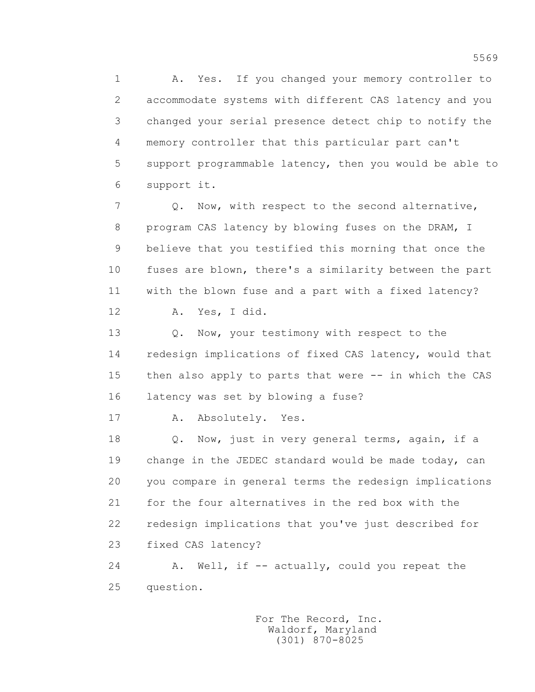1 A. Yes. If you changed your memory controller to 2 accommodate systems with different CAS latency and you 3 changed your serial presence detect chip to notify the 4 memory controller that this particular part can't 5 support programmable latency, then you would be able to 6 support it.

 7 Q. Now, with respect to the second alternative, 8 program CAS latency by blowing fuses on the DRAM, I 9 believe that you testified this morning that once the 10 fuses are blown, there's a similarity between the part 11 with the blown fuse and a part with a fixed latency?

12 A. Yes, I did.

13 O. Now, your testimony with respect to the 14 redesign implications of fixed CAS latency, would that 15 then also apply to parts that were -- in which the CAS 16 latency was set by blowing a fuse?

17 A. Absolutely. Yes.

18 Q. Now, just in very general terms, again, if a 19 change in the JEDEC standard would be made today, can 20 you compare in general terms the redesign implications 21 for the four alternatives in the red box with the 22 redesign implications that you've just described for 23 fixed CAS latency?

24 A. Well, if -- actually, could you repeat the 25 question.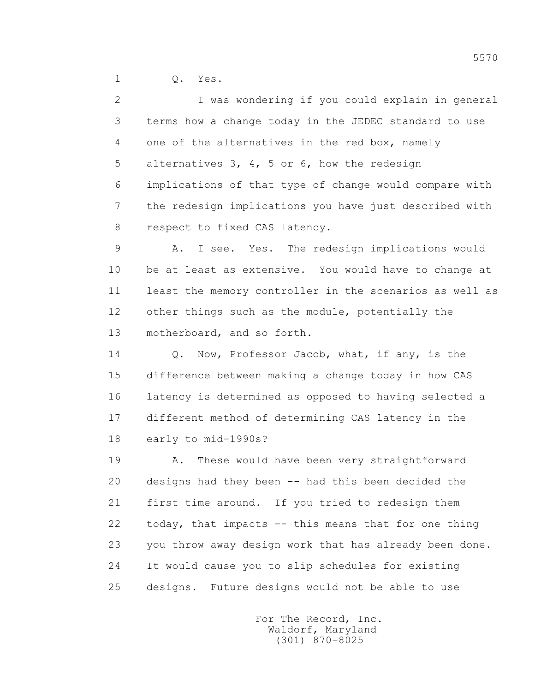1 Q. Yes.

 2 I was wondering if you could explain in general 3 terms how a change today in the JEDEC standard to use 4 one of the alternatives in the red box, namely 5 alternatives 3, 4, 5 or 6, how the redesign 6 implications of that type of change would compare with 7 the redesign implications you have just described with 8 respect to fixed CAS latency.

 9 A. I see. Yes. The redesign implications would 10 be at least as extensive. You would have to change at 11 least the memory controller in the scenarios as well as 12 other things such as the module, potentially the 13 motherboard, and so forth.

 14 Q. Now, Professor Jacob, what, if any, is the 15 difference between making a change today in how CAS 16 latency is determined as opposed to having selected a 17 different method of determining CAS latency in the 18 early to mid-1990s?

19 A. These would have been very straightforward 20 designs had they been -- had this been decided the 21 first time around. If you tried to redesign them 22 today, that impacts -- this means that for one thing 23 you throw away design work that has already been done. 24 It would cause you to slip schedules for existing 25 designs. Future designs would not be able to use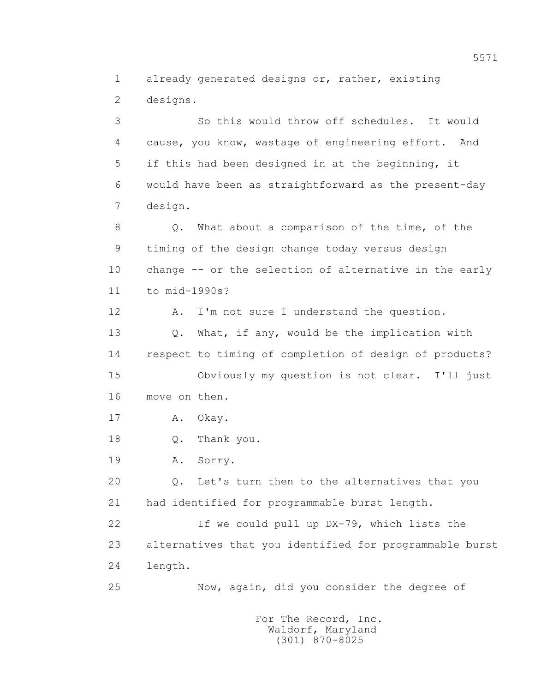1 already generated designs or, rather, existing 2 designs.

 3 So this would throw off schedules. It would 4 cause, you know, wastage of engineering effort. And 5 if this had been designed in at the beginning, it 6 would have been as straightforward as the present-day 7 design.

 8 Q. What about a comparison of the time, of the 9 timing of the design change today versus design 10 change -- or the selection of alternative in the early 11 to mid-1990s?

12 A. I'm not sure I understand the question.

 13 Q. What, if any, would be the implication with 14 respect to timing of completion of design of products? 15 Obviously my question is not clear. I'll just

16 move on then.

17 A. Okay.

18 Q. Thank you.

19 A. Sorry.

 20 Q. Let's turn then to the alternatives that you 21 had identified for programmable burst length.

 22 If we could pull up DX-79, which lists the 23 alternatives that you identified for programmable burst 24 length.

25 Now, again, did you consider the degree of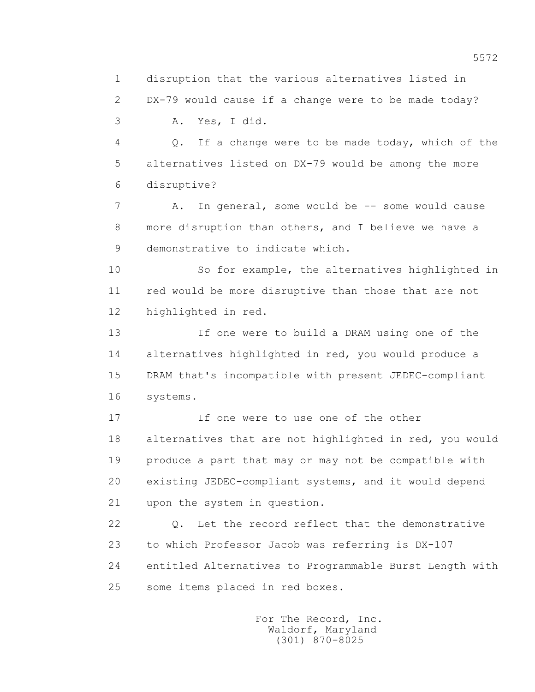1 disruption that the various alternatives listed in

 2 DX-79 would cause if a change were to be made today? 3 A. Yes, I did.

 4 Q. If a change were to be made today, which of the 5 alternatives listed on DX-79 would be among the more 6 disruptive?

7 A. In general, some would be -- some would cause 8 more disruption than others, and I believe we have a 9 demonstrative to indicate which.

 10 So for example, the alternatives highlighted in 11 red would be more disruptive than those that are not 12 highlighted in red.

 13 If one were to build a DRAM using one of the 14 alternatives highlighted in red, you would produce a 15 DRAM that's incompatible with present JEDEC-compliant 16 systems.

 17 If one were to use one of the other 18 alternatives that are not highlighted in red, you would 19 produce a part that may or may not be compatible with 20 existing JEDEC-compliant systems, and it would depend 21 upon the system in question.

 22 Q. Let the record reflect that the demonstrative 23 to which Professor Jacob was referring is DX-107 24 entitled Alternatives to Programmable Burst Length with 25 some items placed in red boxes.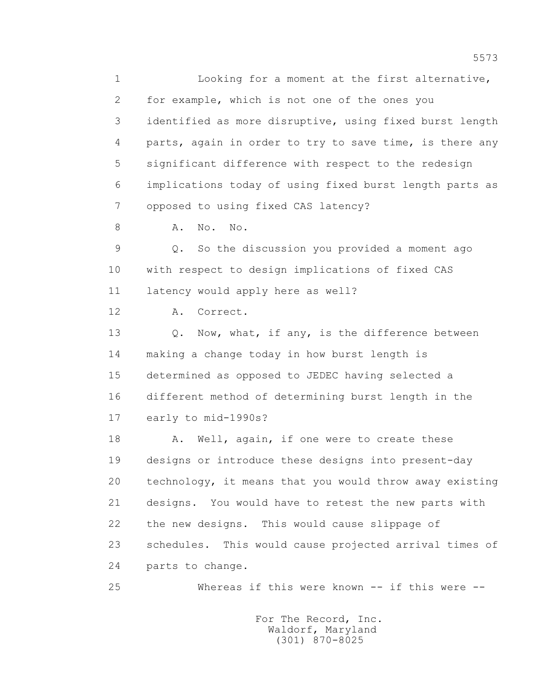1 Looking for a moment at the first alternative, 2 for example, which is not one of the ones you 3 identified as more disruptive, using fixed burst length 4 parts, again in order to try to save time, is there any 5 significant difference with respect to the redesign 6 implications today of using fixed burst length parts as 7 opposed to using fixed CAS latency? 8 A. No. No. 9 Q. So the discussion you provided a moment ago 10 with respect to design implications of fixed CAS 11 latency would apply here as well? 12 A. Correct. 13 O. Now, what, if any, is the difference between 14 making a change today in how burst length is 15 determined as opposed to JEDEC having selected a 16 different method of determining burst length in the 17 early to mid-1990s? 18 A. Well, again, if one were to create these 19 designs or introduce these designs into present-day 20 technology, it means that you would throw away existing 21 designs. You would have to retest the new parts with 22 the new designs. This would cause slippage of 23 schedules. This would cause projected arrival times of 24 parts to change. 25 Whereas if this were known -- if this were --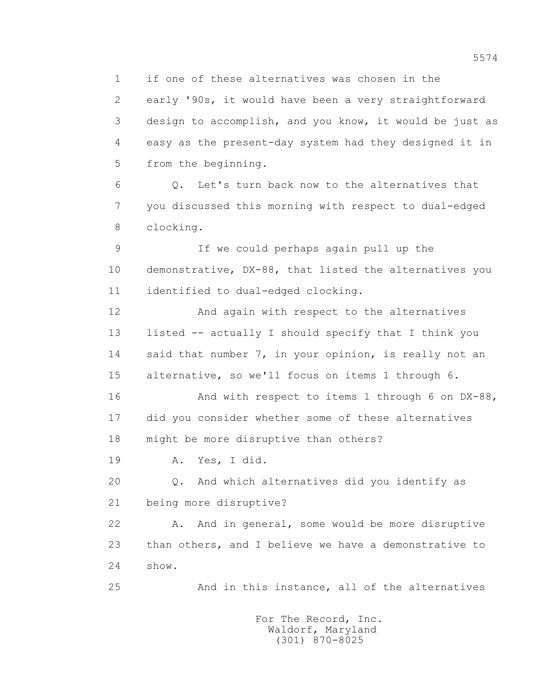1 if one of these alternatives was chosen in the

 2 early '90s, it would have been a very straightforward 3 design to accomplish, and you know, it would be just as 4 easy as the present-day system had they designed it in 5 from the beginning.

 6 Q. Let's turn back now to the alternatives that 7 you discussed this morning with respect to dual-edged 8 clocking.

 9 If we could perhaps again pull up the 10 demonstrative, DX-88, that listed the alternatives you 11 identified to dual-edged clocking.

 12 And again with respect to the alternatives 13 listed -- actually I should specify that I think you 14 said that number 7, in your opinion, is really not an 15 alternative, so we'll focus on items 1 through 6.

16 And with respect to items 1 through 6 on DX-88, 17 did you consider whether some of these alternatives 18 might be more disruptive than others?

19 A. Yes, I did.

 20 Q. And which alternatives did you identify as 21 being more disruptive?

 22 A. And in general, some would be more disruptive 23 than others, and I believe we have a demonstrative to 24 show.

25 And in this instance, all of the alternatives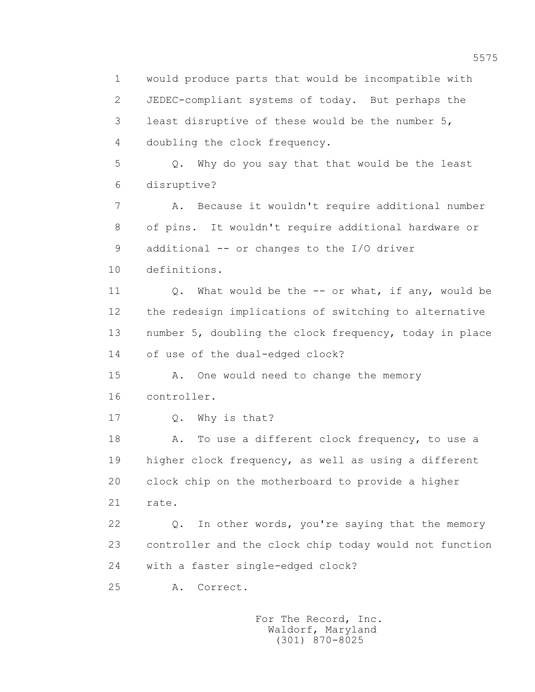1 would produce parts that would be incompatible with 2 JEDEC-compliant systems of today. But perhaps the 3 least disruptive of these would be the number 5, 4 doubling the clock frequency. 5 Q. Why do you say that that would be the least 6 disruptive? 7 A. Because it wouldn't require additional number 8 of pins. It wouldn't require additional hardware or 9 additional -- or changes to the I/O driver 10 definitions. 11 Q. What would be the -- or what, if any, would be 12 the redesign implications of switching to alternative 13 number 5, doubling the clock frequency, today in place 14 of use of the dual-edged clock? 15 A. One would need to change the memory 16 controller. 17 0. Why is that? 18 A. To use a different clock frequency, to use a 19 higher clock frequency, as well as using a different 20 clock chip on the motherboard to provide a higher 21 rate. 22 Q. In other words, you're saying that the memory 23 controller and the clock chip today would not function 24 with a faster single-edged clock? 25 A. Correct.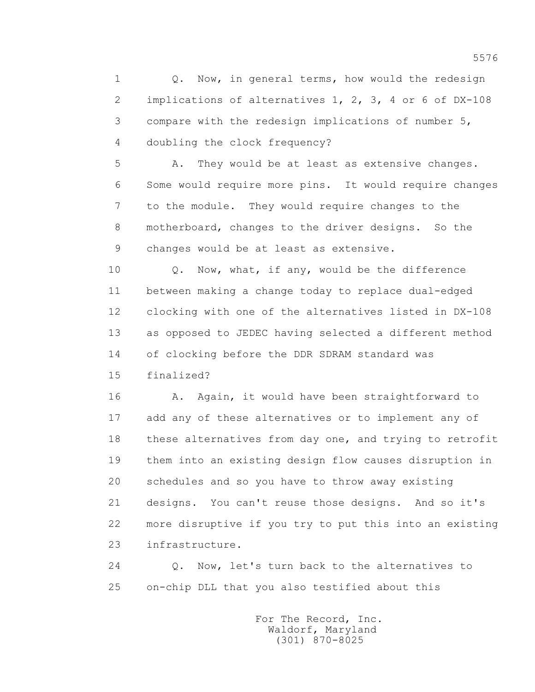1 0. Now, in general terms, how would the redesign 2 implications of alternatives 1, 2, 3, 4 or 6 of DX-108 3 compare with the redesign implications of number 5, 4 doubling the clock frequency?

 5 A. They would be at least as extensive changes. 6 Some would require more pins. It would require changes 7 to the module. They would require changes to the 8 motherboard, changes to the driver designs. So the 9 changes would be at least as extensive.

 10 Q. Now, what, if any, would be the difference 11 between making a change today to replace dual-edged 12 clocking with one of the alternatives listed in DX-108 13 as opposed to JEDEC having selected a different method 14 of clocking before the DDR SDRAM standard was

15 finalized?

16 A. Again, it would have been straightforward to 17 add any of these alternatives or to implement any of 18 these alternatives from day one, and trying to retrofit 19 them into an existing design flow causes disruption in 20 schedules and so you have to throw away existing 21 designs. You can't reuse those designs. And so it's 22 more disruptive if you try to put this into an existing 23 infrastructure.

 24 Q. Now, let's turn back to the alternatives to 25 on-chip DLL that you also testified about this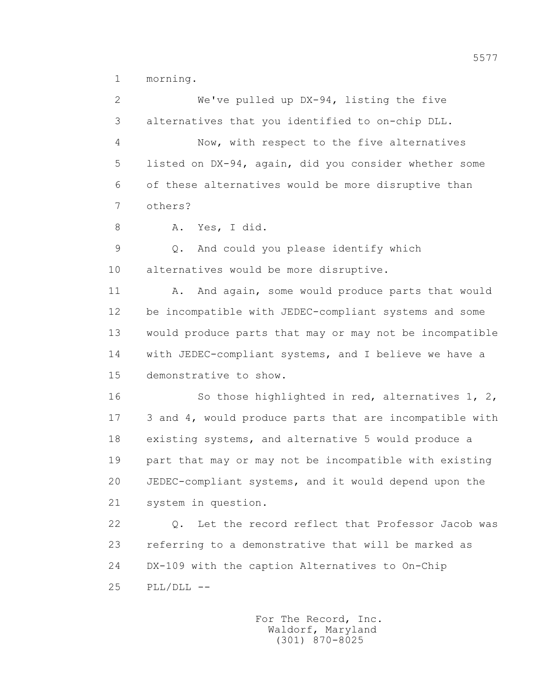1 morning.

 2 We've pulled up DX-94, listing the five 3 alternatives that you identified to on-chip DLL. 4 Now, with respect to the five alternatives 5 listed on DX-94, again, did you consider whether some 6 of these alternatives would be more disruptive than 7 others? 8 A. Yes, I did. 9 Q. And could you please identify which 10 alternatives would be more disruptive. 11 A. And again, some would produce parts that would 12 be incompatible with JEDEC-compliant systems and some 13 would produce parts that may or may not be incompatible 14 with JEDEC-compliant systems, and I believe we have a 15 demonstrative to show. 16 So those highlighted in red, alternatives 1, 2, 17 3 and 4, would produce parts that are incompatible with 18 existing systems, and alternative 5 would produce a 19 part that may or may not be incompatible with existing 20 JEDEC-compliant systems, and it would depend upon the 21 system in question. 22 Q. Let the record reflect that Professor Jacob was 23 referring to a demonstrative that will be marked as 24 DX-109 with the caption Alternatives to On-Chip 25 PLL/DLL --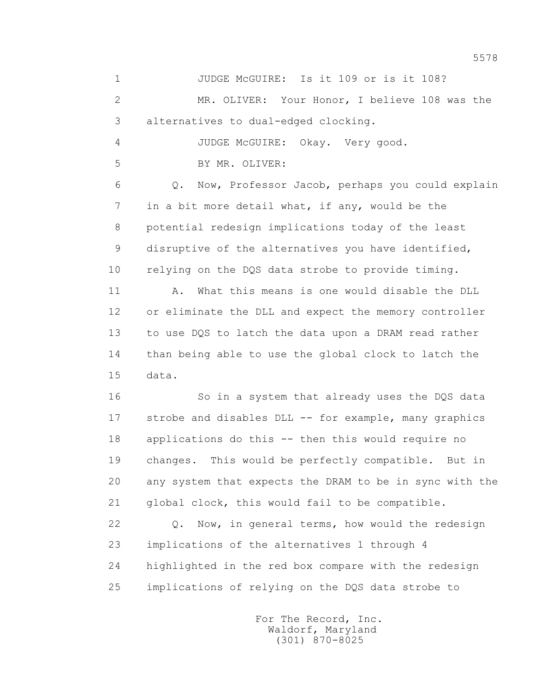1 JUDGE McGUIRE: Is it 109 or is it 108? 2 MR. OLIVER: Your Honor, I believe 108 was the 3 alternatives to dual-edged clocking. 4 JUDGE McGUIRE: Okay. Very good. 5 BY MR. OLIVER: 6 Q. Now, Professor Jacob, perhaps you could explain 7 in a bit more detail what, if any, would be the 8 potential redesign implications today of the least 9 disruptive of the alternatives you have identified, 10 relying on the DQS data strobe to provide timing. 11 A. What this means is one would disable the DLL 12 or eliminate the DLL and expect the memory controller 13 to use DQS to latch the data upon a DRAM read rather 14 than being able to use the global clock to latch the 15 data. 16 So in a system that already uses the DQS data 17 strobe and disables DLL -- for example, many graphics

 18 applications do this -- then this would require no 19 changes. This would be perfectly compatible. But in 20 any system that expects the DRAM to be in sync with the 21 global clock, this would fail to be compatible.

 22 Q. Now, in general terms, how would the redesign 23 implications of the alternatives 1 through 4 24 highlighted in the red box compare with the redesign 25 implications of relying on the DQS data strobe to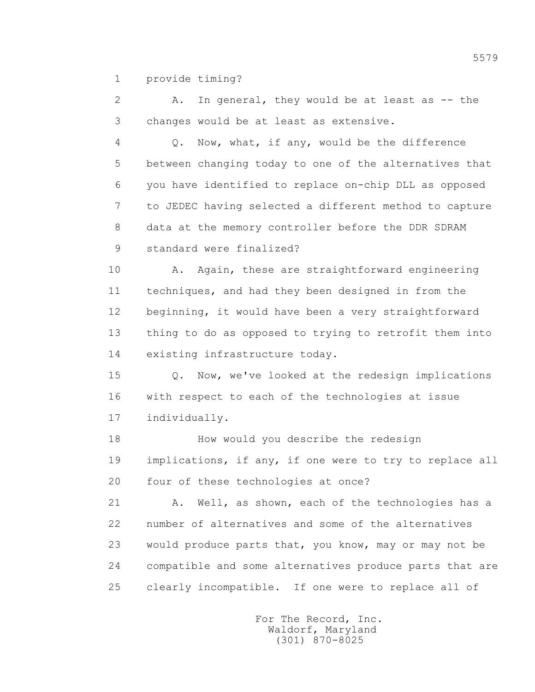1 provide timing?

2 A. In general, they would be at least as -- the 3 changes would be at least as extensive.

 4 Q. Now, what, if any, would be the difference 5 between changing today to one of the alternatives that 6 you have identified to replace on-chip DLL as opposed 7 to JEDEC having selected a different method to capture 8 data at the memory controller before the DDR SDRAM 9 standard were finalized?

 10 A. Again, these are straightforward engineering 11 techniques, and had they been designed in from the 12 beginning, it would have been a very straightforward 13 thing to do as opposed to trying to retrofit them into 14 existing infrastructure today.

 15 Q. Now, we've looked at the redesign implications 16 with respect to each of the technologies at issue 17 individually.

 18 How would you describe the redesign 19 implications, if any, if one were to try to replace all 20 four of these technologies at once?

 21 A. Well, as shown, each of the technologies has a 22 number of alternatives and some of the alternatives 23 would produce parts that, you know, may or may not be 24 compatible and some alternatives produce parts that are 25 clearly incompatible. If one were to replace all of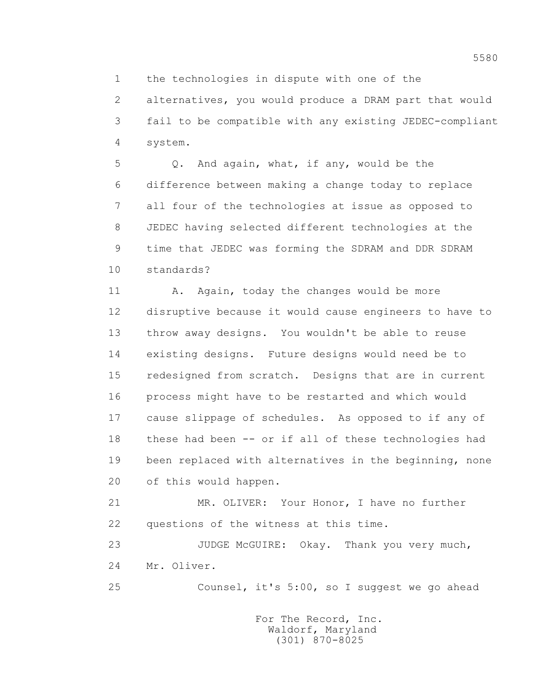1 the technologies in dispute with one of the

 2 alternatives, you would produce a DRAM part that would 3 fail to be compatible with any existing JEDEC-compliant 4 system.

 5 Q. And again, what, if any, would be the 6 difference between making a change today to replace 7 all four of the technologies at issue as opposed to 8 JEDEC having selected different technologies at the 9 time that JEDEC was forming the SDRAM and DDR SDRAM 10 standards?

11 A. Again, today the changes would be more 12 disruptive because it would cause engineers to have to 13 throw away designs. You wouldn't be able to reuse 14 existing designs. Future designs would need be to 15 redesigned from scratch. Designs that are in current 16 process might have to be restarted and which would 17 cause slippage of schedules. As opposed to if any of 18 these had been -- or if all of these technologies had 19 been replaced with alternatives in the beginning, none 20 of this would happen.

 21 MR. OLIVER: Your Honor, I have no further 22 questions of the witness at this time.

23 JUDGE McGUIRE: Okay. Thank you very much, 24 Mr. Oliver.

25 Counsel, it's 5:00, so I suggest we go ahead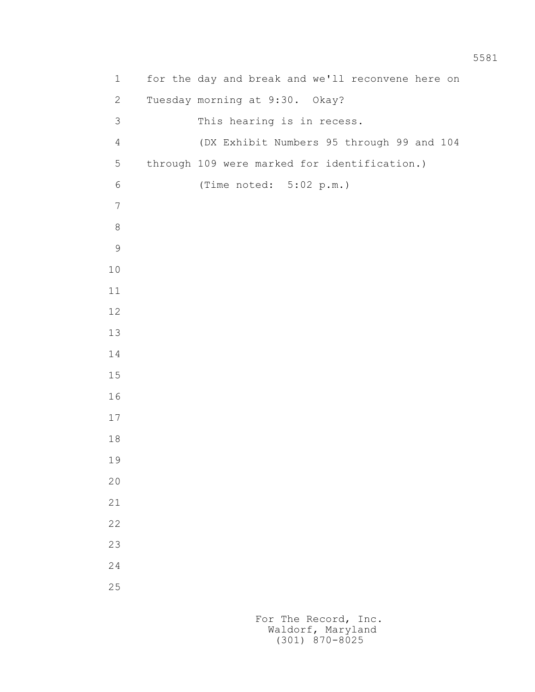| $\mathbf 1$    | for the day and break and we'll reconvene here on |
|----------------|---------------------------------------------------|
| $\mathbf{2}$   | Tuesday morning at 9:30. Okay?                    |
| 3              | This hearing is in recess.                        |
| $\overline{4}$ | (DX Exhibit Numbers 95 through 99 and 104         |
| 5              | through 109 were marked for identification.)      |
| 6              | (Time noted: 5:02 p.m.)                           |
| $\overline{7}$ |                                                   |
| $8\,$          |                                                   |
| $\mathcal{G}$  |                                                   |
| $10$           |                                                   |
| 11             |                                                   |
| 12             |                                                   |
| 13             |                                                   |
| 14             |                                                   |
| 15             |                                                   |
| 16             |                                                   |
| 17             |                                                   |
| 18             |                                                   |
| 19             |                                                   |
| 20             |                                                   |
| $21\,$         |                                                   |
| 22             |                                                   |
| 23             |                                                   |
| 24             |                                                   |
| 25             |                                                   |
|                |                                                   |